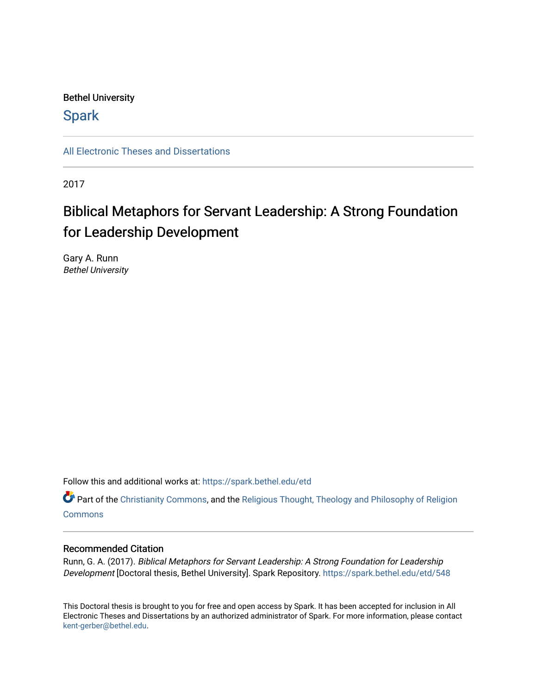#### Bethel University

### **Spark**

[All Electronic Theses and Dissertations](https://spark.bethel.edu/etd) 

2017

# Biblical Metaphors for Servant Leadership: A Strong Foundation for Leadership Development

Gary A. Runn Bethel University

Follow this and additional works at: [https://spark.bethel.edu/etd](https://spark.bethel.edu/etd?utm_source=spark.bethel.edu%2Fetd%2F548&utm_medium=PDF&utm_campaign=PDFCoverPages)

Part of the [Christianity Commons,](http://network.bepress.com/hgg/discipline/1181?utm_source=spark.bethel.edu%2Fetd%2F548&utm_medium=PDF&utm_campaign=PDFCoverPages) and the [Religious Thought, Theology and Philosophy of Religion](http://network.bepress.com/hgg/discipline/544?utm_source=spark.bethel.edu%2Fetd%2F548&utm_medium=PDF&utm_campaign=PDFCoverPages)  **[Commons](http://network.bepress.com/hgg/discipline/544?utm_source=spark.bethel.edu%2Fetd%2F548&utm_medium=PDF&utm_campaign=PDFCoverPages)** 

#### Recommended Citation

Runn, G. A. (2017). Biblical Metaphors for Servant Leadership: A Strong Foundation for Leadership Development [Doctoral thesis, Bethel University]. Spark Repository. [https://spark.bethel.edu/etd/548](https://spark.bethel.edu/etd/548?utm_source=spark.bethel.edu%2Fetd%2F548&utm_medium=PDF&utm_campaign=PDFCoverPages) 

This Doctoral thesis is brought to you for free and open access by Spark. It has been accepted for inclusion in All Electronic Theses and Dissertations by an authorized administrator of Spark. For more information, please contact [kent-gerber@bethel.edu](mailto:kent-gerber@bethel.edu).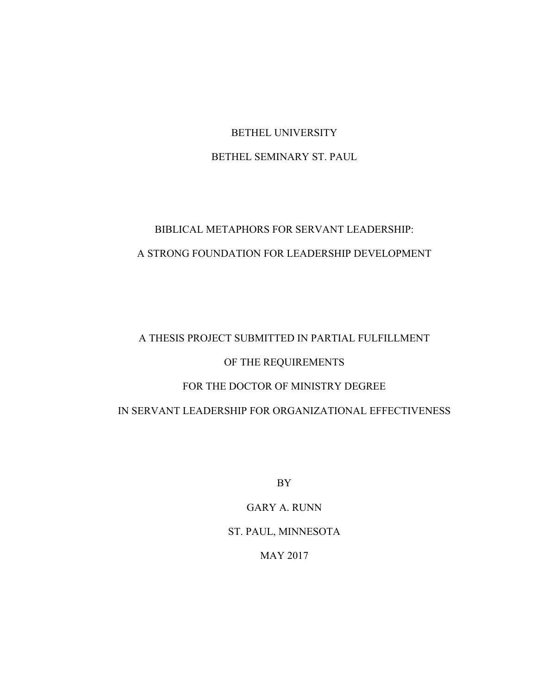## BETHEL UNIVERSITY BETHEL SEMINARY ST. PAUL

## BIBLICAL METAPHORS FOR SERVANT LEADERSHIP: A STRONG FOUNDATION FOR LEADERSHIP DEVELOPMENT

# A THESIS PROJECT SUBMITTED IN PARTIAL FULFILLMENT OF THE REQUIREMENTS FOR THE DOCTOR OF MINISTRY DEGREE

IN SERVANT LEADERSHIP FOR ORGANIZATIONAL EFFECTIVENESS

BY

GARY A. RUNN ST. PAUL, MINNESOTA

MAY 2017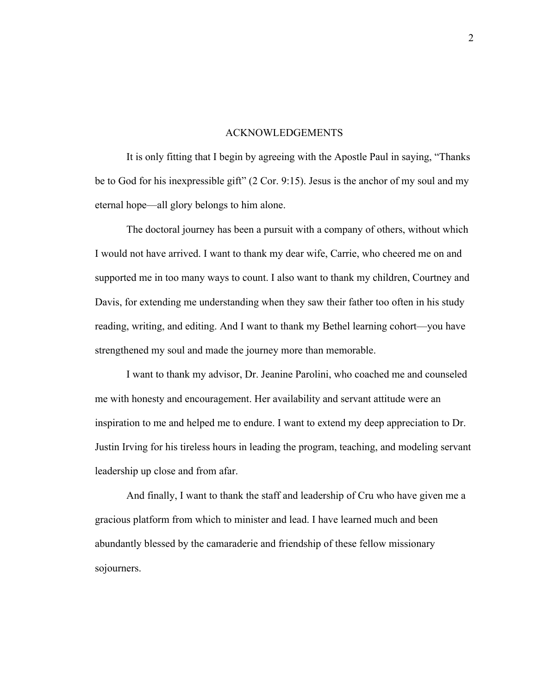#### ACKNOWLEDGEMENTS

It is only fitting that I begin by agreeing with the Apostle Paul in saying, "Thanks be to God for his inexpressible gift" (2 Cor. 9:15). Jesus is the anchor of my soul and my eternal hope—all glory belongs to him alone.

The doctoral journey has been a pursuit with a company of others, without which I would not have arrived. I want to thank my dear wife, Carrie, who cheered me on and supported me in too many ways to count. I also want to thank my children, Courtney and Davis, for extending me understanding when they saw their father too often in his study reading, writing, and editing. And I want to thank my Bethel learning cohort—you have strengthened my soul and made the journey more than memorable.

I want to thank my advisor, Dr. Jeanine Parolini, who coached me and counseled me with honesty and encouragement. Her availability and servant attitude were an inspiration to me and helped me to endure. I want to extend my deep appreciation to Dr. Justin Irving for his tireless hours in leading the program, teaching, and modeling servant leadership up close and from afar.

And finally, I want to thank the staff and leadership of Cru who have given me a gracious platform from which to minister and lead. I have learned much and been abundantly blessed by the camaraderie and friendship of these fellow missionary sojourners.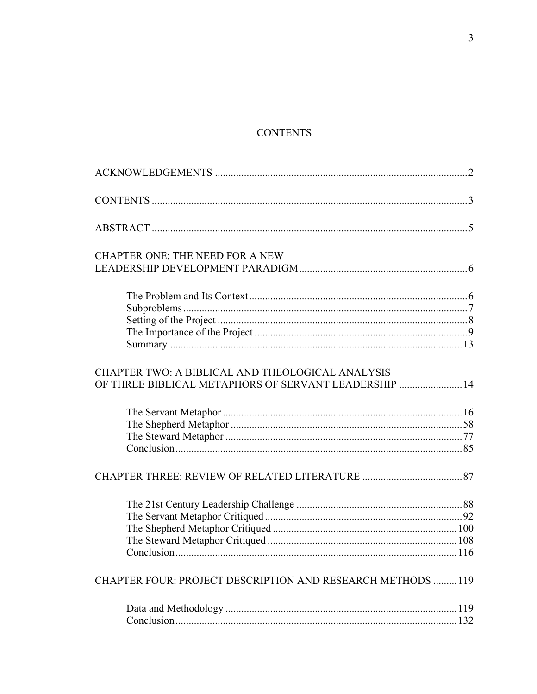## **CONTENTS**

| <b>CHAPTER ONE: THE NEED FOR A NEW</b>                     |  |
|------------------------------------------------------------|--|
|                                                            |  |
|                                                            |  |
|                                                            |  |
|                                                            |  |
|                                                            |  |
|                                                            |  |
| CHAPTER TWO: A BIBLICAL AND THEOLOGICAL ANALYSIS           |  |
| OF THREE BIBLICAL METAPHORS OF SERVANT LEADERSHIP  14      |  |
|                                                            |  |
|                                                            |  |
|                                                            |  |
|                                                            |  |
|                                                            |  |
|                                                            |  |
|                                                            |  |
|                                                            |  |
|                                                            |  |
|                                                            |  |
| CHAPTER FOUR: PROJECT DESCRIPTION AND RESEARCH METHODS 119 |  |
|                                                            |  |
|                                                            |  |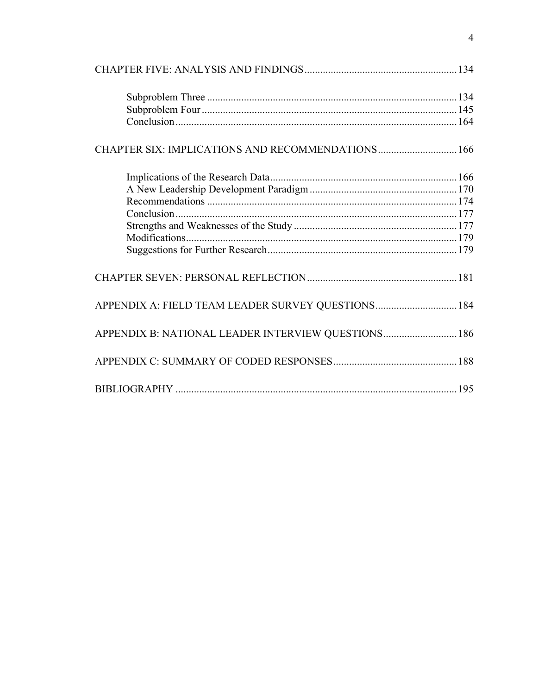| APPENDIX A: FIELD TEAM LEADER SURVEY QUESTIONS 184  |  |
|-----------------------------------------------------|--|
| APPENDIX B: NATIONAL LEADER INTERVIEW QUESTIONS 186 |  |
|                                                     |  |
|                                                     |  |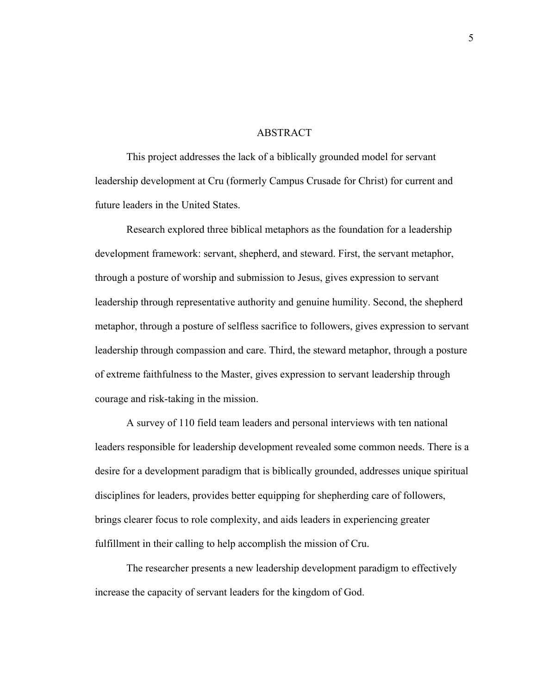#### **ABSTRACT**

This project addresses the lack of a biblically grounded model for servant leadership development at Cru (formerly Campus Crusade for Christ) for current and future leaders in the United States.

Research explored three biblical metaphors as the foundation for a leadership development framework: servant, shepherd, and steward. First, the servant metaphor, through a posture of worship and submission to Jesus, gives expression to servant leadership through representative authority and genuine humility. Second, the shepherd metaphor, through a posture of selfless sacrifice to followers, gives expression to servant leadership through compassion and care. Third, the steward metaphor, through a posture of extreme faithfulness to the Master, gives expression to servant leadership through courage and risk-taking in the mission.

A survey of 110 field team leaders and personal interviews with ten national leaders responsible for leadership development revealed some common needs. There is a desire for a development paradigm that is biblically grounded, addresses unique spiritual disciplines for leaders, provides better equipping for shepherding care of followers, brings clearer focus to role complexity, and aids leaders in experiencing greater fulfillment in their calling to help accomplish the mission of Cru.

The researcher presents a new leadership development paradigm to effectively increase the capacity of servant leaders for the kingdom of God.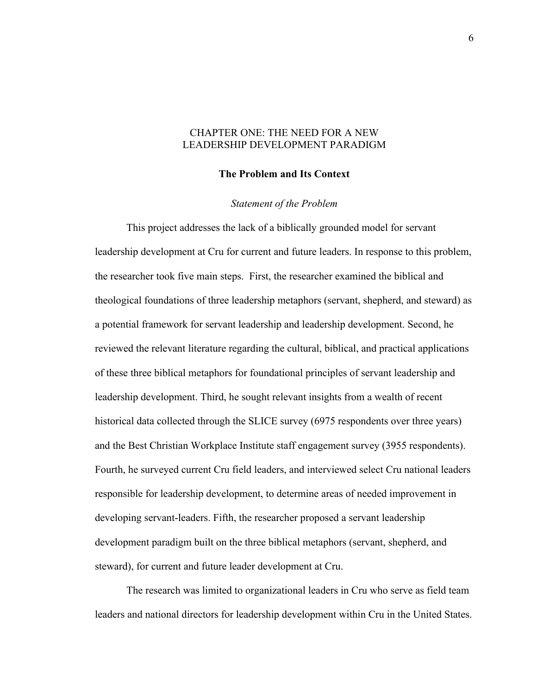#### CHAPTER ONE: THE NEED FOR A NEW LEADERSHIP DEVELOPMENT PARADIGM

#### **The Problem and Its Context**

#### *Statement of the Problem*

This project addresses the lack of a biblically grounded model for servant leadership development at Cru for current and future leaders. In response to this problem, the researcher took five main steps. First, the researcher examined the biblical and theological foundations of three leadership metaphors (servant, shepherd, and steward) as a potential framework for servant leadership and leadership development. Second, he reviewed the relevant literature regarding the cultural, biblical, and practical applications of these three biblical metaphors for foundational principles of servant leadership and leadership development. Third, he sought relevant insights from a wealth of recent historical data collected through the SLICE survey (6975 respondents over three years) and the Best Christian Workplace Institute staff engagement survey (3955 respondents). Fourth, he surveyed current Cru field leaders, and interviewed select Cru national leaders responsible for leadership development, to determine areas of needed improvement in developing servant-leaders. Fifth, the researcher proposed a servant leadership development paradigm built on the three biblical metaphors (servant, shepherd, and steward), for current and future leader development at Cru.

The research was limited to organizational leaders in Cru who serve as field team leaders and national directors for leadership development within Cru in the United States.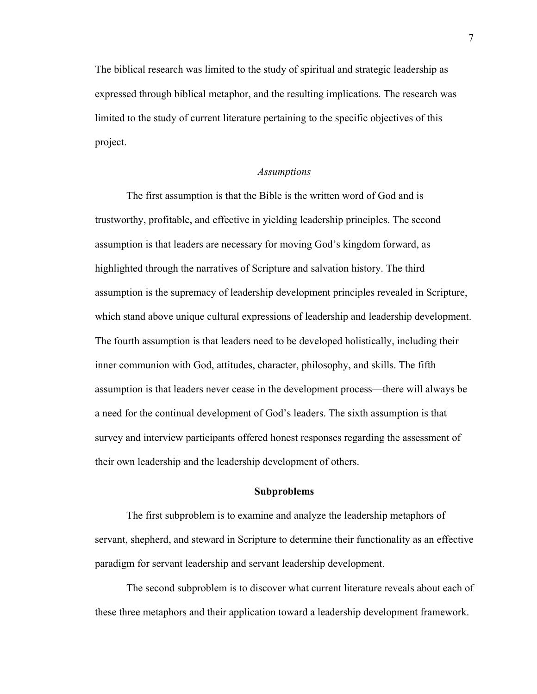The biblical research was limited to the study of spiritual and strategic leadership as expressed through biblical metaphor, and the resulting implications. The research was limited to the study of current literature pertaining to the specific objectives of this project.

#### *Assumptions*

The first assumption is that the Bible is the written word of God and is trustworthy, profitable, and effective in yielding leadership principles. The second assumption is that leaders are necessary for moving God's kingdom forward, as highlighted through the narratives of Scripture and salvation history. The third assumption is the supremacy of leadership development principles revealed in Scripture, which stand above unique cultural expressions of leadership and leadership development. The fourth assumption is that leaders need to be developed holistically, including their inner communion with God, attitudes, character, philosophy, and skills. The fifth assumption is that leaders never cease in the development process—there will always be a need for the continual development of God's leaders. The sixth assumption is that survey and interview participants offered honest responses regarding the assessment of their own leadership and the leadership development of others.

#### **Subproblems**

The first subproblem is to examine and analyze the leadership metaphors of servant, shepherd, and steward in Scripture to determine their functionality as an effective paradigm for servant leadership and servant leadership development.

The second subproblem is to discover what current literature reveals about each of these three metaphors and their application toward a leadership development framework.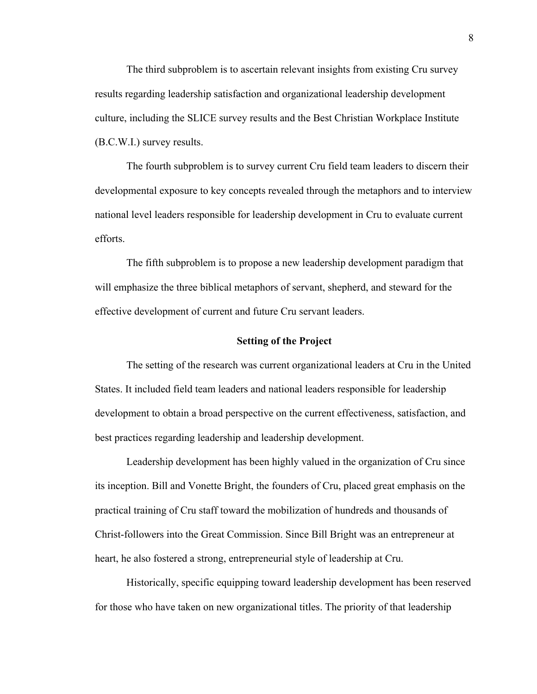The third subproblem is to ascertain relevant insights from existing Cru survey results regarding leadership satisfaction and organizational leadership development culture, including the SLICE survey results and the Best Christian Workplace Institute (B.C.W.I.) survey results.

The fourth subproblem is to survey current Cru field team leaders to discern their developmental exposure to key concepts revealed through the metaphors and to interview national level leaders responsible for leadership development in Cru to evaluate current efforts.

The fifth subproblem is to propose a new leadership development paradigm that will emphasize the three biblical metaphors of servant, shepherd, and steward for the effective development of current and future Cru servant leaders.

#### **Setting of the Project**

The setting of the research was current organizational leaders at Cru in the United States. It included field team leaders and national leaders responsible for leadership development to obtain a broad perspective on the current effectiveness, satisfaction, and best practices regarding leadership and leadership development.

Leadership development has been highly valued in the organization of Cru since its inception. Bill and Vonette Bright, the founders of Cru, placed great emphasis on the practical training of Cru staff toward the mobilization of hundreds and thousands of Christ-followers into the Great Commission. Since Bill Bright was an entrepreneur at heart, he also fostered a strong, entrepreneurial style of leadership at Cru.

Historically, specific equipping toward leadership development has been reserved for those who have taken on new organizational titles. The priority of that leadership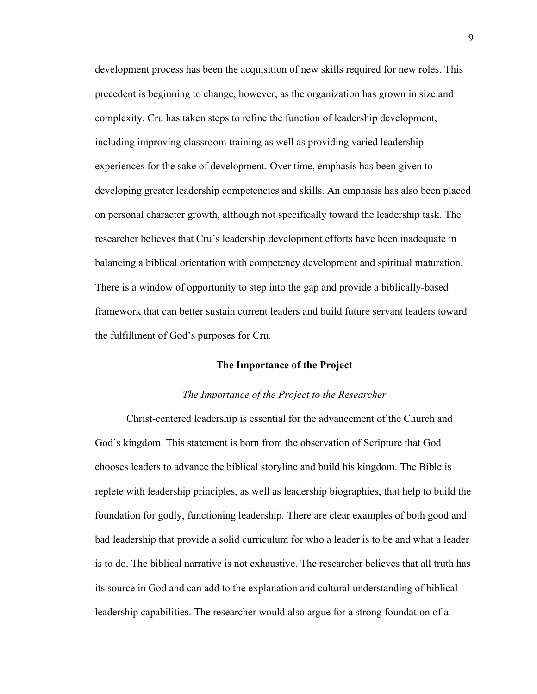development process has been the acquisition of new skills required for new roles. This precedent is beginning to change, however, as the organization has grown in size and complexity. Cru has taken steps to refine the function of leadership development, including improving classroom training as well as providing varied leadership experiences for the sake of development. Over time, emphasis has been given to developing greater leadership competencies and skills. An emphasis has also been placed on personal character growth, although not specifically toward the leadership task. The researcher believes that Cru's leadership development efforts have been inadequate in balancing a biblical orientation with competency development and spiritual maturation. There is a window of opportunity to step into the gap and provide a biblically-based framework that can better sustain current leaders and build future servant leaders toward the fulfillment of God's purposes for Cru.

#### **The Importance of the Project**

#### *The Importance of the Project to the Researcher*

Christ-centered leadership is essential for the advancement of the Church and God's kingdom. This statement is born from the observation of Scripture that God chooses leaders to advance the biblical storyline and build his kingdom. The Bible is replete with leadership principles, as well as leadership biographies, that help to build the foundation for godly, functioning leadership. There are clear examples of both good and bad leadership that provide a solid curriculum for who a leader is to be and what a leader is to do. The biblical narrative is not exhaustive. The researcher believes that all truth has its source in God and can add to the explanation and cultural understanding of biblical leadership capabilities. The researcher would also argue for a strong foundation of a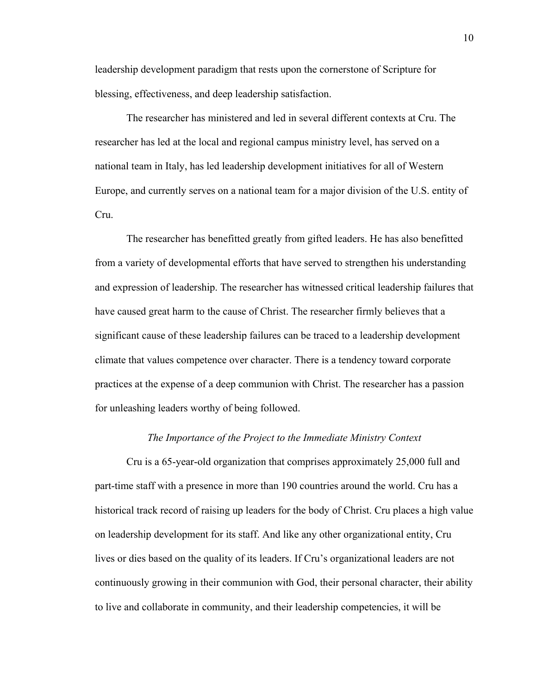leadership development paradigm that rests upon the cornerstone of Scripture for blessing, effectiveness, and deep leadership satisfaction.

The researcher has ministered and led in several different contexts at Cru. The researcher has led at the local and regional campus ministry level, has served on a national team in Italy, has led leadership development initiatives for all of Western Europe, and currently serves on a national team for a major division of the U.S. entity of Cru.

The researcher has benefitted greatly from gifted leaders. He has also benefitted from a variety of developmental efforts that have served to strengthen his understanding and expression of leadership. The researcher has witnessed critical leadership failures that have caused great harm to the cause of Christ. The researcher firmly believes that a significant cause of these leadership failures can be traced to a leadership development climate that values competence over character. There is a tendency toward corporate practices at the expense of a deep communion with Christ. The researcher has a passion for unleashing leaders worthy of being followed.

#### *The Importance of the Project to the Immediate Ministry Context*

Cru is a 65-year-old organization that comprises approximately 25,000 full and part-time staff with a presence in more than 190 countries around the world. Cru has a historical track record of raising up leaders for the body of Christ. Cru places a high value on leadership development for its staff. And like any other organizational entity, Cru lives or dies based on the quality of its leaders. If Cru's organizational leaders are not continuously growing in their communion with God, their personal character, their ability to live and collaborate in community, and their leadership competencies, it will be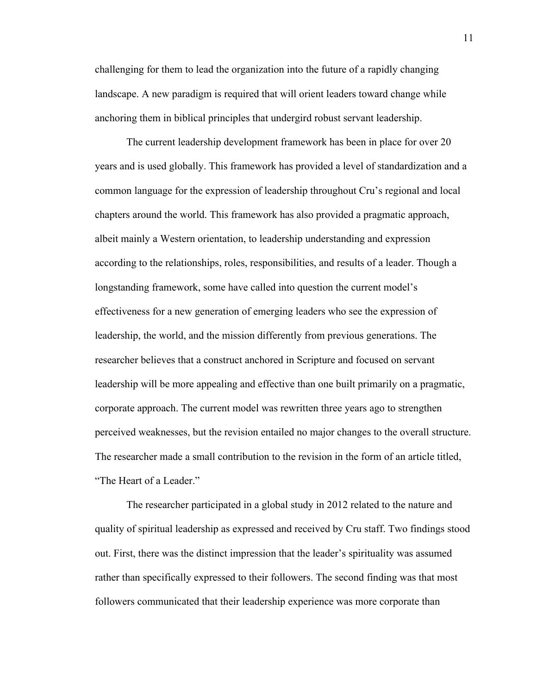challenging for them to lead the organization into the future of a rapidly changing landscape. A new paradigm is required that will orient leaders toward change while anchoring them in biblical principles that undergird robust servant leadership.

The current leadership development framework has been in place for over 20 years and is used globally. This framework has provided a level of standardization and a common language for the expression of leadership throughout Cru's regional and local chapters around the world. This framework has also provided a pragmatic approach, albeit mainly a Western orientation, to leadership understanding and expression according to the relationships, roles, responsibilities, and results of a leader. Though a longstanding framework, some have called into question the current model's effectiveness for a new generation of emerging leaders who see the expression of leadership, the world, and the mission differently from previous generations. The researcher believes that a construct anchored in Scripture and focused on servant leadership will be more appealing and effective than one built primarily on a pragmatic, corporate approach. The current model was rewritten three years ago to strengthen perceived weaknesses, but the revision entailed no major changes to the overall structure. The researcher made a small contribution to the revision in the form of an article titled, "The Heart of a Leader."

The researcher participated in a global study in 2012 related to the nature and quality of spiritual leadership as expressed and received by Cru staff. Two findings stood out. First, there was the distinct impression that the leader's spirituality was assumed rather than specifically expressed to their followers. The second finding was that most followers communicated that their leadership experience was more corporate than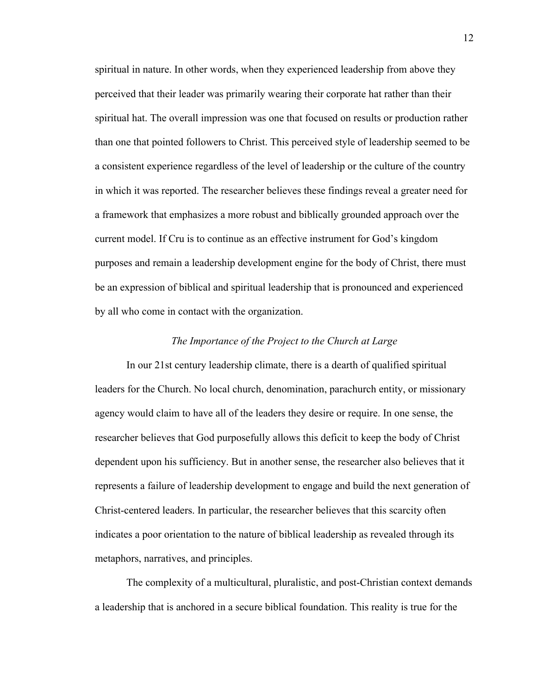spiritual in nature. In other words, when they experienced leadership from above they perceived that their leader was primarily wearing their corporate hat rather than their spiritual hat. The overall impression was one that focused on results or production rather than one that pointed followers to Christ. This perceived style of leadership seemed to be a consistent experience regardless of the level of leadership or the culture of the country in which it was reported. The researcher believes these findings reveal a greater need for a framework that emphasizes a more robust and biblically grounded approach over the current model. If Cru is to continue as an effective instrument for God's kingdom purposes and remain a leadership development engine for the body of Christ, there must be an expression of biblical and spiritual leadership that is pronounced and experienced by all who come in contact with the organization.

#### *The Importance of the Project to the Church at Large*

In our 21st century leadership climate, there is a dearth of qualified spiritual leaders for the Church. No local church, denomination, parachurch entity, or missionary agency would claim to have all of the leaders they desire or require. In one sense, the researcher believes that God purposefully allows this deficit to keep the body of Christ dependent upon his sufficiency. But in another sense, the researcher also believes that it represents a failure of leadership development to engage and build the next generation of Christ-centered leaders. In particular, the researcher believes that this scarcity often indicates a poor orientation to the nature of biblical leadership as revealed through its metaphors, narratives, and principles.

The complexity of a multicultural, pluralistic, and post-Christian context demands a leadership that is anchored in a secure biblical foundation. This reality is true for the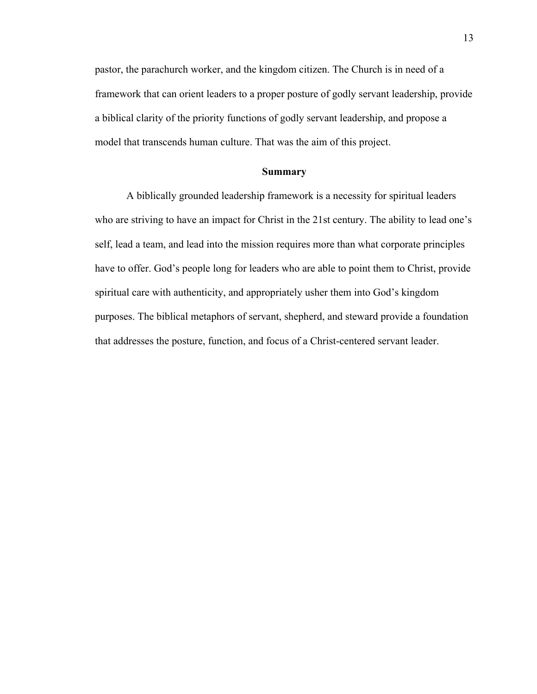pastor, the parachurch worker, and the kingdom citizen. The Church is in need of a framework that can orient leaders to a proper posture of godly servant leadership, provide a biblical clarity of the priority functions of godly servant leadership, and propose a model that transcends human culture. That was the aim of this project.

#### **Summary**

A biblically grounded leadership framework is a necessity for spiritual leaders who are striving to have an impact for Christ in the 21st century. The ability to lead one's self, lead a team, and lead into the mission requires more than what corporate principles have to offer. God's people long for leaders who are able to point them to Christ, provide spiritual care with authenticity, and appropriately usher them into God's kingdom purposes. The biblical metaphors of servant, shepherd, and steward provide a foundation that addresses the posture, function, and focus of a Christ-centered servant leader.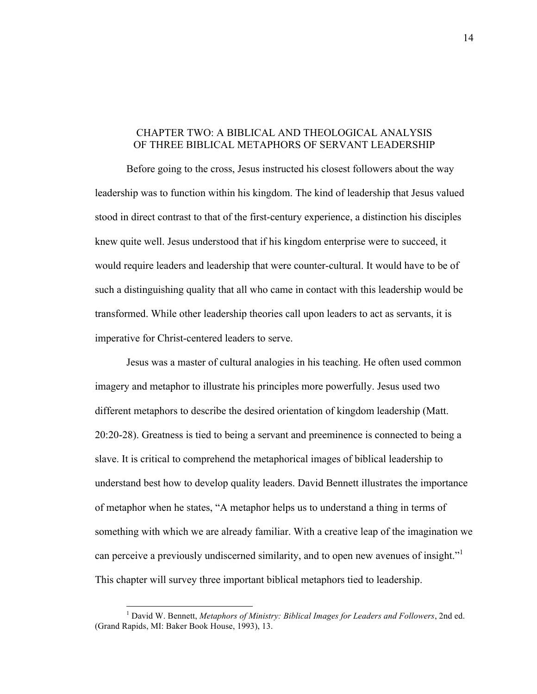#### CHAPTER TWO: A BIBLICAL AND THEOLOGICAL ANALYSIS OF THREE BIBLICAL METAPHORS OF SERVANT LEADERSHIP

Before going to the cross, Jesus instructed his closest followers about the way leadership was to function within his kingdom. The kind of leadership that Jesus valued stood in direct contrast to that of the first-century experience, a distinction his disciples knew quite well. Jesus understood that if his kingdom enterprise were to succeed, it would require leaders and leadership that were counter-cultural. It would have to be of such a distinguishing quality that all who came in contact with this leadership would be transformed. While other leadership theories call upon leaders to act as servants, it is imperative for Christ-centered leaders to serve.

Jesus was a master of cultural analogies in his teaching. He often used common imagery and metaphor to illustrate his principles more powerfully. Jesus used two different metaphors to describe the desired orientation of kingdom leadership (Matt. 20:20-28). Greatness is tied to being a servant and preeminence is connected to being a slave. It is critical to comprehend the metaphorical images of biblical leadership to understand best how to develop quality leaders. David Bennett illustrates the importance of metaphor when he states, "A metaphor helps us to understand a thing in terms of something with which we are already familiar. With a creative leap of the imagination we can perceive a previously undiscerned similarity, and to open new avenues of insight." This chapter will survey three important biblical metaphors tied to leadership.

 <sup>1</sup> David W. Bennett, *Metaphors of Ministry: Biblical Images for Leaders and Followers*, 2nd ed. (Grand Rapids, MI: Baker Book House, 1993), 13.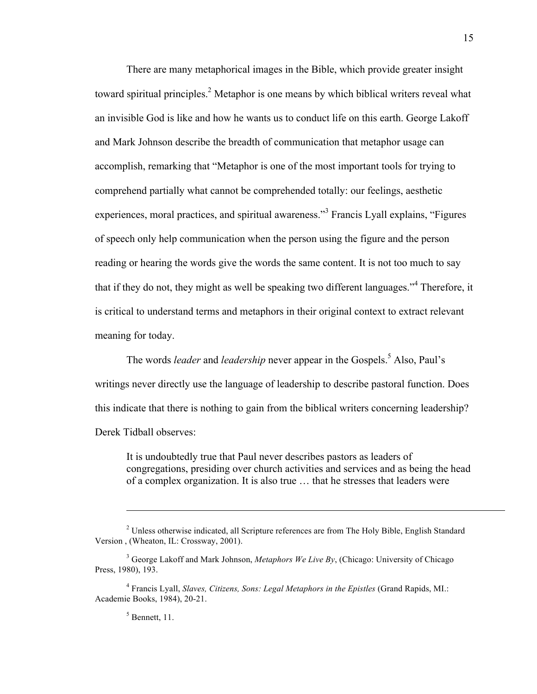There are many metaphorical images in the Bible, which provide greater insight toward spiritual principles.<sup>2</sup> Metaphor is one means by which biblical writers reveal what an invisible God is like and how he wants us to conduct life on this earth. George Lakoff and Mark Johnson describe the breadth of communication that metaphor usage can accomplish, remarking that "Metaphor is one of the most important tools for trying to comprehend partially what cannot be comprehended totally: our feelings, aesthetic experiences, moral practices, and spiritual awareness."<sup>3</sup> Francis Lyall explains, "Figures" of speech only help communication when the person using the figure and the person reading or hearing the words give the words the same content. It is not too much to say that if they do not, they might as well be speaking two different languages."<sup>4</sup> Therefore, it is critical to understand terms and metaphors in their original context to extract relevant meaning for today.

The words *leader* and *leadership* never appear in the Gospels.<sup>5</sup> Also, Paul's writings never directly use the language of leadership to describe pastoral function. Does this indicate that there is nothing to gain from the biblical writers concerning leadership? Derek Tidball observes:

It is undoubtedly true that Paul never describes pastors as leaders of congregations, presiding over church activities and services and as being the head of a complex organization. It is also true … that he stresses that leaders were

 $<sup>5</sup>$  Bennett, 11.</sup>

1

<sup>&</sup>lt;sup>2</sup> Unless otherwise indicated, all Scripture references are from The Holy Bible, English Standard Version , (Wheaton, IL: Crossway, 2001).

<sup>3</sup> George Lakoff and Mark Johnson, *Metaphors We Live By*, (Chicago: University of Chicago Press, 1980), 193.

<sup>4</sup> Francis Lyall, *Slaves, Citizens, Sons: Legal Metaphors in the Epistles* (Grand Rapids, MI.: Academie Books, 1984), 20-21.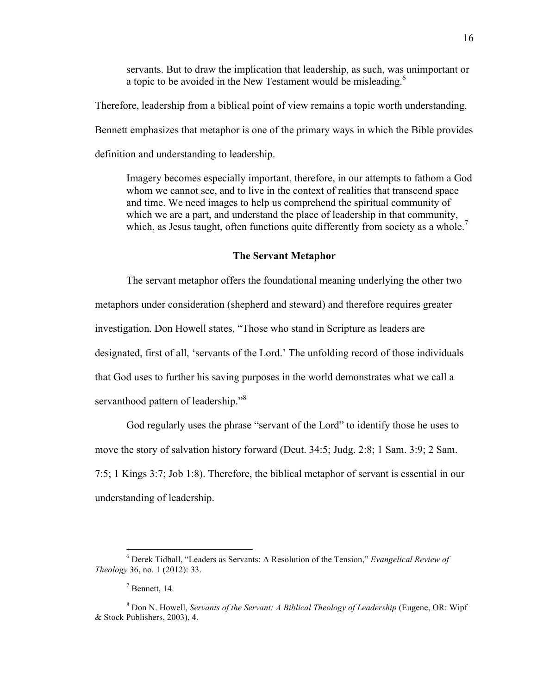servants. But to draw the implication that leadership, as such, was unimportant or a topic to be avoided in the New Testament would be misleading.<sup>6</sup>

Therefore, leadership from a biblical point of view remains a topic worth understanding. Bennett emphasizes that metaphor is one of the primary ways in which the Bible provides definition and understanding to leadership.

Imagery becomes especially important, therefore, in our attempts to fathom a God whom we cannot see, and to live in the context of realities that transcend space and time. We need images to help us comprehend the spiritual community of which we are a part, and understand the place of leadership in that community, which, as Jesus taught, often functions quite differently from society as a whole.<sup>7</sup>

#### **The Servant Metaphor**

The servant metaphor offers the foundational meaning underlying the other two metaphors under consideration (shepherd and steward) and therefore requires greater investigation. Don Howell states, "Those who stand in Scripture as leaders are designated, first of all, 'servants of the Lord.' The unfolding record of those individuals that God uses to further his saving purposes in the world demonstrates what we call a servanthood pattern of leadership."<sup>8</sup>

God regularly uses the phrase "servant of the Lord" to identify those he uses to move the story of salvation history forward (Deut. 34:5; Judg. 2:8; 1 Sam. 3:9; 2 Sam. 7:5; 1 Kings 3:7; Job 1:8). Therefore, the biblical metaphor of servant is essential in our understanding of leadership.

 <sup>6</sup> Derek Tidball, "Leaders as Servants: A Resolution of the Tension," *Evangelical Review of Theology* 36, no. 1 (2012): 33.

 $<sup>7</sup>$  Bennett, 14.</sup>

<sup>8</sup> Don N. Howell, *Servants of the Servant: A Biblical Theology of Leadership* (Eugene, OR: Wipf & Stock Publishers, 2003), 4.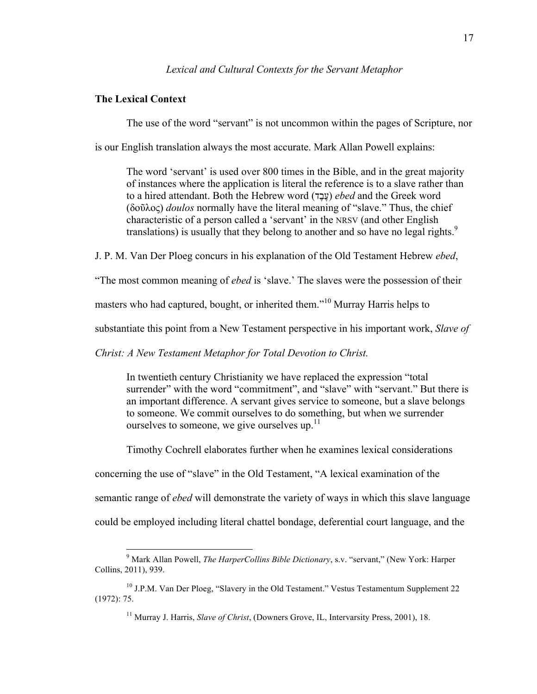#### *Lexical and Cultural Contexts for the Servant Metaphor*

#### **The Lexical Context**

The use of the word "servant" is not uncommon within the pages of Scripture, nor

is our English translation always the most accurate. Mark Allan Powell explains:

The word 'servant' is used over 800 times in the Bible, and in the great majority of instances where the application is literal the reference is to a slave rather than to a hired attendant. Both the Hebrew word (דֶבֶע (*ebed* and the Greek word (δοῦλος) *doulos* normally have the literal meaning of "slave." Thus, the chief characteristic of a person called a 'servant' in the NRSV (and other English translations) is usually that they belong to another and so have no legal rights.<sup>9</sup>

J. P. M. Van Der Ploeg concurs in his explanation of the Old Testament Hebrew *ebed*,

"The most common meaning of *ebed* is 'slave.' The slaves were the possession of their

masters who had captured, bought, or inherited them."<sup>10</sup> Murray Harris helps to

substantiate this point from a New Testament perspective in his important work, *Slave of* 

*Christ: A New Testament Metaphor for Total Devotion to Christ.*

In twentieth century Christianity we have replaced the expression "total surrender" with the word "commitment", and "slave" with "servant." But there is an important difference. A servant gives service to someone, but a slave belongs to someone. We commit ourselves to do something, but when we surrender ourselves to someone, we give ourselves up. $11$ 

Timothy Cochrell elaborates further when he examines lexical considerations

concerning the use of "slave" in the Old Testament, "A lexical examination of the

semantic range of *ebed* will demonstrate the variety of ways in which this slave language

could be employed including literal chattel bondage, deferential court language, and the

 <sup>9</sup> Mark Allan Powell, *The HarperCollins Bible Dictionary*, s.v. "servant," (New York: Harper Collins, 2011), 939.

<sup>&</sup>lt;sup>10</sup> J.P.M. Van Der Ploeg, "Slavery in the Old Testament." Vestus Testamentum Supplement 22 (1972): 75.

<sup>11</sup> Murray J. Harris, *Slave of Christ*, (Downers Grove, IL, Intervarsity Press, 2001), 18.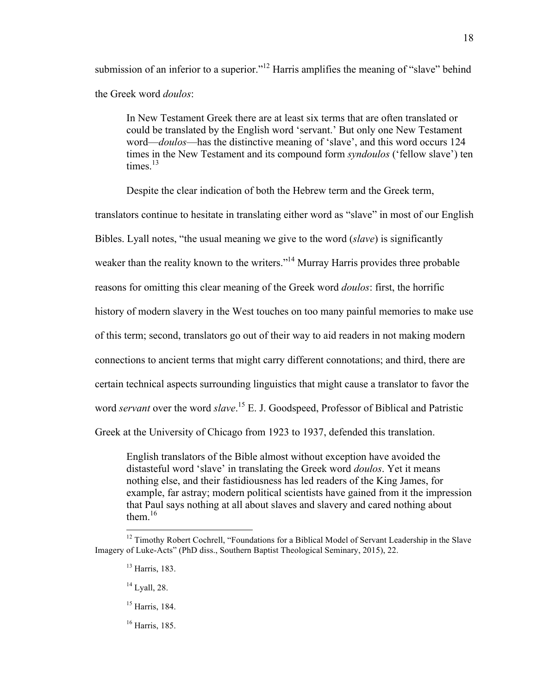submission of an inferior to a superior."<sup>12</sup> Harris amplifies the meaning of "slave" behind the Greek word *doulos*:

In New Testament Greek there are at least six terms that are often translated or could be translated by the English word 'servant.' But only one New Testament word—*doulos*—has the distinctive meaning of 'slave', and this word occurs 124 times in the New Testament and its compound form *syndoulos* ('fellow slave') ten times $13$ 

Despite the clear indication of both the Hebrew term and the Greek term,

translators continue to hesitate in translating either word as "slave" in most of our English Bibles. Lyall notes, "the usual meaning we give to the word (*slave*) is significantly weaker than the reality known to the writers."<sup>14</sup> Murray Harris provides three probable reasons for omitting this clear meaning of the Greek word *doulos*: first, the horrific history of modern slavery in the West touches on too many painful memories to make use of this term; second, translators go out of their way to aid readers in not making modern connections to ancient terms that might carry different connotations; and third, there are certain technical aspects surrounding linguistics that might cause a translator to favor the word *servant* over the word *slave*. <sup>15</sup> E. J. Goodspeed, Professor of Biblical and Patristic Greek at the University of Chicago from 1923 to 1937, defended this translation.

English translators of the Bible almost without exception have avoided the distasteful word 'slave' in translating the Greek word *doulos*. Yet it means nothing else, and their fastidiousness has led readers of the King James, for example, far astray; modern political scientists have gained from it the impression that Paul says nothing at all about slaves and slavery and cared nothing about them.<sup>16</sup>

18

<sup>&</sup>lt;sup>12</sup> Timothy Robert Cochrell, "Foundations for a Biblical Model of Servant Leadership in the Slave Imagery of Luke-Acts" (PhD diss., Southern Baptist Theological Seminary, 2015), 22.

<sup>13</sup> Harris, 183.

 $14$  Lyall, 28.

<sup>15</sup> Harris, 184.

 $16$  Harris, 185.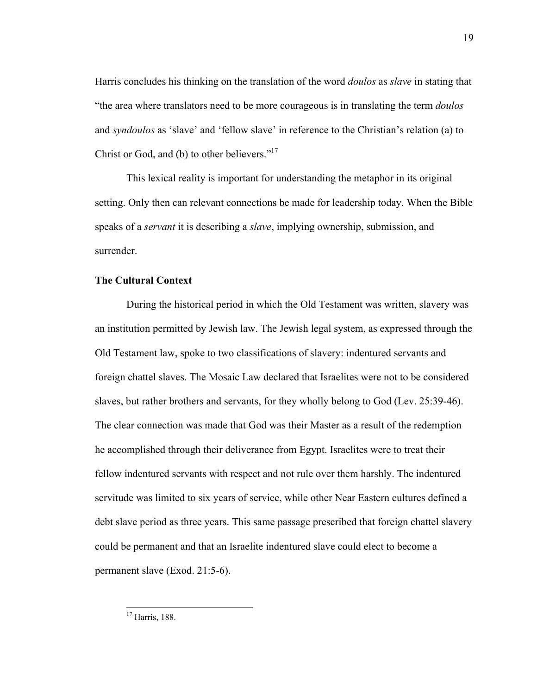Harris concludes his thinking on the translation of the word *doulos* as *slave* in stating that "the area where translators need to be more courageous is in translating the term *doulos* and *syndoulos* as 'slave' and 'fellow slave' in reference to the Christian's relation (a) to Christ or God, and (b) to other believers."<sup>17</sup>

This lexical reality is important for understanding the metaphor in its original setting. Only then can relevant connections be made for leadership today. When the Bible speaks of a *servant* it is describing a *slave*, implying ownership, submission, and surrender.

#### **The Cultural Context**

During the historical period in which the Old Testament was written, slavery was an institution permitted by Jewish law. The Jewish legal system, as expressed through the Old Testament law, spoke to two classifications of slavery: indentured servants and foreign chattel slaves. The Mosaic Law declared that Israelites were not to be considered slaves, but rather brothers and servants, for they wholly belong to God (Lev. 25:39-46). The clear connection was made that God was their Master as a result of the redemption he accomplished through their deliverance from Egypt. Israelites were to treat their fellow indentured servants with respect and not rule over them harshly. The indentured servitude was limited to six years of service, while other Near Eastern cultures defined a debt slave period as three years. This same passage prescribed that foreign chattel slavery could be permanent and that an Israelite indentured slave could elect to become a permanent slave (Exod. 21:5-6).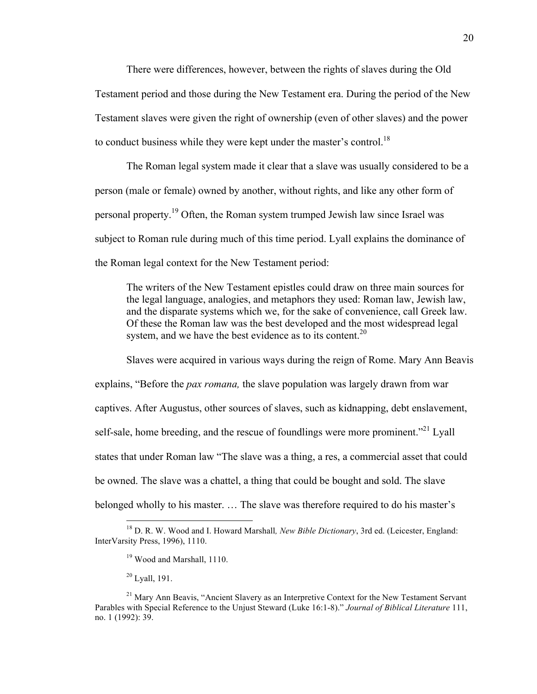There were differences, however, between the rights of slaves during the Old Testament period and those during the New Testament era. During the period of the New Testament slaves were given the right of ownership (even of other slaves) and the power to conduct business while they were kept under the master's control.<sup>18</sup>

The Roman legal system made it clear that a slave was usually considered to be a person (male or female) owned by another, without rights, and like any other form of personal property.<sup>19</sup> Often, the Roman system trumped Jewish law since Israel was subject to Roman rule during much of this time period. Lyall explains the dominance of the Roman legal context for the New Testament period:

The writers of the New Testament epistles could draw on three main sources for the legal language, analogies, and metaphors they used: Roman law, Jewish law, and the disparate systems which we, for the sake of convenience, call Greek law. Of these the Roman law was the best developed and the most widespread legal system, and we have the best evidence as to its content.<sup>20</sup>

Slaves were acquired in various ways during the reign of Rome. Mary Ann Beavis explains, "Before the *pax romana,* the slave population was largely drawn from war captives. After Augustus, other sources of slaves, such as kidnapping, debt enslavement, self-sale, home breeding, and the rescue of foundlings were more prominent."<sup>21</sup> Lyall states that under Roman law "The slave was a thing, a res, a commercial asset that could be owned. The slave was a chattel, a thing that could be bought and sold. The slave belonged wholly to his master. … The slave was therefore required to do his master's

 <sup>18</sup> D. R. W. Wood and I. Howard Marshall*, New Bible Dictionary*, 3rd ed. (Leicester, England: InterVarsity Press, 1996), 1110.

<sup>&</sup>lt;sup>19</sup> Wood and Marshall, 1110.

 $20$  Lyall, 191.

 $21$  Mary Ann Beavis, "Ancient Slavery as an Interpretive Context for the New Testament Servant Parables with Special Reference to the Unjust Steward (Luke 16:1-8)." *Journal of Biblical Literature* 111, no. 1 (1992): 39.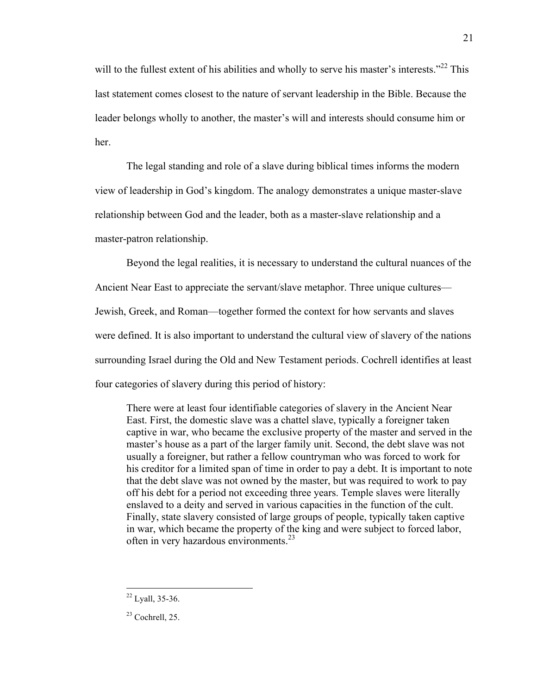will to the fullest extent of his abilities and wholly to serve his master's interests."<sup>22</sup> This last statement comes closest to the nature of servant leadership in the Bible. Because the leader belongs wholly to another, the master's will and interests should consume him or her.

The legal standing and role of a slave during biblical times informs the modern view of leadership in God's kingdom. The analogy demonstrates a unique master-slave relationship between God and the leader, both as a master-slave relationship and a master-patron relationship.

Beyond the legal realities, it is necessary to understand the cultural nuances of the Ancient Near East to appreciate the servant/slave metaphor. Three unique cultures— Jewish, Greek, and Roman—together formed the context for how servants and slaves were defined. It is also important to understand the cultural view of slavery of the nations surrounding Israel during the Old and New Testament periods. Cochrell identifies at least four categories of slavery during this period of history:

There were at least four identifiable categories of slavery in the Ancient Near East. First, the domestic slave was a chattel slave, typically a foreigner taken captive in war, who became the exclusive property of the master and served in the master's house as a part of the larger family unit. Second, the debt slave was not usually a foreigner, but rather a fellow countryman who was forced to work for his creditor for a limited span of time in order to pay a debt. It is important to note that the debt slave was not owned by the master, but was required to work to pay off his debt for a period not exceeding three years. Temple slaves were literally enslaved to a deity and served in various capacities in the function of the cult. Finally, state slavery consisted of large groups of people, typically taken captive in war, which became the property of the king and were subject to forced labor, often in very hazardous environments.<sup>23</sup>

21

 <sup>22</sup> Lyall, 35-36.

 $23$  Cochrell, 25.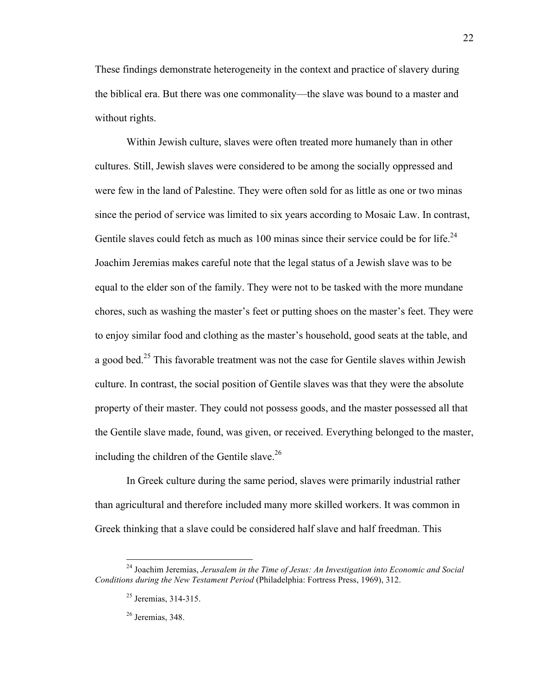These findings demonstrate heterogeneity in the context and practice of slavery during the biblical era. But there was one commonality—the slave was bound to a master and without rights.

Within Jewish culture, slaves were often treated more humanely than in other cultures. Still, Jewish slaves were considered to be among the socially oppressed and were few in the land of Palestine. They were often sold for as little as one or two minas since the period of service was limited to six years according to Mosaic Law. In contrast, Gentile slaves could fetch as much as 100 minas since their service could be for life.<sup>24</sup> Joachim Jeremias makes careful note that the legal status of a Jewish slave was to be equal to the elder son of the family. They were not to be tasked with the more mundane chores, such as washing the master's feet or putting shoes on the master's feet. They were to enjoy similar food and clothing as the master's household, good seats at the table, and a good bed.<sup>25</sup> This favorable treatment was not the case for Gentile slaves within Jewish culture. In contrast, the social position of Gentile slaves was that they were the absolute property of their master. They could not possess goods, and the master possessed all that the Gentile slave made, found, was given, or received. Everything belonged to the master, including the children of the Gentile slave.<sup>26</sup>

In Greek culture during the same period, slaves were primarily industrial rather than agricultural and therefore included many more skilled workers. It was common in Greek thinking that a slave could be considered half slave and half freedman. This

 <sup>24</sup> Joachim Jeremias, *Jerusalem in the Time of Jesus: An Investigation into Economic and Social Conditions during the New Testament Period* (Philadelphia: Fortress Press, 1969), 312.

<sup>25</sup> Jeremias, 314-315.

<sup>26</sup> Jeremias, 348.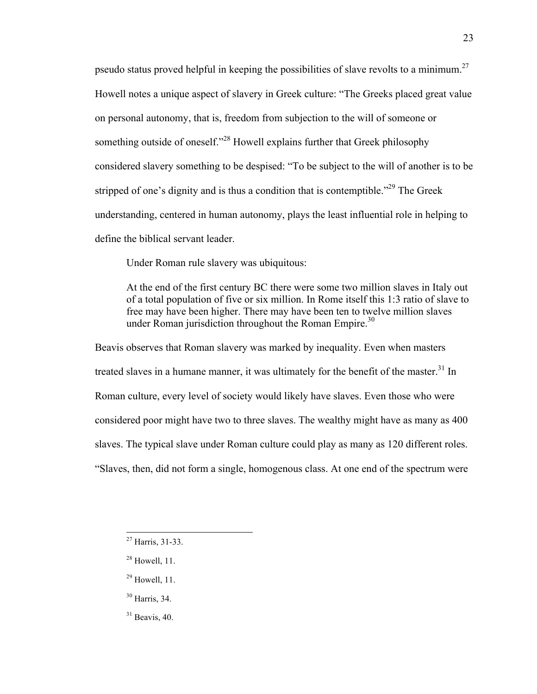pseudo status proved helpful in keeping the possibilities of slave revolts to a minimum.27 Howell notes a unique aspect of slavery in Greek culture: "The Greeks placed great value on personal autonomy, that is, freedom from subjection to the will of someone or something outside of oneself."<sup>28</sup> Howell explains further that Greek philosophy considered slavery something to be despised: "To be subject to the will of another is to be stripped of one's dignity and is thus a condition that is contemptible."<sup>29</sup> The Greek understanding, centered in human autonomy, plays the least influential role in helping to define the biblical servant leader.

Under Roman rule slavery was ubiquitous:

At the end of the first century BC there were some two million slaves in Italy out of a total population of five or six million. In Rome itself this 1:3 ratio of slave to free may have been higher. There may have been ten to twelve million slaves under Roman jurisdiction throughout the Roman Empire.<sup>30</sup>

Beavis observes that Roman slavery was marked by inequality. Even when masters treated slaves in a humane manner, it was ultimately for the benefit of the master. $31$  In Roman culture, every level of society would likely have slaves. Even those who were considered poor might have two to three slaves. The wealthy might have as many as 400 slaves. The typical slave under Roman culture could play as many as 120 different roles. "Slaves, then, did not form a single, homogenous class. At one end of the spectrum were

- <sup>30</sup> Harris, 34.
- $31$  Beavis, 40.

 $27$  Harris, 31-33.

 $28$  Howell, 11.

 $29$  Howell, 11.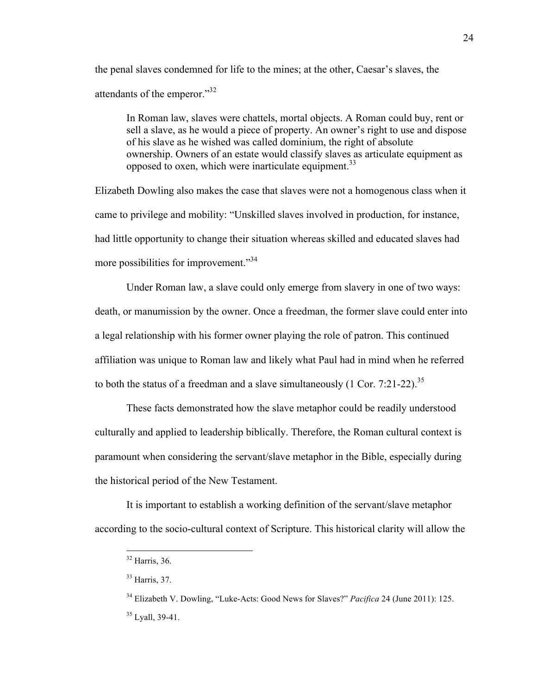the penal slaves condemned for life to the mines; at the other, Caesar's slaves, the attendants of the emperor."<sup>32</sup>

In Roman law, slaves were chattels, mortal objects. A Roman could buy, rent or sell a slave, as he would a piece of property. An owner's right to use and dispose of his slave as he wished was called dominium, the right of absolute ownership. Owners of an estate would classify slaves as articulate equipment as opposed to oxen, which were inarticulate equipment.<sup>33</sup>

Elizabeth Dowling also makes the case that slaves were not a homogenous class when it came to privilege and mobility: "Unskilled slaves involved in production, for instance, had little opportunity to change their situation whereas skilled and educated slaves had more possibilities for improvement."<sup>34</sup>

Under Roman law, a slave could only emerge from slavery in one of two ways: death, or manumission by the owner. Once a freedman, the former slave could enter into a legal relationship with his former owner playing the role of patron. This continued affiliation was unique to Roman law and likely what Paul had in mind when he referred to both the status of a freedman and a slave simultaneously  $(1 \text{ Cor. } 7:21-22).$ <sup>35</sup>

These facts demonstrated how the slave metaphor could be readily understood culturally and applied to leadership biblically. Therefore, the Roman cultural context is paramount when considering the servant/slave metaphor in the Bible, especially during the historical period of the New Testament.

It is important to establish a working definition of the servant/slave metaphor according to the socio-cultural context of Scripture. This historical clarity will allow the

 <sup>32</sup> Harris, 36.

<sup>33</sup> Harris, 37.

<sup>34</sup> Elizabeth V. Dowling, "Luke-Acts: Good News for Slaves?" *Pacifica* 24 (June 2011): 125. <sup>35</sup> Lyall, 39-41.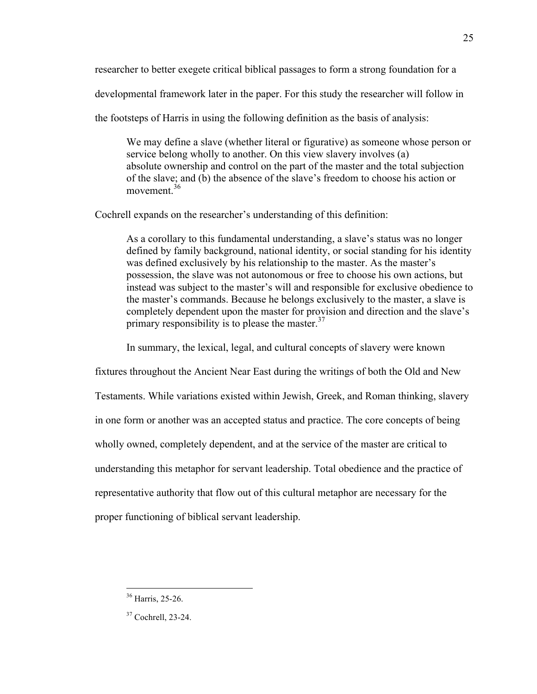researcher to better exegete critical biblical passages to form a strong foundation for a

developmental framework later in the paper. For this study the researcher will follow in

the footsteps of Harris in using the following definition as the basis of analysis:

We may define a slave (whether literal or figurative) as someone whose person or service belong wholly to another. On this view slavery involves (a) absolute ownership and control on the part of the master and the total subjection of the slave; and (b) the absence of the slave's freedom to choose his action or movement  $36$ 

Cochrell expands on the researcher's understanding of this definition:

As a corollary to this fundamental understanding, a slave's status was no longer defined by family background, national identity, or social standing for his identity was defined exclusively by his relationship to the master. As the master's possession, the slave was not autonomous or free to choose his own actions, but instead was subject to the master's will and responsible for exclusive obedience to the master's commands. Because he belongs exclusively to the master, a slave is completely dependent upon the master for provision and direction and the slave's primary responsibility is to please the master.<sup>37</sup>

In summary, the lexical, legal, and cultural concepts of slavery were known

fixtures throughout the Ancient Near East during the writings of both the Old and New Testaments. While variations existed within Jewish, Greek, and Roman thinking, slavery in one form or another was an accepted status and practice. The core concepts of being wholly owned, completely dependent, and at the service of the master are critical to understanding this metaphor for servant leadership. Total obedience and the practice of representative authority that flow out of this cultural metaphor are necessary for the proper functioning of biblical servant leadership.

 <sup>36</sup> Harris, 25-26.

<sup>37</sup> Cochrell, 23-24.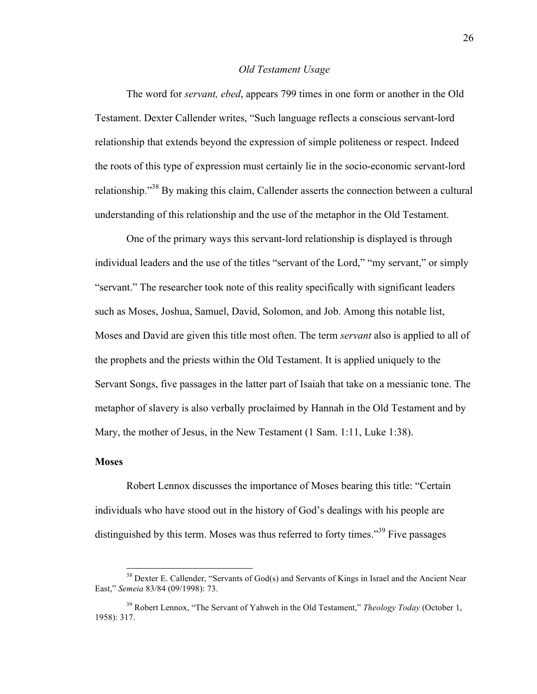#### *Old Testament Usage*

The word for *servant, ebed*, appears 799 times in one form or another in the Old Testament. Dexter Callender writes, "Such language reflects a conscious servant-lord relationship that extends beyond the expression of simple politeness or respect. Indeed the roots of this type of expression must certainly lie in the socio-economic servant-lord relationship."<sup>38</sup> By making this claim, Callender asserts the connection between a cultural understanding of this relationship and the use of the metaphor in the Old Testament.

One of the primary ways this servant-lord relationship is displayed is through individual leaders and the use of the titles "servant of the Lord," "my servant," or simply "servant." The researcher took note of this reality specifically with significant leaders such as Moses, Joshua, Samuel, David, Solomon, and Job. Among this notable list, Moses and David are given this title most often. The term *servant* also is applied to all of the prophets and the priests within the Old Testament. It is applied uniquely to the Servant Songs, five passages in the latter part of Isaiah that take on a messianic tone. The metaphor of slavery is also verbally proclaimed by Hannah in the Old Testament and by Mary, the mother of Jesus, in the New Testament (1 Sam. 1:11, Luke 1:38).

#### **Moses**

Robert Lennox discusses the importance of Moses bearing this title: "Certain individuals who have stood out in the history of God's dealings with his people are distinguished by this term. Moses was thus referred to forty times."<sup>39</sup> Five passages

<sup>&</sup>lt;sup>38</sup> Dexter E. Callender, "Servants of God(s) and Servants of Kings in Israel and the Ancient Near East," *Semeia* 83/84 (09/1998): 73.

<sup>39</sup> Robert Lennox, "The Servant of Yahweh in the Old Testament," *Theology Today* (October 1, 1958): 317.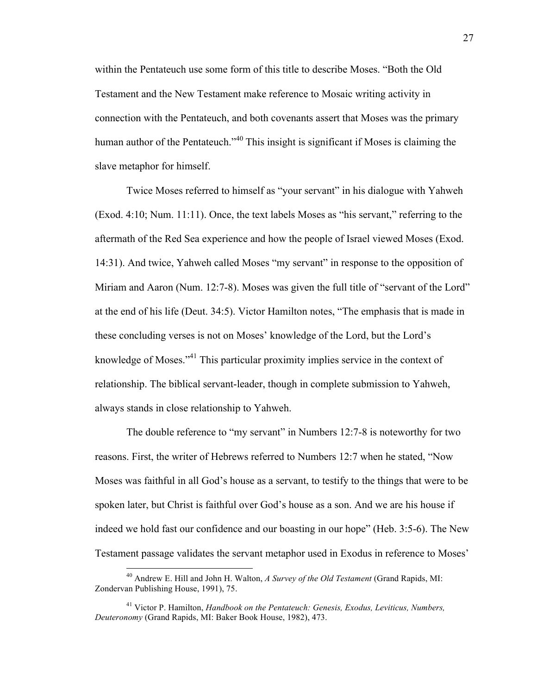within the Pentateuch use some form of this title to describe Moses. "Both the Old Testament and the New Testament make reference to Mosaic writing activity in connection with the Pentateuch, and both covenants assert that Moses was the primary human author of the Pentateuch."<sup>40</sup> This insight is significant if Moses is claiming the slave metaphor for himself.

Twice Moses referred to himself as "your servant" in his dialogue with Yahweh (Exod. 4:10; Num. 11:11). Once, the text labels Moses as "his servant," referring to the aftermath of the Red Sea experience and how the people of Israel viewed Moses (Exod. 14:31). And twice, Yahweh called Moses "my servant" in response to the opposition of Miriam and Aaron (Num. 12:7-8). Moses was given the full title of "servant of the Lord" at the end of his life (Deut. 34:5). Victor Hamilton notes, "The emphasis that is made in these concluding verses is not on Moses' knowledge of the Lord, but the Lord's knowledge of Moses."41 This particular proximity implies service in the context of relationship. The biblical servant-leader, though in complete submission to Yahweh, always stands in close relationship to Yahweh.

The double reference to "my servant" in Numbers 12:7-8 is noteworthy for two reasons. First, the writer of Hebrews referred to Numbers 12:7 when he stated, "Now Moses was faithful in all God's house as a servant, to testify to the things that were to be spoken later, but Christ is faithful over God's house as a son. And we are his house if indeed we hold fast our confidence and our boasting in our hope" (Heb. 3:5-6). The New Testament passage validates the servant metaphor used in Exodus in reference to Moses'

 <sup>40</sup> Andrew E. Hill and John H. Walton, *A Survey of the Old Testament* (Grand Rapids, MI: Zondervan Publishing House, 1991), 75.

<sup>41</sup> Victor P. Hamilton, *Handbook on the Pentateuch: Genesis, Exodus, Leviticus, Numbers, Deuteronomy* (Grand Rapids, MI: Baker Book House, 1982), 473.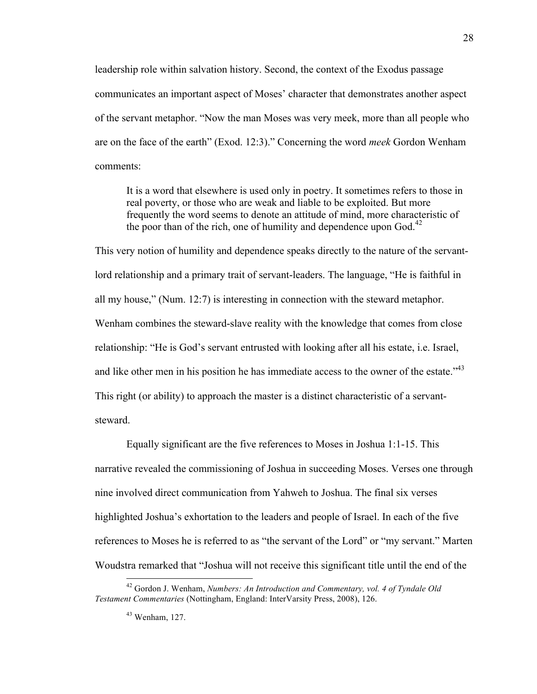leadership role within salvation history. Second, the context of the Exodus passage communicates an important aspect of Moses' character that demonstrates another aspect of the servant metaphor. "Now the man Moses was very meek, more than all people who are on the face of the earth" (Exod. 12:3)." Concerning the word *meek* Gordon Wenham comments:

It is a word that elsewhere is used only in poetry. It sometimes refers to those in real poverty, or those who are weak and liable to be exploited. But more frequently the word seems to denote an attitude of mind, more characteristic of the poor than of the rich, one of humility and dependence upon  $God.<sup>42</sup>$ 

This very notion of humility and dependence speaks directly to the nature of the servantlord relationship and a primary trait of servant-leaders. The language, "He is faithful in all my house," (Num. 12:7) is interesting in connection with the steward metaphor. Wenham combines the steward-slave reality with the knowledge that comes from close relationship: "He is God's servant entrusted with looking after all his estate, i.e. Israel, and like other men in his position he has immediate access to the owner of the estate.<sup>43</sup> This right (or ability) to approach the master is a distinct characteristic of a servantsteward.

Equally significant are the five references to Moses in Joshua 1:1-15. This narrative revealed the commissioning of Joshua in succeeding Moses. Verses one through nine involved direct communication from Yahweh to Joshua. The final six verses highlighted Joshua's exhortation to the leaders and people of Israel. In each of the five references to Moses he is referred to as "the servant of the Lord" or "my servant." Marten Woudstra remarked that "Joshua will not receive this significant title until the end of the

 <sup>42</sup> Gordon J. Wenham, *Numbers: An Introduction and Commentary, vol. 4 of Tyndale Old Testament Commentaries* (Nottingham, England: InterVarsity Press, 2008), 126.

<sup>43</sup> Wenham, 127.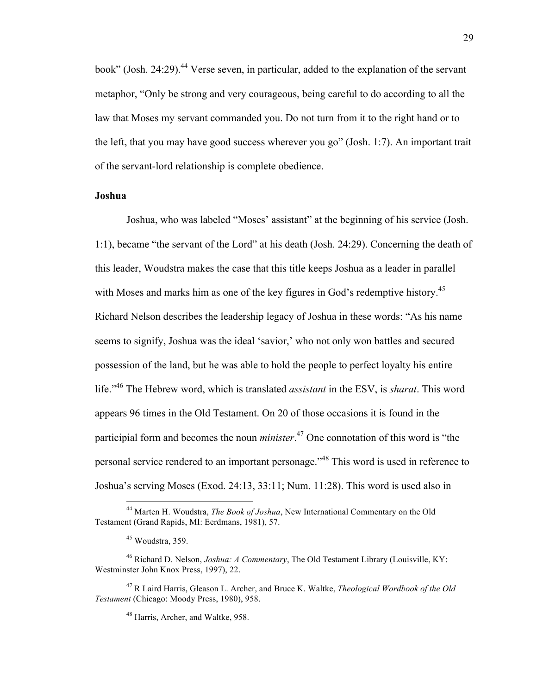book" (Josh. 24:29).<sup>44</sup> Verse seven, in particular, added to the explanation of the servant metaphor, "Only be strong and very courageous, being careful to do according to all the law that Moses my servant commanded you. Do not turn from it to the right hand or to the left, that you may have good success wherever you go" (Josh. 1:7). An important trait of the servant-lord relationship is complete obedience.

#### **Joshua**

Joshua, who was labeled "Moses' assistant" at the beginning of his service (Josh. 1:1), became "the servant of the Lord" at his death (Josh. 24:29). Concerning the death of this leader, Woudstra makes the case that this title keeps Joshua as a leader in parallel with Moses and marks him as one of the key figures in God's redemptive history.<sup>45</sup> Richard Nelson describes the leadership legacy of Joshua in these words: "As his name seems to signify, Joshua was the ideal 'savior,' who not only won battles and secured possession of the land, but he was able to hold the people to perfect loyalty his entire life."46 The Hebrew word, which is translated *assistant* in the ESV, is *sharat*. This word appears 96 times in the Old Testament. On 20 of those occasions it is found in the participial form and becomes the noun *minister*. <sup>47</sup> One connotation of this word is "the personal service rendered to an important personage."<sup>48</sup> This word is used in reference to Joshua's serving Moses (Exod. 24:13, 33:11; Num. 11:28). This word is used also in

 <sup>44</sup> Marten H. Woudstra, *The Book of Joshua*, New International Commentary on the Old Testament (Grand Rapids, MI: Eerdmans, 1981), 57.

 $45$  Woudstra, 359.

<sup>46</sup> Richard D. Nelson, *Joshua: A Commentary*, The Old Testament Library (Louisville, KY: Westminster John Knox Press, 1997), 22.

<sup>47</sup> R Laird Harris, Gleason L. Archer, and Bruce K. Waltke, *Theological Wordbook of the Old Testament* (Chicago: Moody Press, 1980), 958.

<sup>48</sup> Harris, Archer, and Waltke, 958.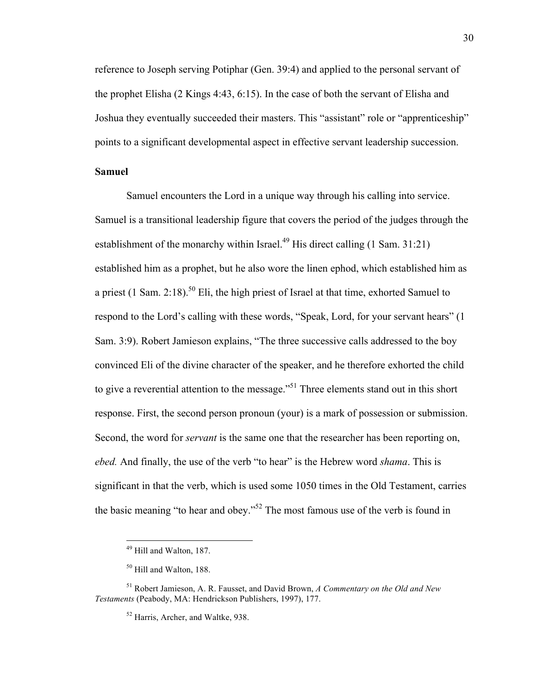reference to Joseph serving Potiphar (Gen. 39:4) and applied to the personal servant of the prophet Elisha (2 Kings 4:43, 6:15). In the case of both the servant of Elisha and Joshua they eventually succeeded their masters. This "assistant" role or "apprenticeship" points to a significant developmental aspect in effective servant leadership succession.

#### **Samuel**

Samuel encounters the Lord in a unique way through his calling into service. Samuel is a transitional leadership figure that covers the period of the judges through the establishment of the monarchy within Israel.<sup>49</sup> His direct calling  $(1 \text{ Sam. } 31:21)$ established him as a prophet, but he also wore the linen ephod, which established him as a priest (1 Sam. 2:18).<sup>50</sup> Eli, the high priest of Israel at that time, exhorted Samuel to respond to the Lord's calling with these words, "Speak, Lord, for your servant hears" (1 Sam. 3:9). Robert Jamieson explains, "The three successive calls addressed to the boy convinced Eli of the divine character of the speaker, and he therefore exhorted the child to give a reverential attention to the message."<sup>51</sup> Three elements stand out in this short response. First, the second person pronoun (your) is a mark of possession or submission. Second, the word for *servant* is the same one that the researcher has been reporting on, *ebed.* And finally, the use of the verb "to hear" is the Hebrew word *shama*. This is significant in that the verb, which is used some 1050 times in the Old Testament, carries the basic meaning "to hear and obey."52 The most famous use of the verb is found in

 <sup>49</sup> Hill and Walton, 187.

<sup>50</sup> Hill and Walton, 188.

<sup>51</sup> Robert Jamieson, A. R. Fausset, and David Brown, *A Commentary on the Old and New Testaments* (Peabody, MA: Hendrickson Publishers, 1997), 177.

<sup>52</sup> Harris, Archer, and Waltke, 938.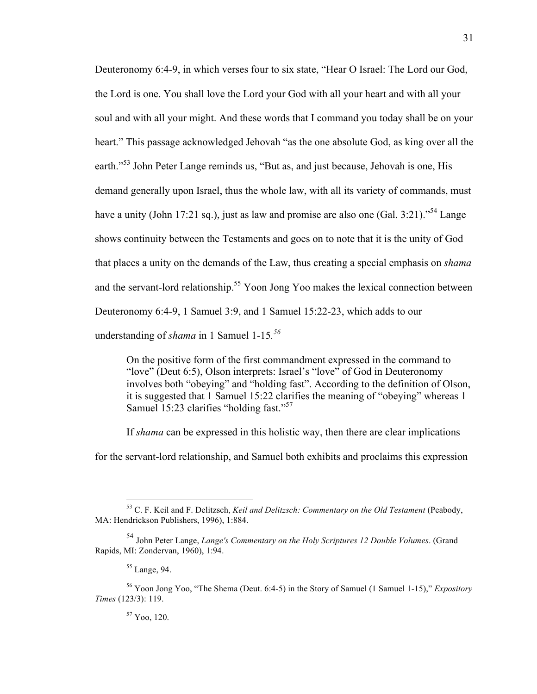Deuteronomy 6:4-9, in which verses four to six state, "Hear O Israel: The Lord our God, the Lord is one. You shall love the Lord your God with all your heart and with all your soul and with all your might. And these words that I command you today shall be on your heart." This passage acknowledged Jehovah "as the one absolute God, as king over all the earth."<sup>53</sup> John Peter Lange reminds us, "But as, and just because, Jehovah is one, His demand generally upon Israel, thus the whole law, with all its variety of commands, must have a unity (John 17:21 sq.), just as law and promise are also one (Gal. 3:21)."<sup>54</sup> Lange shows continuity between the Testaments and goes on to note that it is the unity of God that places a unity on the demands of the Law, thus creating a special emphasis on *shama* and the servant-lord relationship.<sup>55</sup> Yoon Jong Yoo makes the lexical connection between Deuteronomy 6:4-9, 1 Samuel 3:9, and 1 Samuel 15:22-23, which adds to our understanding of *shama* in 1 Samuel 1-15*. 56*

On the positive form of the first commandment expressed in the command to "love" (Deut 6:5), Olson interprets: Israel's "love" of God in Deuteronomy involves both "obeying" and "holding fast". According to the definition of Olson, it is suggested that 1 Samuel 15:22 clarifies the meaning of "obeying" whereas 1 Samuel 15:23 clarifies "holding fast."<sup>57</sup>

If *shama* can be expressed in this holistic way, then there are clear implications

for the servant-lord relationship, and Samuel both exhibits and proclaims this expression

#### <sup>57</sup> Yoo, 120.

 <sup>53</sup> C. F. Keil and F. Delitzsch, *Keil and Delitzsch: Commentary on the Old Testament* (Peabody, MA: Hendrickson Publishers, 1996), 1:884.

<sup>54</sup> John Peter Lange, *Lange's Commentary on the Holy Scriptures 12 Double Volumes*. (Grand Rapids, MI: Zondervan, 1960), 1:94.

<sup>55</sup> Lange, 94.

<sup>56</sup> Yoon Jong Yoo, "The Shema (Deut. 6:4-5) in the Story of Samuel (1 Samuel 1-15)," *Expository Times* (123/3): 119.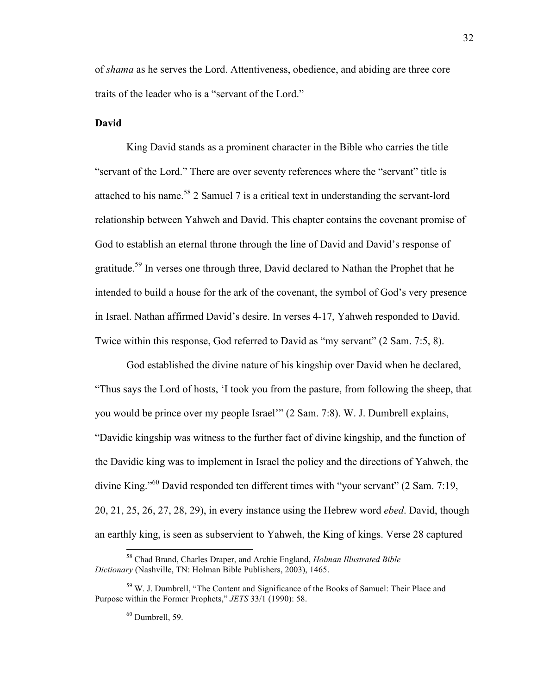of *shama* as he serves the Lord. Attentiveness, obedience, and abiding are three core traits of the leader who is a "servant of the Lord."

#### **David**

King David stands as a prominent character in the Bible who carries the title "servant of the Lord." There are over seventy references where the "servant" title is attached to his name.<sup>58</sup> 2 Samuel 7 is a critical text in understanding the servant-lord relationship between Yahweh and David. This chapter contains the covenant promise of God to establish an eternal throne through the line of David and David's response of gratitude.59 In verses one through three, David declared to Nathan the Prophet that he intended to build a house for the ark of the covenant, the symbol of God's very presence in Israel. Nathan affirmed David's desire. In verses 4-17, Yahweh responded to David. Twice within this response, God referred to David as "my servant" (2 Sam. 7:5, 8).

God established the divine nature of his kingship over David when he declared, "Thus says the Lord of hosts, 'I took you from the pasture, from following the sheep, that you would be prince over my people Israel'" (2 Sam. 7:8). W. J. Dumbrell explains, "Davidic kingship was witness to the further fact of divine kingship, and the function of the Davidic king was to implement in Israel the policy and the directions of Yahweh, the divine King."<sup>60</sup> David responded ten different times with "your servant" (2 Sam. 7:19, 20, 21, 25, 26, 27, 28, 29), in every instance using the Hebrew word *ebed*. David, though an earthly king, is seen as subservient to Yahweh, the King of kings. Verse 28 captured

 <sup>58</sup> Chad Brand, Charles Draper, and Archie England, *Holman Illustrated Bible Dictionary* (Nashville, TN: Holman Bible Publishers, 2003), 1465.

<sup>59</sup> W. J. Dumbrell, "The Content and Significance of the Books of Samuel: Their Place and Purpose within the Former Prophets," *JETS* 33/1 (1990): 58.

 $60$  Dumbrell, 59.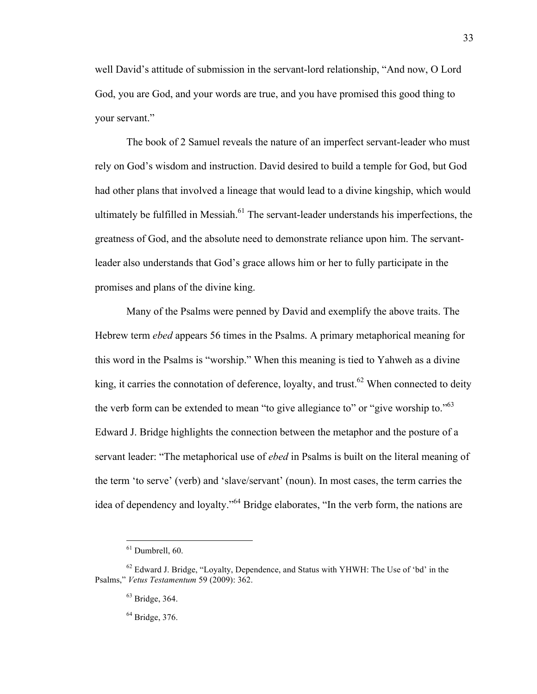well David's attitude of submission in the servant-lord relationship, "And now, O Lord God, you are God, and your words are true, and you have promised this good thing to your servant."

The book of 2 Samuel reveals the nature of an imperfect servant-leader who must rely on God's wisdom and instruction. David desired to build a temple for God, but God had other plans that involved a lineage that would lead to a divine kingship, which would ultimately be fulfilled in Messiah.<sup>61</sup> The servant-leader understands his imperfections, the greatness of God, and the absolute need to demonstrate reliance upon him. The servantleader also understands that God's grace allows him or her to fully participate in the promises and plans of the divine king.

Many of the Psalms were penned by David and exemplify the above traits. The Hebrew term *ebed* appears 56 times in the Psalms. A primary metaphorical meaning for this word in the Psalms is "worship." When this meaning is tied to Yahweh as a divine king, it carries the connotation of deference, loyalty, and trust.<sup>62</sup> When connected to deity the verb form can be extended to mean "to give allegiance to" or "give worship to."<sup>63</sup> Edward J. Bridge highlights the connection between the metaphor and the posture of a servant leader: "The metaphorical use of *ebed* in Psalms is built on the literal meaning of the term 'to serve' (verb) and 'slave/servant' (noun). In most cases, the term carries the idea of dependency and loyalty."64 Bridge elaborates, "In the verb form, the nations are

 $61$  Dumbrell, 60.

 $62$  Edward J. Bridge, "Loyalty, Dependence, and Status with YHWH: The Use of 'bd' in the Psalms," *Vetus Testamentum* 59 (2009): 362.

<sup>63</sup> Bridge, 364.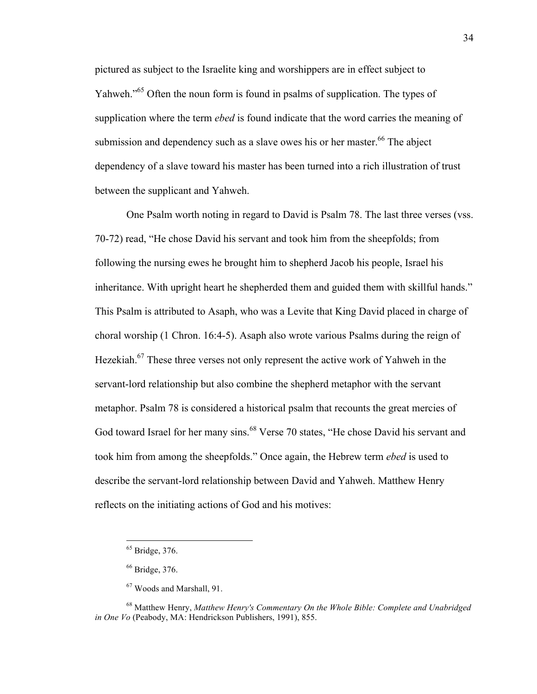pictured as subject to the Israelite king and worshippers are in effect subject to Yahweh."<sup>65</sup> Often the noun form is found in psalms of supplication. The types of supplication where the term *ebed* is found indicate that the word carries the meaning of submission and dependency such as a slave owes his or her master.<sup>66</sup> The abject dependency of a slave toward his master has been turned into a rich illustration of trust between the supplicant and Yahweh.

One Psalm worth noting in regard to David is Psalm 78. The last three verses (vss. 70-72) read, "He chose David his servant and took him from the sheepfolds; from following the nursing ewes he brought him to shepherd Jacob his people, Israel his inheritance. With upright heart he shepherded them and guided them with skillful hands." This Psalm is attributed to Asaph, who was a Levite that King David placed in charge of choral worship (1 Chron. 16:4-5). Asaph also wrote various Psalms during the reign of Hezekiah.67 These three verses not only represent the active work of Yahweh in the servant-lord relationship but also combine the shepherd metaphor with the servant metaphor. Psalm 78 is considered a historical psalm that recounts the great mercies of God toward Israel for her many sins.<sup>68</sup> Verse 70 states, "He chose David his servant and took him from among the sheepfolds." Once again, the Hebrew term *ebed* is used to describe the servant-lord relationship between David and Yahweh. Matthew Henry reflects on the initiating actions of God and his motives:

 <sup>65</sup> Bridge, 376.

<sup>66</sup> Bridge, 376.

<sup>67</sup> Woods and Marshall, 91.

<sup>68</sup> Matthew Henry, *Matthew Henry's Commentary On the Whole Bible: Complete and Unabridged in One Vo* (Peabody, MA: Hendrickson Publishers, 1991), 855.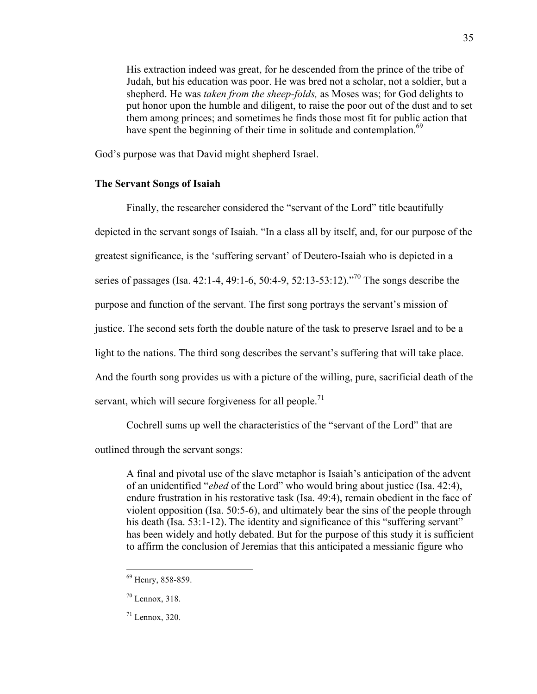His extraction indeed was great, for he descended from the prince of the tribe of Judah, but his education was poor. He was bred not a scholar, not a soldier, but a shepherd. He was *taken from the sheep-folds,* as Moses was; for God delights to put honor upon the humble and diligent, to raise the poor out of the dust and to set them among princes; and sometimes he finds those most fit for public action that have spent the beginning of their time in solitude and contemplation.<sup>69</sup>

God's purpose was that David might shepherd Israel.

## **The Servant Songs of Isaiah**

Finally, the researcher considered the "servant of the Lord" title beautifully depicted in the servant songs of Isaiah. "In a class all by itself, and, for our purpose of the greatest significance, is the 'suffering servant' of Deutero-Isaiah who is depicted in a series of passages (Isa. 42:1-4, 49:1-6, 50:4-9, 52:13-53:12)."<sup>70</sup> The songs describe the purpose and function of the servant. The first song portrays the servant's mission of justice. The second sets forth the double nature of the task to preserve Israel and to be a light to the nations. The third song describes the servant's suffering that will take place. And the fourth song provides us with a picture of the willing, pure, sacrificial death of the servant, which will secure forgiveness for all people.<sup>71</sup>

Cochrell sums up well the characteristics of the "servant of the Lord" that are

outlined through the servant songs:

A final and pivotal use of the slave metaphor is Isaiah's anticipation of the advent of an unidentified "*ebed* of the Lord" who would bring about justice (Isa. 42:4), endure frustration in his restorative task (Isa. 49:4), remain obedient in the face of violent opposition (Isa. 50:5-6), and ultimately bear the sins of the people through his death (Isa. 53:1-12). The identity and significance of this "suffering servant" has been widely and hotly debated. But for the purpose of this study it is sufficient to affirm the conclusion of Jeremias that this anticipated a messianic figure who

 <sup>69</sup> Henry, 858-859.

 $70$  Lennox, 318.

 $71$  Lennox, 320.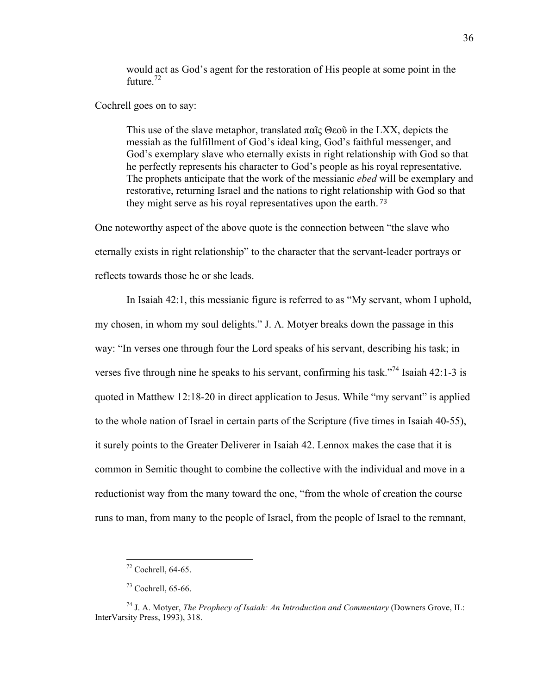would act as God's agent for the restoration of His people at some point in the future. $72$ 

Cochrell goes on to say:

This use of the slave metaphor, translated παῖς Θεοῦ in the LXX, depicts the messiah as the fulfillment of God's ideal king, God's faithful messenger, and God's exemplary slave who eternally exists in right relationship with God so that he perfectly represents his character to God's people as his royal representative. The prophets anticipate that the work of the messianic *ebed* will be exemplary and restorative, returning Israel and the nations to right relationship with God so that they might serve as his royal representatives upon the earth. <sup>73</sup>

One noteworthy aspect of the above quote is the connection between "the slave who eternally exists in right relationship" to the character that the servant-leader portrays or reflects towards those he or she leads.

In Isaiah 42:1, this messianic figure is referred to as "My servant, whom I uphold, my chosen, in whom my soul delights." J. A. Motyer breaks down the passage in this way: "In verses one through four the Lord speaks of his servant, describing his task; in verses five through nine he speaks to his servant, confirming his task."<sup>74</sup> Isaiah 42:1-3 is quoted in Matthew 12:18-20 in direct application to Jesus. While "my servant" is applied to the whole nation of Israel in certain parts of the Scripture (five times in Isaiah 40-55), it surely points to the Greater Deliverer in Isaiah 42. Lennox makes the case that it is common in Semitic thought to combine the collective with the individual and move in a reductionist way from the many toward the one, "from the whole of creation the course runs to man, from many to the people of Israel, from the people of Israel to the remnant,

 <sup>72</sup> Cochrell, 64-65.

 $73$  Cochrell, 65-66.

<sup>74</sup> J. A. Motyer, *The Prophecy of Isaiah: An Introduction and Commentary* (Downers Grove, IL: InterVarsity Press, 1993), 318.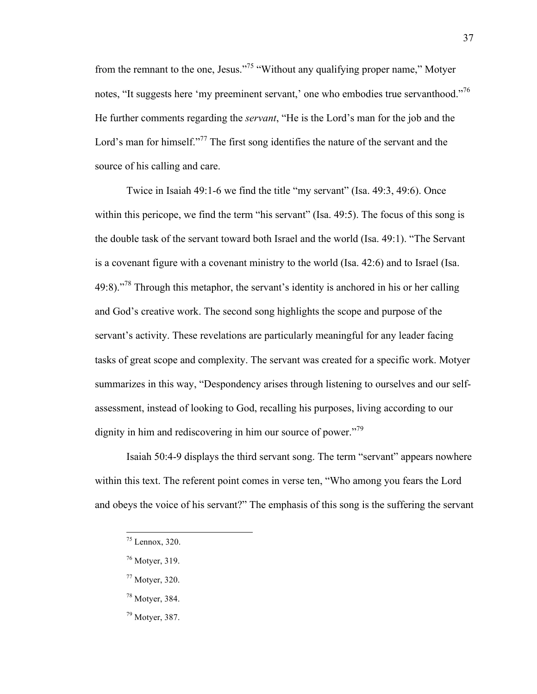from the remnant to the one, Jesus."75 "Without any qualifying proper name," Motyer notes, "It suggests here 'my preeminent servant,' one who embodies true servanthood."<sup>76</sup> He further comments regarding the *servant*, "He is the Lord's man for the job and the Lord's man for himself. $177$ <sup>77</sup> The first song identifies the nature of the servant and the source of his calling and care.

Twice in Isaiah 49:1-6 we find the title "my servant" (Isa. 49:3, 49:6). Once within this pericope, we find the term "his servant" (Isa. 49:5). The focus of this song is the double task of the servant toward both Israel and the world (Isa. 49:1). "The Servant is a covenant figure with a covenant ministry to the world (Isa. 42:6) and to Israel (Isa.  $49:8$ )."<sup>78</sup> Through this metaphor, the servant's identity is anchored in his or her calling and God's creative work. The second song highlights the scope and purpose of the servant's activity. These revelations are particularly meaningful for any leader facing tasks of great scope and complexity. The servant was created for a specific work. Motyer summarizes in this way, "Despondency arises through listening to ourselves and our selfassessment, instead of looking to God, recalling his purposes, living according to our dignity in him and rediscovering in him our source of power."<sup>79</sup>

Isaiah 50:4-9 displays the third servant song. The term "servant" appears nowhere within this text. The referent point comes in verse ten, "Who among you fears the Lord and obeys the voice of his servant?" The emphasis of this song is the suffering the servant

- <sup>77</sup> Motyer, 320.
- <sup>78</sup> Motyer, 384.
- <sup>79</sup> Motyer, 387.

 <sup>75</sup> Lennox, 320.

<sup>76</sup> Motyer, 319.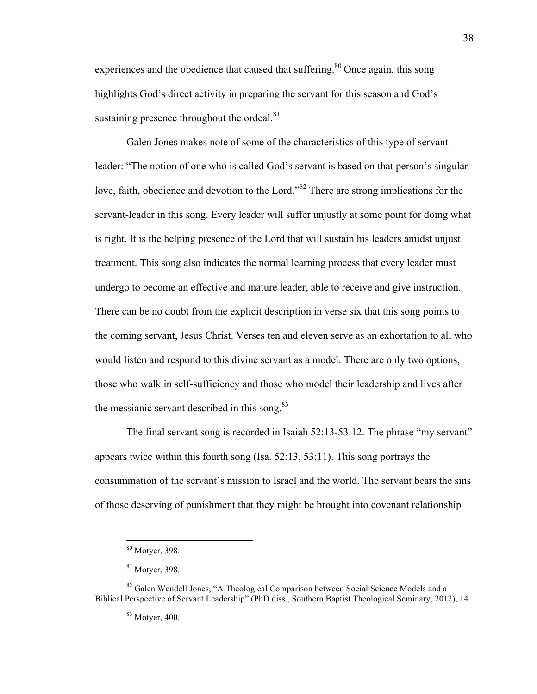experiences and the obedience that caused that suffering. $80$  Once again, this song highlights God's direct activity in preparing the servant for this season and God's sustaining presence throughout the ordeal.<sup>81</sup>

Galen Jones makes note of some of the characteristics of this type of servantleader: "The notion of one who is called God's servant is based on that person's singular love, faith, obedience and devotion to the Lord."82 There are strong implications for the servant-leader in this song. Every leader will suffer unjustly at some point for doing what is right. It is the helping presence of the Lord that will sustain his leaders amidst unjust treatment. This song also indicates the normal learning process that every leader must undergo to become an effective and mature leader, able to receive and give instruction. There can be no doubt from the explicit description in verse six that this song points to the coming servant, Jesus Christ. Verses ten and eleven serve as an exhortation to all who would listen and respond to this divine servant as a model. There are only two options, those who walk in self-sufficiency and those who model their leadership and lives after the messianic servant described in this song. $83$ 

The final servant song is recorded in Isaiah 52:13-53:12. The phrase "my servant" appears twice within this fourth song (Isa. 52:13, 53:11). This song portrays the consummation of the servant's mission to Israel and the world. The servant bears the sins of those deserving of punishment that they might be brought into covenant relationship

 <sup>80</sup> Motyer, 398.

<sup>81</sup> Motyer, 398.

<sup>&</sup>lt;sup>82</sup> Galen Wendell Jones, "A Theological Comparison between Social Science Models and a Biblical Perspective of Servant Leadership" (PhD diss., Southern Baptist Theological Seminary, 2012), 14.

<sup>83</sup> Motyer, 400.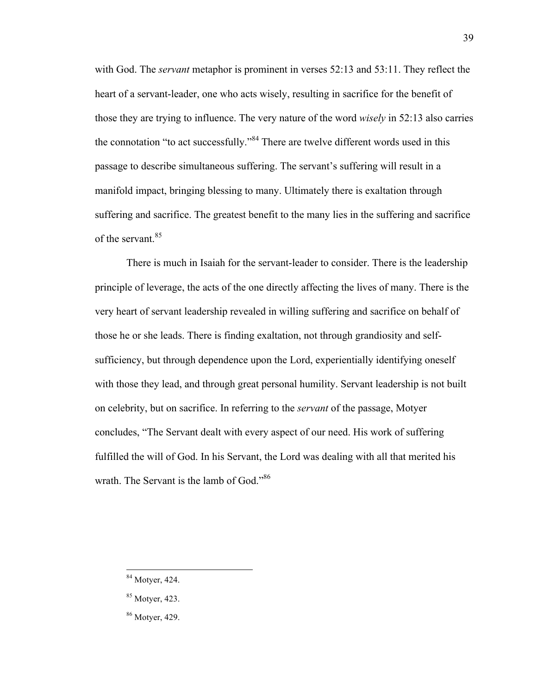with God. The *servant* metaphor is prominent in verses 52:13 and 53:11. They reflect the heart of a servant-leader, one who acts wisely, resulting in sacrifice for the benefit of those they are trying to influence. The very nature of the word *wisely* in 52:13 also carries the connotation "to act successfully."<sup>84</sup> There are twelve different words used in this passage to describe simultaneous suffering. The servant's suffering will result in a manifold impact, bringing blessing to many. Ultimately there is exaltation through suffering and sacrifice. The greatest benefit to the many lies in the suffering and sacrifice of the servant.<sup>85</sup>

There is much in Isaiah for the servant-leader to consider. There is the leadership principle of leverage, the acts of the one directly affecting the lives of many. There is the very heart of servant leadership revealed in willing suffering and sacrifice on behalf of those he or she leads. There is finding exaltation, not through grandiosity and selfsufficiency, but through dependence upon the Lord, experientially identifying oneself with those they lead, and through great personal humility. Servant leadership is not built on celebrity, but on sacrifice. In referring to the *servant* of the passage, Motyer concludes, "The Servant dealt with every aspect of our need. His work of suffering fulfilled the will of God. In his Servant, the Lord was dealing with all that merited his wrath. The Servant is the lamb of God."<sup>86</sup>

39

 <sup>84</sup> Motyer, 424.

<sup>85</sup> Motyer, 423.

<sup>86</sup> Motyer, 429.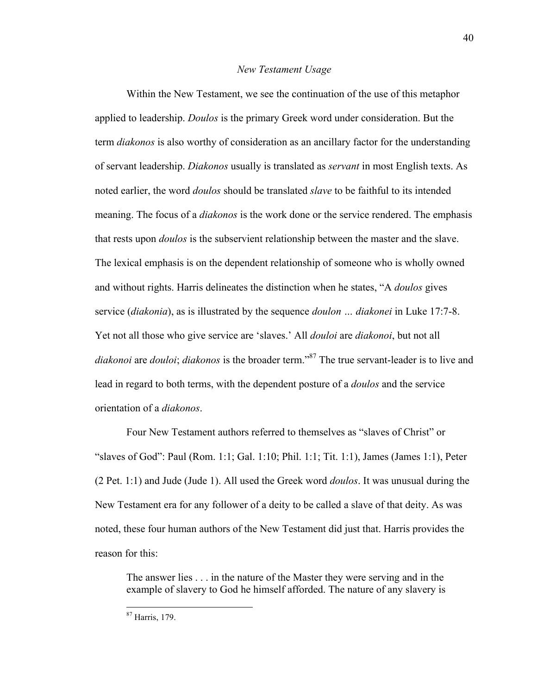#### *New Testament Usage*

Within the New Testament, we see the continuation of the use of this metaphor applied to leadership. *Doulos* is the primary Greek word under consideration. But the term *diakonos* is also worthy of consideration as an ancillary factor for the understanding of servant leadership. *Diakonos* usually is translated as *servant* in most English texts. As noted earlier, the word *doulos* should be translated *slave* to be faithful to its intended meaning. The focus of a *diakonos* is the work done or the service rendered. The emphasis that rests upon *doulos* is the subservient relationship between the master and the slave. The lexical emphasis is on the dependent relationship of someone who is wholly owned and without rights. Harris delineates the distinction when he states, "A *doulos* gives service (*diakonia*), as is illustrated by the sequence *doulon … diakonei* in Luke 17:7-8. Yet not all those who give service are 'slaves.' All *douloi* are *diakonoi*, but not all *diakonoi* are *douloi*; *diakonos* is the broader term." <sup>87</sup> The true servant-leader is to live and lead in regard to both terms, with the dependent posture of a *doulos* and the service orientation of a *diakonos*.

Four New Testament authors referred to themselves as "slaves of Christ" or "slaves of God": Paul (Rom. 1:1; Gal. 1:10; Phil. 1:1; Tit. 1:1), James (James 1:1), Peter (2 Pet. 1:1) and Jude (Jude 1). All used the Greek word *doulos*. It was unusual during the New Testament era for any follower of a deity to be called a slave of that deity. As was noted, these four human authors of the New Testament did just that. Harris provides the reason for this:

The answer lies . . . in the nature of the Master they were serving and in the example of slavery to God he himself afforded. The nature of any slavery is

87 Harris, 179.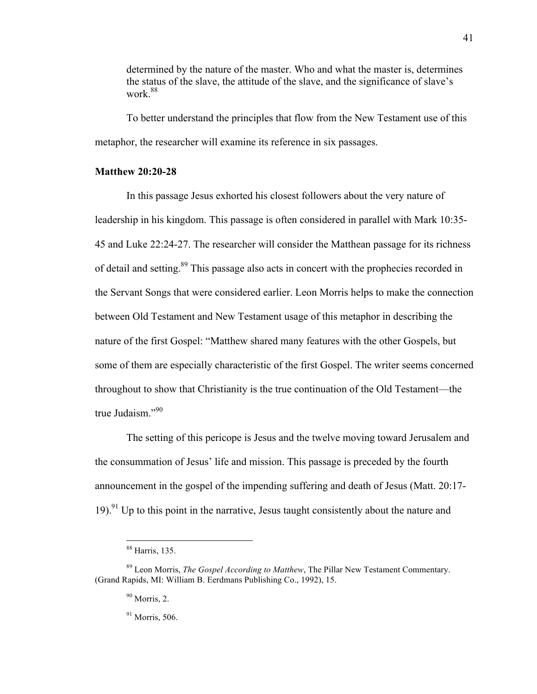determined by the nature of the master. Who and what the master is, determines the status of the slave, the attitude of the slave, and the significance of slave's work<sup>88</sup>

To better understand the principles that flow from the New Testament use of this metaphor, the researcher will examine its reference in six passages.

### **Matthew 20:20-28**

In this passage Jesus exhorted his closest followers about the very nature of leadership in his kingdom. This passage is often considered in parallel with Mark 10:35- 45 and Luke 22:24-27. The researcher will consider the Matthean passage for its richness of detail and setting.89 This passage also acts in concert with the prophecies recorded in the Servant Songs that were considered earlier. Leon Morris helps to make the connection between Old Testament and New Testament usage of this metaphor in describing the nature of the first Gospel: "Matthew shared many features with the other Gospels, but some of them are especially characteristic of the first Gospel. The writer seems concerned throughout to show that Christianity is the true continuation of the Old Testament—the true Judaism."<sup>90</sup>

The setting of this pericope is Jesus and the twelve moving toward Jerusalem and the consummation of Jesus' life and mission. This passage is preceded by the fourth announcement in the gospel of the impending suffering and death of Jesus (Matt. 20:17- 19).<sup>91</sup> Up to this point in the narrative, Jesus taught consistently about the nature and

 <sup>88</sup> Harris, 135.

<sup>89</sup> Leon Morris, *The Gospel According to Matthew*, The Pillar New Testament Commentary. (Grand Rapids, MI: William B. Eerdmans Publishing Co., 1992), 15.

 $90$  Morris, 2.

<sup>91</sup> Morris, 506.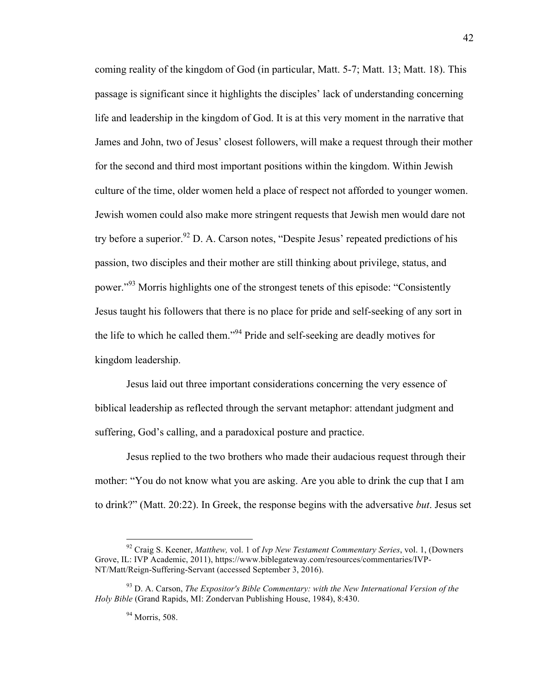coming reality of the kingdom of God (in particular, Matt. 5-7; Matt. 13; Matt. 18). This passage is significant since it highlights the disciples' lack of understanding concerning life and leadership in the kingdom of God. It is at this very moment in the narrative that James and John, two of Jesus' closest followers, will make a request through their mother for the second and third most important positions within the kingdom. Within Jewish culture of the time, older women held a place of respect not afforded to younger women. Jewish women could also make more stringent requests that Jewish men would dare not try before a superior.<sup>92</sup> D. A. Carson notes, "Despite Jesus' repeated predictions of his passion, two disciples and their mother are still thinking about privilege, status, and power.<sup>"93</sup> Morris highlights one of the strongest tenets of this episode: "Consistently" Jesus taught his followers that there is no place for pride and self-seeking of any sort in the life to which he called them."94 Pride and self-seeking are deadly motives for kingdom leadership.

Jesus laid out three important considerations concerning the very essence of biblical leadership as reflected through the servant metaphor: attendant judgment and suffering, God's calling, and a paradoxical posture and practice.

Jesus replied to the two brothers who made their audacious request through their mother: "You do not know what you are asking. Are you able to drink the cup that I am to drink?" (Matt. 20:22). In Greek, the response begins with the adversative *but*. Jesus set

 <sup>92</sup> Craig S. Keener, *Matthew,* vol. 1 of *Ivp New Testament Commentary Series*, vol. 1, (Downers Grove, IL: IVP Academic, 2011), https://www.biblegateway.com/resources/commentaries/IVP-NT/Matt/Reign-Suffering-Servant (accessed September 3, 2016).

<sup>93</sup> D. A. Carson, *The Expositor's Bible Commentary: with the New International Version of the Holy Bible* (Grand Rapids, MI: Zondervan Publishing House, 1984), 8:430.

<sup>94</sup> Morris, 508.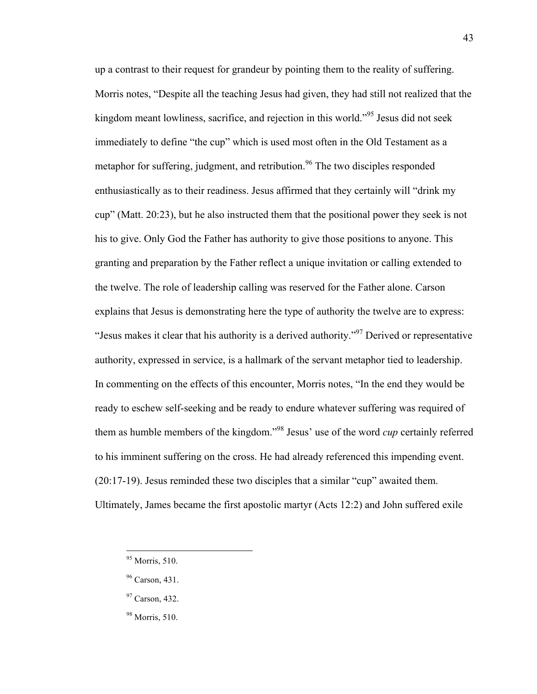up a contrast to their request for grandeur by pointing them to the reality of suffering. Morris notes, "Despite all the teaching Jesus had given, they had still not realized that the kingdom meant lowliness, sacrifice, and rejection in this world."<sup>95</sup> Jesus did not seek immediately to define "the cup" which is used most often in the Old Testament as a metaphor for suffering, judgment, and retribution.<sup>96</sup> The two disciples responded enthusiastically as to their readiness. Jesus affirmed that they certainly will "drink my cup" (Matt. 20:23), but he also instructed them that the positional power they seek is not his to give. Only God the Father has authority to give those positions to anyone. This granting and preparation by the Father reflect a unique invitation or calling extended to the twelve. The role of leadership calling was reserved for the Father alone. Carson explains that Jesus is demonstrating here the type of authority the twelve are to express: "Jesus makes it clear that his authority is a derived authority."<sup>97</sup> Derived or representative authority, expressed in service, is a hallmark of the servant metaphor tied to leadership. In commenting on the effects of this encounter, Morris notes, "In the end they would be ready to eschew self-seeking and be ready to endure whatever suffering was required of them as humble members of the kingdom."98 Jesus' use of the word *cup* certainly referred to his imminent suffering on the cross. He had already referenced this impending event. (20:17-19). Jesus reminded these two disciples that a similar "cup" awaited them. Ultimately, James became the first apostolic martyr (Acts 12:2) and John suffered exile

43

<sup>98</sup> Morris, 510.

 <sup>95</sup> Morris, 510.

<sup>&</sup>lt;sup>96</sup> Carson, 431.

<sup>&</sup>lt;sup>97</sup> Carson, 432.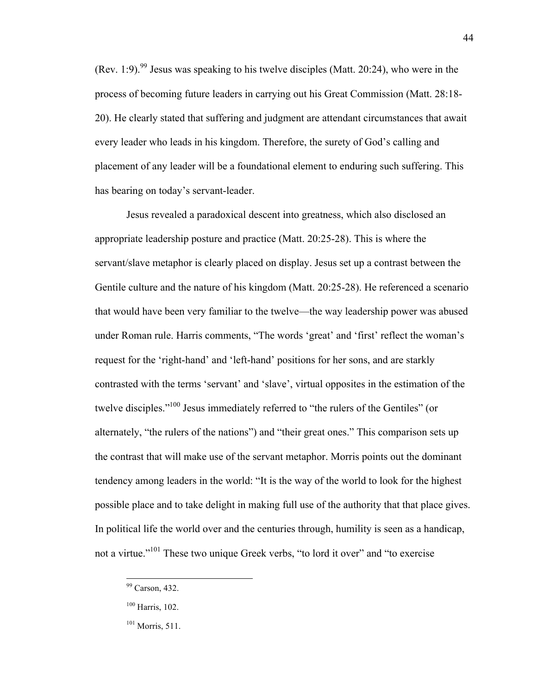$(Rev. 1:9)<sup>99</sup>$  Jesus was speaking to his twelve disciples (Matt. 20:24), who were in the process of becoming future leaders in carrying out his Great Commission (Matt. 28:18- 20). He clearly stated that suffering and judgment are attendant circumstances that await every leader who leads in his kingdom. Therefore, the surety of God's calling and placement of any leader will be a foundational element to enduring such suffering. This has bearing on today's servant-leader.

Jesus revealed a paradoxical descent into greatness, which also disclosed an appropriate leadership posture and practice (Matt. 20:25-28). This is where the servant/slave metaphor is clearly placed on display. Jesus set up a contrast between the Gentile culture and the nature of his kingdom (Matt. 20:25-28). He referenced a scenario that would have been very familiar to the twelve—the way leadership power was abused under Roman rule. Harris comments, "The words 'great' and 'first' reflect the woman's request for the 'right-hand' and 'left-hand' positions for her sons, and are starkly contrasted with the terms 'servant' and 'slave', virtual opposites in the estimation of the twelve disciples."<sup>100</sup> Jesus immediately referred to "the rulers of the Gentiles" (or alternately, "the rulers of the nations") and "their great ones." This comparison sets up the contrast that will make use of the servant metaphor. Morris points out the dominant tendency among leaders in the world: "It is the way of the world to look for the highest possible place and to take delight in making full use of the authority that that place gives. In political life the world over and the centuries through, humility is seen as a handicap, not a virtue."<sup>101</sup> These two unique Greek verbs, "to lord it over" and "to exercise

<sup>&</sup>lt;sup>99</sup> Carson, 432.

 $100$  Harris, 102.

 $101$  Morris, 511.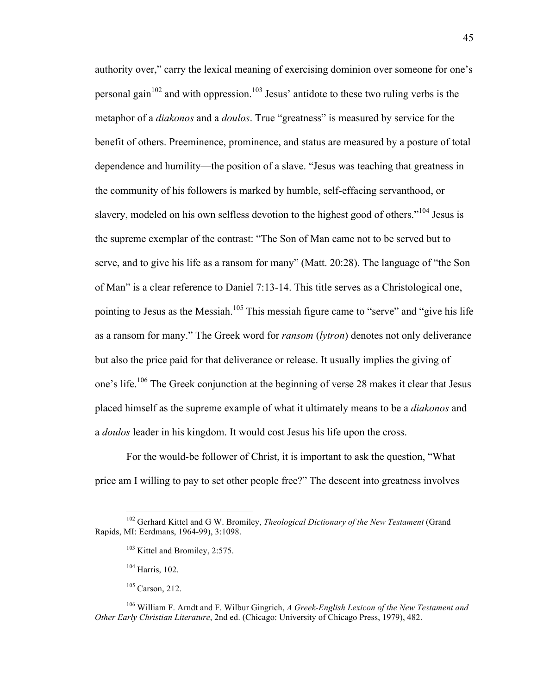authority over," carry the lexical meaning of exercising dominion over someone for one's personal gain<sup>102</sup> and with oppression.<sup>103</sup> Jesus' antidote to these two ruling verbs is the metaphor of a *diakonos* and a *doulos*. True "greatness" is measured by service for the benefit of others. Preeminence, prominence, and status are measured by a posture of total dependence and humility—the position of a slave. "Jesus was teaching that greatness in the community of his followers is marked by humble, self-effacing servanthood, or slavery, modeled on his own selfless devotion to the highest good of others."<sup>104</sup> Jesus is the supreme exemplar of the contrast: "The Son of Man came not to be served but to serve, and to give his life as a ransom for many" (Matt. 20:28). The language of "the Son of Man" is a clear reference to Daniel 7:13-14. This title serves as a Christological one, pointing to Jesus as the Messiah.<sup>105</sup> This messiah figure came to "serve" and "give his life as a ransom for many." The Greek word for *ransom* (*lytron*) denotes not only deliverance but also the price paid for that deliverance or release. It usually implies the giving of one's life.<sup>106</sup> The Greek conjunction at the beginning of verse 28 makes it clear that Jesus placed himself as the supreme example of what it ultimately means to be a *diakonos* and a *doulos* leader in his kingdom. It would cost Jesus his life upon the cross.

For the would-be follower of Christ, it is important to ask the question, "What price am I willing to pay to set other people free?" The descent into greatness involves

 <sup>102</sup> Gerhard Kittel and G W. Bromiley, *Theological Dictionary of the New Testament* (Grand Rapids, MI: Eerdmans, 1964-99), 3:1098.

<sup>&</sup>lt;sup>103</sup> Kittel and Bromiley, 2:575.

<sup>104</sup> Harris, 102.

<sup>105</sup> Carson, 212.

<sup>106</sup> William F. Arndt and F. Wilbur Gingrich, *A Greek-English Lexicon of the New Testament and Other Early Christian Literature*, 2nd ed. (Chicago: University of Chicago Press, 1979), 482.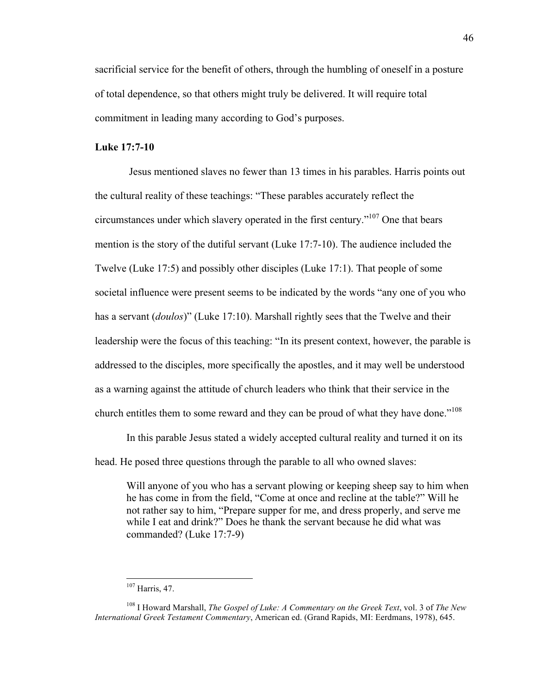sacrificial service for the benefit of others, through the humbling of oneself in a posture of total dependence, so that others might truly be delivered. It will require total commitment in leading many according to God's purposes.

# **Luke 17:7-10**

Jesus mentioned slaves no fewer than 13 times in his parables. Harris points out the cultural reality of these teachings: "These parables accurately reflect the circumstances under which slavery operated in the first century."107 One that bears mention is the story of the dutiful servant (Luke 17:7-10). The audience included the Twelve (Luke 17:5) and possibly other disciples (Luke 17:1). That people of some societal influence were present seems to be indicated by the words "any one of you who has a servant (*doulos*)" (Luke 17:10). Marshall rightly sees that the Twelve and their leadership were the focus of this teaching: "In its present context, however, the parable is addressed to the disciples, more specifically the apostles, and it may well be understood as a warning against the attitude of church leaders who think that their service in the church entitles them to some reward and they can be proud of what they have done."<sup>108</sup>

In this parable Jesus stated a widely accepted cultural reality and turned it on its head. He posed three questions through the parable to all who owned slaves:

Will anyone of you who has a servant plowing or keeping sheep say to him when he has come in from the field, "Come at once and recline at the table?" Will he not rather say to him, "Prepare supper for me, and dress properly, and serve me while I eat and drink?" Does he thank the servant because he did what was commanded? (Luke 17:7-9)

 <sup>107</sup> Harris, 47.

<sup>108</sup> I Howard Marshall, *The Gospel of Luke: A Commentary on the Greek Text*, vol. 3 of *The New International Greek Testament Commentary*, American ed. (Grand Rapids, MI: Eerdmans, 1978), 645.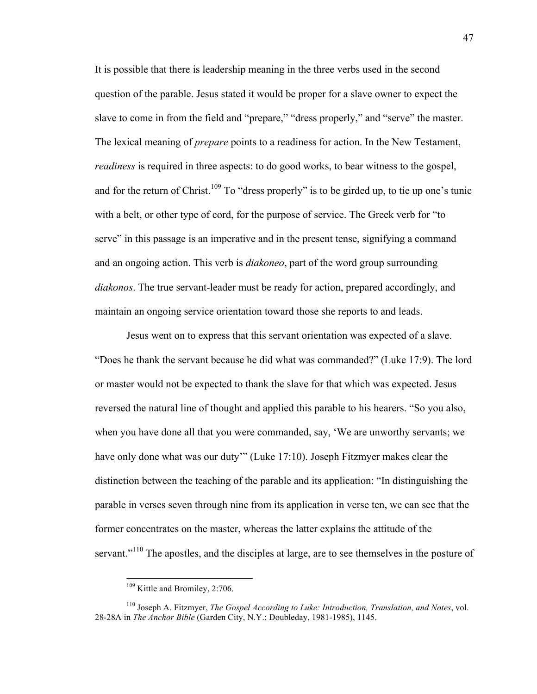It is possible that there is leadership meaning in the three verbs used in the second question of the parable. Jesus stated it would be proper for a slave owner to expect the slave to come in from the field and "prepare," "dress properly," and "serve" the master. The lexical meaning of *prepare* points to a readiness for action. In the New Testament, *readiness* is required in three aspects: to do good works, to bear witness to the gospel, and for the return of Christ.<sup>109</sup> To "dress properly" is to be girded up, to tie up one's tunic with a belt, or other type of cord, for the purpose of service. The Greek verb for "to serve" in this passage is an imperative and in the present tense, signifying a command and an ongoing action. This verb is *diakoneo*, part of the word group surrounding *diakonos*. The true servant-leader must be ready for action, prepared accordingly, and maintain an ongoing service orientation toward those she reports to and leads.

Jesus went on to express that this servant orientation was expected of a slave. "Does he thank the servant because he did what was commanded?" (Luke 17:9). The lord or master would not be expected to thank the slave for that which was expected. Jesus reversed the natural line of thought and applied this parable to his hearers. "So you also, when you have done all that you were commanded, say, 'We are unworthy servants; we have only done what was our duty'" (Luke 17:10). Joseph Fitzmyer makes clear the distinction between the teaching of the parable and its application: "In distinguishing the parable in verses seven through nine from its application in verse ten, we can see that the former concentrates on the master, whereas the latter explains the attitude of the servant."<sup>110</sup> The apostles, and the disciples at large, are to see themselves in the posture of

<sup>&</sup>lt;sup>109</sup> Kittle and Bromiley, 2:706.

<sup>110</sup> Joseph A. Fitzmyer, *The Gospel According to Luke: Introduction, Translation, and Notes*, vol. 28-28A in *The Anchor Bible* (Garden City, N.Y.: Doubleday, 1981-1985), 1145.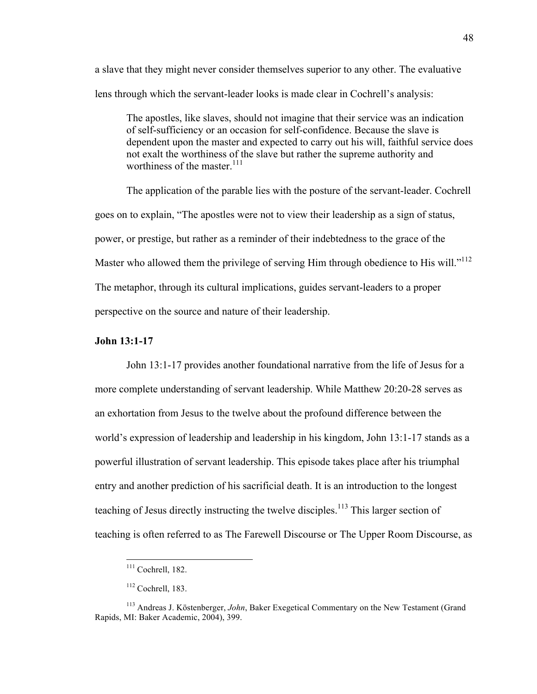a slave that they might never consider themselves superior to any other. The evaluative lens through which the servant-leader looks is made clear in Cochrell's analysis:

The apostles, like slaves, should not imagine that their service was an indication of self-sufficiency or an occasion for self-confidence. Because the slave is dependent upon the master and expected to carry out his will, faithful service does not exalt the worthiness of the slave but rather the supreme authority and worthiness of the master.<sup>111</sup>

The application of the parable lies with the posture of the servant-leader. Cochrell goes on to explain, "The apostles were not to view their leadership as a sign of status, power, or prestige, but rather as a reminder of their indebtedness to the grace of the Master who allowed them the privilege of serving Him through obedience to His will."<sup>112</sup> The metaphor, through its cultural implications, guides servant-leaders to a proper perspective on the source and nature of their leadership.

#### **John 13:1-17**

John 13:1-17 provides another foundational narrative from the life of Jesus for a more complete understanding of servant leadership. While Matthew 20:20-28 serves as an exhortation from Jesus to the twelve about the profound difference between the world's expression of leadership and leadership in his kingdom, John 13:1-17 stands as a powerful illustration of servant leadership. This episode takes place after his triumphal entry and another prediction of his sacrificial death. It is an introduction to the longest teaching of Jesus directly instructing the twelve disciples.<sup>113</sup> This larger section of teaching is often referred to as The Farewell Discourse or The Upper Room Discourse, as

<sup>&</sup>lt;sup>111</sup> Cochrell, 182.

 $112$  Cochrell, 183.

<sup>113</sup> Andreas J. Köstenberger, *John*, Baker Exegetical Commentary on the New Testament (Grand Rapids, MI: Baker Academic, 2004), 399.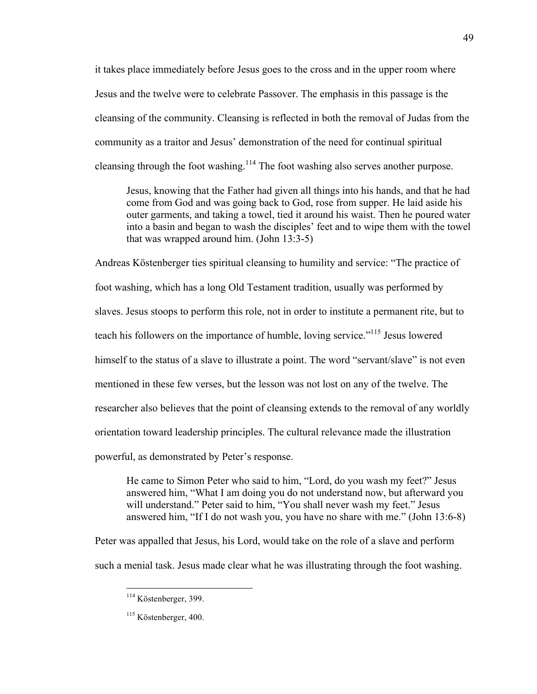it takes place immediately before Jesus goes to the cross and in the upper room where Jesus and the twelve were to celebrate Passover. The emphasis in this passage is the cleansing of the community. Cleansing is reflected in both the removal of Judas from the community as a traitor and Jesus' demonstration of the need for continual spiritual cleansing through the foot washing.<sup>114</sup> The foot washing also serves another purpose.

Jesus, knowing that the Father had given all things into his hands, and that he had come from God and was going back to God, rose from supper. He laid aside his outer garments, and taking a towel, tied it around his waist. Then he poured water into a basin and began to wash the disciples' feet and to wipe them with the towel that was wrapped around him. (John 13:3-5)

Andreas Köstenberger ties spiritual cleansing to humility and service: "The practice of foot washing, which has a long Old Testament tradition, usually was performed by slaves. Jesus stoops to perform this role, not in order to institute a permanent rite, but to teach his followers on the importance of humble, loving service."115 Jesus lowered himself to the status of a slave to illustrate a point. The word "servant/slave" is not even mentioned in these few verses, but the lesson was not lost on any of the twelve. The researcher also believes that the point of cleansing extends to the removal of any worldly orientation toward leadership principles. The cultural relevance made the illustration powerful, as demonstrated by Peter's response.

He came to Simon Peter who said to him, "Lord, do you wash my feet?" Jesus answered him, "What I am doing you do not understand now, but afterward you will understand." Peter said to him, "You shall never wash my feet." Jesus answered him, "If I do not wash you, you have no share with me." (John 13:6-8)

Peter was appalled that Jesus, his Lord, would take on the role of a slave and perform such a menial task. Jesus made clear what he was illustrating through the foot washing.

49

 <sup>114</sup> Köstenberger, 399.

<sup>&</sup>lt;sup>115</sup> Köstenberger, 400.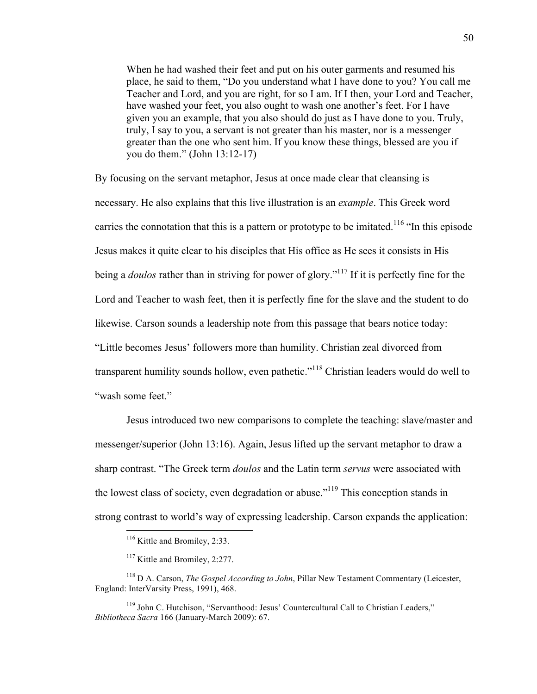When he had washed their feet and put on his outer garments and resumed his place, he said to them, "Do you understand what I have done to you? You call me Teacher and Lord, and you are right, for so I am. If I then, your Lord and Teacher, have washed your feet, you also ought to wash one another's feet. For I have given you an example, that you also should do just as I have done to you. Truly, truly, I say to you, a servant is not greater than his master, nor is a messenger greater than the one who sent him. If you know these things, blessed are you if you do them." (John 13:12-17)

By focusing on the servant metaphor, Jesus at once made clear that cleansing is necessary. He also explains that this live illustration is an *example*. This Greek word carries the connotation that this is a pattern or prototype to be imitated.<sup>116</sup> "In this episode" Jesus makes it quite clear to his disciples that His office as He sees it consists in His being a *doulos* rather than in striving for power of glory.<sup>"117</sup> If it is perfectly fine for the Lord and Teacher to wash feet, then it is perfectly fine for the slave and the student to do likewise. Carson sounds a leadership note from this passage that bears notice today: "Little becomes Jesus' followers more than humility. Christian zeal divorced from transparent humility sounds hollow, even pathetic."<sup>118</sup> Christian leaders would do well to "wash some feet."

Jesus introduced two new comparisons to complete the teaching: slave/master and messenger/superior (John 13:16). Again, Jesus lifted up the servant metaphor to draw a sharp contrast. "The Greek term *doulos* and the Latin term *servus* were associated with the lowest class of society, even degradation or abuse."<sup>119</sup> This conception stands in strong contrast to world's way of expressing leadership. Carson expands the application:

<sup>&</sup>lt;sup>116</sup> Kittle and Bromiley, 2:33.

<sup>&</sup>lt;sup>117</sup> Kittle and Bromiley, 2:277.

<sup>118</sup> D A. Carson, *The Gospel According to John*, Pillar New Testament Commentary (Leicester, England: InterVarsity Press, 1991), 468.

<sup>119</sup> John C. Hutchison, "Servanthood: Jesus' Countercultural Call to Christian Leaders," *Bibliotheca Sacra* 166 (January-March 2009): 67.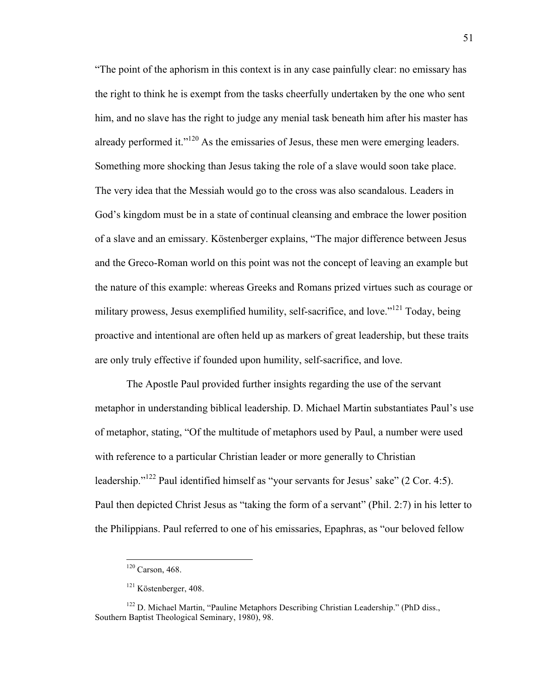"The point of the aphorism in this context is in any case painfully clear: no emissary has the right to think he is exempt from the tasks cheerfully undertaken by the one who sent him, and no slave has the right to judge any menial task beneath him after his master has already performed it."<sup>120</sup> As the emissaries of Jesus, these men were emerging leaders. Something more shocking than Jesus taking the role of a slave would soon take place. The very idea that the Messiah would go to the cross was also scandalous. Leaders in God's kingdom must be in a state of continual cleansing and embrace the lower position of a slave and an emissary. Köstenberger explains, "The major difference between Jesus and the Greco-Roman world on this point was not the concept of leaving an example but the nature of this example: whereas Greeks and Romans prized virtues such as courage or military prowess, Jesus exemplified humility, self-sacrifice, and love.<sup> $121$ </sup> Today, being proactive and intentional are often held up as markers of great leadership, but these traits are only truly effective if founded upon humility, self-sacrifice, and love.

The Apostle Paul provided further insights regarding the use of the servant metaphor in understanding biblical leadership. D. Michael Martin substantiates Paul's use of metaphor, stating, "Of the multitude of metaphors used by Paul, a number were used with reference to a particular Christian leader or more generally to Christian leadership."122 Paul identified himself as "your servants for Jesus' sake" (2 Cor. 4:5). Paul then depicted Christ Jesus as "taking the form of a servant" (Phil. 2:7) in his letter to the Philippians. Paul referred to one of his emissaries, Epaphras, as "our beloved fellow

 <sup>120</sup> Carson, 468.

<sup>&</sup>lt;sup>121</sup> Köstenberger, 408.

<sup>&</sup>lt;sup>122</sup> D. Michael Martin, "Pauline Metaphors Describing Christian Leadership." (PhD diss., Southern Baptist Theological Seminary, 1980), 98.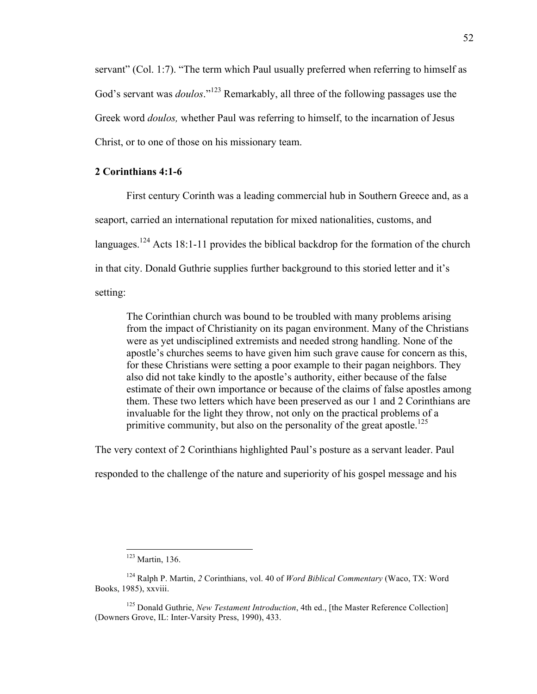servant" (Col. 1:7). "The term which Paul usually preferred when referring to himself as God's servant was *doulos*."<sup>123</sup> Remarkably, all three of the following passages use the Greek word *doulos,* whether Paul was referring to himself, to the incarnation of Jesus Christ, or to one of those on his missionary team.

# **2 Corinthians 4:1-6**

First century Corinth was a leading commercial hub in Southern Greece and, as a seaport, carried an international reputation for mixed nationalities, customs, and languages.<sup>124</sup> Acts 18:1-11 provides the biblical backdrop for the formation of the church in that city. Donald Guthrie supplies further background to this storied letter and it's setting:

The Corinthian church was bound to be troubled with many problems arising from the impact of Christianity on its pagan environment. Many of the Christians were as yet undisciplined extremists and needed strong handling. None of the apostle's churches seems to have given him such grave cause for concern as this, for these Christians were setting a poor example to their pagan neighbors. They also did not take kindly to the apostle's authority, either because of the false estimate of their own importance or because of the claims of false apostles among them. These two letters which have been preserved as our 1 and 2 Corinthians are invaluable for the light they throw, not only on the practical problems of a primitive community, but also on the personality of the great apostle.<sup>125</sup>

The very context of 2 Corinthians highlighted Paul's posture as a servant leader. Paul

responded to the challenge of the nature and superiority of his gospel message and his

 <sup>123</sup> Martin, 136.

<sup>124</sup> Ralph P. Martin, *2* Corinthians, vol. 40 of *Word Biblical Commentary* (Waco, TX: Word Books, 1985), xxviii.

<sup>125</sup> Donald Guthrie, *New Testament Introduction*, 4th ed., [the Master Reference Collection] (Downers Grove, IL: Inter-Varsity Press, 1990), 433.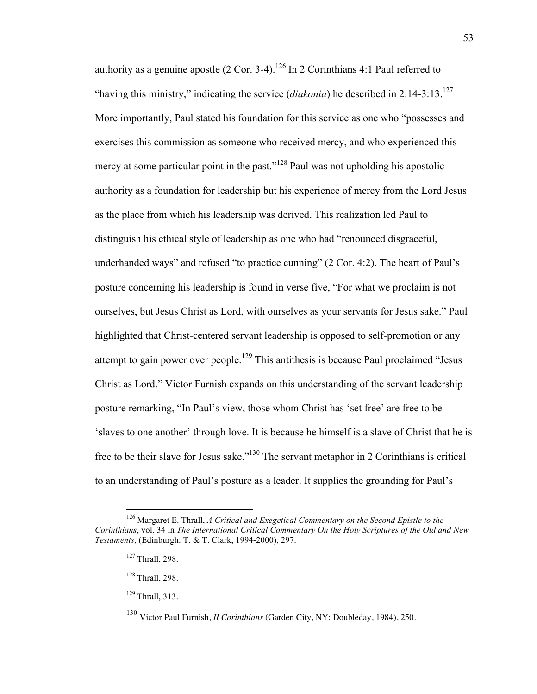authority as a genuine apostle  $(2 \text{ Cor. } 3-4)$ .<sup>126</sup> In 2 Corinthians 4:1 Paul referred to "having this ministry," indicating the service (*diakonia*) he described in 2:14-3:13.127 More importantly, Paul stated his foundation for this service as one who "possesses and exercises this commission as someone who received mercy, and who experienced this mercy at some particular point in the past."<sup>128</sup> Paul was not upholding his apostolic authority as a foundation for leadership but his experience of mercy from the Lord Jesus as the place from which his leadership was derived. This realization led Paul to distinguish his ethical style of leadership as one who had "renounced disgraceful, underhanded ways" and refused "to practice cunning" (2 Cor. 4:2). The heart of Paul's posture concerning his leadership is found in verse five, "For what we proclaim is not ourselves, but Jesus Christ as Lord, with ourselves as your servants for Jesus sake." Paul highlighted that Christ-centered servant leadership is opposed to self-promotion or any attempt to gain power over people.<sup>129</sup> This antithesis is because Paul proclaimed "Jesus" Christ as Lord." Victor Furnish expands on this understanding of the servant leadership posture remarking, "In Paul's view, those whom Christ has 'set free' are free to be 'slaves to one another' through love. It is because he himself is a slave of Christ that he is free to be their slave for Jesus sake."130 The servant metaphor in 2 Corinthians is critical to an understanding of Paul's posture as a leader. It supplies the grounding for Paul's

 <sup>126</sup> Margaret E. Thrall, *A Critical and Exegetical Commentary on the Second Epistle to the Corinthians*, vol. 34 in *The International Critical Commentary On the Holy Scriptures of the Old and New Testaments*, (Edinburgh: T. & T. Clark, 1994-2000), 297.

 $127$  Thrall, 298.

<sup>128</sup> Thrall, 298.

<sup>129</sup> Thrall, 313.

<sup>130</sup> Victor Paul Furnish, *II Corinthians* (Garden City, NY: Doubleday, 1984), 250.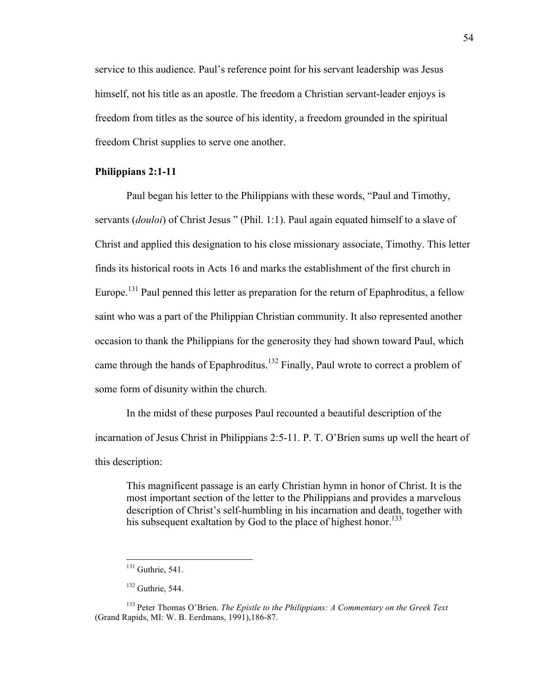service to this audience. Paul's reference point for his servant leadership was Jesus himself, not his title as an apostle. The freedom a Christian servant-leader enjoys is freedom from titles as the source of his identity, a freedom grounded in the spiritual freedom Christ supplies to serve one another.

# **Philippians 2:1-11**

Paul began his letter to the Philippians with these words, "Paul and Timothy, servants (*douloi*) of Christ Jesus " (Phil. 1:1). Paul again equated himself to a slave of Christ and applied this designation to his close missionary associate, Timothy. This letter finds its historical roots in Acts 16 and marks the establishment of the first church in Europe.<sup>131</sup> Paul penned this letter as preparation for the return of Epaphroditus, a fellow saint who was a part of the Philippian Christian community. It also represented another occasion to thank the Philippians for the generosity they had shown toward Paul, which came through the hands of Epaphroditus.<sup>132</sup> Finally, Paul wrote to correct a problem of some form of disunity within the church.

In the midst of these purposes Paul recounted a beautiful description of the incarnation of Jesus Christ in Philippians 2:5-11. P. T. O'Brien sums up well the heart of this description:

This magnificent passage is an early Christian hymn in honor of Christ. It is the most important section of the letter to the Philippians and provides a marvelous description of Christ's self-humbling in his incarnation and death, together with his subsequent exaltation by God to the place of highest honor.<sup>133</sup>

<sup>&</sup>lt;sup>131</sup> Guthrie, 541.

 $132$  Guthrie, 544.

<sup>133</sup> Peter Thomas O'Brien. *The Epistle to the Philippians: A Commentary on the Greek Text* (Grand Rapids, MI: W. B. Eerdmans, 1991),186-87.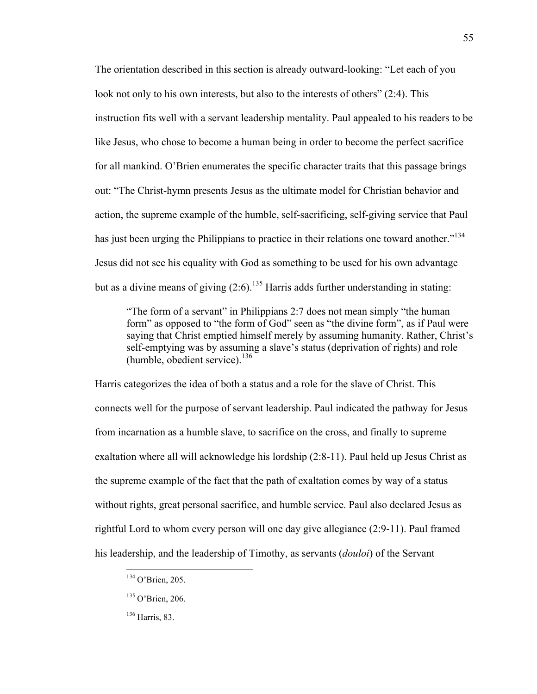The orientation described in this section is already outward-looking: "Let each of you look not only to his own interests, but also to the interests of others" (2:4). This instruction fits well with a servant leadership mentality. Paul appealed to his readers to be like Jesus, who chose to become a human being in order to become the perfect sacrifice for all mankind. O'Brien enumerates the specific character traits that this passage brings out: "The Christ-hymn presents Jesus as the ultimate model for Christian behavior and action, the supreme example of the humble, self-sacrificing, self-giving service that Paul has just been urging the Philippians to practice in their relations one toward another."<sup>134</sup> Jesus did not see his equality with God as something to be used for his own advantage but as a divine means of giving  $(2.6)$ <sup>135</sup> Harris adds further understanding in stating:

"The form of a servant" in Philippians 2:7 does not mean simply "the human form" as opposed to "the form of God" seen as "the divine form", as if Paul were saying that Christ emptied himself merely by assuming humanity. Rather, Christ's self-emptying was by assuming a slave's status (deprivation of rights) and role (humble, obedient service). $136$ 

Harris categorizes the idea of both a status and a role for the slave of Christ. This connects well for the purpose of servant leadership. Paul indicated the pathway for Jesus from incarnation as a humble slave, to sacrifice on the cross, and finally to supreme exaltation where all will acknowledge his lordship (2:8-11). Paul held up Jesus Christ as the supreme example of the fact that the path of exaltation comes by way of a status without rights, great personal sacrifice, and humble service. Paul also declared Jesus as rightful Lord to whom every person will one day give allegiance (2:9-11). Paul framed his leadership, and the leadership of Timothy, as servants (*douloi*) of the Servant

<sup>&</sup>lt;sup>134</sup> O'Brien, 205.

<sup>135</sup> O'Brien, 206.

<sup>136</sup> Harris, 83.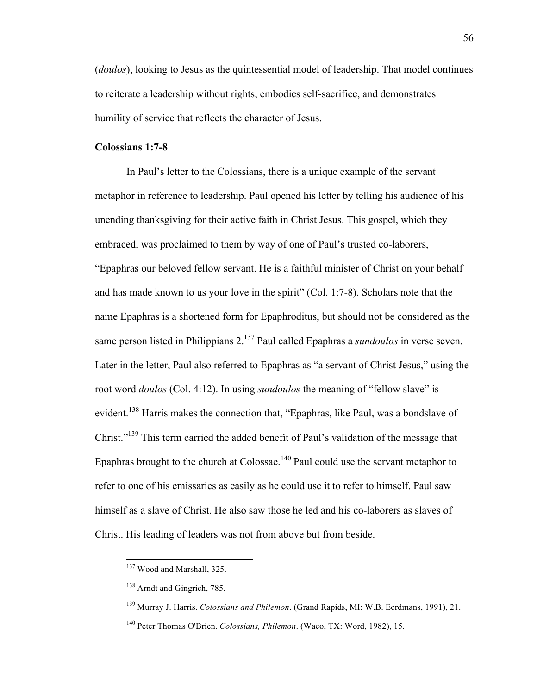(*doulos*), looking to Jesus as the quintessential model of leadership. That model continues to reiterate a leadership without rights, embodies self-sacrifice, and demonstrates humility of service that reflects the character of Jesus.

#### **Colossians 1:7-8**

In Paul's letter to the Colossians, there is a unique example of the servant metaphor in reference to leadership. Paul opened his letter by telling his audience of his unending thanksgiving for their active faith in Christ Jesus. This gospel, which they embraced, was proclaimed to them by way of one of Paul's trusted co-laborers, "Epaphras our beloved fellow servant. He is a faithful minister of Christ on your behalf and has made known to us your love in the spirit" (Col. 1:7-8). Scholars note that the name Epaphras is a shortened form for Epaphroditus, but should not be considered as the same person listed in Philippians 2. <sup>137</sup> Paul called Epaphras a *sundoulos* in verse seven. Later in the letter, Paul also referred to Epaphras as "a servant of Christ Jesus," using the root word *doulos* (Col. 4:12). In using *sundoulos* the meaning of "fellow slave" is evident.<sup>138</sup> Harris makes the connection that, "Epaphras, like Paul, was a bondslave of Christ."<sup>139</sup> This term carried the added benefit of Paul's validation of the message that Epaphras brought to the church at Colossae.<sup>140</sup> Paul could use the servant metaphor to refer to one of his emissaries as easily as he could use it to refer to himself. Paul saw himself as a slave of Christ. He also saw those he led and his co-laborers as slaves of Christ. His leading of leaders was not from above but from beside.

<sup>&</sup>lt;sup>137</sup> Wood and Marshall, 325.

<sup>138</sup> Arndt and Gingrich, 785.

<sup>139</sup> Murray J. Harris. *Colossians and Philemon*. (Grand Rapids, MI: W.B. Eerdmans, 1991), 21.

<sup>140</sup> Peter Thomas O'Brien. *Colossians, Philemon*. (Waco, TX: Word, 1982), 15.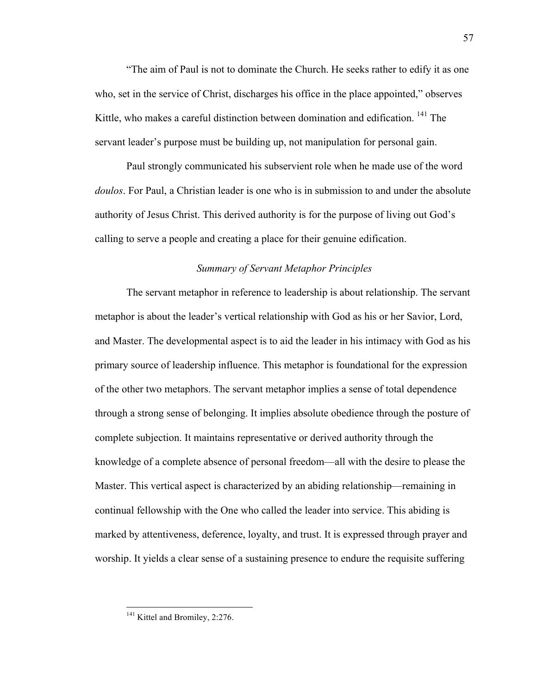"The aim of Paul is not to dominate the Church. He seeks rather to edify it as one who, set in the service of Christ, discharges his office in the place appointed," observes Kittle, who makes a careful distinction between domination and edification. <sup>141</sup> The servant leader's purpose must be building up, not manipulation for personal gain.

Paul strongly communicated his subservient role when he made use of the word *doulos*. For Paul, a Christian leader is one who is in submission to and under the absolute authority of Jesus Christ. This derived authority is for the purpose of living out God's calling to serve a people and creating a place for their genuine edification.

## *Summary of Servant Metaphor Principles*

The servant metaphor in reference to leadership is about relationship. The servant metaphor is about the leader's vertical relationship with God as his or her Savior, Lord, and Master. The developmental aspect is to aid the leader in his intimacy with God as his primary source of leadership influence. This metaphor is foundational for the expression of the other two metaphors. The servant metaphor implies a sense of total dependence through a strong sense of belonging. It implies absolute obedience through the posture of complete subjection. It maintains representative or derived authority through the knowledge of a complete absence of personal freedom—all with the desire to please the Master. This vertical aspect is characterized by an abiding relationship—remaining in continual fellowship with the One who called the leader into service. This abiding is marked by attentiveness, deference, loyalty, and trust. It is expressed through prayer and worship. It yields a clear sense of a sustaining presence to endure the requisite suffering

<sup>&</sup>lt;sup>141</sup> Kittel and Bromiley, 2:276.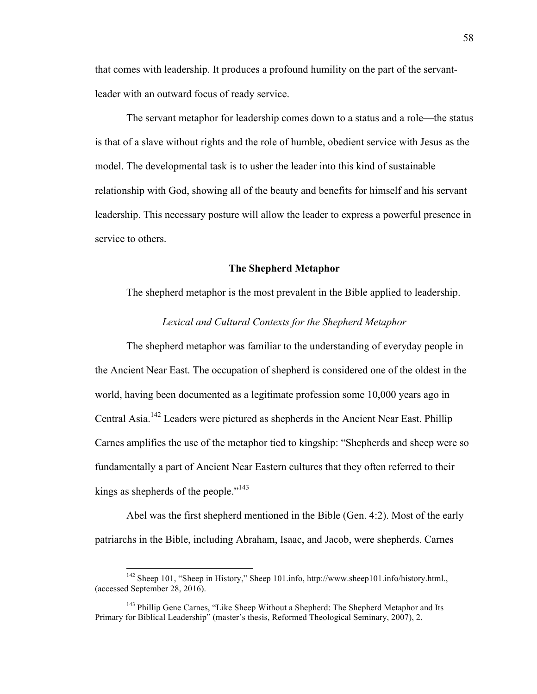that comes with leadership. It produces a profound humility on the part of the servantleader with an outward focus of ready service.

The servant metaphor for leadership comes down to a status and a role—the status is that of a slave without rights and the role of humble, obedient service with Jesus as the model. The developmental task is to usher the leader into this kind of sustainable relationship with God, showing all of the beauty and benefits for himself and his servant leadership. This necessary posture will allow the leader to express a powerful presence in service to others.

#### **The Shepherd Metaphor**

The shepherd metaphor is the most prevalent in the Bible applied to leadership.

## *Lexical and Cultural Contexts for the Shepherd Metaphor*

The shepherd metaphor was familiar to the understanding of everyday people in the Ancient Near East. The occupation of shepherd is considered one of the oldest in the world, having been documented as a legitimate profession some 10,000 years ago in Central Asia.<sup>142</sup> Leaders were pictured as shepherds in the Ancient Near East. Phillip Carnes amplifies the use of the metaphor tied to kingship: "Shepherds and sheep were so fundamentally a part of Ancient Near Eastern cultures that they often referred to their kings as shepherds of the people."<sup>143</sup>

Abel was the first shepherd mentioned in the Bible (Gen. 4:2). Most of the early patriarchs in the Bible, including Abraham, Isaac, and Jacob, were shepherds. Carnes

<sup>&</sup>lt;sup>142</sup> Sheep 101, "Sheep in History," Sheep 101.info, http://www.sheep101.info/history.html., (accessed September 28, 2016).

<sup>&</sup>lt;sup>143</sup> Phillip Gene Carnes, "Like Sheep Without a Shepherd: The Shepherd Metaphor and Its Primary for Biblical Leadership" (master's thesis, Reformed Theological Seminary, 2007), 2.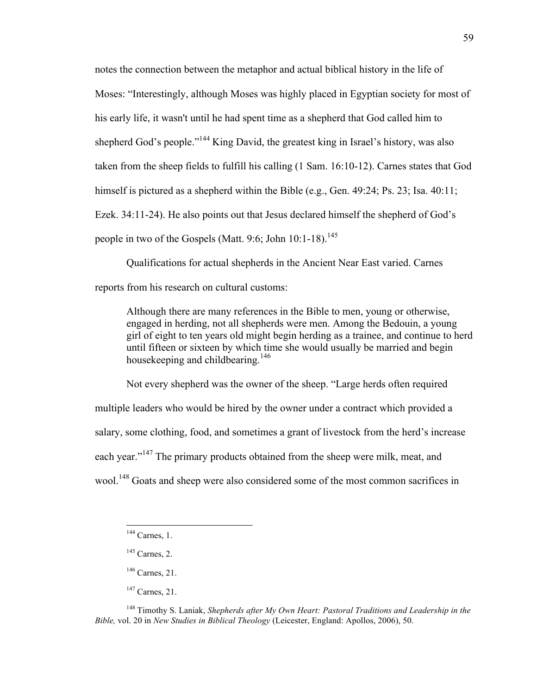notes the connection between the metaphor and actual biblical history in the life of Moses: "Interestingly, although Moses was highly placed in Egyptian society for most of his early life, it wasn't until he had spent time as a shepherd that God called him to shepherd God's people."<sup>144</sup> King David, the greatest king in Israel's history, was also taken from the sheep fields to fulfill his calling (1 Sam. 16:10-12). Carnes states that God himself is pictured as a shepherd within the Bible (e.g., Gen. 49:24; Ps. 23; Isa. 40:11; Ezek. 34:11-24). He also points out that Jesus declared himself the shepherd of God's people in two of the Gospels (Matt. 9:6; John 10:1-18).<sup>145</sup>

Qualifications for actual shepherds in the Ancient Near East varied. Carnes reports from his research on cultural customs:

Although there are many references in the Bible to men, young or otherwise, engaged in herding, not all shepherds were men. Among the Bedouin, a young girl of eight to ten years old might begin herding as a trainee, and continue to herd until fifteen or sixteen by which time she would usually be married and begin housekeeping and childbearing.<sup>146</sup>

Not every shepherd was the owner of the sheep. "Large herds often required multiple leaders who would be hired by the owner under a contract which provided a salary, some clothing, food, and sometimes a grant of livestock from the herd's increase each year."<sup>147</sup> The primary products obtained from the sheep were milk, meat, and wool.<sup>148</sup> Goats and sheep were also considered some of the most common sacrifices in

 $147$  Carnes, 21.

59

<sup>148</sup> Timothy S. Laniak, *Shepherds after My Own Heart: Pastoral Traditions and Leadership in the Bible,* vol. 20 in *New Studies in Biblical Theology* (Leicester, England: Apollos, 2006), 50.

 $144$  Carnes, 1.

 $145$  Carnes, 2.

 $146$  Carnes, 21.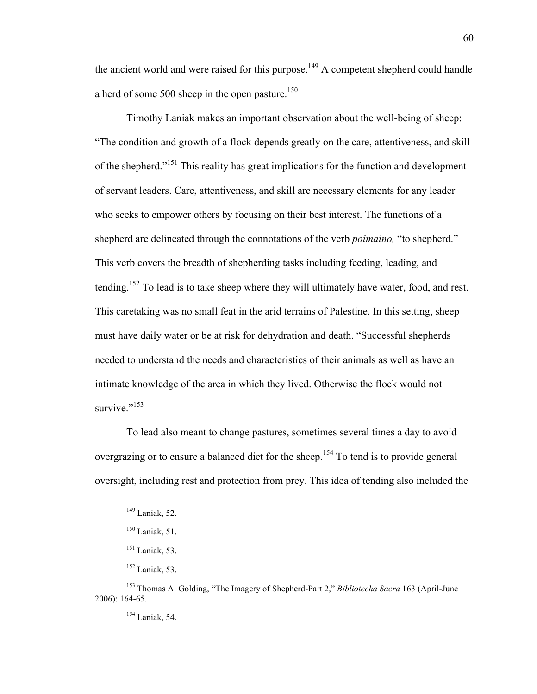the ancient world and were raised for this purpose.<sup>149</sup> A competent shepherd could handle a herd of some 500 sheep in the open pasture.<sup>150</sup>

Timothy Laniak makes an important observation about the well-being of sheep: "The condition and growth of a flock depends greatly on the care, attentiveness, and skill of the shepherd."<sup>151</sup> This reality has great implications for the function and development of servant leaders. Care, attentiveness, and skill are necessary elements for any leader who seeks to empower others by focusing on their best interest. The functions of a shepherd are delineated through the connotations of the verb *poimaino,* "to shepherd." This verb covers the breadth of shepherding tasks including feeding, leading, and tending.152 To lead is to take sheep where they will ultimately have water, food, and rest. This caretaking was no small feat in the arid terrains of Palestine. In this setting, sheep must have daily water or be at risk for dehydration and death. "Successful shepherds needed to understand the needs and characteristics of their animals as well as have an intimate knowledge of the area in which they lived. Otherwise the flock would not survive." $153$ 

To lead also meant to change pastures, sometimes several times a day to avoid overgrazing or to ensure a balanced diet for the sheep.<sup>154</sup> To tend is to provide general oversight, including rest and protection from prey. This idea of tending also included the

 <sup>149</sup> Laniak, 52.

 $150$  Laniak, 51.

 $151$  Laniak, 53.

<sup>152</sup> Laniak, 53.

<sup>153</sup> Thomas A. Golding, "The Imagery of Shepherd-Part 2," *Bibliotecha Sacra* 163 (April-June 2006): 164-65.

<sup>154</sup> Laniak, 54.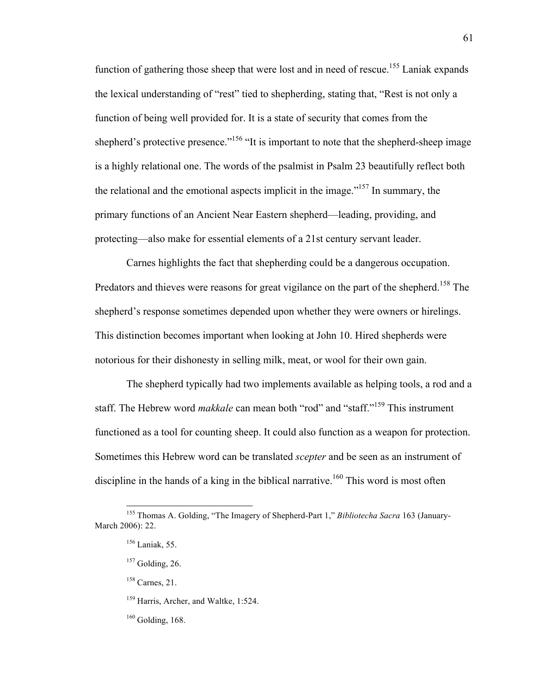function of gathering those sheep that were lost and in need of rescue.<sup>155</sup> Laniak expands the lexical understanding of "rest" tied to shepherding, stating that, "Rest is not only a function of being well provided for. It is a state of security that comes from the shepherd's protective presence."<sup>156</sup> "It is important to note that the shepherd-sheep image is a highly relational one. The words of the psalmist in Psalm 23 beautifully reflect both the relational and the emotional aspects implicit in the image.<sup> $157$ </sup> In summary, the primary functions of an Ancient Near Eastern shepherd—leading, providing, and protecting—also make for essential elements of a 21st century servant leader.

Carnes highlights the fact that shepherding could be a dangerous occupation. Predators and thieves were reasons for great vigilance on the part of the shepherd.<sup>158</sup> The shepherd's response sometimes depended upon whether they were owners or hirelings. This distinction becomes important when looking at John 10. Hired shepherds were notorious for their dishonesty in selling milk, meat, or wool for their own gain.

The shepherd typically had two implements available as helping tools, a rod and a staff. The Hebrew word *makkale* can mean both "rod" and "staff."159 This instrument functioned as a tool for counting sheep. It could also function as a weapon for protection. Sometimes this Hebrew word can be translated *scepter* and be seen as an instrument of discipline in the hands of a king in the biblical narrative.<sup>160</sup> This word is most often

 <sup>155</sup> Thomas A. Golding, "The Imagery of Shepherd-Part 1," *Bibliotecha Sacra* 163 (January-March 2006): 22.

<sup>156</sup> Laniak, 55.

 $157$  Golding, 26.

<sup>158</sup> Carnes, 21.

<sup>&</sup>lt;sup>159</sup> Harris, Archer, and Waltke, 1:524.

 $160$  Golding, 168.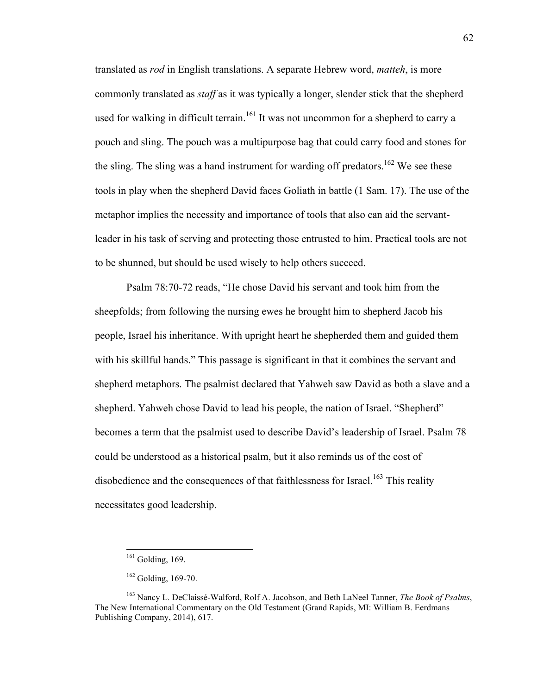translated as *rod* in English translations. A separate Hebrew word, *matteh*, is more commonly translated as *staff* as it was typically a longer, slender stick that the shepherd used for walking in difficult terrain.<sup>161</sup> It was not uncommon for a shepherd to carry a pouch and sling. The pouch was a multipurpose bag that could carry food and stones for the sling. The sling was a hand instrument for warding off predators.<sup>162</sup> We see these tools in play when the shepherd David faces Goliath in battle (1 Sam. 17). The use of the metaphor implies the necessity and importance of tools that also can aid the servantleader in his task of serving and protecting those entrusted to him. Practical tools are not to be shunned, but should be used wisely to help others succeed.

Psalm 78:70-72 reads, "He chose David his servant and took him from the sheepfolds; from following the nursing ewes he brought him to shepherd Jacob his people, Israel his inheritance. With upright heart he shepherded them and guided them with his skillful hands." This passage is significant in that it combines the servant and shepherd metaphors. The psalmist declared that Yahweh saw David as both a slave and a shepherd. Yahweh chose David to lead his people, the nation of Israel. "Shepherd" becomes a term that the psalmist used to describe David's leadership of Israel. Psalm 78 could be understood as a historical psalm, but it also reminds us of the cost of disobedience and the consequences of that faithlessness for Israel.<sup>163</sup> This reality necessitates good leadership.

 $161$  Golding, 169.

 $162$  Golding, 169-70.

<sup>163</sup> Nancy L. DeClaissé-Walford, Rolf A. Jacobson, and Beth LaNeel Tanner, *The Book of Psalms*, The New International Commentary on the Old Testament (Grand Rapids, MI: William B. Eerdmans Publishing Company, 2014), 617.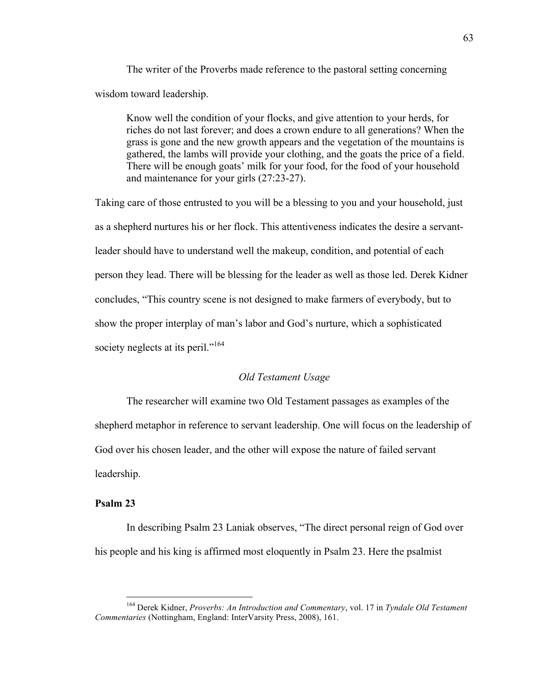The writer of the Proverbs made reference to the pastoral setting concerning wisdom toward leadership.

Know well the condition of your flocks, and give attention to your herds, for riches do not last forever; and does a crown endure to all generations? When the grass is gone and the new growth appears and the vegetation of the mountains is gathered, the lambs will provide your clothing, and the goats the price of a field. There will be enough goats' milk for your food, for the food of your household and maintenance for your girls (27:23-27).

Taking care of those entrusted to you will be a blessing to you and your household, just as a shepherd nurtures his or her flock. This attentiveness indicates the desire a servantleader should have to understand well the makeup, condition, and potential of each person they lead. There will be blessing for the leader as well as those led. Derek Kidner concludes, "This country scene is not designed to make farmers of everybody, but to show the proper interplay of man's labor and God's nurture, which a sophisticated society neglects at its peril."<sup>164</sup>

# *Old Testament Usage*

The researcher will examine two Old Testament passages as examples of the shepherd metaphor in reference to servant leadership. One will focus on the leadership of God over his chosen leader, and the other will expose the nature of failed servant leadership.

# **Psalm 23**

In describing Psalm 23 Laniak observes, "The direct personal reign of God over his people and his king is affirmed most eloquently in Psalm 23. Here the psalmist

 <sup>164</sup> Derek Kidner, *Proverbs: An Introduction and Commentary*, vol. 17 in *Tyndale Old Testament Commentaries* (Nottingham, England: InterVarsity Press, 2008), 161.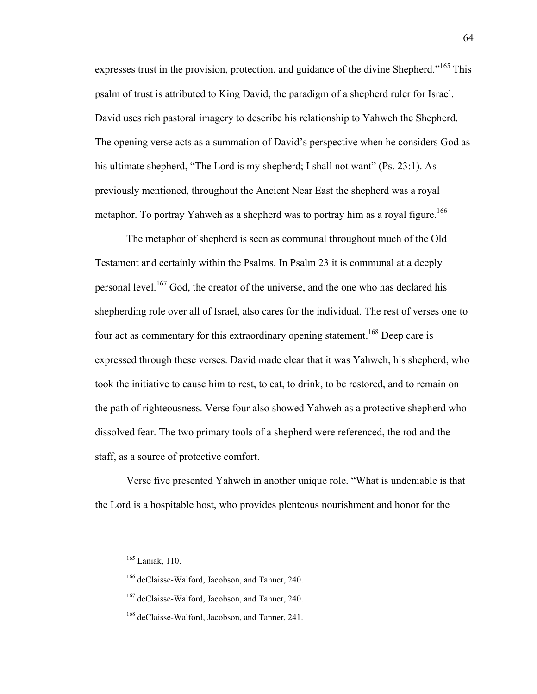expresses trust in the provision, protection, and guidance of the divine Shepherd."<sup>165</sup> This psalm of trust is attributed to King David, the paradigm of a shepherd ruler for Israel. David uses rich pastoral imagery to describe his relationship to Yahweh the Shepherd. The opening verse acts as a summation of David's perspective when he considers God as his ultimate shepherd, "The Lord is my shepherd; I shall not want" (Ps. 23:1). As previously mentioned, throughout the Ancient Near East the shepherd was a royal metaphor. To portray Yahweh as a shepherd was to portray him as a royal figure.<sup>166</sup>

The metaphor of shepherd is seen as communal throughout much of the Old Testament and certainly within the Psalms. In Psalm 23 it is communal at a deeply personal level.<sup>167</sup> God, the creator of the universe, and the one who has declared his shepherding role over all of Israel, also cares for the individual. The rest of verses one to four act as commentary for this extraordinary opening statement.<sup>168</sup> Deep care is expressed through these verses. David made clear that it was Yahweh, his shepherd, who took the initiative to cause him to rest, to eat, to drink, to be restored, and to remain on the path of righteousness. Verse four also showed Yahweh as a protective shepherd who dissolved fear. The two primary tools of a shepherd were referenced, the rod and the staff, as a source of protective comfort.

Verse five presented Yahweh in another unique role. "What is undeniable is that the Lord is a hospitable host, who provides plenteous nourishment and honor for the

 <sup>165</sup> Laniak, 110.

<sup>166</sup> deClaisse-Walford, Jacobson, and Tanner, 240.

<sup>&</sup>lt;sup>167</sup> deClaisse-Walford, Jacobson, and Tanner, 240.

<sup>&</sup>lt;sup>168</sup> deClaisse-Walford, Jacobson, and Tanner, 241.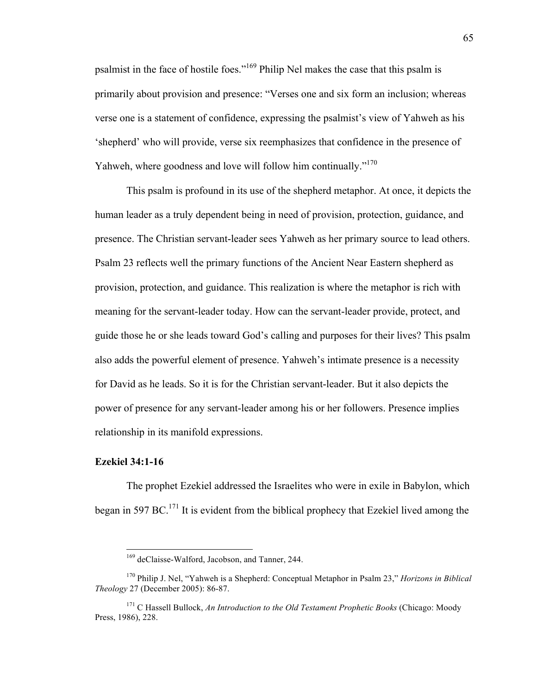psalmist in the face of hostile foes."<sup>169</sup> Philip Nel makes the case that this psalm is primarily about provision and presence: "Verses one and six form an inclusion; whereas verse one is a statement of confidence, expressing the psalmist's view of Yahweh as his 'shepherd' who will provide, verse six reemphasizes that confidence in the presence of Yahweh, where goodness and love will follow him continually."<sup>170</sup>

This psalm is profound in its use of the shepherd metaphor. At once, it depicts the human leader as a truly dependent being in need of provision, protection, guidance, and presence. The Christian servant-leader sees Yahweh as her primary source to lead others. Psalm 23 reflects well the primary functions of the Ancient Near Eastern shepherd as provision, protection, and guidance. This realization is where the metaphor is rich with meaning for the servant-leader today. How can the servant-leader provide, protect, and guide those he or she leads toward God's calling and purposes for their lives? This psalm also adds the powerful element of presence. Yahweh's intimate presence is a necessity for David as he leads. So it is for the Christian servant-leader. But it also depicts the power of presence for any servant-leader among his or her followers. Presence implies relationship in its manifold expressions.

#### **Ezekiel 34:1-16**

The prophet Ezekiel addressed the Israelites who were in exile in Babylon, which began in 597 BC.<sup>171</sup> It is evident from the biblical prophecy that Ezekiel lived among the

 <sup>169</sup> deClaisse-Walford, Jacobson, and Tanner, 244.

<sup>170</sup> Philip J. Nel, "Yahweh is a Shepherd: Conceptual Metaphor in Psalm 23," *Horizons in Biblical Theology* 27 (December 2005): 86-87.

<sup>&</sup>lt;sup>171</sup> C Hassell Bullock, *An Introduction to the Old Testament Prophetic Books* (Chicago: Moody Press, 1986), 228.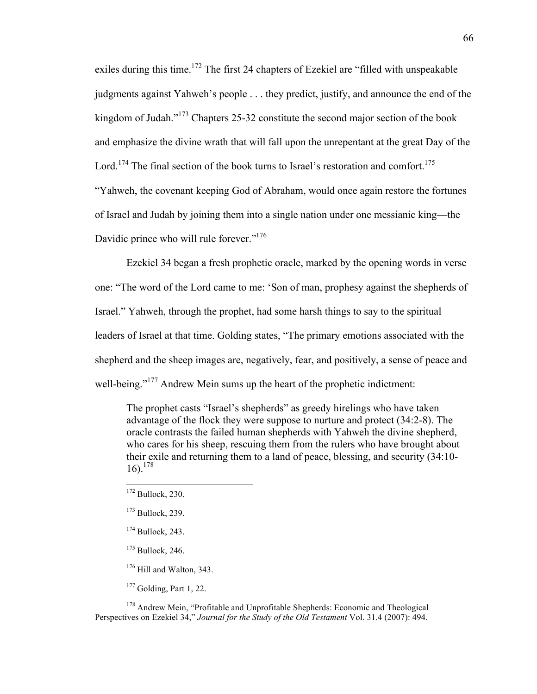exiles during this time.<sup>172</sup> The first 24 chapters of Ezekiel are "filled with unspeakable judgments against Yahweh's people . . . they predict, justify, and announce the end of the kingdom of Judah."<sup>173</sup> Chapters 25-32 constitute the second major section of the book and emphasize the divine wrath that will fall upon the unrepentant at the great Day of the Lord.<sup>174</sup> The final section of the book turns to Israel's restoration and comfort.<sup>175</sup> "Yahweh, the covenant keeping God of Abraham, would once again restore the fortunes of Israel and Judah by joining them into a single nation under one messianic king—the Davidic prince who will rule forever."<sup>176</sup>

Ezekiel 34 began a fresh prophetic oracle, marked by the opening words in verse one: "The word of the Lord came to me: 'Son of man, prophesy against the shepherds of Israel." Yahweh, through the prophet, had some harsh things to say to the spiritual leaders of Israel at that time. Golding states, "The primary emotions associated with the shepherd and the sheep images are, negatively, fear, and positively, a sense of peace and well-being."<sup>177</sup> Andrew Mein sums up the heart of the prophetic indictment:

The prophet casts "Israel's shepherds" as greedy hirelings who have taken advantage of the flock they were suppose to nurture and protect (34:2-8). The oracle contrasts the failed human shepherds with Yahweh the divine shepherd, who cares for his sheep, rescuing them from the rulers who have brought about their exile and returning them to a land of peace, blessing, and security (34:10- 16). 178

<sup>176</sup> Hill and Walton, 343.

 $177$  Golding, Part 1, 22.

<sup>178</sup> Andrew Mein, "Profitable and Unprofitable Shepherds: Economic and Theological Perspectives on Ezekiel 34," *Journal for the Study of the Old Testament* Vol. 31.4 (2007): 494.

<sup>&</sup>lt;sup>172</sup> Bullock, 230.

 $173$  Bullock, 239.

 $174$  Bullock, 243.

<sup>&</sup>lt;sup>175</sup> Bullock, 246.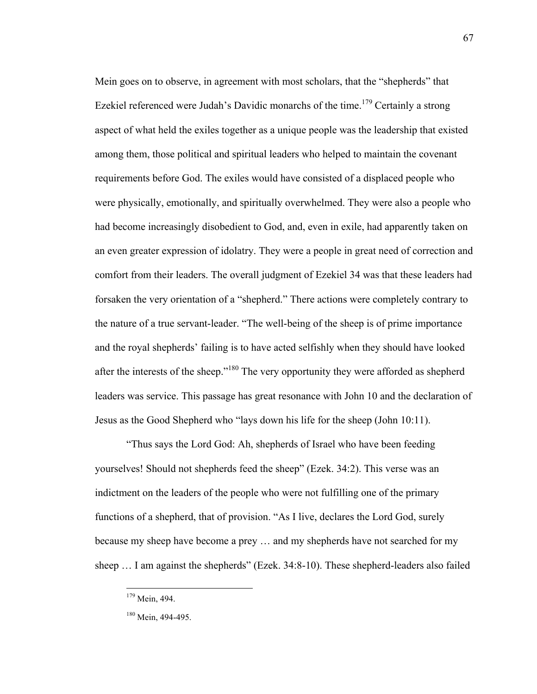Mein goes on to observe, in agreement with most scholars, that the "shepherds" that Ezekiel referenced were Judah's Davidic monarchs of the time.<sup>179</sup> Certainly a strong aspect of what held the exiles together as a unique people was the leadership that existed among them, those political and spiritual leaders who helped to maintain the covenant requirements before God. The exiles would have consisted of a displaced people who were physically, emotionally, and spiritually overwhelmed. They were also a people who had become increasingly disobedient to God, and, even in exile, had apparently taken on an even greater expression of idolatry. They were a people in great need of correction and comfort from their leaders. The overall judgment of Ezekiel 34 was that these leaders had forsaken the very orientation of a "shepherd." There actions were completely contrary to the nature of a true servant-leader. "The well-being of the sheep is of prime importance and the royal shepherds' failing is to have acted selfishly when they should have looked after the interests of the sheep."<sup>180</sup> The very opportunity they were afforded as shepherd leaders was service. This passage has great resonance with John 10 and the declaration of Jesus as the Good Shepherd who "lays down his life for the sheep (John 10:11).

"Thus says the Lord God: Ah, shepherds of Israel who have been feeding yourselves! Should not shepherds feed the sheep" (Ezek. 34:2). This verse was an indictment on the leaders of the people who were not fulfilling one of the primary functions of a shepherd, that of provision. "As I live, declares the Lord God, surely because my sheep have become a prey … and my shepherds have not searched for my sheep … I am against the shepherds" (Ezek. 34:8-10). These shepherd-leaders also failed

 <sup>179</sup> Mein, 494.

<sup>&</sup>lt;sup>180</sup> Mein, 494-495.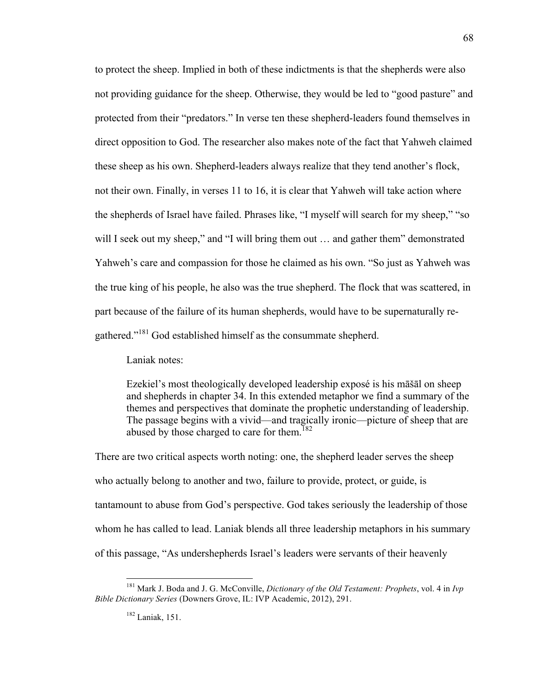to protect the sheep. Implied in both of these indictments is that the shepherds were also not providing guidance for the sheep. Otherwise, they would be led to "good pasture" and protected from their "predators." In verse ten these shepherd-leaders found themselves in direct opposition to God. The researcher also makes note of the fact that Yahweh claimed these sheep as his own. Shepherd-leaders always realize that they tend another's flock, not their own. Finally, in verses 11 to 16, it is clear that Yahweh will take action where the shepherds of Israel have failed. Phrases like, "I myself will search for my sheep," "so will I seek out my sheep," and "I will bring them out ... and gather them" demonstrated Yahweh's care and compassion for those he claimed as his own. "So just as Yahweh was the true king of his people, he also was the true shepherd. The flock that was scattered, in part because of the failure of its human shepherds, would have to be supernaturally regathered."<sup>181</sup> God established himself as the consummate shepherd.

Laniak notes:

Ezekiel's most theologically developed leadership exposé is his māšāl on sheep and shepherds in chapter 34. In this extended metaphor we find a summary of the themes and perspectives that dominate the prophetic understanding of leadership. The passage begins with a vivid—and tragically ironic—picture of sheep that are abused by those charged to care for them.<sup>182</sup>

There are two critical aspects worth noting: one, the shepherd leader serves the sheep who actually belong to another and two, failure to provide, protect, or guide, is tantamount to abuse from God's perspective. God takes seriously the leadership of those whom he has called to lead. Laniak blends all three leadership metaphors in his summary of this passage, "As undershepherds Israel's leaders were servants of their heavenly

 <sup>181</sup> Mark J. Boda and J. G. McConville, *Dictionary of the Old Testament: Prophets*, vol. 4 in *Ivp Bible Dictionary Series* (Downers Grove, IL: IVP Academic, 2012), 291.

<sup>182</sup> Laniak, 151.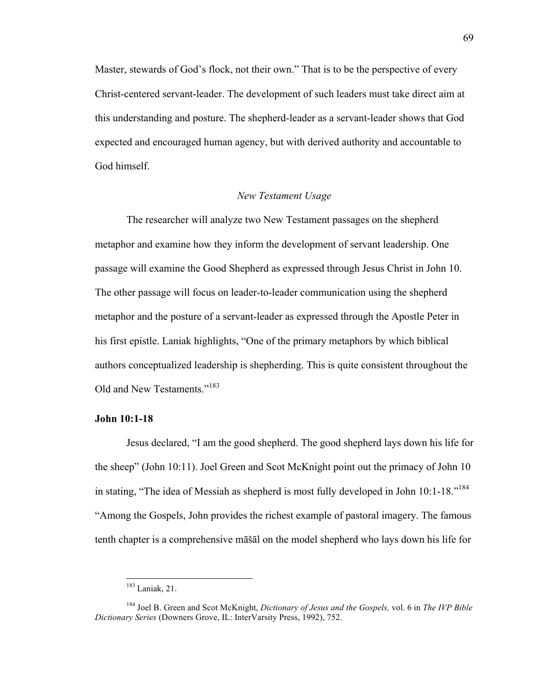Master, stewards of God's flock, not their own." That is to be the perspective of every Christ-centered servant-leader. The development of such leaders must take direct aim at this understanding and posture. The shepherd-leader as a servant-leader shows that God expected and encouraged human agency, but with derived authority and accountable to God himself.

### *New Testament Usage*

The researcher will analyze two New Testament passages on the shepherd metaphor and examine how they inform the development of servant leadership. One passage will examine the Good Shepherd as expressed through Jesus Christ in John 10. The other passage will focus on leader-to-leader communication using the shepherd metaphor and the posture of a servant-leader as expressed through the Apostle Peter in his first epistle. Laniak highlights, "One of the primary metaphors by which biblical authors conceptualized leadership is shepherding. This is quite consistent throughout the Old and New Testaments."<sup>183</sup>

# **John 10:1-18**

Jesus declared, "I am the good shepherd. The good shepherd lays down his life for the sheep" (John 10:11). Joel Green and Scot McKnight point out the primacy of John 10 in stating, "The idea of Messiah as shepherd is most fully developed in John 10:1-18."<sup>184</sup> "Among the Gospels, John provides the richest example of pastoral imagery. The famous tenth chapter is a comprehensive māšāl on the model shepherd who lays down his life for

 <sup>183</sup> Laniak, 21.

<sup>184</sup> Joel B. Green and Scot McKnight, *Dictionary of Jesus and the Gospels,* vol. 6 in *The IVP Bible Dictionary Series* (Downers Grove, IL: InterVarsity Press, 1992), 752.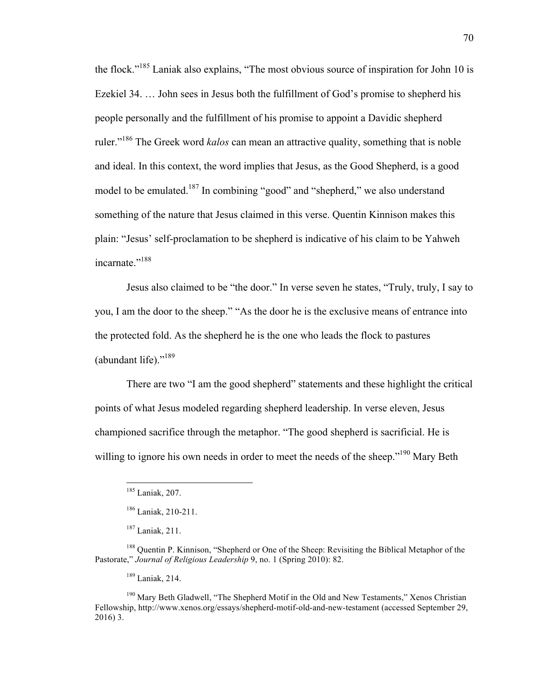the flock."185 Laniak also explains, "The most obvious source of inspiration for John 10 is Ezekiel 34. … John sees in Jesus both the fulfillment of God's promise to shepherd his people personally and the fulfillment of his promise to appoint a Davidic shepherd ruler."186 The Greek word *kalos* can mean an attractive quality, something that is noble and ideal. In this context, the word implies that Jesus, as the Good Shepherd, is a good model to be emulated.<sup>187</sup> In combining "good" and "shepherd," we also understand something of the nature that Jesus claimed in this verse. Quentin Kinnison makes this plain: "Jesus' self-proclamation to be shepherd is indicative of his claim to be Yahweh incarnate."<sup>188</sup>

Jesus also claimed to be "the door." In verse seven he states, "Truly, truly, I say to you, I am the door to the sheep." "As the door he is the exclusive means of entrance into the protected fold. As the shepherd he is the one who leads the flock to pastures (abundant life)."<sup>189</sup>

There are two "I am the good shepherd" statements and these highlight the critical points of what Jesus modeled regarding shepherd leadership. In verse eleven, Jesus championed sacrifice through the metaphor. "The good shepherd is sacrificial. He is willing to ignore his own needs in order to meet the needs of the sheep."<sup>190</sup> Mary Beth

<sup>189</sup> Laniak, 214.

<sup>190</sup> Mary Beth Gladwell, "The Shepherd Motif in the Old and New Testaments," Xenos Christian Fellowship, http://www.xenos.org/essays/shepherd-motif-old-and-new-testament (accessed September 29, 2016) 3.

 <sup>185</sup> Laniak, 207.

<sup>186</sup> Laniak, 210-211.

<sup>187</sup> Laniak, 211.

<sup>188</sup> Quentin P. Kinnison, "Shepherd or One of the Sheep: Revisiting the Biblical Metaphor of the Pastorate," *Journal of Religious Leadership* 9, no. 1 (Spring 2010): 82.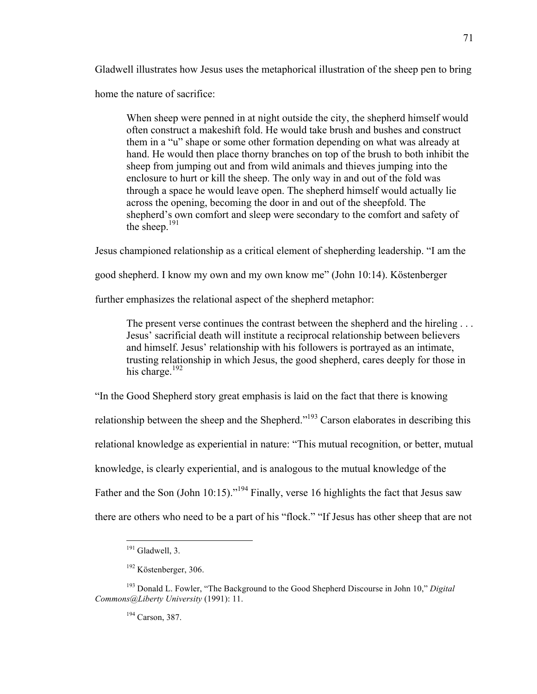Gladwell illustrates how Jesus uses the metaphorical illustration of the sheep pen to bring

home the nature of sacrifice:

When sheep were penned in at night outside the city, the shepherd himself would often construct a makeshift fold. He would take brush and bushes and construct them in a "u" shape or some other formation depending on what was already at hand. He would then place thorny branches on top of the brush to both inhibit the sheep from jumping out and from wild animals and thieves jumping into the enclosure to hurt or kill the sheep. The only way in and out of the fold was through a space he would leave open. The shepherd himself would actually lie across the opening, becoming the door in and out of the sheepfold. The shepherd's own comfort and sleep were secondary to the comfort and safety of the sheep. $^{191}$ 

Jesus championed relationship as a critical element of shepherding leadership. "I am the

good shepherd. I know my own and my own know me" (John 10:14). Köstenberger

further emphasizes the relational aspect of the shepherd metaphor:

The present verse continues the contrast between the shepherd and the hireling . . . Jesus' sacrificial death will institute a reciprocal relationship between believers and himself. Jesus' relationship with his followers is portrayed as an intimate, trusting relationship in which Jesus, the good shepherd, cares deeply for those in his charge. $192$ 

"In the Good Shepherd story great emphasis is laid on the fact that there is knowing

relationship between the sheep and the Shepherd."<sup>193</sup> Carson elaborates in describing this

relational knowledge as experiential in nature: "This mutual recognition, or better, mutual

knowledge, is clearly experiential, and is analogous to the mutual knowledge of the

Father and the Son (John 10:15)."<sup>194</sup> Finally, verse 16 highlights the fact that Jesus saw

there are others who need to be a part of his "flock." "If Jesus has other sheep that are not

<sup>194</sup> Carson, 387.

<sup>&</sup>lt;sup>191</sup> Gladwell, 3.

<sup>192</sup> Köstenberger, 306.

<sup>193</sup> Donald L. Fowler, "The Background to the Good Shepherd Discourse in John 10," *Digital Commons@Liberty University* (1991): 11.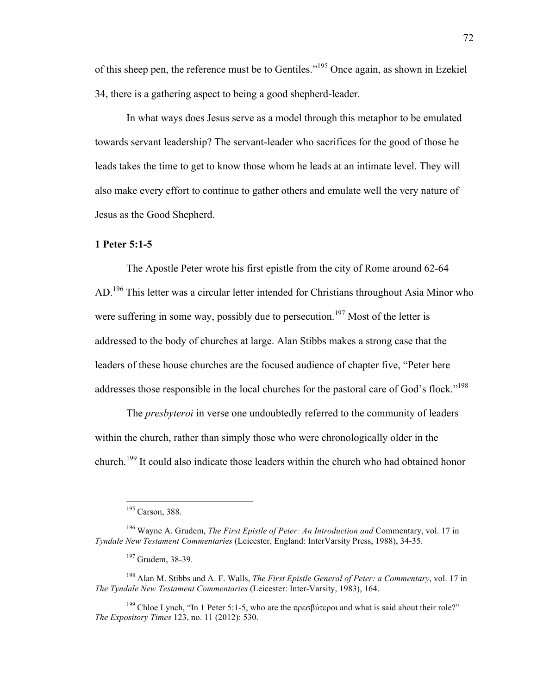of this sheep pen, the reference must be to Gentiles."<sup>195</sup> Once again, as shown in Ezekiel 34, there is a gathering aspect to being a good shepherd-leader.

In what ways does Jesus serve as a model through this metaphor to be emulated towards servant leadership? The servant-leader who sacrifices for the good of those he leads takes the time to get to know those whom he leads at an intimate level. They will also make every effort to continue to gather others and emulate well the very nature of Jesus as the Good Shepherd.

#### **1 Peter 5:1-5**

The Apostle Peter wrote his first epistle from the city of Rome around 62-64 AD.<sup>196</sup> This letter was a circular letter intended for Christians throughout Asia Minor who were suffering in some way, possibly due to persecution.<sup>197</sup> Most of the letter is addressed to the body of churches at large. Alan Stibbs makes a strong case that the leaders of these house churches are the focused audience of chapter five, "Peter here addresses those responsible in the local churches for the pastoral care of God's flock."198

The *presbyteroi* in verse one undoubtedly referred to the community of leaders within the church, rather than simply those who were chronologically older in the church.<sup>199</sup> It could also indicate those leaders within the church who had obtained honor

 <sup>195</sup> Carson, 388.

<sup>196</sup> Wayne A. Grudem, *The First Epistle of Peter: An Introduction and* Commentary, vol. 17 in *Tyndale New Testament Commentaries* (Leicester, England: InterVarsity Press, 1988), 34-35.

<sup>&</sup>lt;sup>197</sup> Grudem, 38-39.

<sup>198</sup> Alan M. Stibbs and A. F. Walls, *The First Epistle General of Peter: a Commentary*, vol. 17 in *The Tyndale New Testament Commentaries* (Leicester: Inter-Varsity, 1983), 164.

<sup>&</sup>lt;sup>199</sup> Chloe Lynch, "In 1 Peter 5:1-5, who are the πρεσβύτεροι and what is said about their role?" *The Expository Times* 123, no. 11 (2012): 530.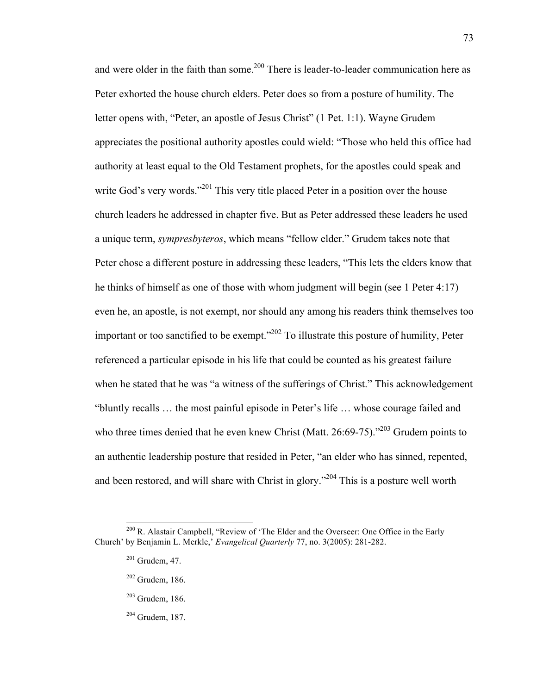and were older in the faith than some.<sup>200</sup> There is leader-to-leader communication here as Peter exhorted the house church elders. Peter does so from a posture of humility. The letter opens with, "Peter, an apostle of Jesus Christ" (1 Pet. 1:1). Wayne Grudem appreciates the positional authority apostles could wield: "Those who held this office had authority at least equal to the Old Testament prophets, for the apostles could speak and write God's very words."<sup>201</sup> This very title placed Peter in a position over the house church leaders he addressed in chapter five. But as Peter addressed these leaders he used a unique term, *sympresbyteros*, which means "fellow elder." Grudem takes note that Peter chose a different posture in addressing these leaders, "This lets the elders know that he thinks of himself as one of those with whom judgment will begin (see 1 Peter 4:17) even he, an apostle, is not exempt, nor should any among his readers think themselves too important or too sanctified to be exempt."202 To illustrate this posture of humility, Peter referenced a particular episode in his life that could be counted as his greatest failure when he stated that he was "a witness of the sufferings of Christ." This acknowledgement "bluntly recalls … the most painful episode in Peter's life … whose courage failed and who three times denied that he even knew Christ (Matt. 26:69-75)."<sup>203</sup> Grudem points to an authentic leadership posture that resided in Peter, "an elder who has sinned, repented, and been restored, and will share with Christ in glory."<sup>204</sup> This is a posture well worth

- <sup>203</sup> Grudem, 186.
- <sup>204</sup> Grudem, 187.

<sup>&</sup>lt;sup>200</sup> R. Alastair Campbell, "Review of 'The Elder and the Overseer: One Office in the Early Church' by Benjamin L. Merkle,' *Evangelical Quarterly* 77, no. 3(2005): 281-282.

 $201$  Grudem, 47.

<sup>202</sup> Grudem, 186.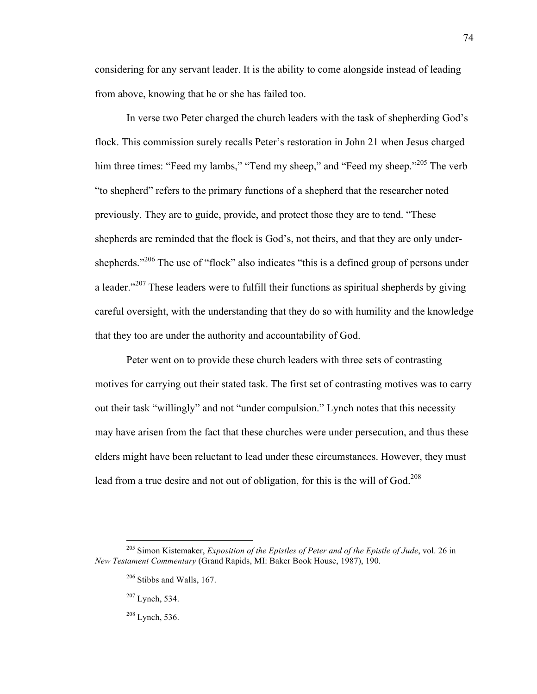considering for any servant leader. It is the ability to come alongside instead of leading from above, knowing that he or she has failed too.

In verse two Peter charged the church leaders with the task of shepherding God's flock. This commission surely recalls Peter's restoration in John 21 when Jesus charged him three times: "Feed my lambs," "Tend my sheep," and "Feed my sheep."<sup>205</sup> The verb "to shepherd" refers to the primary functions of a shepherd that the researcher noted previously. They are to guide, provide, and protect those they are to tend. "These shepherds are reminded that the flock is God's, not theirs, and that they are only undershepherds."<sup>206</sup> The use of "flock" also indicates "this is a defined group of persons under a leader."<sup>207</sup> These leaders were to fulfill their functions as spiritual shepherds by giving careful oversight, with the understanding that they do so with humility and the knowledge that they too are under the authority and accountability of God.

Peter went on to provide these church leaders with three sets of contrasting motives for carrying out their stated task. The first set of contrasting motives was to carry out their task "willingly" and not "under compulsion." Lynch notes that this necessity may have arisen from the fact that these churches were under persecution, and thus these elders might have been reluctant to lead under these circumstances. However, they must lead from a true desire and not out of obligation, for this is the will of God. 208

 <sup>205</sup> Simon Kistemaker, *Exposition of the Epistles of Peter and of the Epistle of Jude*, vol. 26 in *New Testament Commentary* (Grand Rapids, MI: Baker Book House, 1987), 190.

 $206$  Stibbs and Walls, 167.

 $207$  Lynch, 534.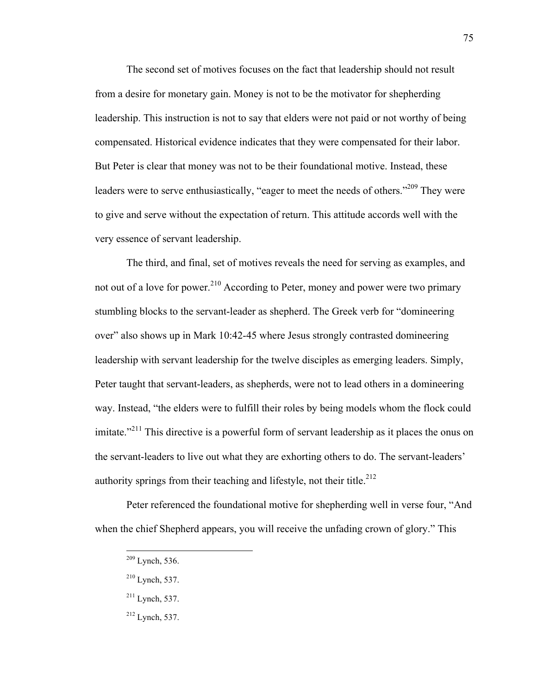The second set of motives focuses on the fact that leadership should not result from a desire for monetary gain. Money is not to be the motivator for shepherding leadership. This instruction is not to say that elders were not paid or not worthy of being compensated. Historical evidence indicates that they were compensated for their labor. But Peter is clear that money was not to be their foundational motive. Instead, these leaders were to serve enthusiastically, "eager to meet the needs of others."<sup>209</sup> They were to give and serve without the expectation of return. This attitude accords well with the very essence of servant leadership.

The third, and final, set of motives reveals the need for serving as examples, and not out of a love for power.<sup>210</sup> According to Peter, money and power were two primary stumbling blocks to the servant-leader as shepherd. The Greek verb for "domineering over" also shows up in Mark 10:42-45 where Jesus strongly contrasted domineering leadership with servant leadership for the twelve disciples as emerging leaders. Simply, Peter taught that servant-leaders, as shepherds, were not to lead others in a domineering way. Instead, "the elders were to fulfill their roles by being models whom the flock could imitate."<sup>211</sup> This directive is a powerful form of servant leadership as it places the onus on the servant-leaders to live out what they are exhorting others to do. The servant-leaders' authority springs from their teaching and lifestyle, not their title.<sup>212</sup>

Peter referenced the foundational motive for shepherding well in verse four, "And when the chief Shepherd appears, you will receive the unfading crown of glory." This

 <sup>209</sup> Lynch, 536.

 $210$  Lynch, 537.

 $211$  Lynch, 537.

 $212$  Lynch, 537.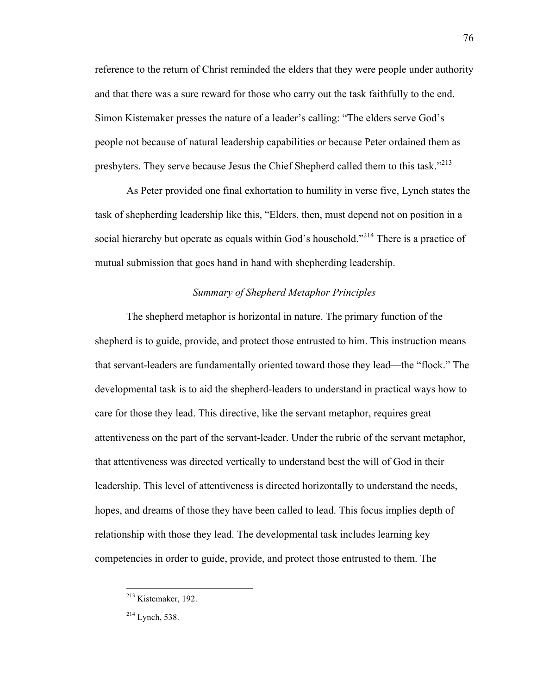reference to the return of Christ reminded the elders that they were people under authority and that there was a sure reward for those who carry out the task faithfully to the end. Simon Kistemaker presses the nature of a leader's calling: "The elders serve God's people not because of natural leadership capabilities or because Peter ordained them as presbyters. They serve because Jesus the Chief Shepherd called them to this task."<sup>213</sup>

As Peter provided one final exhortation to humility in verse five, Lynch states the task of shepherding leadership like this, "Elders, then, must depend not on position in a social hierarchy but operate as equals within God's household."<sup>214</sup> There is a practice of mutual submission that goes hand in hand with shepherding leadership.

# *Summary of Shepherd Metaphor Principles*

The shepherd metaphor is horizontal in nature. The primary function of the shepherd is to guide, provide, and protect those entrusted to him. This instruction means that servant-leaders are fundamentally oriented toward those they lead—the "flock." The developmental task is to aid the shepherd-leaders to understand in practical ways how to care for those they lead. This directive, like the servant metaphor, requires great attentiveness on the part of the servant-leader. Under the rubric of the servant metaphor, that attentiveness was directed vertically to understand best the will of God in their leadership. This level of attentiveness is directed horizontally to understand the needs, hopes, and dreams of those they have been called to lead. This focus implies depth of relationship with those they lead. The developmental task includes learning key competencies in order to guide, provide, and protect those entrusted to them. The

 <sup>213</sup> Kistemaker, 192.

 $214$  Lynch, 538.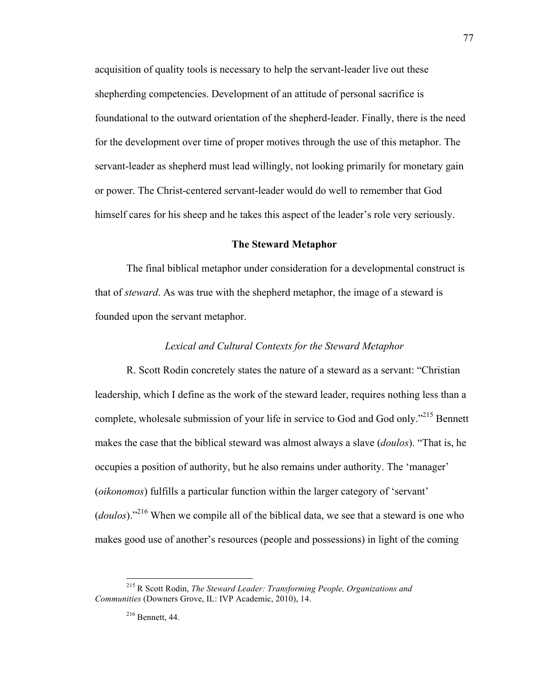acquisition of quality tools is necessary to help the servant-leader live out these shepherding competencies. Development of an attitude of personal sacrifice is foundational to the outward orientation of the shepherd-leader. Finally, there is the need for the development over time of proper motives through the use of this metaphor. The servant-leader as shepherd must lead willingly, not looking primarily for monetary gain or power. The Christ-centered servant-leader would do well to remember that God himself cares for his sheep and he takes this aspect of the leader's role very seriously.

#### **The Steward Metaphor**

The final biblical metaphor under consideration for a developmental construct is that of *steward*. As was true with the shepherd metaphor, the image of a steward is founded upon the servant metaphor.

## *Lexical and Cultural Contexts for the Steward Metaphor*

R. Scott Rodin concretely states the nature of a steward as a servant: "Christian leadership, which I define as the work of the steward leader, requires nothing less than a complete, wholesale submission of your life in service to God and God only."215 Bennett makes the case that the biblical steward was almost always a slave (*doulos*). "That is, he occupies a position of authority, but he also remains under authority. The 'manager' (*oikonomos*) fulfills a particular function within the larger category of 'servant' (*doulos*)."216 When we compile all of the biblical data, we see that a steward is one who makes good use of another's resources (people and possessions) in light of the coming

 <sup>215</sup> R Scott Rodin, *The Steward Leader: Transforming People, Organizations and Communities* (Downers Grove, IL: IVP Academic, 2010), 14.

<sup>216</sup> Bennett, 44.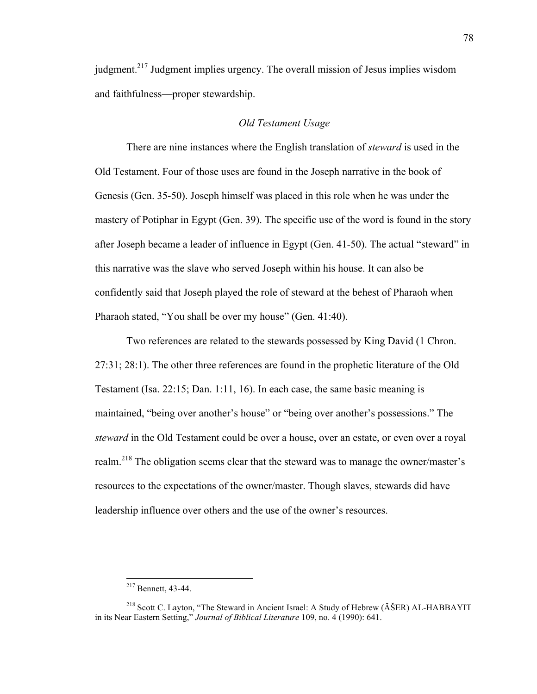judgment.217 Judgment implies urgency. The overall mission of Jesus implies wisdom and faithfulness—proper stewardship.

## *Old Testament Usage*

There are nine instances where the English translation of *steward* is used in the Old Testament. Four of those uses are found in the Joseph narrative in the book of Genesis (Gen. 35-50). Joseph himself was placed in this role when he was under the mastery of Potiphar in Egypt (Gen. 39). The specific use of the word is found in the story after Joseph became a leader of influence in Egypt (Gen. 41-50). The actual "steward" in this narrative was the slave who served Joseph within his house. It can also be confidently said that Joseph played the role of steward at the behest of Pharaoh when Pharaoh stated, "You shall be over my house" (Gen. 41:40).

Two references are related to the stewards possessed by King David (1 Chron. 27:31; 28:1). The other three references are found in the prophetic literature of the Old Testament (Isa. 22:15; Dan. 1:11, 16). In each case, the same basic meaning is maintained, "being over another's house" or "being over another's possessions." The *steward* in the Old Testament could be over a house, over an estate, or even over a royal realm.<sup>218</sup> The obligation seems clear that the steward was to manage the owner/master's resources to the expectations of the owner/master. Though slaves, stewards did have leadership influence over others and the use of the owner's resources.

 <sup>217</sup> Bennett, 43-44.

<sup>&</sup>lt;sup>218</sup> Scott C. Layton, "The Steward in Ancient Israel: A Study of Hebrew (ĂŠER) AL-HABBAYIT in its Near Eastern Setting," *Journal of Biblical Literature* 109, no. 4 (1990): 641.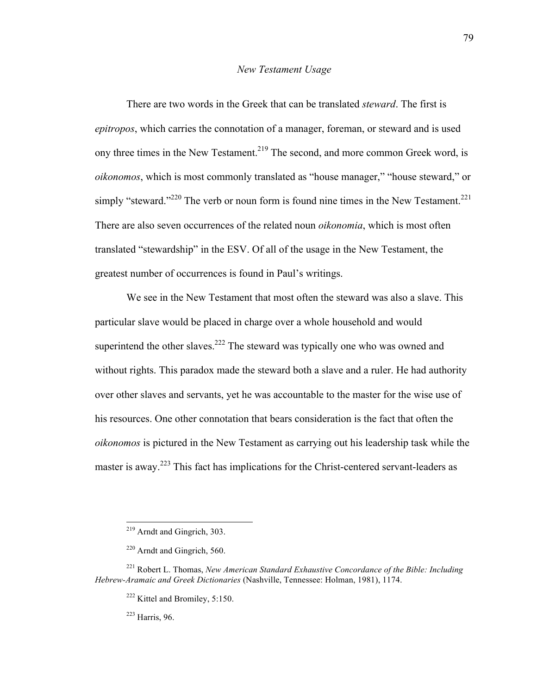#### *New Testament Usage*

There are two words in the Greek that can be translated *steward*. The first is *epitropos*, which carries the connotation of a manager, foreman, or steward and is used ony three times in the New Testament.<sup>219</sup> The second, and more common Greek word, is *oikonomos*, which is most commonly translated as "house manager," "house steward," or simply "steward."<sup>220</sup> The verb or noun form is found nine times in the New Testament.<sup>221</sup> There are also seven occurrences of the related noun *oikonomia*, which is most often translated "stewardship" in the ESV. Of all of the usage in the New Testament, the greatest number of occurrences is found in Paul's writings.

We see in the New Testament that most often the steward was also a slave. This particular slave would be placed in charge over a whole household and would superintend the other slaves.<sup>222</sup> The steward was typically one who was owned and without rights. This paradox made the steward both a slave and a ruler. He had authority over other slaves and servants, yet he was accountable to the master for the wise use of his resources. One other connotation that bears consideration is the fact that often the *oikonomos* is pictured in the New Testament as carrying out his leadership task while the master is away.<sup>223</sup> This fact has implications for the Christ-centered servant-leaders as

<sup>223</sup> Harris, 96.

 <sup>219</sup> Arndt and Gingrich, 303.

<sup>220</sup> Arndt and Gingrich, 560.

<sup>221</sup> Robert L. Thomas, *New American Standard Exhaustive Concordance of the Bible: Including Hebrew-Aramaic and Greek Dictionaries* (Nashville, Tennessee: Holman, 1981), 1174.

 $222$  Kittel and Bromiley, 5:150.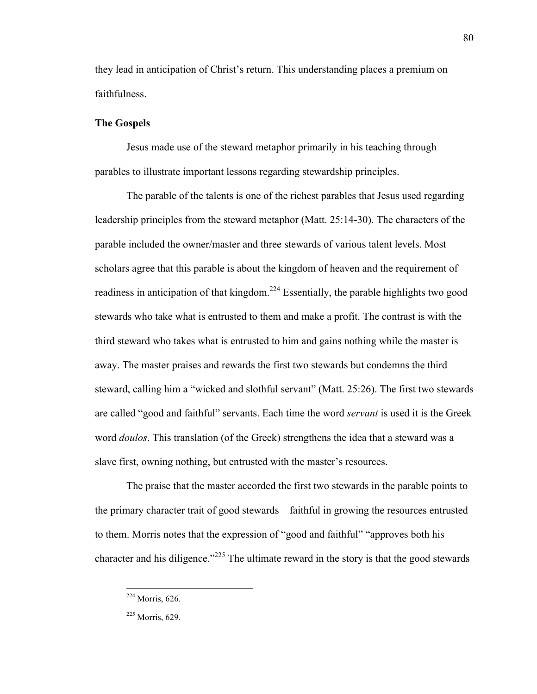they lead in anticipation of Christ's return. This understanding places a premium on faithfulness.

80

# **The Gospels**

Jesus made use of the steward metaphor primarily in his teaching through parables to illustrate important lessons regarding stewardship principles.

The parable of the talents is one of the richest parables that Jesus used regarding leadership principles from the steward metaphor (Matt. 25:14-30). The characters of the parable included the owner/master and three stewards of various talent levels. Most scholars agree that this parable is about the kingdom of heaven and the requirement of readiness in anticipation of that kingdom.<sup>224</sup> Essentially, the parable highlights two good stewards who take what is entrusted to them and make a profit. The contrast is with the third steward who takes what is entrusted to him and gains nothing while the master is away. The master praises and rewards the first two stewards but condemns the third steward, calling him a "wicked and slothful servant" (Matt. 25:26). The first two stewards are called "good and faithful" servants. Each time the word *servant* is used it is the Greek word *doulos*. This translation (of the Greek) strengthens the idea that a steward was a slave first, owning nothing, but entrusted with the master's resources.

The praise that the master accorded the first two stewards in the parable points to the primary character trait of good stewards—faithful in growing the resources entrusted to them. Morris notes that the expression of "good and faithful" "approves both his character and his diligence."<sup>225</sup> The ultimate reward in the story is that the good stewards

 <sup>224</sup> Morris, 626.

<sup>225</sup> Morris, 629.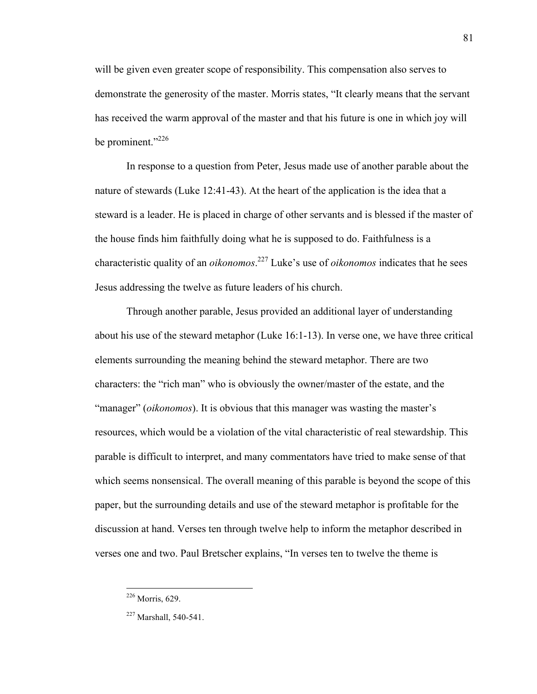will be given even greater scope of responsibility. This compensation also serves to demonstrate the generosity of the master. Morris states, "It clearly means that the servant has received the warm approval of the master and that his future is one in which joy will be prominent."<sup>226</sup>

In response to a question from Peter, Jesus made use of another parable about the nature of stewards (Luke 12:41-43). At the heart of the application is the idea that a steward is a leader. He is placed in charge of other servants and is blessed if the master of the house finds him faithfully doing what he is supposed to do. Faithfulness is a characteristic quality of an *oikonomos*. <sup>227</sup> Luke's use of *oikonomos* indicates that he sees Jesus addressing the twelve as future leaders of his church.

Through another parable, Jesus provided an additional layer of understanding about his use of the steward metaphor (Luke 16:1-13). In verse one, we have three critical elements surrounding the meaning behind the steward metaphor. There are two characters: the "rich man" who is obviously the owner/master of the estate, and the "manager" (*oikonomos*). It is obvious that this manager was wasting the master's resources, which would be a violation of the vital characteristic of real stewardship. This parable is difficult to interpret, and many commentators have tried to make sense of that which seems nonsensical. The overall meaning of this parable is beyond the scope of this paper, but the surrounding details and use of the steward metaphor is profitable for the discussion at hand. Verses ten through twelve help to inform the metaphor described in verses one and two. Paul Bretscher explains, "In verses ten to twelve the theme is

 <sup>226</sup> Morris, 629.

<sup>&</sup>lt;sup>227</sup> Marshall, 540-541.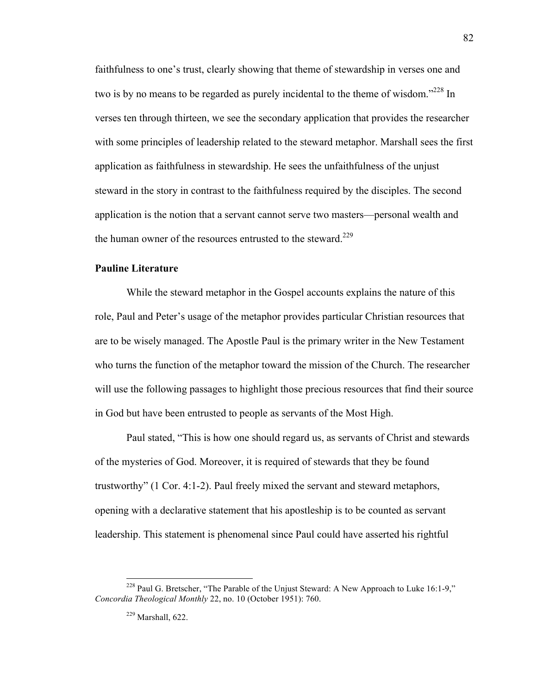faithfulness to one's trust, clearly showing that theme of stewardship in verses one and two is by no means to be regarded as purely incidental to the theme of wisdom."<sup>228</sup> In verses ten through thirteen, we see the secondary application that provides the researcher with some principles of leadership related to the steward metaphor. Marshall sees the first application as faithfulness in stewardship. He sees the unfaithfulness of the unjust steward in the story in contrast to the faithfulness required by the disciples. The second application is the notion that a servant cannot serve two masters—personal wealth and the human owner of the resources entrusted to the steward.<sup>229</sup>

# **Pauline Literature**

While the steward metaphor in the Gospel accounts explains the nature of this role, Paul and Peter's usage of the metaphor provides particular Christian resources that are to be wisely managed. The Apostle Paul is the primary writer in the New Testament who turns the function of the metaphor toward the mission of the Church. The researcher will use the following passages to highlight those precious resources that find their source in God but have been entrusted to people as servants of the Most High.

Paul stated, "This is how one should regard us, as servants of Christ and stewards of the mysteries of God. Moreover, it is required of stewards that they be found trustworthy" (1 Cor. 4:1-2). Paul freely mixed the servant and steward metaphors, opening with a declarative statement that his apostleship is to be counted as servant leadership. This statement is phenomenal since Paul could have asserted his rightful

<sup>&</sup>lt;sup>228</sup> Paul G. Bretscher, "The Parable of the Unjust Steward: A New Approach to Luke 16:1-9," *Concordia Theological Monthly* 22, no. 10 (October 1951): 760.

<sup>229</sup> Marshall, 622.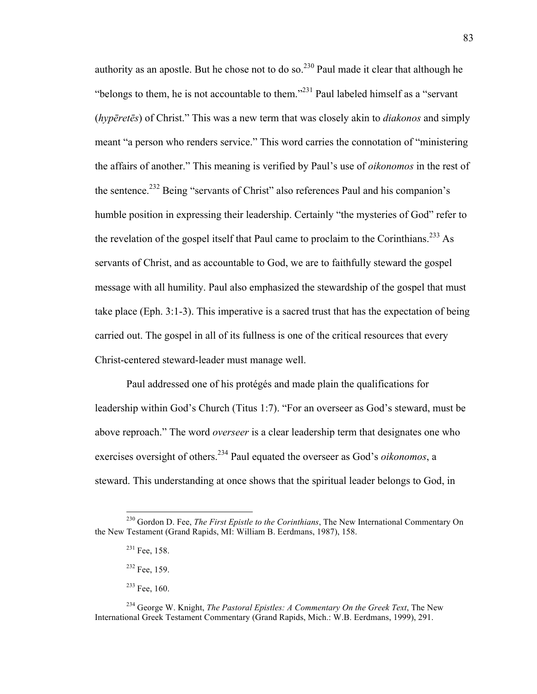authority as an apostle. But he chose not to do so.<sup>230</sup> Paul made it clear that although he "belongs to them, he is not accountable to them."231 Paul labeled himself as a "servant (*hypēretēs*) of Christ." This was a new term that was closely akin to *diakonos* and simply meant "a person who renders service." This word carries the connotation of "ministering the affairs of another." This meaning is verified by Paul's use of *oikonomos* in the rest of the sentence.<sup>232</sup> Being "servants of Christ" also references Paul and his companion's humble position in expressing their leadership. Certainly "the mysteries of God" refer to the revelation of the gospel itself that Paul came to proclaim to the Corinthians.<sup>233</sup> As servants of Christ, and as accountable to God, we are to faithfully steward the gospel message with all humility. Paul also emphasized the stewardship of the gospel that must take place (Eph. 3:1-3). This imperative is a sacred trust that has the expectation of being carried out. The gospel in all of its fullness is one of the critical resources that every Christ-centered steward-leader must manage well.

Paul addressed one of his protégés and made plain the qualifications for leadership within God's Church (Titus 1:7). "For an overseer as God's steward, must be above reproach." The word *overseer* is a clear leadership term that designates one who exercises oversight of others.234 Paul equated the overseer as God's *oikonomos*, a steward. This understanding at once shows that the spiritual leader belongs to God, in

 <sup>230</sup> Gordon D. Fee, *The First Epistle to the Corinthians*, The New International Commentary On the New Testament (Grand Rapids, MI: William B. Eerdmans, 1987), 158.

<sup>231</sup> Fee, 158.

<sup>232</sup> Fee, 159.

<sup>&</sup>lt;sup>233</sup> Fee, 160.

<sup>234</sup> George W. Knight, *The Pastoral Epistles: A Commentary On the Greek Text*, The New International Greek Testament Commentary (Grand Rapids, Mich.: W.B. Eerdmans, 1999), 291.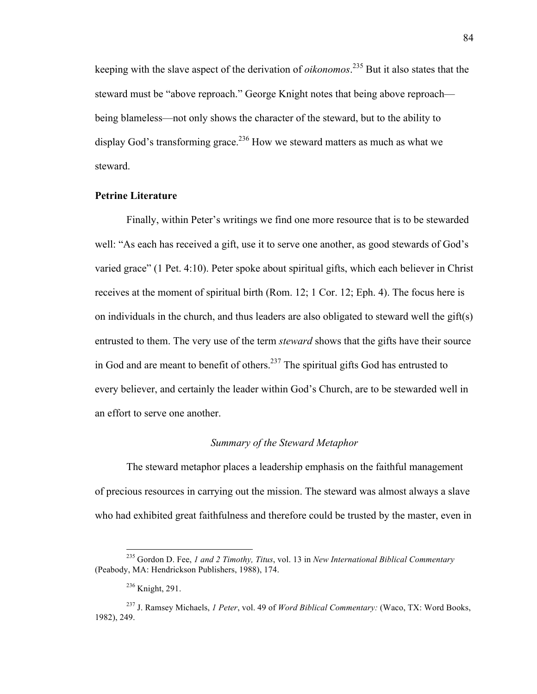keeping with the slave aspect of the derivation of *oikonomos*. <sup>235</sup> But it also states that the steward must be "above reproach." George Knight notes that being above reproach being blameless—not only shows the character of the steward, but to the ability to display God's transforming grace.<sup>236</sup> How we steward matters as much as what we steward.

## **Petrine Literature**

Finally, within Peter's writings we find one more resource that is to be stewarded well: "As each has received a gift, use it to serve one another, as good stewards of God's varied grace" (1 Pet. 4:10). Peter spoke about spiritual gifts, which each believer in Christ receives at the moment of spiritual birth (Rom. 12; 1 Cor. 12; Eph. 4). The focus here is on individuals in the church, and thus leaders are also obligated to steward well the gift(s) entrusted to them. The very use of the term *steward* shows that the gifts have their source in God and are meant to benefit of others.<sup>237</sup> The spiritual gifts God has entrusted to every believer, and certainly the leader within God's Church, are to be stewarded well in an effort to serve one another.

## *Summary of the Steward Metaphor*

The steward metaphor places a leadership emphasis on the faithful management of precious resources in carrying out the mission. The steward was almost always a slave who had exhibited great faithfulness and therefore could be trusted by the master, even in

 <sup>235</sup> Gordon D. Fee, *1 and 2 Timothy, Titus*, vol. 13 in *New International Biblical Commentary* (Peabody, MA: Hendrickson Publishers, 1988), 174.

<sup>236</sup> Knight, 291.

<sup>237</sup> J. Ramsey Michaels, *1 Peter*, vol. 49 of *Word Biblical Commentary:* (Waco, TX: Word Books, 1982), 249.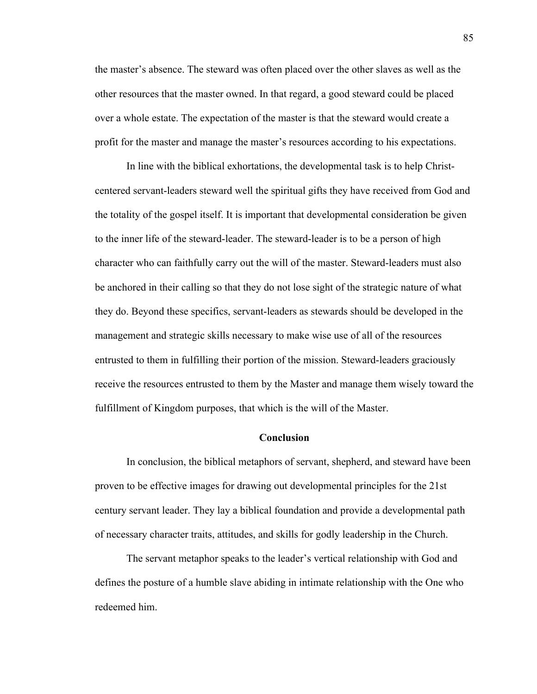the master's absence. The steward was often placed over the other slaves as well as the other resources that the master owned. In that regard, a good steward could be placed over a whole estate. The expectation of the master is that the steward would create a profit for the master and manage the master's resources according to his expectations.

In line with the biblical exhortations, the developmental task is to help Christcentered servant-leaders steward well the spiritual gifts they have received from God and the totality of the gospel itself. It is important that developmental consideration be given to the inner life of the steward-leader. The steward-leader is to be a person of high character who can faithfully carry out the will of the master. Steward-leaders must also be anchored in their calling so that they do not lose sight of the strategic nature of what they do. Beyond these specifics, servant-leaders as stewards should be developed in the management and strategic skills necessary to make wise use of all of the resources entrusted to them in fulfilling their portion of the mission. Steward-leaders graciously receive the resources entrusted to them by the Master and manage them wisely toward the fulfillment of Kingdom purposes, that which is the will of the Master.

#### **Conclusion**

In conclusion, the biblical metaphors of servant, shepherd, and steward have been proven to be effective images for drawing out developmental principles for the 21st century servant leader. They lay a biblical foundation and provide a developmental path of necessary character traits, attitudes, and skills for godly leadership in the Church.

The servant metaphor speaks to the leader's vertical relationship with God and defines the posture of a humble slave abiding in intimate relationship with the One who redeemed him.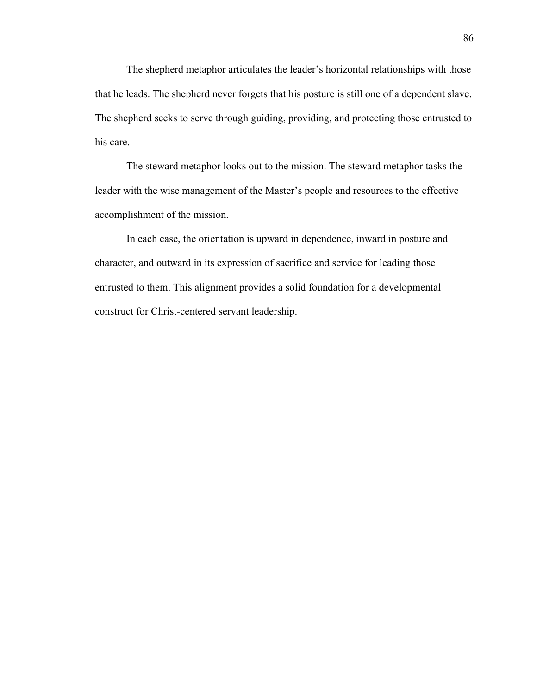The shepherd metaphor articulates the leader's horizontal relationships with those that he leads. The shepherd never forgets that his posture is still one of a dependent slave. The shepherd seeks to serve through guiding, providing, and protecting those entrusted to his care.

The steward metaphor looks out to the mission. The steward metaphor tasks the leader with the wise management of the Master's people and resources to the effective accomplishment of the mission.

In each case, the orientation is upward in dependence, inward in posture and character, and outward in its expression of sacrifice and service for leading those entrusted to them. This alignment provides a solid foundation for a developmental construct for Christ-centered servant leadership.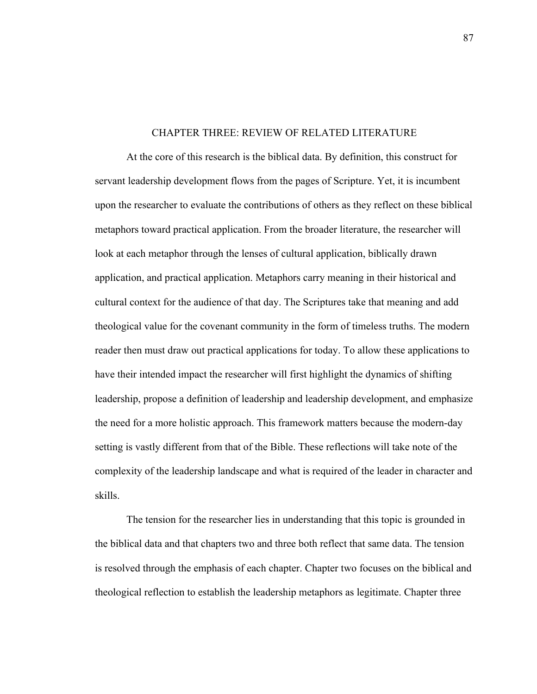## CHAPTER THREE: REVIEW OF RELATED LITERATURE

At the core of this research is the biblical data. By definition, this construct for servant leadership development flows from the pages of Scripture. Yet, it is incumbent upon the researcher to evaluate the contributions of others as they reflect on these biblical metaphors toward practical application. From the broader literature, the researcher will look at each metaphor through the lenses of cultural application, biblically drawn application, and practical application. Metaphors carry meaning in their historical and cultural context for the audience of that day. The Scriptures take that meaning and add theological value for the covenant community in the form of timeless truths. The modern reader then must draw out practical applications for today. To allow these applications to have their intended impact the researcher will first highlight the dynamics of shifting leadership, propose a definition of leadership and leadership development, and emphasize the need for a more holistic approach. This framework matters because the modern-day setting is vastly different from that of the Bible. These reflections will take note of the complexity of the leadership landscape and what is required of the leader in character and skills.

The tension for the researcher lies in understanding that this topic is grounded in the biblical data and that chapters two and three both reflect that same data. The tension is resolved through the emphasis of each chapter. Chapter two focuses on the biblical and theological reflection to establish the leadership metaphors as legitimate. Chapter three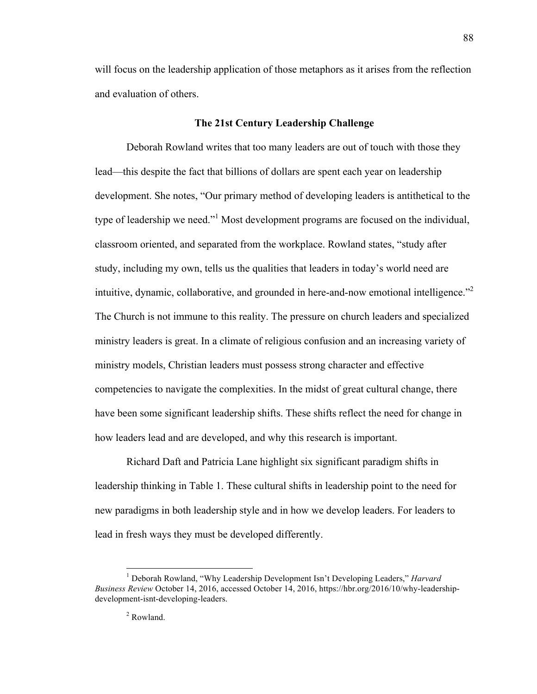will focus on the leadership application of those metaphors as it arises from the reflection and evaluation of others.

#### **The 21st Century Leadership Challenge**

Deborah Rowland writes that too many leaders are out of touch with those they lead—this despite the fact that billions of dollars are spent each year on leadership development. She notes, "Our primary method of developing leaders is antithetical to the type of leadership we need."<sup>1</sup> Most development programs are focused on the individual, classroom oriented, and separated from the workplace. Rowland states, "study after study, including my own, tells us the qualities that leaders in today's world need are intuitive, dynamic, collaborative, and grounded in here-and-now emotional intelligence."<sup>2</sup> The Church is not immune to this reality. The pressure on church leaders and specialized ministry leaders is great. In a climate of religious confusion and an increasing variety of ministry models, Christian leaders must possess strong character and effective competencies to navigate the complexities. In the midst of great cultural change, there have been some significant leadership shifts. These shifts reflect the need for change in how leaders lead and are developed, and why this research is important.

Richard Daft and Patricia Lane highlight six significant paradigm shifts in leadership thinking in Table 1. These cultural shifts in leadership point to the need for new paradigms in both leadership style and in how we develop leaders. For leaders to lead in fresh ways they must be developed differently.

 <sup>1</sup> Deborah Rowland, "Why Leadership Development Isn't Developing Leaders," *Harvard Business Review* October 14, 2016, accessed October 14, 2016, https://hbr.org/2016/10/why-leadershipdevelopment-isnt-developing-leaders.

<sup>2</sup> Rowland.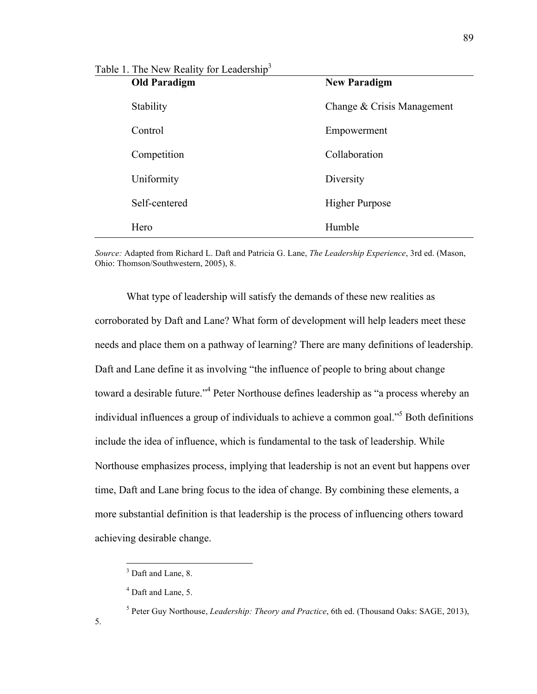| Table 1. The New Reality for Leadership <sup>3</sup> |                            |
|------------------------------------------------------|----------------------------|
| <b>Old Paradigm</b>                                  | <b>New Paradigm</b>        |
| Stability                                            | Change & Crisis Management |
| Control                                              | Empowerment                |
| Competition                                          | Collaboration              |
| Uniformity                                           | Diversity                  |
| Self-centered                                        | <b>Higher Purpose</b>      |
| Hero                                                 | Humble                     |

*Source:* Adapted from Richard L. Daft and Patricia G. Lane, *The Leadership Experience*, 3rd ed. (Mason, Ohio: Thomson/Southwestern, 2005), 8.

What type of leadership will satisfy the demands of these new realities as corroborated by Daft and Lane? What form of development will help leaders meet these needs and place them on a pathway of learning? There are many definitions of leadership. Daft and Lane define it as involving "the influence of people to bring about change toward a desirable future."4 Peter Northouse defines leadership as "a process whereby an individual influences a group of individuals to achieve a common goal.<sup>55</sup> Both definitions include the idea of influence, which is fundamental to the task of leadership. While Northouse emphasizes process, implying that leadership is not an event but happens over time, Daft and Lane bring focus to the idea of change. By combining these elements, a more substantial definition is that leadership is the process of influencing others toward achieving desirable change.

5.

<sup>&</sup>lt;sup>3</sup> Daft and Lane, 8.

<sup>4</sup> Daft and Lane, 5.

<sup>5</sup> Peter Guy Northouse, *Leadership: Theory and Practice*, 6th ed. (Thousand Oaks: SAGE, 2013),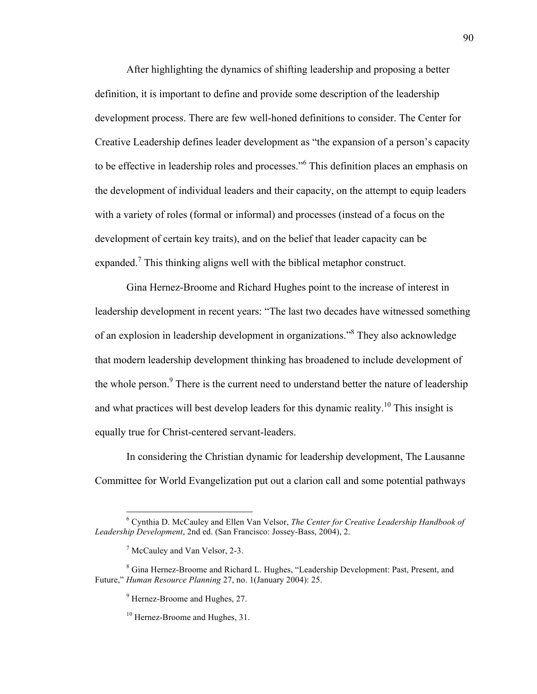After highlighting the dynamics of shifting leadership and proposing a better definition, it is important to define and provide some description of the leadership development process. There are few well-honed definitions to consider. The Center for Creative Leadership defines leader development as "the expansion of a person's capacity to be effective in leadership roles and processes."<sup>6</sup> This definition places an emphasis on the development of individual leaders and their capacity, on the attempt to equip leaders with a variety of roles (formal or informal) and processes (instead of a focus on the development of certain key traits), and on the belief that leader capacity can be expanded.<sup>7</sup> This thinking aligns well with the biblical metaphor construct.

Gina Hernez-Broome and Richard Hughes point to the increase of interest in leadership development in recent years: "The last two decades have witnessed something of an explosion in leadership development in organizations." <sup>8</sup> They also acknowledge that modern leadership development thinking has broadened to include development of the whole person. $9$  There is the current need to understand better the nature of leadership and what practices will best develop leaders for this dynamic reality.<sup>10</sup> This insight is equally true for Christ-centered servant-leaders.

In considering the Christian dynamic for leadership development, The Lausanne Committee for World Evangelization put out a clarion call and some potential pathways

 <sup>6</sup> Cynthia D. McCauley and Ellen Van Velsor, *The Center for Creative Leadership Handbook of Leadership Development*, 2nd ed. (San Francisco: Jossey-Bass, 2004), 2.

<sup>7</sup> McCauley and Van Velsor, 2-3.

<sup>8</sup> Gina Hernez-Broome and Richard L. Hughes, "Leadership Development: Past, Present, and Future," *Human Resource Planning* 27, no. 1(January 2004): 25.

<sup>&</sup>lt;sup>9</sup> Hernez-Broome and Hughes, 27.

<sup>&</sup>lt;sup>10</sup> Hernez-Broome and Hughes, 31.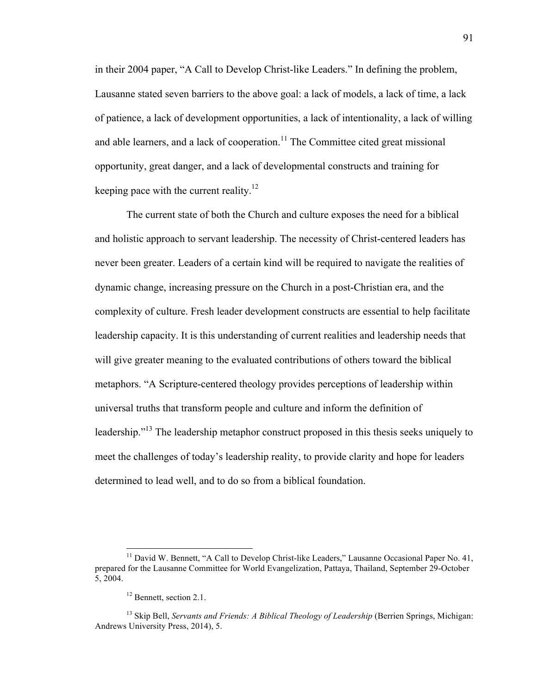in their 2004 paper, "A Call to Develop Christ-like Leaders." In defining the problem, Lausanne stated seven barriers to the above goal: a lack of models, a lack of time, a lack of patience, a lack of development opportunities, a lack of intentionality, a lack of willing and able learners, and a lack of cooperation.<sup>11</sup> The Committee cited great missional opportunity, great danger, and a lack of developmental constructs and training for keeping pace with the current reality.<sup>12</sup>

The current state of both the Church and culture exposes the need for a biblical and holistic approach to servant leadership. The necessity of Christ-centered leaders has never been greater. Leaders of a certain kind will be required to navigate the realities of dynamic change, increasing pressure on the Church in a post-Christian era, and the complexity of culture. Fresh leader development constructs are essential to help facilitate leadership capacity. It is this understanding of current realities and leadership needs that will give greater meaning to the evaluated contributions of others toward the biblical metaphors. "A Scripture-centered theology provides perceptions of leadership within universal truths that transform people and culture and inform the definition of leadership."<sup>13</sup> The leadership metaphor construct proposed in this thesis seeks uniquely to meet the challenges of today's leadership reality, to provide clarity and hope for leaders determined to lead well, and to do so from a biblical foundation.

 $11$  David W. Bennett, "A Call to Develop Christ-like Leaders," Lausanne Occasional Paper No. 41, prepared for the Lausanne Committee for World Evangelization, Pattaya, Thailand, September 29-October 5, 2004.

<sup>&</sup>lt;sup>12</sup> Bennett, section 2.1.

<sup>&</sup>lt;sup>13</sup> Skip Bell, *Servants and Friends: A Biblical Theology of Leadership* (Berrien Springs, Michigan: Andrews University Press, 2014), 5.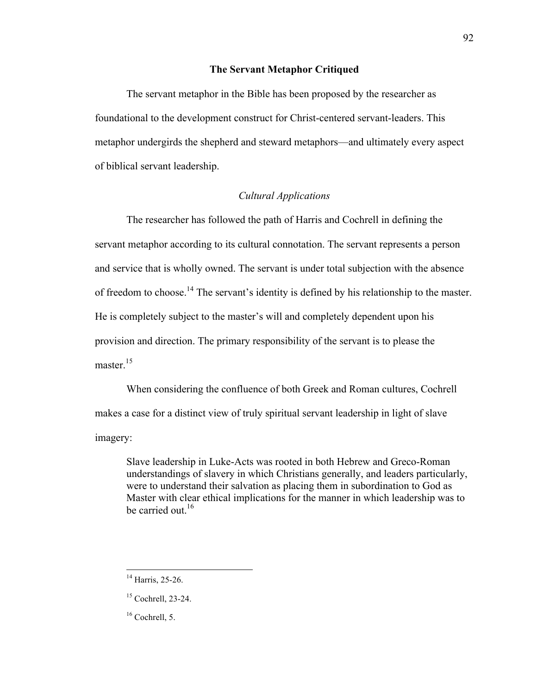# **The Servant Metaphor Critiqued**

The servant metaphor in the Bible has been proposed by the researcher as foundational to the development construct for Christ-centered servant-leaders. This metaphor undergirds the shepherd and steward metaphors—and ultimately every aspect of biblical servant leadership.

# *Cultural Applications*

The researcher has followed the path of Harris and Cochrell in defining the servant metaphor according to its cultural connotation. The servant represents a person and service that is wholly owned. The servant is under total subjection with the absence of freedom to choose.<sup>14</sup> The servant's identity is defined by his relationship to the master. He is completely subject to the master's will and completely dependent upon his provision and direction. The primary responsibility of the servant is to please the master.<sup>15</sup>

When considering the confluence of both Greek and Roman cultures, Cochrell makes a case for a distinct view of truly spiritual servant leadership in light of slave imagery:

Slave leadership in Luke-Acts was rooted in both Hebrew and Greco-Roman understandings of slavery in which Christians generally, and leaders particularly, were to understand their salvation as placing them in subordination to God as Master with clear ethical implications for the manner in which leadership was to be carried out  $16$ .

 $14$  Harris, 25-26.

<sup>15</sup> Cochrell, 23-24.

 $16$  Cochrell, 5.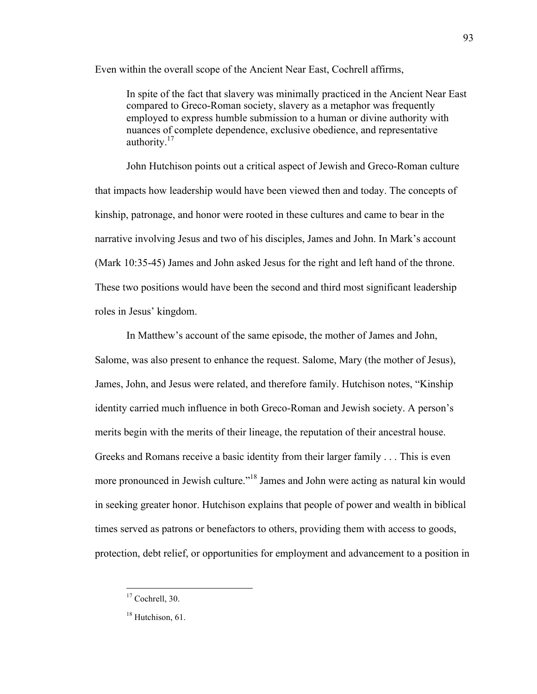Even within the overall scope of the Ancient Near East, Cochrell affirms,

In spite of the fact that slavery was minimally practiced in the Ancient Near East compared to Greco-Roman society, slavery as a metaphor was frequently employed to express humble submission to a human or divine authority with nuances of complete dependence, exclusive obedience, and representative authority.<sup>17</sup>

John Hutchison points out a critical aspect of Jewish and Greco-Roman culture that impacts how leadership would have been viewed then and today. The concepts of kinship, patronage, and honor were rooted in these cultures and came to bear in the narrative involving Jesus and two of his disciples, James and John. In Mark's account (Mark 10:35-45) James and John asked Jesus for the right and left hand of the throne. These two positions would have been the second and third most significant leadership roles in Jesus' kingdom.

In Matthew's account of the same episode, the mother of James and John, Salome, was also present to enhance the request. Salome, Mary (the mother of Jesus), James, John, and Jesus were related, and therefore family. Hutchison notes, "Kinship identity carried much influence in both Greco-Roman and Jewish society. A person's merits begin with the merits of their lineage, the reputation of their ancestral house. Greeks and Romans receive a basic identity from their larger family . . . This is even more pronounced in Jewish culture."18 James and John were acting as natural kin would in seeking greater honor. Hutchison explains that people of power and wealth in biblical times served as patrons or benefactors to others, providing them with access to goods, protection, debt relief, or opportunities for employment and advancement to a position in

<sup>&</sup>lt;sup>17</sup> Cochrell, 30.

<sup>&</sup>lt;sup>18</sup> Hutchison, 61.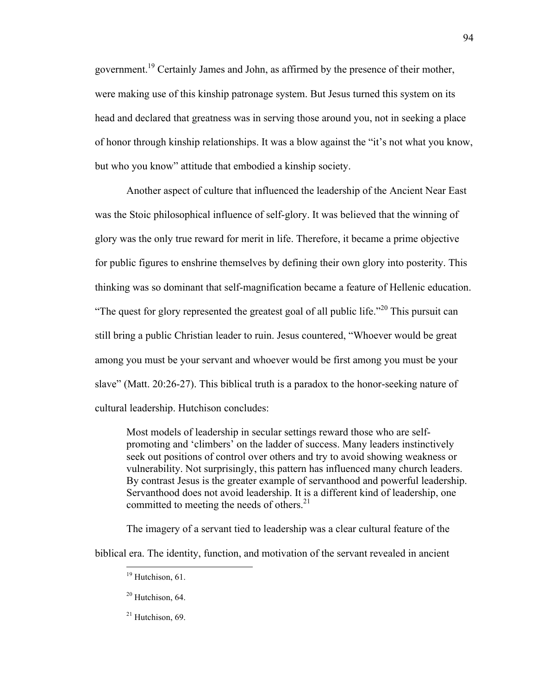government.19 Certainly James and John, as affirmed by the presence of their mother, were making use of this kinship patronage system. But Jesus turned this system on its head and declared that greatness was in serving those around you, not in seeking a place of honor through kinship relationships. It was a blow against the "it's not what you know, but who you know" attitude that embodied a kinship society.

Another aspect of culture that influenced the leadership of the Ancient Near East was the Stoic philosophical influence of self-glory. It was believed that the winning of glory was the only true reward for merit in life. Therefore, it became a prime objective for public figures to enshrine themselves by defining their own glory into posterity. This thinking was so dominant that self-magnification became a feature of Hellenic education. "The quest for glory represented the greatest goal of all public life."<sup>20</sup> This pursuit can still bring a public Christian leader to ruin. Jesus countered, "Whoever would be great among you must be your servant and whoever would be first among you must be your slave" (Matt. 20:26-27). This biblical truth is a paradox to the honor-seeking nature of cultural leadership. Hutchison concludes:

Most models of leadership in secular settings reward those who are selfpromoting and 'climbers' on the ladder of success. Many leaders instinctively seek out positions of control over others and try to avoid showing weakness or vulnerability. Not surprisingly, this pattern has influenced many church leaders. By contrast Jesus is the greater example of servanthood and powerful leadership. Servanthood does not avoid leadership. It is a different kind of leadership, one committed to meeting the needs of others. $21$ 

The imagery of a servant tied to leadership was a clear cultural feature of the

biblical era. The identity, function, and motivation of the servant revealed in ancient

 $19$  Hutchison, 61.

 $20$  Hutchison, 64.

 $21$  Hutchison, 69.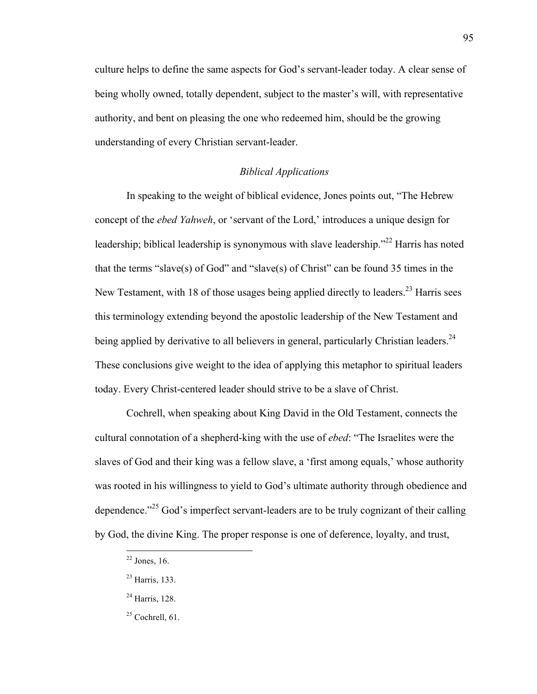culture helps to define the same aspects for God's servant-leader today. A clear sense of being wholly owned, totally dependent, subject to the master's will, with representative authority, and bent on pleasing the one who redeemed him, should be the growing understanding of every Christian servant-leader.

# *Biblical Applications*

In speaking to the weight of biblical evidence, Jones points out, "The Hebrew concept of the *ebed Yahweh*, or 'servant of the Lord,' introduces a unique design for leadership; biblical leadership is synonymous with slave leadership."<sup>22</sup> Harris has noted that the terms "slave(s) of God" and "slave(s) of Christ" can be found 35 times in the New Testament, with 18 of those usages being applied directly to leaders.<sup>23</sup> Harris sees this terminology extending beyond the apostolic leadership of the New Testament and being applied by derivative to all believers in general, particularly Christian leaders.<sup>24</sup> These conclusions give weight to the idea of applying this metaphor to spiritual leaders today. Every Christ-centered leader should strive to be a slave of Christ.

Cochrell, when speaking about King David in the Old Testament, connects the cultural connotation of a shepherd-king with the use of *ebed*: "The Israelites were the slaves of God and their king was a fellow slave, a 'first among equals,' whose authority was rooted in his willingness to yield to God's ultimate authority through obedience and dependence."<sup>25</sup> God's imperfect servant-leaders are to be truly cognizant of their calling by God, the divine King. The proper response is one of deference, loyalty, and trust,

 $22$  Jones, 16.

<sup>23</sup> Harris, 133.

<sup>24</sup> Harris, 128.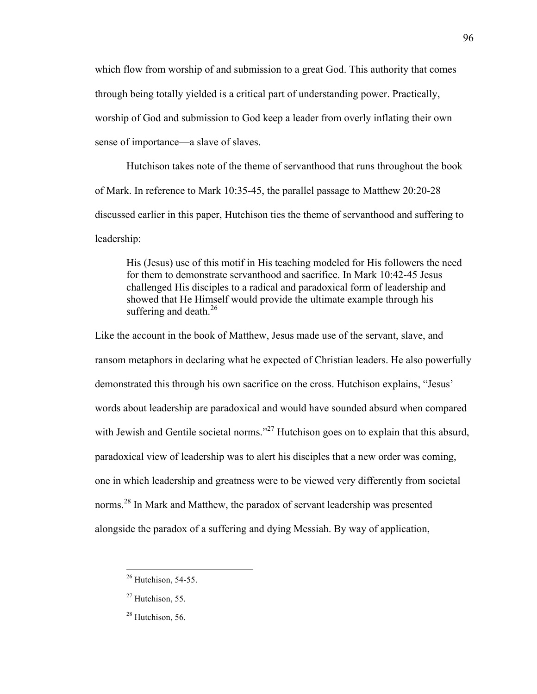which flow from worship of and submission to a great God. This authority that comes through being totally yielded is a critical part of understanding power. Practically, worship of God and submission to God keep a leader from overly inflating their own sense of importance—a slave of slaves.

Hutchison takes note of the theme of servanthood that runs throughout the book of Mark. In reference to Mark 10:35-45, the parallel passage to Matthew 20:20-28 discussed earlier in this paper, Hutchison ties the theme of servanthood and suffering to leadership:

His (Jesus) use of this motif in His teaching modeled for His followers the need for them to demonstrate servanthood and sacrifice. In Mark 10:42-45 Jesus challenged His disciples to a radical and paradoxical form of leadership and showed that He Himself would provide the ultimate example through his suffering and death. $^{26}$ 

Like the account in the book of Matthew, Jesus made use of the servant, slave, and ransom metaphors in declaring what he expected of Christian leaders. He also powerfully demonstrated this through his own sacrifice on the cross. Hutchison explains, "Jesus' words about leadership are paradoxical and would have sounded absurd when compared with Jewish and Gentile societal norms."<sup>27</sup> Hutchison goes on to explain that this absurd, paradoxical view of leadership was to alert his disciples that a new order was coming, one in which leadership and greatness were to be viewed very differently from societal norms.<sup>28</sup> In Mark and Matthew, the paradox of servant leadership was presented alongside the paradox of a suffering and dying Messiah. By way of application,

 $26$  Hutchison, 54-55.

 $27$  Hutchison, 55.

<sup>&</sup>lt;sup>28</sup> Hutchison, 56.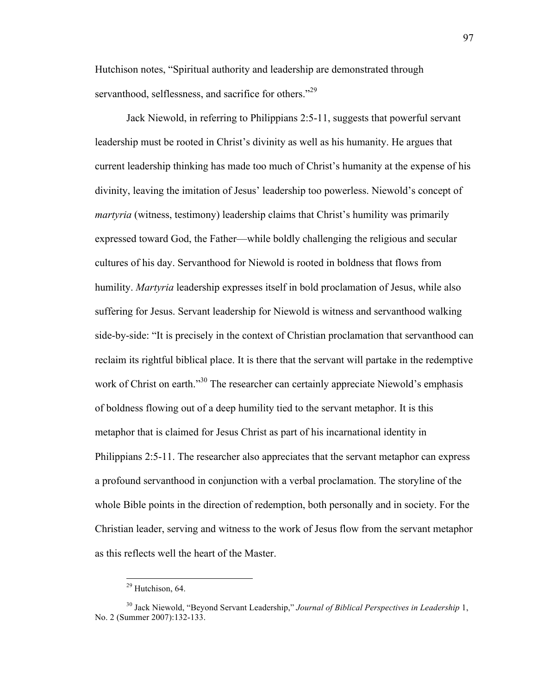Hutchison notes, "Spiritual authority and leadership are demonstrated through servanthood, selflessness, and sacrifice for others."<sup>29</sup>

Jack Niewold, in referring to Philippians 2:5-11, suggests that powerful servant leadership must be rooted in Christ's divinity as well as his humanity. He argues that current leadership thinking has made too much of Christ's humanity at the expense of his divinity, leaving the imitation of Jesus' leadership too powerless. Niewold's concept of *martyria* (witness, testimony) leadership claims that Christ's humility was primarily expressed toward God, the Father—while boldly challenging the religious and secular cultures of his day. Servanthood for Niewold is rooted in boldness that flows from humility. *Martyria* leadership expresses itself in bold proclamation of Jesus, while also suffering for Jesus. Servant leadership for Niewold is witness and servanthood walking side-by-side: "It is precisely in the context of Christian proclamation that servanthood can reclaim its rightful biblical place. It is there that the servant will partake in the redemptive work of Christ on earth.<sup>330</sup> The researcher can certainly appreciate Niewold's emphasis of boldness flowing out of a deep humility tied to the servant metaphor. It is this metaphor that is claimed for Jesus Christ as part of his incarnational identity in Philippians 2:5-11. The researcher also appreciates that the servant metaphor can express a profound servanthood in conjunction with a verbal proclamation. The storyline of the whole Bible points in the direction of redemption, both personally and in society. For the Christian leader, serving and witness to the work of Jesus flow from the servant metaphor as this reflects well the heart of the Master.

<sup>&</sup>lt;sup>29</sup> Hutchison, 64.

<sup>30</sup> Jack Niewold, "Beyond Servant Leadership," *Journal of Biblical Perspectives in Leadership* 1, No. 2 (Summer 2007):132-133.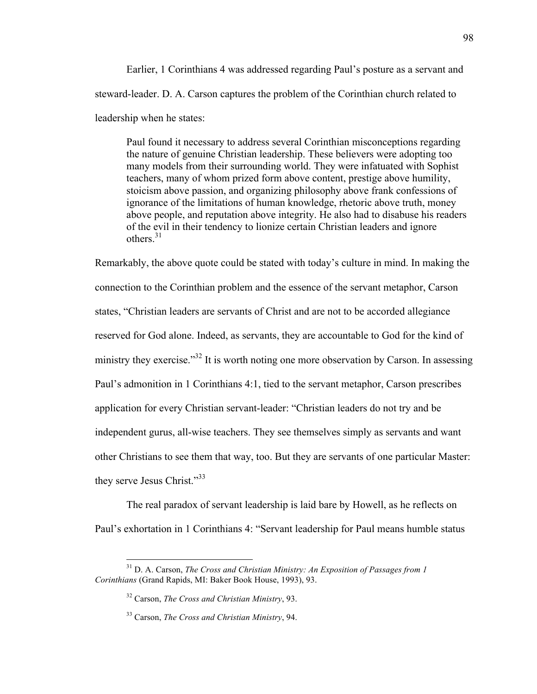Earlier, 1 Corinthians 4 was addressed regarding Paul's posture as a servant and steward-leader. D. A. Carson captures the problem of the Corinthian church related to leadership when he states:

Paul found it necessary to address several Corinthian misconceptions regarding the nature of genuine Christian leadership. These believers were adopting too many models from their surrounding world. They were infatuated with Sophist teachers, many of whom prized form above content, prestige above humility, stoicism above passion, and organizing philosophy above frank confessions of ignorance of the limitations of human knowledge, rhetoric above truth, money above people, and reputation above integrity. He also had to disabuse his readers of the evil in their tendency to lionize certain Christian leaders and ignore others $^{31}$ 

Remarkably, the above quote could be stated with today's culture in mind. In making the connection to the Corinthian problem and the essence of the servant metaphor, Carson states, "Christian leaders are servants of Christ and are not to be accorded allegiance reserved for God alone. Indeed, as servants, they are accountable to God for the kind of ministry they exercise."<sup>32</sup> It is worth noting one more observation by Carson. In assessing Paul's admonition in 1 Corinthians 4:1, tied to the servant metaphor, Carson prescribes application for every Christian servant-leader: "Christian leaders do not try and be independent gurus, all-wise teachers. They see themselves simply as servants and want other Christians to see them that way, too. But they are servants of one particular Master: they serve Jesus Christ."<sup>33</sup>

The real paradox of servant leadership is laid bare by Howell, as he reflects on Paul's exhortation in 1 Corinthians 4: "Servant leadership for Paul means humble status

 <sup>31</sup> D. A. Carson, *The Cross and Christian Ministry: An Exposition of Passages from 1 Corinthians* (Grand Rapids, MI: Baker Book House, 1993), 93.

<sup>32</sup> Carson, *The Cross and Christian Ministry*, 93.

<sup>33</sup> Carson, *The Cross and Christian Ministry*, 94.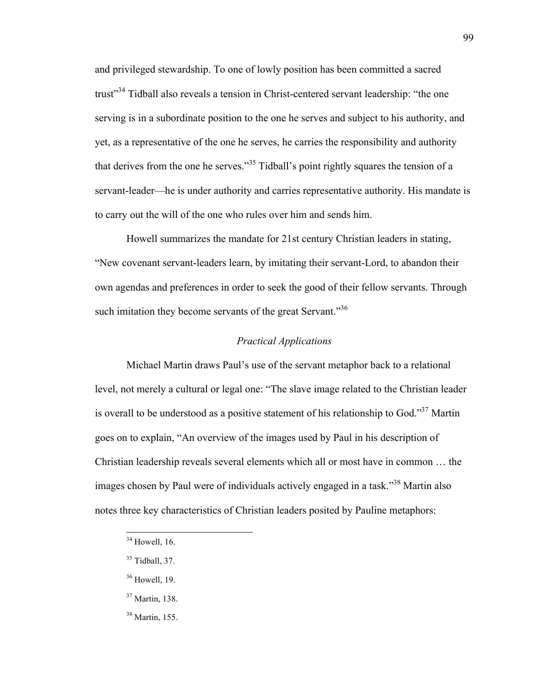and privileged stewardship. To one of lowly position has been committed a sacred trust<sup>34</sup> Tidball also reveals a tension in Christ-centered servant leadership: "the one serving is in a subordinate position to the one he serves and subject to his authority, and yet, as a representative of the one he serves, he carries the responsibility and authority that derives from the one he serves."<sup>35</sup> Tidball's point rightly squares the tension of a servant-leader—he is under authority and carries representative authority. His mandate is to carry out the will of the one who rules over him and sends him.

Howell summarizes the mandate for 21st century Christian leaders in stating, "New covenant servant-leaders learn, by imitating their servant-Lord, to abandon their own agendas and preferences in order to seek the good of their fellow servants. Through such imitation they become servants of the great Servant."<sup>36</sup>

## *Practical Applications*

Michael Martin draws Paul's use of the servant metaphor back to a relational level, not merely a cultural or legal one: "The slave image related to the Christian leader is overall to be understood as a positive statement of his relationship to God."<sup>37</sup> Martin goes on to explain, "An overview of the images used by Paul in his description of Christian leadership reveals several elements which all or most have in common … the images chosen by Paul were of individuals actively engaged in a task."38 Martin also notes three key characteristics of Christian leaders posited by Pauline metaphors:

- <sup>37</sup> Martin, 138.
- <sup>38</sup> Martin, 155.

 $34$  Howell, 16.

 $35$  Tidball, 37.

<sup>36</sup> Howell, 19.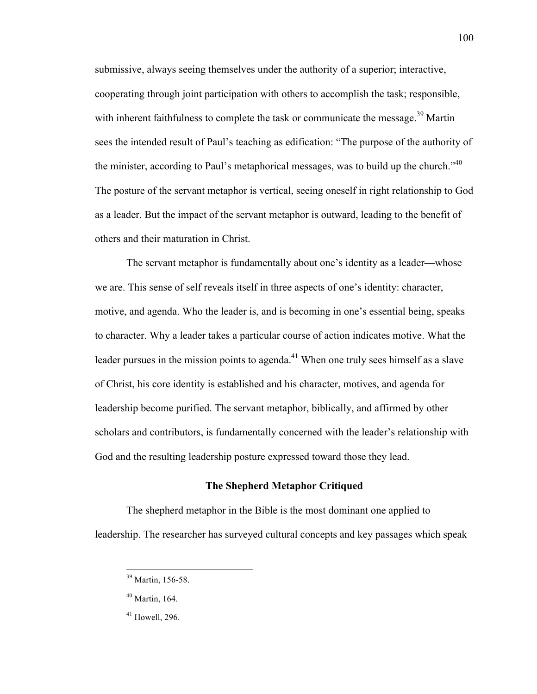submissive, always seeing themselves under the authority of a superior; interactive, cooperating through joint participation with others to accomplish the task; responsible, with inherent faithfulness to complete the task or communicate the message.<sup>39</sup> Martin sees the intended result of Paul's teaching as edification: "The purpose of the authority of the minister, according to Paul's metaphorical messages, was to build up the church.<sup>140</sup> The posture of the servant metaphor is vertical, seeing oneself in right relationship to God as a leader. But the impact of the servant metaphor is outward, leading to the benefit of others and their maturation in Christ.

The servant metaphor is fundamentally about one's identity as a leader—whose we are. This sense of self reveals itself in three aspects of one's identity: character, motive, and agenda. Who the leader is, and is becoming in one's essential being, speaks to character. Why a leader takes a particular course of action indicates motive. What the leader pursues in the mission points to agenda.<sup>41</sup> When one truly sees himself as a slave of Christ, his core identity is established and his character, motives, and agenda for leadership become purified. The servant metaphor, biblically, and affirmed by other scholars and contributors, is fundamentally concerned with the leader's relationship with God and the resulting leadership posture expressed toward those they lead.

## **The Shepherd Metaphor Critiqued**

The shepherd metaphor in the Bible is the most dominant one applied to leadership. The researcher has surveyed cultural concepts and key passages which speak

 <sup>39</sup> Martin, 156-58.

<sup>40</sup> Martin, 164.

 $41$  Howell, 296.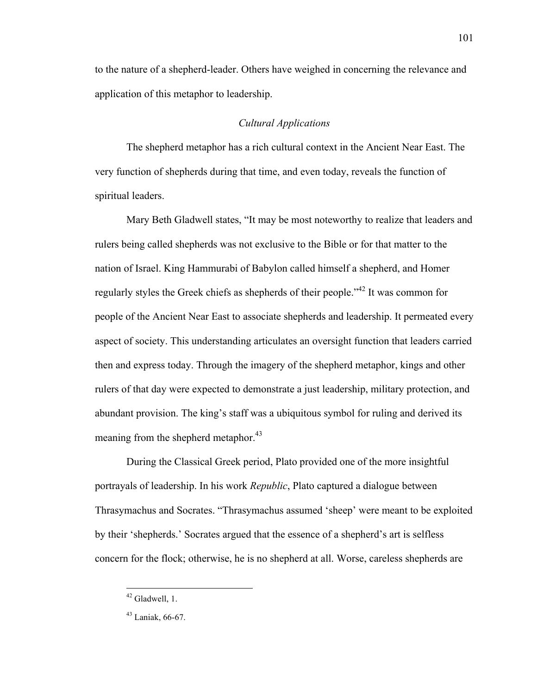to the nature of a shepherd-leader. Others have weighed in concerning the relevance and application of this metaphor to leadership.

# *Cultural Applications*

The shepherd metaphor has a rich cultural context in the Ancient Near East. The very function of shepherds during that time, and even today, reveals the function of spiritual leaders.

Mary Beth Gladwell states, "It may be most noteworthy to realize that leaders and rulers being called shepherds was not exclusive to the Bible or for that matter to the nation of Israel. King Hammurabi of Babylon called himself a shepherd, and Homer regularly styles the Greek chiefs as shepherds of their people."42 It was common for people of the Ancient Near East to associate shepherds and leadership. It permeated every aspect of society. This understanding articulates an oversight function that leaders carried then and express today. Through the imagery of the shepherd metaphor, kings and other rulers of that day were expected to demonstrate a just leadership, military protection, and abundant provision. The king's staff was a ubiquitous symbol for ruling and derived its meaning from the shepherd metaphor.<sup>43</sup>

During the Classical Greek period, Plato provided one of the more insightful portrayals of leadership. In his work *Republic*, Plato captured a dialogue between Thrasymachus and Socrates. "Thrasymachus assumed 'sheep' were meant to be exploited by their 'shepherds.' Socrates argued that the essence of a shepherd's art is selfless concern for the flock; otherwise, he is no shepherd at all. Worse, careless shepherds are

 <sup>42</sup> Gladwell, 1.

<sup>43</sup> Laniak, 66-67.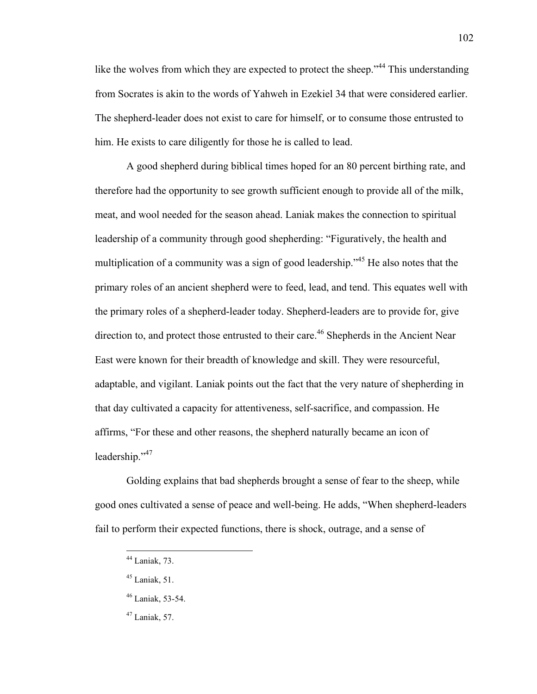like the wolves from which they are expected to protect the sheep."<sup>44</sup> This understanding from Socrates is akin to the words of Yahweh in Ezekiel 34 that were considered earlier. The shepherd-leader does not exist to care for himself, or to consume those entrusted to him. He exists to care diligently for those he is called to lead.

A good shepherd during biblical times hoped for an 80 percent birthing rate, and therefore had the opportunity to see growth sufficient enough to provide all of the milk, meat, and wool needed for the season ahead. Laniak makes the connection to spiritual leadership of a community through good shepherding: "Figuratively, the health and multiplication of a community was a sign of good leadership.<sup>345</sup> He also notes that the primary roles of an ancient shepherd were to feed, lead, and tend. This equates well with the primary roles of a shepherd-leader today. Shepherd-leaders are to provide for, give direction to, and protect those entrusted to their care.<sup>46</sup> Shepherds in the Ancient Near East were known for their breadth of knowledge and skill. They were resourceful, adaptable, and vigilant. Laniak points out the fact that the very nature of shepherding in that day cultivated a capacity for attentiveness, self-sacrifice, and compassion. He affirms, "For these and other reasons, the shepherd naturally became an icon of leadership."47

Golding explains that bad shepherds brought a sense of fear to the sheep, while good ones cultivated a sense of peace and well-being. He adds, "When shepherd-leaders fail to perform their expected functions, there is shock, outrage, and a sense of

 <sup>44</sup> Laniak, 73.

 $45$  Laniak, 51.

<sup>46</sup> Laniak, 53-54.

 $47$  Laniak, 57.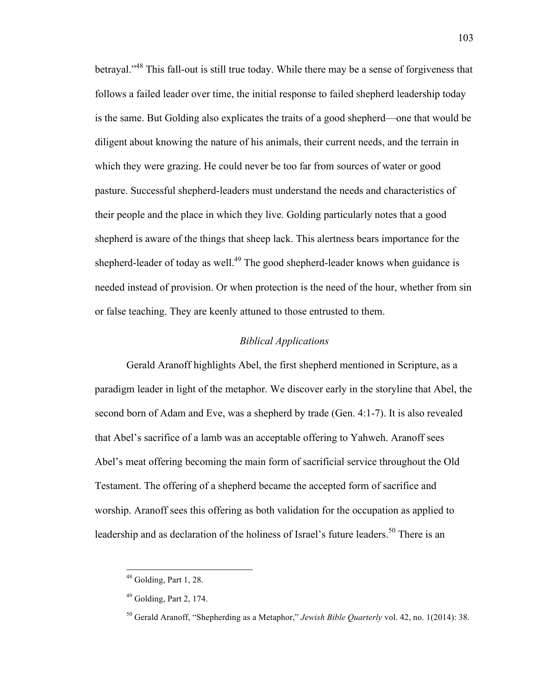betrayal."<sup>48</sup> This fall-out is still true today. While there may be a sense of forgiveness that follows a failed leader over time, the initial response to failed shepherd leadership today is the same. But Golding also explicates the traits of a good shepherd—one that would be diligent about knowing the nature of his animals, their current needs, and the terrain in which they were grazing. He could never be too far from sources of water or good pasture. Successful shepherd-leaders must understand the needs and characteristics of their people and the place in which they live. Golding particularly notes that a good shepherd is aware of the things that sheep lack. This alertness bears importance for the shepherd-leader of today as well.<sup>49</sup> The good shepherd-leader knows when guidance is needed instead of provision. Or when protection is the need of the hour, whether from sin or false teaching. They are keenly attuned to those entrusted to them.

## *Biblical Applications*

Gerald Aranoff highlights Abel, the first shepherd mentioned in Scripture, as a paradigm leader in light of the metaphor. We discover early in the storyline that Abel, the second born of Adam and Eve, was a shepherd by trade (Gen. 4:1-7). It is also revealed that Abel's sacrifice of a lamb was an acceptable offering to Yahweh. Aranoff sees Abel's meat offering becoming the main form of sacrificial service throughout the Old Testament. The offering of a shepherd became the accepted form of sacrifice and worship. Aranoff sees this offering as both validation for the occupation as applied to leadership and as declaration of the holiness of Israel's future leaders.<sup>50</sup> There is an

<sup>&</sup>lt;sup>48</sup> Golding, Part 1, 28.

 $49$  Golding, Part 2, 174.

<sup>50</sup> Gerald Aranoff, "Shepherding as a Metaphor," *Jewish Bible Quarterly* vol. 42, no. 1(2014): 38.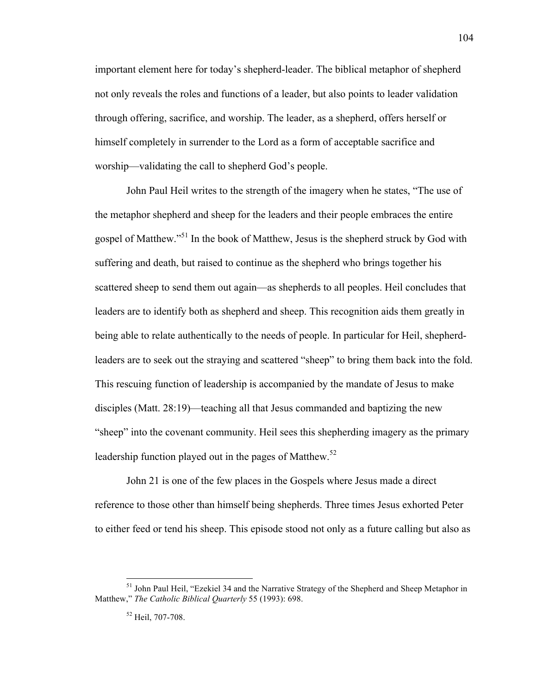important element here for today's shepherd-leader. The biblical metaphor of shepherd not only reveals the roles and functions of a leader, but also points to leader validation through offering, sacrifice, and worship. The leader, as a shepherd, offers herself or himself completely in surrender to the Lord as a form of acceptable sacrifice and worship—validating the call to shepherd God's people.

John Paul Heil writes to the strength of the imagery when he states, "The use of the metaphor shepherd and sheep for the leaders and their people embraces the entire gospel of Matthew."<sup>51</sup> In the book of Matthew, Jesus is the shepherd struck by God with suffering and death, but raised to continue as the shepherd who brings together his scattered sheep to send them out again—as shepherds to all peoples. Heil concludes that leaders are to identify both as shepherd and sheep. This recognition aids them greatly in being able to relate authentically to the needs of people. In particular for Heil, shepherdleaders are to seek out the straying and scattered "sheep" to bring them back into the fold. This rescuing function of leadership is accompanied by the mandate of Jesus to make disciples (Matt. 28:19)—teaching all that Jesus commanded and baptizing the new "sheep" into the covenant community. Heil sees this shepherding imagery as the primary leadership function played out in the pages of Matthew.<sup>52</sup>

John 21 is one of the few places in the Gospels where Jesus made a direct reference to those other than himself being shepherds. Three times Jesus exhorted Peter to either feed or tend his sheep. This episode stood not only as a future calling but also as

<sup>&</sup>lt;sup>51</sup> John Paul Heil, "Ezekiel 34 and the Narrative Strategy of the Shepherd and Sheep Metaphor in Matthew," *The Catholic Biblical Quarterly* 55 (1993): 698.

<sup>52</sup> Heil, 707-708.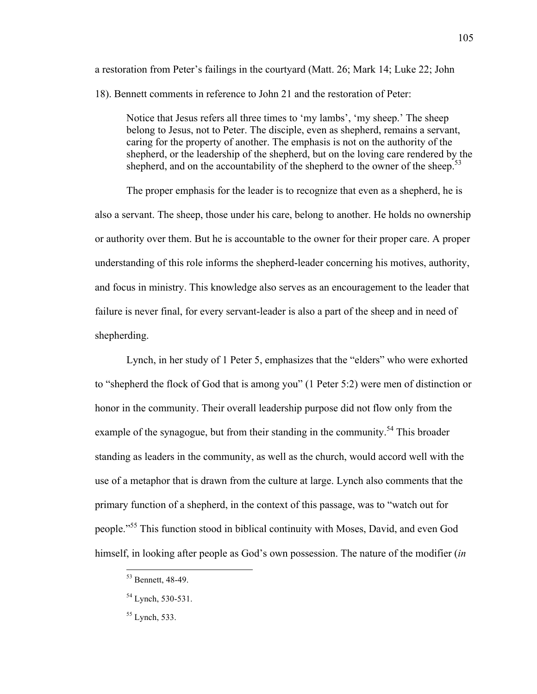a restoration from Peter's failings in the courtyard (Matt. 26; Mark 14; Luke 22; John 18). Bennett comments in reference to John 21 and the restoration of Peter:

Notice that Jesus refers all three times to 'my lambs', 'my sheep.' The sheep belong to Jesus, not to Peter. The disciple, even as shepherd, remains a servant, caring for the property of another. The emphasis is not on the authority of the shepherd, or the leadership of the shepherd, but on the loving care rendered by the shepherd, and on the accountability of the shepherd to the owner of the sheep.<sup>53</sup>

The proper emphasis for the leader is to recognize that even as a shepherd, he is also a servant. The sheep, those under his care, belong to another. He holds no ownership or authority over them. But he is accountable to the owner for their proper care. A proper understanding of this role informs the shepherd-leader concerning his motives, authority, and focus in ministry. This knowledge also serves as an encouragement to the leader that failure is never final, for every servant-leader is also a part of the sheep and in need of shepherding.

Lynch, in her study of 1 Peter 5, emphasizes that the "elders" who were exhorted to "shepherd the flock of God that is among you" (1 Peter 5:2) were men of distinction or honor in the community. Their overall leadership purpose did not flow only from the example of the synagogue, but from their standing in the community.<sup>54</sup> This broader standing as leaders in the community, as well as the church, would accord well with the use of a metaphor that is drawn from the culture at large. Lynch also comments that the primary function of a shepherd, in the context of this passage, was to "watch out for people."<sup>55</sup> This function stood in biblical continuity with Moses, David, and even God himself, in looking after people as God's own possession. The nature of the modifier (*in* 

 <sup>53</sup> Bennett, 48-49.

<sup>&</sup>lt;sup>54</sup> Lynch, 530-531.

<sup>55</sup> Lynch, 533.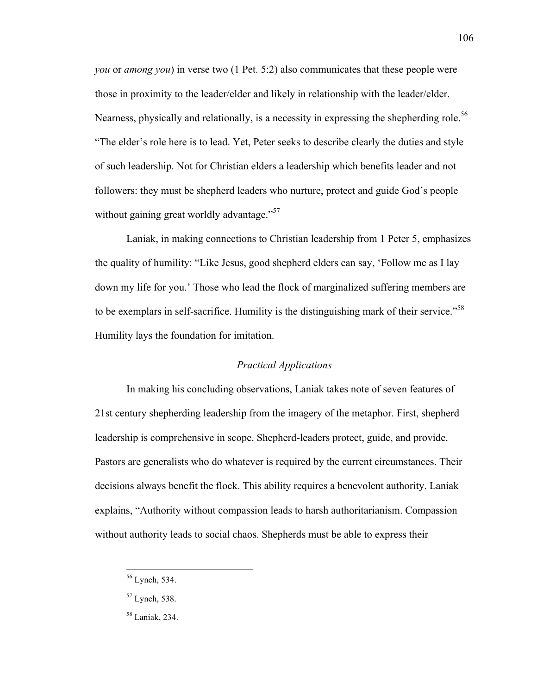*you* or *among you*) in verse two (1 Pet. 5:2) also communicates that these people were those in proximity to the leader/elder and likely in relationship with the leader/elder. Nearness, physically and relationally, is a necessity in expressing the shepherding role.<sup>56</sup> "The elder's role here is to lead. Yet, Peter seeks to describe clearly the duties and style of such leadership. Not for Christian elders a leadership which benefits leader and not followers: they must be shepherd leaders who nurture, protect and guide God's people without gaining great worldly advantage."<sup>57</sup>

Laniak, in making connections to Christian leadership from 1 Peter 5, emphasizes the quality of humility: "Like Jesus, good shepherd elders can say, 'Follow me as I lay down my life for you.' Those who lead the flock of marginalized suffering members are to be exemplars in self-sacrifice. Humility is the distinguishing mark of their service."<sup>58</sup> Humility lays the foundation for imitation.

# *Practical Applications*

In making his concluding observations, Laniak takes note of seven features of 21st century shepherding leadership from the imagery of the metaphor. First, shepherd leadership is comprehensive in scope. Shepherd-leaders protect, guide, and provide. Pastors are generalists who do whatever is required by the current circumstances. Their decisions always benefit the flock. This ability requires a benevolent authority. Laniak explains, "Authority without compassion leads to harsh authoritarianism. Compassion without authority leads to social chaos. Shepherds must be able to express their

 <sup>56</sup> Lynch, 534.

<sup>57</sup> Lynch, 538.

<sup>58</sup> Laniak, 234.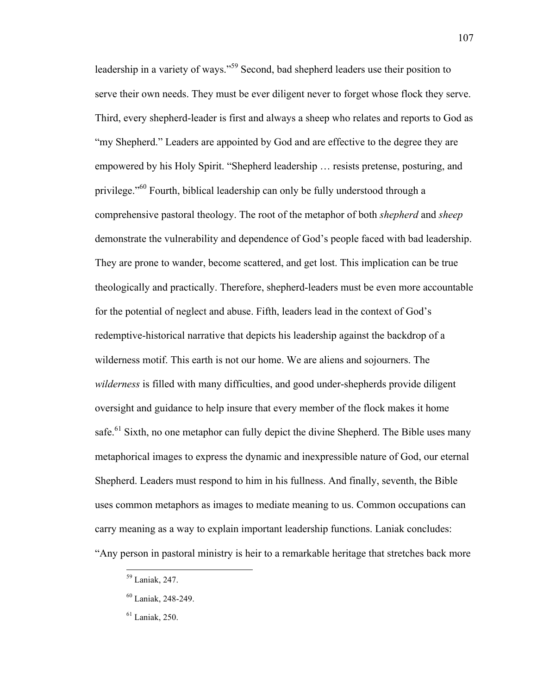leadership in a variety of ways."<sup>59</sup> Second, bad shepherd leaders use their position to serve their own needs. They must be ever diligent never to forget whose flock they serve. Third, every shepherd-leader is first and always a sheep who relates and reports to God as "my Shepherd." Leaders are appointed by God and are effective to the degree they are empowered by his Holy Spirit. "Shepherd leadership … resists pretense, posturing, and privilege."<sup>60</sup> Fourth, biblical leadership can only be fully understood through a comprehensive pastoral theology. The root of the metaphor of both *shepherd* and *sheep* demonstrate the vulnerability and dependence of God's people faced with bad leadership. They are prone to wander, become scattered, and get lost. This implication can be true theologically and practically. Therefore, shepherd-leaders must be even more accountable for the potential of neglect and abuse. Fifth, leaders lead in the context of God's redemptive-historical narrative that depicts his leadership against the backdrop of a wilderness motif. This earth is not our home. We are aliens and sojourners. The *wilderness* is filled with many difficulties, and good under-shepherds provide diligent oversight and guidance to help insure that every member of the flock makes it home safe.<sup>61</sup> Sixth, no one metaphor can fully depict the divine Shepherd. The Bible uses many metaphorical images to express the dynamic and inexpressible nature of God, our eternal Shepherd. Leaders must respond to him in his fullness. And finally, seventh, the Bible uses common metaphors as images to mediate meaning to us. Common occupations can carry meaning as a way to explain important leadership functions. Laniak concludes: "Any person in pastoral ministry is heir to a remarkable heritage that stretches back more

 <sup>59</sup> Laniak, 247.

<sup>60</sup> Laniak, 248-249.

 $61$  Laniak, 250.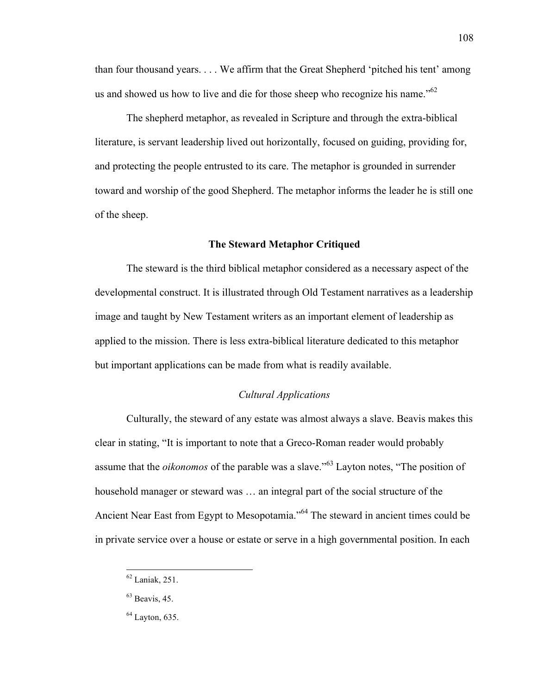than four thousand years. . . . We affirm that the Great Shepherd 'pitched his tent' among us and showed us how to live and die for those sheep who recognize his name."<sup>62</sup>

The shepherd metaphor, as revealed in Scripture and through the extra-biblical literature, is servant leadership lived out horizontally, focused on guiding, providing for, and protecting the people entrusted to its care. The metaphor is grounded in surrender toward and worship of the good Shepherd. The metaphor informs the leader he is still one of the sheep.

## **The Steward Metaphor Critiqued**

The steward is the third biblical metaphor considered as a necessary aspect of the developmental construct. It is illustrated through Old Testament narratives as a leadership image and taught by New Testament writers as an important element of leadership as applied to the mission. There is less extra-biblical literature dedicated to this metaphor but important applications can be made from what is readily available.

# *Cultural Applications*

Culturally, the steward of any estate was almost always a slave. Beavis makes this clear in stating, "It is important to note that a Greco-Roman reader would probably assume that the *oikonomos* of the parable was a slave."<sup>63</sup> Layton notes, "The position of household manager or steward was … an integral part of the social structure of the Ancient Near East from Egypt to Mesopotamia."<sup>64</sup> The steward in ancient times could be in private service over a house or estate or serve in a high governmental position. In each

 <sup>62</sup> Laniak, 251.

 $63$  Beavis, 45.

 $<sup>64</sup>$  Layton, 635.</sup>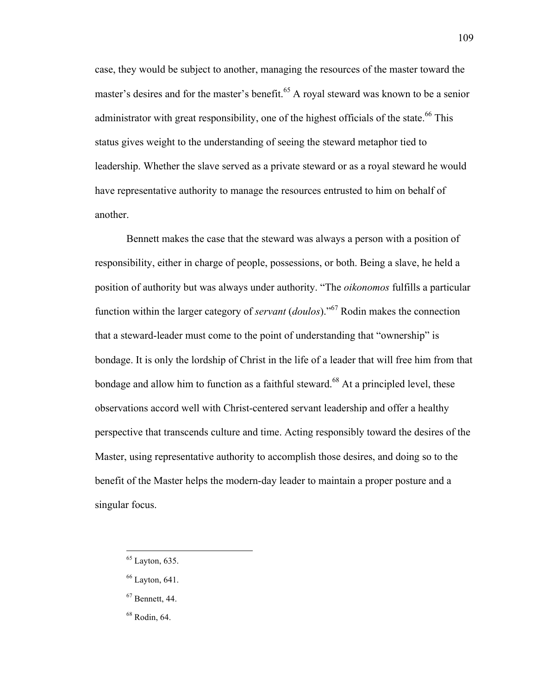case, they would be subject to another, managing the resources of the master toward the master's desires and for the master's benefit.<sup>65</sup> A royal steward was known to be a senior administrator with great responsibility, one of the highest officials of the state.<sup>66</sup> This status gives weight to the understanding of seeing the steward metaphor tied to leadership. Whether the slave served as a private steward or as a royal steward he would have representative authority to manage the resources entrusted to him on behalf of another.

Bennett makes the case that the steward was always a person with a position of responsibility, either in charge of people, possessions, or both. Being a slave, he held a position of authority but was always under authority. "The *oikonomos* fulfills a particular function within the larger category of *servant* (*doulos*)."<sup>67</sup> Rodin makes the connection that a steward-leader must come to the point of understanding that "ownership" is bondage. It is only the lordship of Christ in the life of a leader that will free him from that bondage and allow him to function as a faithful steward.<sup>68</sup> At a principled level, these observations accord well with Christ-centered servant leadership and offer a healthy perspective that transcends culture and time. Acting responsibly toward the desires of the Master, using representative authority to accomplish those desires, and doing so to the benefit of the Master helps the modern-day leader to maintain a proper posture and a singular focus.

 $65$  Layton, 635.

 $66$  Layton, 641.

<sup>67</sup> Bennett, 44.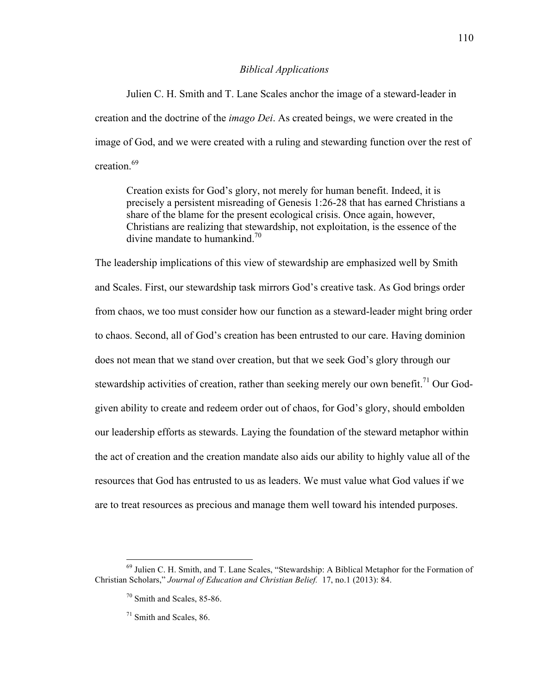### *Biblical Applications*

Julien C. H. Smith and T. Lane Scales anchor the image of a steward-leader in creation and the doctrine of the *imago Dei*. As created beings, we were created in the image of God, and we were created with a ruling and stewarding function over the rest of creation<sup>69</sup>

Creation exists for God's glory, not merely for human benefit. Indeed, it is precisely a persistent misreading of Genesis 1:26-28 that has earned Christians a share of the blame for the present ecological crisis. Once again, however, Christians are realizing that stewardship, not exploitation, is the essence of the divine mandate to humankind.<sup>70</sup>

The leadership implications of this view of stewardship are emphasized well by Smith and Scales. First, our stewardship task mirrors God's creative task. As God brings order from chaos, we too must consider how our function as a steward-leader might bring order to chaos. Second, all of God's creation has been entrusted to our care. Having dominion does not mean that we stand over creation, but that we seek God's glory through our stewardship activities of creation, rather than seeking merely our own benefit.<sup>71</sup> Our Godgiven ability to create and redeem order out of chaos, for God's glory, should embolden our leadership efforts as stewards. Laying the foundation of the steward metaphor within the act of creation and the creation mandate also aids our ability to highly value all of the resources that God has entrusted to us as leaders. We must value what God values if we are to treat resources as precious and manage them well toward his intended purposes.

 <sup>69</sup> Julien C. H. Smith, and T. Lane Scales, "Stewardship: A Biblical Metaphor for the Formation of Christian Scholars," *Journal of Education and Christian Belief.* 17, no.1 (2013): 84.

<sup>70</sup> Smith and Scales, 85-86.

<sup>71</sup> Smith and Scales, 86.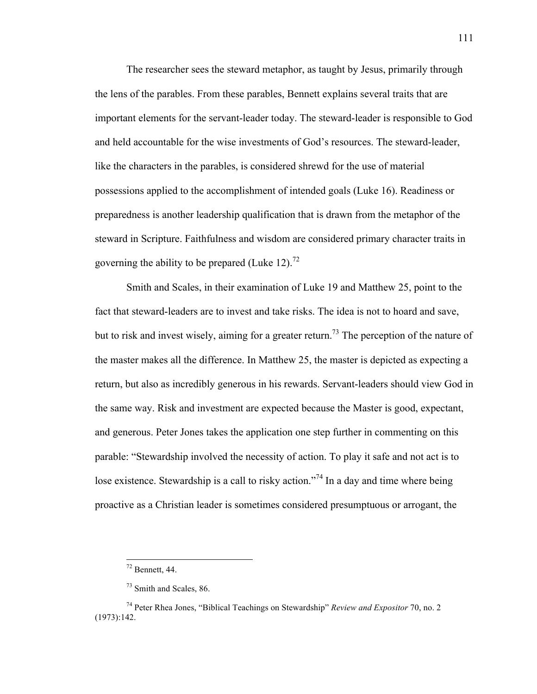The researcher sees the steward metaphor, as taught by Jesus, primarily through the lens of the parables. From these parables, Bennett explains several traits that are important elements for the servant-leader today. The steward-leader is responsible to God and held accountable for the wise investments of God's resources. The steward-leader, like the characters in the parables, is considered shrewd for the use of material possessions applied to the accomplishment of intended goals (Luke 16). Readiness or preparedness is another leadership qualification that is drawn from the metaphor of the steward in Scripture. Faithfulness and wisdom are considered primary character traits in governing the ability to be prepared (Luke 12).<sup>72</sup>

Smith and Scales, in their examination of Luke 19 and Matthew 25, point to the fact that steward-leaders are to invest and take risks. The idea is not to hoard and save, but to risk and invest wisely, aiming for a greater return.<sup>73</sup> The perception of the nature of the master makes all the difference. In Matthew 25, the master is depicted as expecting a return, but also as incredibly generous in his rewards. Servant-leaders should view God in the same way. Risk and investment are expected because the Master is good, expectant, and generous. Peter Jones takes the application one step further in commenting on this parable: "Stewardship involved the necessity of action. To play it safe and not act is to lose existence. Stewardship is a call to risky action."<sup>74</sup> In a day and time where being proactive as a Christian leader is sometimes considered presumptuous or arrogant, the

 $72$  Bennett, 44.

<sup>73</sup> Smith and Scales, 86.

<sup>74</sup> Peter Rhea Jones, "Biblical Teachings on Stewardship" *Review and Expositor* 70, no. 2 (1973):142.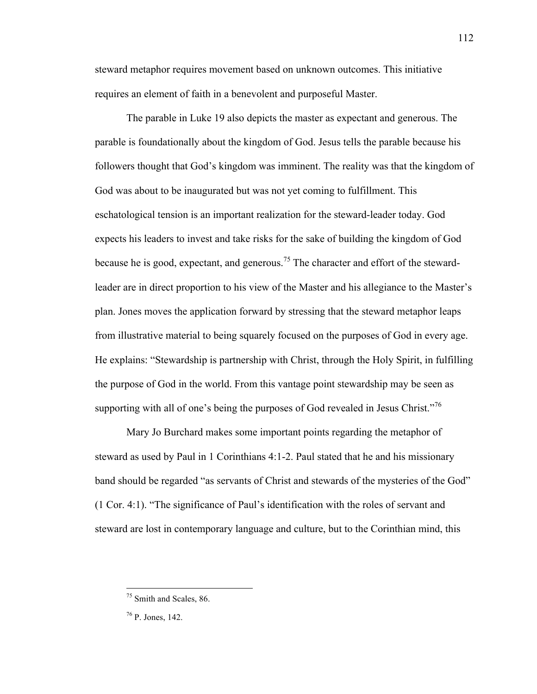steward metaphor requires movement based on unknown outcomes. This initiative requires an element of faith in a benevolent and purposeful Master.

The parable in Luke 19 also depicts the master as expectant and generous. The parable is foundationally about the kingdom of God. Jesus tells the parable because his followers thought that God's kingdom was imminent. The reality was that the kingdom of God was about to be inaugurated but was not yet coming to fulfillment. This eschatological tension is an important realization for the steward-leader today. God expects his leaders to invest and take risks for the sake of building the kingdom of God because he is good, expectant, and generous.<sup>75</sup> The character and effort of the stewardleader are in direct proportion to his view of the Master and his allegiance to the Master's plan. Jones moves the application forward by stressing that the steward metaphor leaps from illustrative material to being squarely focused on the purposes of God in every age. He explains: "Stewardship is partnership with Christ, through the Holy Spirit, in fulfilling the purpose of God in the world. From this vantage point stewardship may be seen as supporting with all of one's being the purposes of God revealed in Jesus Christ."<sup>76</sup>

Mary Jo Burchard makes some important points regarding the metaphor of steward as used by Paul in 1 Corinthians 4:1-2. Paul stated that he and his missionary band should be regarded "as servants of Christ and stewards of the mysteries of the God" (1 Cor. 4:1). "The significance of Paul's identification with the roles of servant and steward are lost in contemporary language and culture, but to the Corinthian mind, this

<sup>&</sup>lt;sup>75</sup> Smith and Scales, 86.

<sup>76</sup> P. Jones, 142.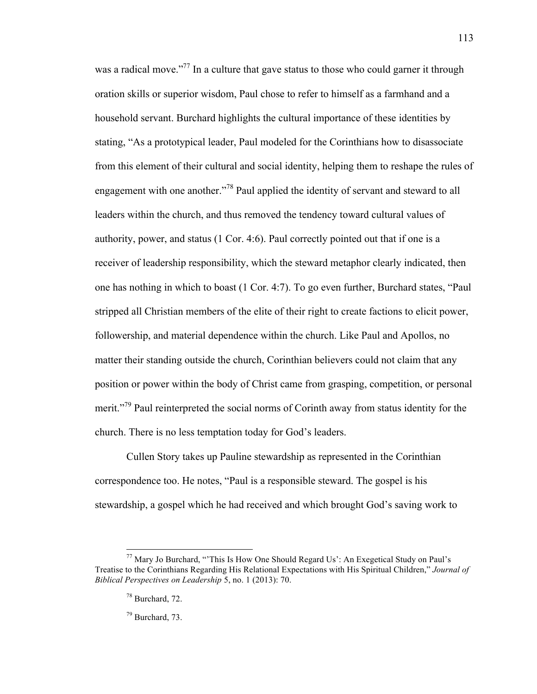was a radical move."<sup>77</sup> In a culture that gave status to those who could garner it through oration skills or superior wisdom, Paul chose to refer to himself as a farmhand and a household servant. Burchard highlights the cultural importance of these identities by stating, "As a prototypical leader, Paul modeled for the Corinthians how to disassociate from this element of their cultural and social identity, helping them to reshape the rules of engagement with one another.<sup>778</sup> Paul applied the identity of servant and steward to all leaders within the church, and thus removed the tendency toward cultural values of authority, power, and status (1 Cor. 4:6). Paul correctly pointed out that if one is a receiver of leadership responsibility, which the steward metaphor clearly indicated, then one has nothing in which to boast (1 Cor. 4:7). To go even further, Burchard states, "Paul stripped all Christian members of the elite of their right to create factions to elicit power, followership, and material dependence within the church. Like Paul and Apollos, no matter their standing outside the church, Corinthian believers could not claim that any position or power within the body of Christ came from grasping, competition, or personal merit."<sup>79</sup> Paul reinterpreted the social norms of Corinth away from status identity for the church. There is no less temptation today for God's leaders.

Cullen Story takes up Pauline stewardship as represented in the Corinthian correspondence too. He notes, "Paul is a responsible steward. The gospel is his stewardship, a gospel which he had received and which brought God's saving work to

113

<sup>79</sup> Burchard, 73.

 $77$  Mary Jo Burchard, "This Is How One Should Regard Us': An Exegetical Study on Paul's Treatise to the Corinthians Regarding His Relational Expectations with His Spiritual Children," *Journal of Biblical Perspectives on Leadership* 5, no. 1 (2013): 70.

<sup>78</sup> Burchard, 72.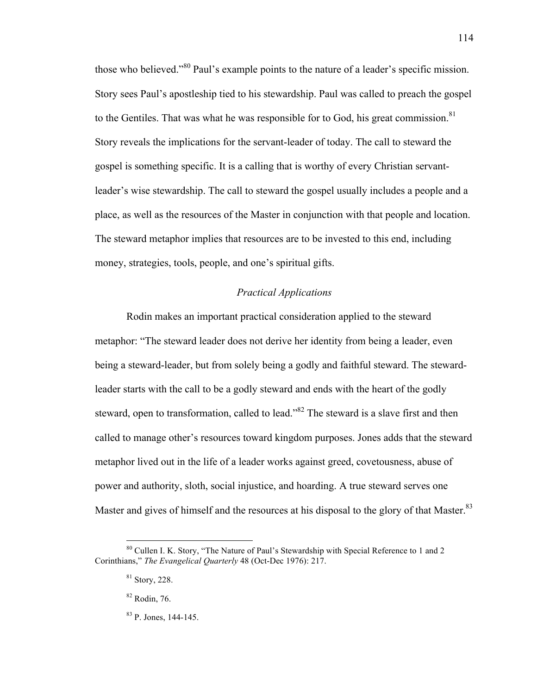those who believed."<sup>80</sup> Paul's example points to the nature of a leader's specific mission. Story sees Paul's apostleship tied to his stewardship. Paul was called to preach the gospel to the Gentiles. That was what he was responsible for to God, his great commission.<sup>81</sup> Story reveals the implications for the servant-leader of today. The call to steward the gospel is something specific. It is a calling that is worthy of every Christian servantleader's wise stewardship. The call to steward the gospel usually includes a people and a place, as well as the resources of the Master in conjunction with that people and location. The steward metaphor implies that resources are to be invested to this end, including money, strategies, tools, people, and one's spiritual gifts.

# *Practical Applications*

Rodin makes an important practical consideration applied to the steward metaphor: "The steward leader does not derive her identity from being a leader, even being a steward-leader, but from solely being a godly and faithful steward. The stewardleader starts with the call to be a godly steward and ends with the heart of the godly steward, open to transformation, called to lead."<sup>82</sup> The steward is a slave first and then called to manage other's resources toward kingdom purposes. Jones adds that the steward metaphor lived out in the life of a leader works against greed, covetousness, abuse of power and authority, sloth, social injustice, and hoarding. A true steward serves one Master and gives of himself and the resources at his disposal to the glory of that Master.<sup>83</sup>

 <sup>80</sup> Cullen I. K. Story, "The Nature of Paul's Stewardship with Special Reference to 1 and 2 Corinthians," *The Evangelical Quarterly* 48 (Oct-Dec 1976): 217.

<sup>81</sup> Story, 228.

<sup>82</sup> Rodin, 76.

<sup>83</sup> P. Jones, 144-145.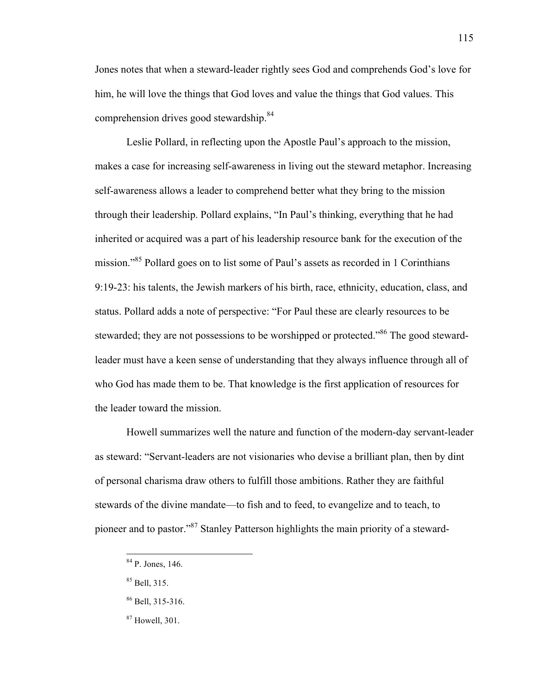Jones notes that when a steward-leader rightly sees God and comprehends God's love for him, he will love the things that God loves and value the things that God values. This comprehension drives good stewardship.<sup>84</sup>

Leslie Pollard, in reflecting upon the Apostle Paul's approach to the mission, makes a case for increasing self-awareness in living out the steward metaphor. Increasing self-awareness allows a leader to comprehend better what they bring to the mission through their leadership. Pollard explains, "In Paul's thinking, everything that he had inherited or acquired was a part of his leadership resource bank for the execution of the mission."<sup>85</sup> Pollard goes on to list some of Paul's assets as recorded in 1 Corinthians 9:19-23: his talents, the Jewish markers of his birth, race, ethnicity, education, class, and status. Pollard adds a note of perspective: "For Paul these are clearly resources to be stewarded; they are not possessions to be worshipped or protected."<sup>86</sup> The good stewardleader must have a keen sense of understanding that they always influence through all of who God has made them to be. That knowledge is the first application of resources for the leader toward the mission.

Howell summarizes well the nature and function of the modern-day servant-leader as steward: "Servant-leaders are not visionaries who devise a brilliant plan, then by dint of personal charisma draw others to fulfill those ambitions. Rather they are faithful stewards of the divine mandate—to fish and to feed, to evangelize and to teach, to pioneer and to pastor."87 Stanley Patterson highlights the main priority of a steward-

 <sup>84</sup> P. Jones, 146.

<sup>85</sup> Bell, 315.

 $86$  Bell, 315-316.

 $87$  Howell, 301.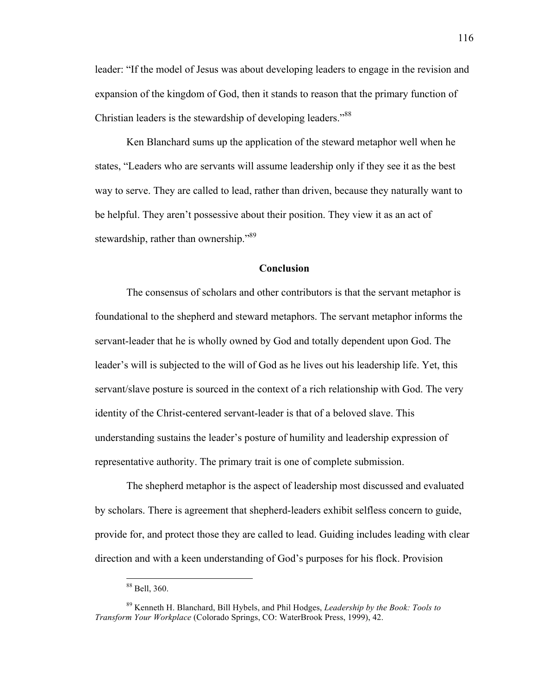leader: "If the model of Jesus was about developing leaders to engage in the revision and expansion of the kingdom of God, then it stands to reason that the primary function of Christian leaders is the stewardship of developing leaders."<sup>88</sup>

Ken Blanchard sums up the application of the steward metaphor well when he states, "Leaders who are servants will assume leadership only if they see it as the best way to serve. They are called to lead, rather than driven, because they naturally want to be helpful. They aren't possessive about their position. They view it as an act of stewardship, rather than ownership."<sup>89</sup>

### **Conclusion**

The consensus of scholars and other contributors is that the servant metaphor is foundational to the shepherd and steward metaphors. The servant metaphor informs the servant-leader that he is wholly owned by God and totally dependent upon God. The leader's will is subjected to the will of God as he lives out his leadership life. Yet, this servant/slave posture is sourced in the context of a rich relationship with God. The very identity of the Christ-centered servant-leader is that of a beloved slave. This understanding sustains the leader's posture of humility and leadership expression of representative authority. The primary trait is one of complete submission.

The shepherd metaphor is the aspect of leadership most discussed and evaluated by scholars. There is agreement that shepherd-leaders exhibit selfless concern to guide, provide for, and protect those they are called to lead. Guiding includes leading with clear direction and with a keen understanding of God's purposes for his flock. Provision

 <sup>88</sup> Bell, 360.

<sup>89</sup> Kenneth H. Blanchard, Bill Hybels, and Phil Hodges, *Leadership by the Book: Tools to Transform Your Workplace* (Colorado Springs, CO: WaterBrook Press, 1999), 42.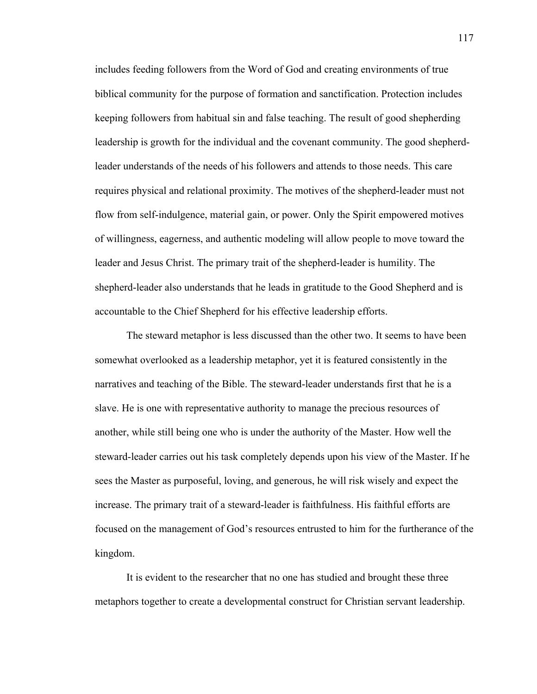includes feeding followers from the Word of God and creating environments of true biblical community for the purpose of formation and sanctification. Protection includes keeping followers from habitual sin and false teaching. The result of good shepherding leadership is growth for the individual and the covenant community. The good shepherdleader understands of the needs of his followers and attends to those needs. This care requires physical and relational proximity. The motives of the shepherd-leader must not flow from self-indulgence, material gain, or power. Only the Spirit empowered motives of willingness, eagerness, and authentic modeling will allow people to move toward the leader and Jesus Christ. The primary trait of the shepherd-leader is humility. The shepherd-leader also understands that he leads in gratitude to the Good Shepherd and is accountable to the Chief Shepherd for his effective leadership efforts.

The steward metaphor is less discussed than the other two. It seems to have been somewhat overlooked as a leadership metaphor, yet it is featured consistently in the narratives and teaching of the Bible. The steward-leader understands first that he is a slave. He is one with representative authority to manage the precious resources of another, while still being one who is under the authority of the Master. How well the steward-leader carries out his task completely depends upon his view of the Master. If he sees the Master as purposeful, loving, and generous, he will risk wisely and expect the increase. The primary trait of a steward-leader is faithfulness. His faithful efforts are focused on the management of God's resources entrusted to him for the furtherance of the kingdom.

It is evident to the researcher that no one has studied and brought these three metaphors together to create a developmental construct for Christian servant leadership.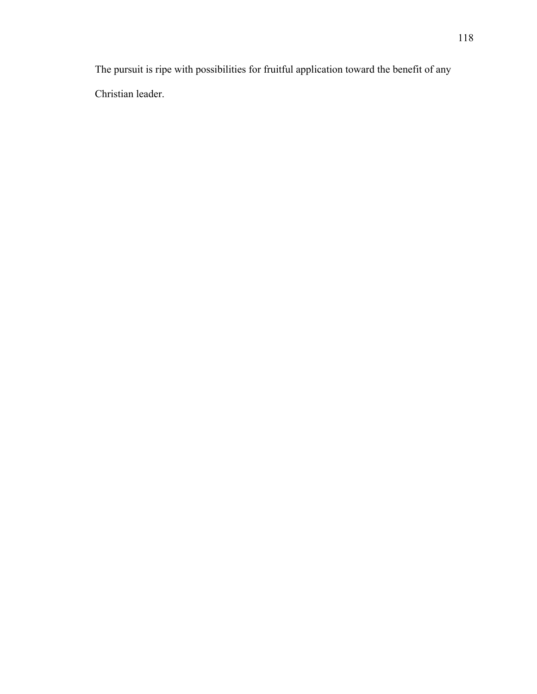The pursuit is ripe with possibilities for fruitful application toward the benefit of any Christian leader.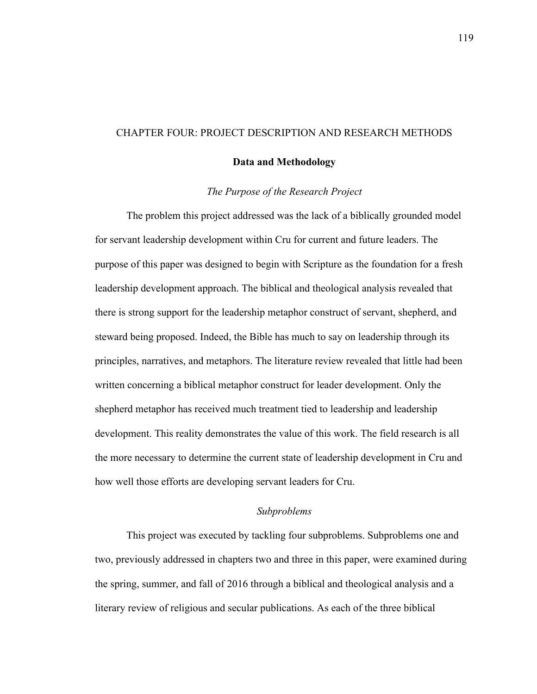# CHAPTER FOUR: PROJECT DESCRIPTION AND RESEARCH METHODS

### **Data and Methodology**

### *The Purpose of the Research Project*

The problem this project addressed was the lack of a biblically grounded model for servant leadership development within Cru for current and future leaders. The purpose of this paper was designed to begin with Scripture as the foundation for a fresh leadership development approach. The biblical and theological analysis revealed that there is strong support for the leadership metaphor construct of servant, shepherd, and steward being proposed. Indeed, the Bible has much to say on leadership through its principles, narratives, and metaphors. The literature review revealed that little had been written concerning a biblical metaphor construct for leader development. Only the shepherd metaphor has received much treatment tied to leadership and leadership development. This reality demonstrates the value of this work. The field research is all the more necessary to determine the current state of leadership development in Cru and how well those efforts are developing servant leaders for Cru.

# *Subproblems*

This project was executed by tackling four subproblems. Subproblems one and two, previously addressed in chapters two and three in this paper, were examined during the spring, summer, and fall of 2016 through a biblical and theological analysis and a literary review of religious and secular publications. As each of the three biblical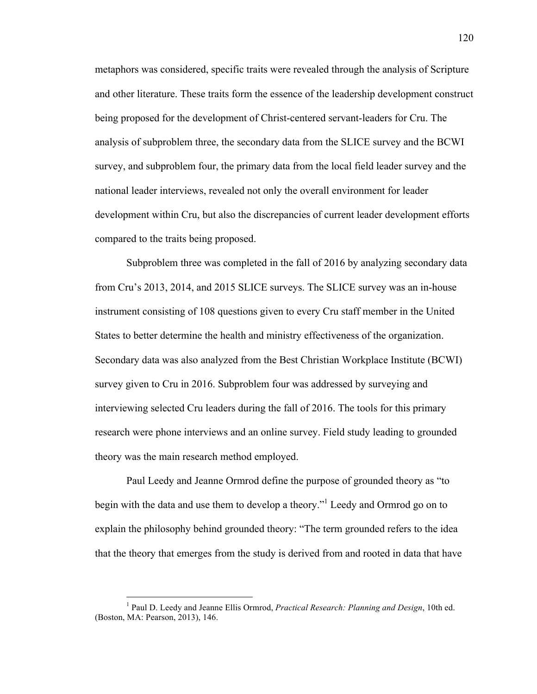metaphors was considered, specific traits were revealed through the analysis of Scripture and other literature. These traits form the essence of the leadership development construct being proposed for the development of Christ-centered servant-leaders for Cru. The analysis of subproblem three, the secondary data from the SLICE survey and the BCWI survey, and subproblem four, the primary data from the local field leader survey and the national leader interviews, revealed not only the overall environment for leader development within Cru, but also the discrepancies of current leader development efforts compared to the traits being proposed.

Subproblem three was completed in the fall of 2016 by analyzing secondary data from Cru's 2013, 2014, and 2015 SLICE surveys. The SLICE survey was an in-house instrument consisting of 108 questions given to every Cru staff member in the United States to better determine the health and ministry effectiveness of the organization. Secondary data was also analyzed from the Best Christian Workplace Institute (BCWI) survey given to Cru in 2016. Subproblem four was addressed by surveying and interviewing selected Cru leaders during the fall of 2016. The tools for this primary research were phone interviews and an online survey. Field study leading to grounded theory was the main research method employed.

Paul Leedy and Jeanne Ormrod define the purpose of grounded theory as "to begin with the data and use them to develop a theory." <sup>1</sup> Leedy and Ormrod go on to explain the philosophy behind grounded theory: "The term grounded refers to the idea that the theory that emerges from the study is derived from and rooted in data that have

 <sup>1</sup> Paul D. Leedy and Jeanne Ellis Ormrod, *Practical Research: Planning and Design*, 10th ed. (Boston, MA: Pearson, 2013), 146.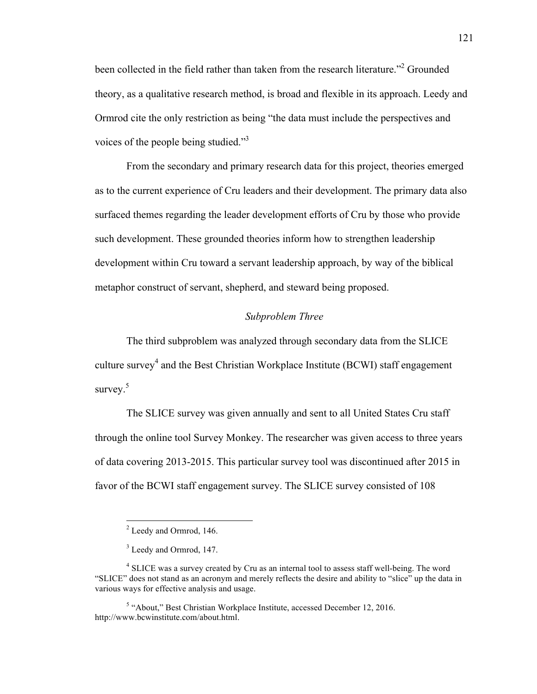been collected in the field rather than taken from the research literature."<sup>2</sup> Grounded theory, as a qualitative research method, is broad and flexible in its approach. Leedy and Ormrod cite the only restriction as being "the data must include the perspectives and voices of the people being studied."<sup>3</sup>

From the secondary and primary research data for this project, theories emerged as to the current experience of Cru leaders and their development. The primary data also surfaced themes regarding the leader development efforts of Cru by those who provide such development. These grounded theories inform how to strengthen leadership development within Cru toward a servant leadership approach, by way of the biblical metaphor construct of servant, shepherd, and steward being proposed.

# *Subproblem Three*

The third subproblem was analyzed through secondary data from the SLICE culture survey<sup>4</sup> and the Best Christian Workplace Institute (BCWI) staff engagement survey. 5

The SLICE survey was given annually and sent to all United States Cru staff through the online tool Survey Monkey. The researcher was given access to three years of data covering 2013-2015. This particular survey tool was discontinued after 2015 in favor of the BCWI staff engagement survey. The SLICE survey consisted of 108

 <sup>2</sup> Leedy and Ormrod, 146.

<sup>&</sup>lt;sup>3</sup> Leedy and Ormrod, 147.

<sup>&</sup>lt;sup>4</sup> SLICE was a survey created by Cru as an internal tool to assess staff well-being. The word "SLICE" does not stand as an acronym and merely reflects the desire and ability to "slice" up the data in various ways for effective analysis and usage.

<sup>5</sup> "About," Best Christian Workplace Institute, accessed December 12, 2016. http://www.bcwinstitute.com/about.html.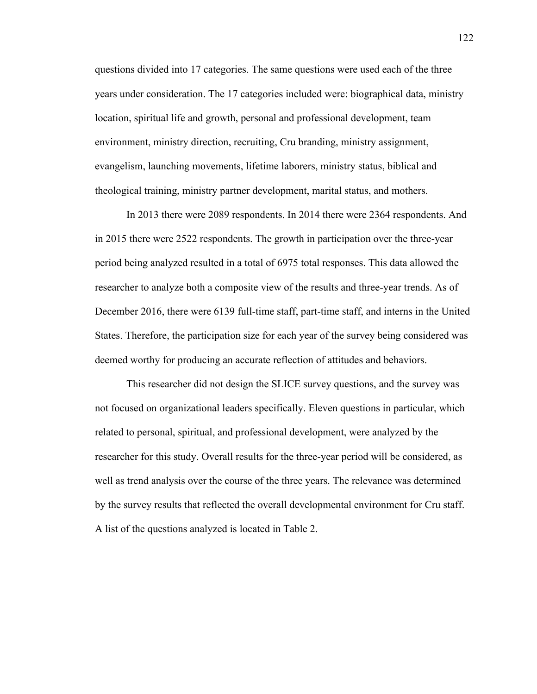questions divided into 17 categories. The same questions were used each of the three years under consideration. The 17 categories included were: biographical data, ministry location, spiritual life and growth, personal and professional development, team environment, ministry direction, recruiting, Cru branding, ministry assignment, evangelism, launching movements, lifetime laborers, ministry status, biblical and theological training, ministry partner development, marital status, and mothers.

In 2013 there were 2089 respondents. In 2014 there were 2364 respondents. And in 2015 there were 2522 respondents. The growth in participation over the three-year period being analyzed resulted in a total of 6975 total responses. This data allowed the researcher to analyze both a composite view of the results and three-year trends. As of December 2016, there were 6139 full-time staff, part-time staff, and interns in the United States. Therefore, the participation size for each year of the survey being considered was deemed worthy for producing an accurate reflection of attitudes and behaviors.

This researcher did not design the SLICE survey questions, and the survey was not focused on organizational leaders specifically. Eleven questions in particular, which related to personal, spiritual, and professional development, were analyzed by the researcher for this study. Overall results for the three-year period will be considered, as well as trend analysis over the course of the three years. The relevance was determined by the survey results that reflected the overall developmental environment for Cru staff. A list of the questions analyzed is located in Table 2.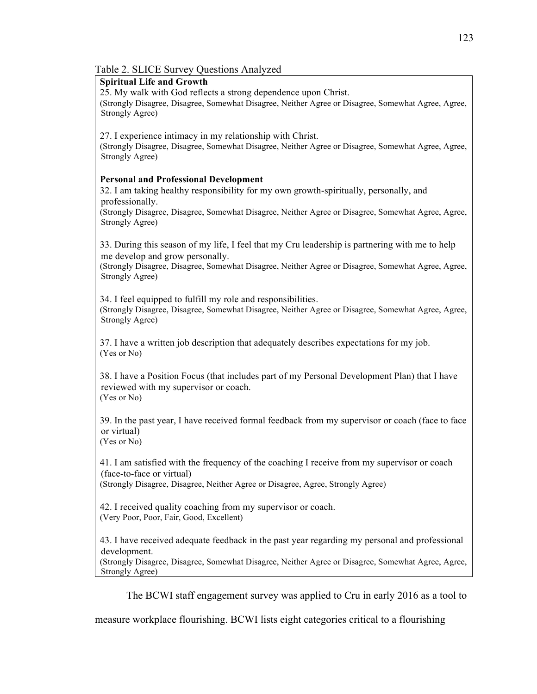# Table 2. SLICE Survey Questions Analyzed

# **Spiritual Life and Growth**

25. My walk with God reflects a strong dependence upon Christ.

(Strongly Disagree, Disagree, Somewhat Disagree, Neither Agree or Disagree, Somewhat Agree, Agree, Strongly Agree)

27. I experience intimacy in my relationship with Christ.

(Strongly Disagree, Disagree, Somewhat Disagree, Neither Agree or Disagree, Somewhat Agree, Agree, Strongly Agree)

# **Personal and Professional Development**

32. I am taking healthy responsibility for my own growth-spiritually, personally, and professionally.

(Strongly Disagree, Disagree, Somewhat Disagree, Neither Agree or Disagree, Somewhat Agree, Agree, Strongly Agree)

33. During this season of my life, I feel that my Cru leadership is partnering with me to help me develop and grow personally.

(Strongly Disagree, Disagree, Somewhat Disagree, Neither Agree or Disagree, Somewhat Agree, Agree, Strongly Agree)

34. I feel equipped to fulfill my role and responsibilities. (Strongly Disagree, Disagree, Somewhat Disagree, Neither Agree or Disagree, Somewhat Agree, Agree, Strongly Agree)

37. I have a written job description that adequately describes expectations for my job. (Yes or No)

38. I have a Position Focus (that includes part of my Personal Development Plan) that I have reviewed with my supervisor or coach. (Yes or No)

39. In the past year, I have received formal feedback from my supervisor or coach (face to face or virtual)

(Yes or No)

41. I am satisfied with the frequency of the coaching I receive from my supervisor or coach (face-to-face or virtual)

(Strongly Disagree, Disagree, Neither Agree or Disagree, Agree, Strongly Agree)

42. I received quality coaching from my supervisor or coach. (Very Poor, Poor, Fair, Good, Excellent)

43. I have received adequate feedback in the past year regarding my personal and professional development.

(Strongly Disagree, Disagree, Somewhat Disagree, Neither Agree or Disagree, Somewhat Agree, Agree, Strongly Agree)

The BCWI staff engagement survey was applied to Cru in early 2016 as a tool to

measure workplace flourishing. BCWI lists eight categories critical to a flourishing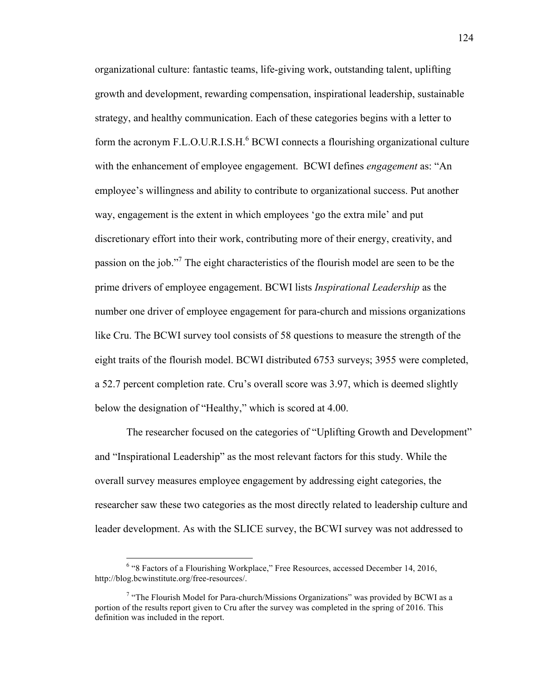organizational culture: fantastic teams, life-giving work, outstanding talent, uplifting growth and development, rewarding compensation, inspirational leadership, sustainable strategy, and healthy communication. Each of these categories begins with a letter to form the acronym F.L.O.U.R.I.S.H.<sup>6</sup> BCWI connects a flourishing organizational culture with the enhancement of employee engagement. BCWI defines *engagement* as: "An employee's willingness and ability to contribute to organizational success. Put another way, engagement is the extent in which employees 'go the extra mile' and put discretionary effort into their work, contributing more of their energy, creativity, and passion on the job."<sup>7</sup> The eight characteristics of the flourish model are seen to be the prime drivers of employee engagement. BCWI lists *Inspirational Leadership* as the number one driver of employee engagement for para-church and missions organizations like Cru. The BCWI survey tool consists of 58 questions to measure the strength of the eight traits of the flourish model. BCWI distributed 6753 surveys; 3955 were completed, a 52.7 percent completion rate. Cru's overall score was 3.97, which is deemed slightly below the designation of "Healthy," which is scored at 4.00.

The researcher focused on the categories of "Uplifting Growth and Development" and "Inspirational Leadership" as the most relevant factors for this study. While the overall survey measures employee engagement by addressing eight categories, the researcher saw these two categories as the most directly related to leadership culture and leader development. As with the SLICE survey, the BCWI survey was not addressed to

 <sup>6</sup> "8 Factors of a Flourishing Workplace," Free Resources, accessed December 14, 2016, http://blog.bcwinstitute.org/free-resources/.

 $7$  "The Flourish Model for Para-church/Missions Organizations" was provided by BCWI as a portion of the results report given to Cru after the survey was completed in the spring of 2016. This definition was included in the report.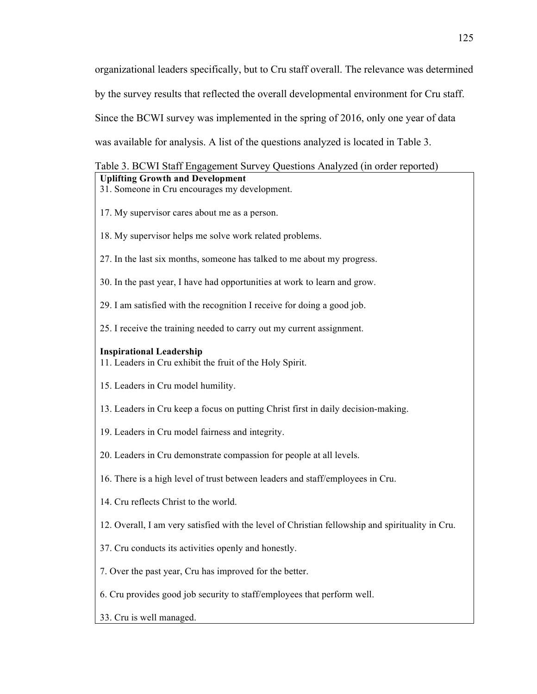organizational leaders specifically, but to Cru staff overall. The relevance was determined by the survey results that reflected the overall developmental environment for Cru staff. Since the BCWI survey was implemented in the spring of 2016, only one year of data was available for analysis. A list of the questions analyzed is located in Table 3.

# Table 3. BCWI Staff Engagement Survey Questions Analyzed (in order reported) **Uplifting Growth and Development**

- 31. Someone in Cru encourages my development.
- 17. My supervisor cares about me as a person.
- 18. My supervisor helps me solve work related problems.
- 27. In the last six months, someone has talked to me about my progress.
- 30. In the past year, I have had opportunities at work to learn and grow.
- 29. I am satisfied with the recognition I receive for doing a good job.
- 25. I receive the training needed to carry out my current assignment.

# **Inspirational Leadership**

- 11. Leaders in Cru exhibit the fruit of the Holy Spirit.
- 15. Leaders in Cru model humility.
- 13. Leaders in Cru keep a focus on putting Christ first in daily decision-making.
- 19. Leaders in Cru model fairness and integrity.
- 20. Leaders in Cru demonstrate compassion for people at all levels.
- 16. There is a high level of trust between leaders and staff/employees in Cru.
- 14. Cru reflects Christ to the world.
- 12. Overall, I am very satisfied with the level of Christian fellowship and spirituality in Cru.
- 37. Cru conducts its activities openly and honestly.
- 7. Over the past year, Cru has improved for the better.
- 6. Cru provides good job security to staff/employees that perform well.
- 33. Cru is well managed.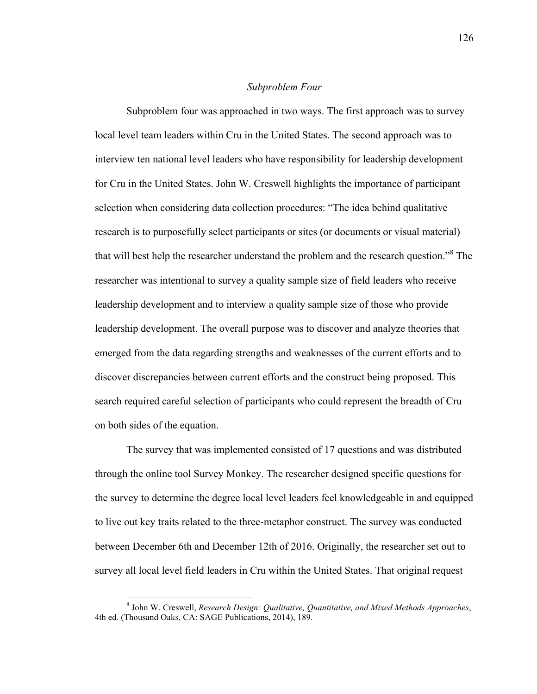## *Subproblem Four*

Subproblem four was approached in two ways. The first approach was to survey local level team leaders within Cru in the United States. The second approach was to interview ten national level leaders who have responsibility for leadership development for Cru in the United States. John W. Creswell highlights the importance of participant selection when considering data collection procedures: "The idea behind qualitative research is to purposefully select participants or sites (or documents or visual material) that will best help the researcher understand the problem and the research question."<sup>8</sup> The researcher was intentional to survey a quality sample size of field leaders who receive leadership development and to interview a quality sample size of those who provide leadership development. The overall purpose was to discover and analyze theories that emerged from the data regarding strengths and weaknesses of the current efforts and to discover discrepancies between current efforts and the construct being proposed. This search required careful selection of participants who could represent the breadth of Cru on both sides of the equation.

The survey that was implemented consisted of 17 questions and was distributed through the online tool Survey Monkey. The researcher designed specific questions for the survey to determine the degree local level leaders feel knowledgeable in and equipped to live out key traits related to the three-metaphor construct. The survey was conducted between December 6th and December 12th of 2016. Originally, the researcher set out to survey all local level field leaders in Cru within the United States. That original request

 <sup>8</sup> John W. Creswell, *Research Design: Qualitative, Quantitative, and Mixed Methods Approaches*, 4th ed. (Thousand Oaks, CA: SAGE Publications, 2014), 189.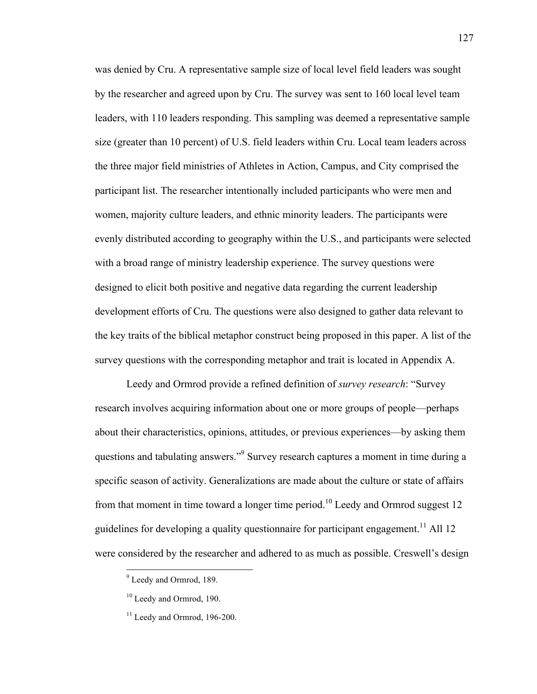was denied by Cru. A representative sample size of local level field leaders was sought by the researcher and agreed upon by Cru. The survey was sent to 160 local level team leaders, with 110 leaders responding. This sampling was deemed a representative sample size (greater than 10 percent) of U.S. field leaders within Cru. Local team leaders across the three major field ministries of Athletes in Action, Campus, and City comprised the participant list. The researcher intentionally included participants who were men and women, majority culture leaders, and ethnic minority leaders. The participants were evenly distributed according to geography within the U.S., and participants were selected with a broad range of ministry leadership experience. The survey questions were designed to elicit both positive and negative data regarding the current leadership development efforts of Cru. The questions were also designed to gather data relevant to the key traits of the biblical metaphor construct being proposed in this paper. A list of the survey questions with the corresponding metaphor and trait is located in Appendix A.

Leedy and Ormrod provide a refined definition of *survey research*: "Survey research involves acquiring information about one or more groups of people—perhaps about their characteristics, opinions, attitudes, or previous experiences—by asking them questions and tabulating answers."9 Survey research captures a moment in time during a specific season of activity. Generalizations are made about the culture or state of affairs from that moment in time toward a longer time period.<sup>10</sup> Leedy and Ormrod suggest 12 guidelines for developing a quality questionnaire for participant engagement.<sup>11</sup> All 12 were considered by the researcher and adhered to as much as possible. Creswell's design

 <sup>9</sup> Leedy and Ormrod, 189.

<sup>&</sup>lt;sup>10</sup> Leedy and Ormrod, 190.

 $11$  Leedy and Ormrod, 196-200.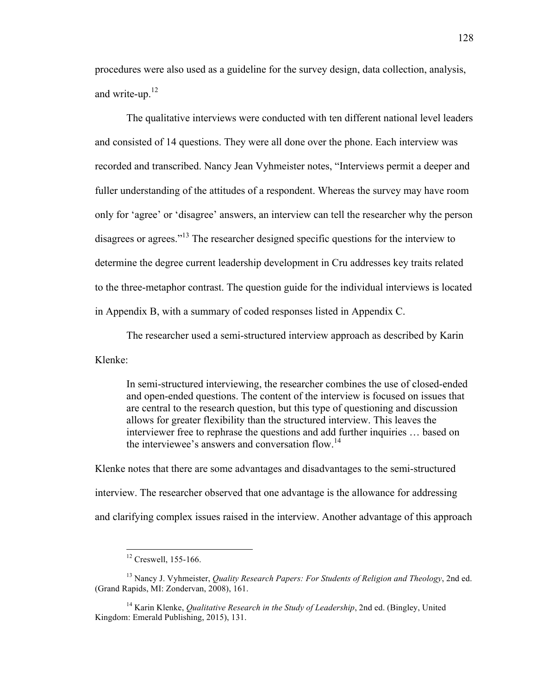procedures were also used as a guideline for the survey design, data collection, analysis, and write-up.<sup>12</sup>

The qualitative interviews were conducted with ten different national level leaders and consisted of 14 questions. They were all done over the phone. Each interview was recorded and transcribed. Nancy Jean Vyhmeister notes, "Interviews permit a deeper and fuller understanding of the attitudes of a respondent. Whereas the survey may have room only for 'agree' or 'disagree' answers, an interview can tell the researcher why the person disagrees or agrees."<sup>13</sup> The researcher designed specific questions for the interview to determine the degree current leadership development in Cru addresses key traits related to the three-metaphor contrast. The question guide for the individual interviews is located in Appendix B, with a summary of coded responses listed in Appendix C.

The researcher used a semi-structured interview approach as described by Karin

Klenke:

In semi-structured interviewing, the researcher combines the use of closed-ended and open-ended questions. The content of the interview is focused on issues that are central to the research question, but this type of questioning and discussion allows for greater flexibility than the structured interview. This leaves the interviewer free to rephrase the questions and add further inquiries … based on the interviewee's answers and conversation flow.<sup>14</sup>

Klenke notes that there are some advantages and disadvantages to the semi-structured interview. The researcher observed that one advantage is the allowance for addressing and clarifying complex issues raised in the interview. Another advantage of this approach

<sup>&</sup>lt;sup>12</sup> Creswell, 155-166.

<sup>13</sup> Nancy J. Vyhmeister, *Quality Research Papers: For Students of Religion and Theology*, 2nd ed. (Grand Rapids, MI: Zondervan, 2008), 161.

<sup>&</sup>lt;sup>14</sup> Karin Klenke, *Qualitative Research in the Study of Leadership*, 2nd ed. (Bingley, United Kingdom: Emerald Publishing, 2015), 131.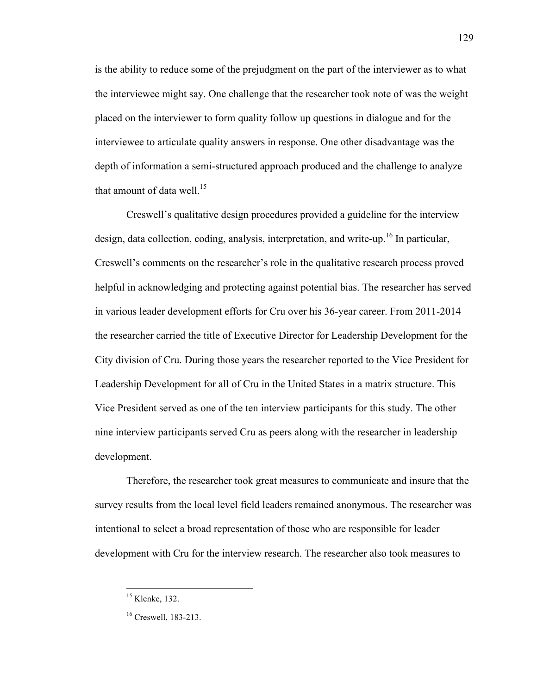is the ability to reduce some of the prejudgment on the part of the interviewer as to what the interviewee might say. One challenge that the researcher took note of was the weight placed on the interviewer to form quality follow up questions in dialogue and for the interviewee to articulate quality answers in response. One other disadvantage was the depth of information a semi-structured approach produced and the challenge to analyze that amount of data well.<sup>15</sup>

Creswell's qualitative design procedures provided a guideline for the interview design, data collection, coding, analysis, interpretation, and write-up.<sup>16</sup> In particular, Creswell's comments on the researcher's role in the qualitative research process proved helpful in acknowledging and protecting against potential bias. The researcher has served in various leader development efforts for Cru over his 36-year career. From 2011-2014 the researcher carried the title of Executive Director for Leadership Development for the City division of Cru. During those years the researcher reported to the Vice President for Leadership Development for all of Cru in the United States in a matrix structure. This Vice President served as one of the ten interview participants for this study. The other nine interview participants served Cru as peers along with the researcher in leadership development.

Therefore, the researcher took great measures to communicate and insure that the survey results from the local level field leaders remained anonymous. The researcher was intentional to select a broad representation of those who are responsible for leader development with Cru for the interview research. The researcher also took measures to

<sup>&</sup>lt;sup>15</sup> Klenke, 132.

<sup>16</sup> Creswell, 183-213.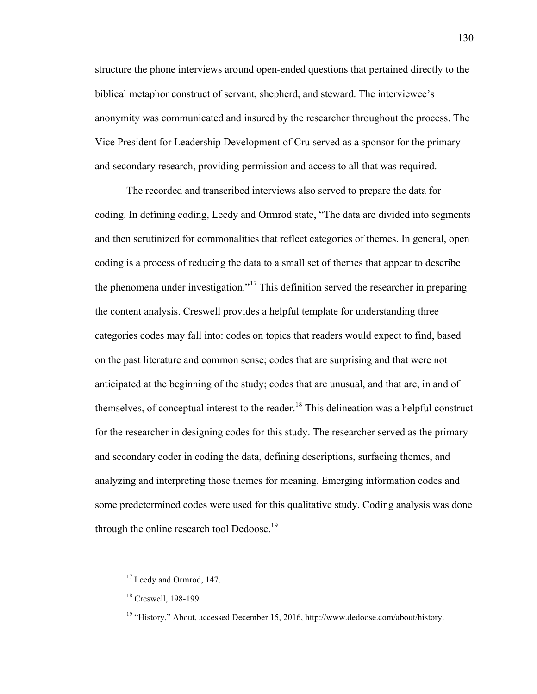structure the phone interviews around open-ended questions that pertained directly to the biblical metaphor construct of servant, shepherd, and steward. The interviewee's anonymity was communicated and insured by the researcher throughout the process. The Vice President for Leadership Development of Cru served as a sponsor for the primary and secondary research, providing permission and access to all that was required.

The recorded and transcribed interviews also served to prepare the data for coding. In defining coding, Leedy and Ormrod state, "The data are divided into segments and then scrutinized for commonalities that reflect categories of themes. In general, open coding is a process of reducing the data to a small set of themes that appear to describe the phenomena under investigation."<sup>17</sup> This definition served the researcher in preparing the content analysis. Creswell provides a helpful template for understanding three categories codes may fall into: codes on topics that readers would expect to find, based on the past literature and common sense; codes that are surprising and that were not anticipated at the beginning of the study; codes that are unusual, and that are, in and of themselves, of conceptual interest to the reader.<sup>18</sup> This delineation was a helpful construct for the researcher in designing codes for this study. The researcher served as the primary and secondary coder in coding the data, defining descriptions, surfacing themes, and analyzing and interpreting those themes for meaning. Emerging information codes and some predetermined codes were used for this qualitative study. Coding analysis was done through the online research tool Dedoose.<sup>19</sup>

<sup>&</sup>lt;sup>17</sup> Leedy and Ormrod, 147.

<sup>&</sup>lt;sup>18</sup> Creswell, 198-199.

 $19$  "History," About, accessed December 15, 2016, http://www.dedoose.com/about/history.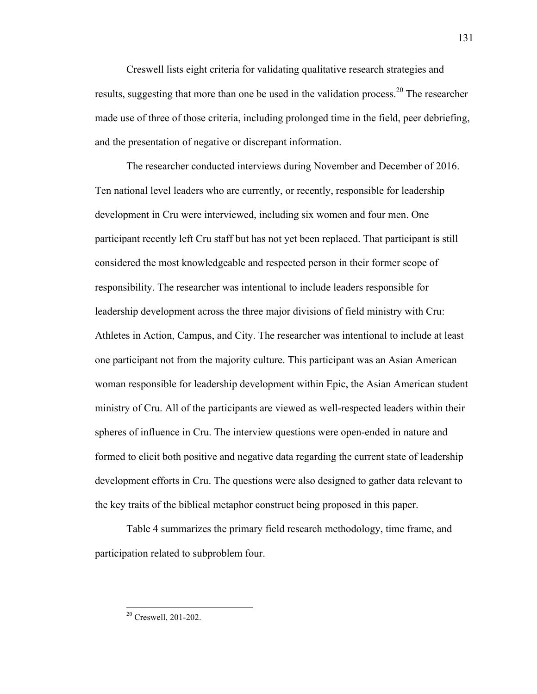Creswell lists eight criteria for validating qualitative research strategies and results, suggesting that more than one be used in the validation process.<sup>20</sup> The researcher made use of three of those criteria, including prolonged time in the field, peer debriefing, and the presentation of negative or discrepant information.

The researcher conducted interviews during November and December of 2016. Ten national level leaders who are currently, or recently, responsible for leadership development in Cru were interviewed, including six women and four men. One participant recently left Cru staff but has not yet been replaced. That participant is still considered the most knowledgeable and respected person in their former scope of responsibility. The researcher was intentional to include leaders responsible for leadership development across the three major divisions of field ministry with Cru: Athletes in Action, Campus, and City. The researcher was intentional to include at least one participant not from the majority culture. This participant was an Asian American woman responsible for leadership development within Epic, the Asian American student ministry of Cru. All of the participants are viewed as well-respected leaders within their spheres of influence in Cru. The interview questions were open-ended in nature and formed to elicit both positive and negative data regarding the current state of leadership development efforts in Cru. The questions were also designed to gather data relevant to the key traits of the biblical metaphor construct being proposed in this paper.

Table 4 summarizes the primary field research methodology, time frame, and participation related to subproblem four.

 <sup>20</sup> Creswell, 201-202.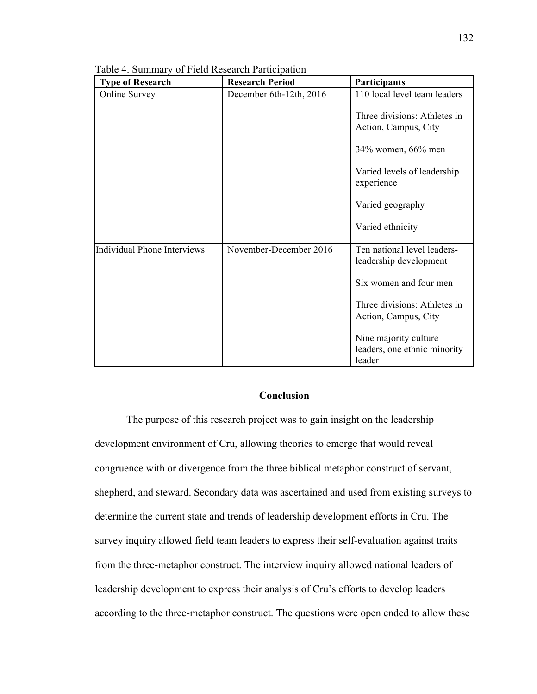| <b>Type of Research</b>            | <b>Research Period</b>  | Participants                                                    |
|------------------------------------|-------------------------|-----------------------------------------------------------------|
| <b>Online Survey</b>               | December 6th-12th, 2016 | 110 local level team leaders                                    |
|                                    |                         | Three divisions: Athletes in<br>Action, Campus, City            |
|                                    |                         | 34% women, 66% men                                              |
|                                    |                         | Varied levels of leadership<br>experience                       |
|                                    |                         | Varied geography                                                |
|                                    |                         | Varied ethnicity                                                |
| <b>Individual Phone Interviews</b> | November-December 2016  | Ten national level leaders-<br>leadership development           |
|                                    |                         | Six women and four men                                          |
|                                    |                         | Three divisions: Athletes in<br>Action, Campus, City            |
|                                    |                         | Nine majority culture<br>leaders, one ethnic minority<br>leader |

Table 4. Summary of Field Research Participation

# **Conclusion**

The purpose of this research project was to gain insight on the leadership development environment of Cru, allowing theories to emerge that would reveal congruence with or divergence from the three biblical metaphor construct of servant, shepherd, and steward. Secondary data was ascertained and used from existing surveys to determine the current state and trends of leadership development efforts in Cru. The survey inquiry allowed field team leaders to express their self-evaluation against traits from the three-metaphor construct. The interview inquiry allowed national leaders of leadership development to express their analysis of Cru's efforts to develop leaders according to the three-metaphor construct. The questions were open ended to allow these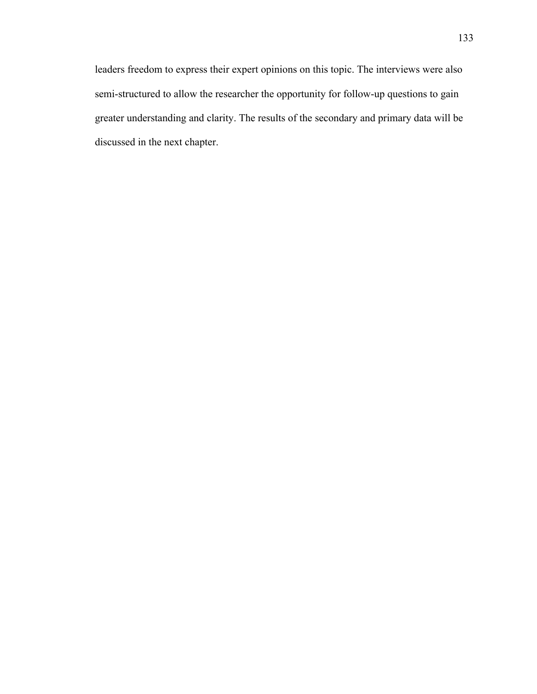leaders freedom to express their expert opinions on this topic. The interviews were also semi-structured to allow the researcher the opportunity for follow-up questions to gain greater understanding and clarity. The results of the secondary and primary data will be discussed in the next chapter.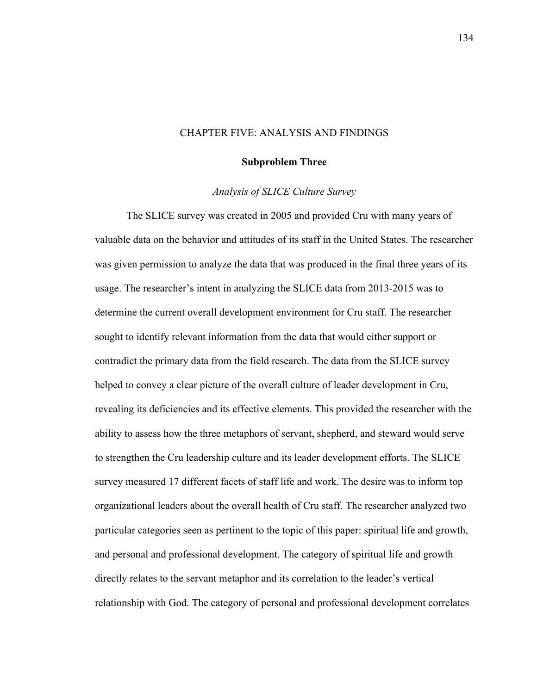## CHAPTER FIVE: ANALYSIS AND FINDINGS

### **Subproblem Three**

### *Analysis of SLICE Culture Survey*

The SLICE survey was created in 2005 and provided Cru with many years of valuable data on the behavior and attitudes of its staff in the United States. The researcher was given permission to analyze the data that was produced in the final three years of its usage. The researcher's intent in analyzing the SLICE data from 2013-2015 was to determine the current overall development environment for Cru staff. The researcher sought to identify relevant information from the data that would either support or contradict the primary data from the field research. The data from the SLICE survey helped to convey a clear picture of the overall culture of leader development in Cru, revealing its deficiencies and its effective elements. This provided the researcher with the ability to assess how the three metaphors of servant, shepherd, and steward would serve to strengthen the Cru leadership culture and its leader development efforts. The SLICE survey measured 17 different facets of staff life and work. The desire was to inform top organizational leaders about the overall health of Cru staff. The researcher analyzed two particular categories seen as pertinent to the topic of this paper: spiritual life and growth, and personal and professional development. The category of spiritual life and growth directly relates to the servant metaphor and its correlation to the leader's vertical relationship with God. The category of personal and professional development correlates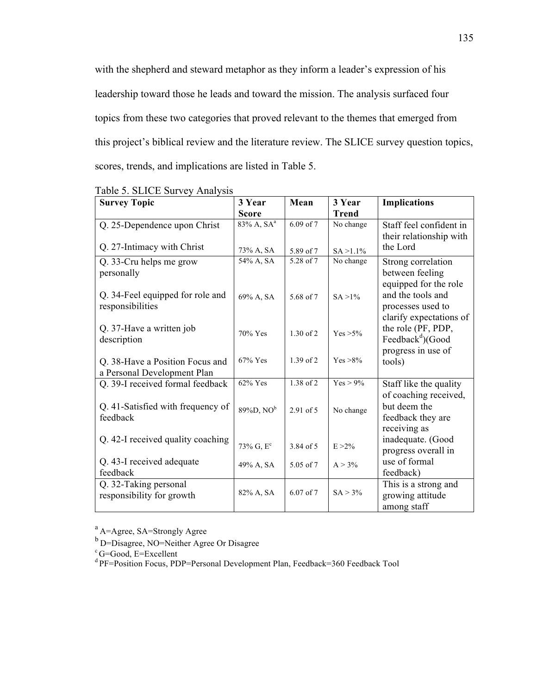with the shepherd and steward metaphor as they inform a leader's expression of his leadership toward those he leads and toward the mission. The analysis surfaced four topics from these two categories that proved relevant to the themes that emerged from this project's biblical review and the literature review. The SLICE survey question topics, scores, trends, and implications are listed in Table 5.

| <b>Survey Topic</b>                     | 3 Year                 | Mean          | 3 Year       | <b>Implications</b>                                |
|-----------------------------------------|------------------------|---------------|--------------|----------------------------------------------------|
|                                         | <b>Score</b>           |               | <b>Trend</b> |                                                    |
| Q. 25-Dependence upon Christ            | 83% A, SA <sup>a</sup> | 6.09 of 7     | No change    | Staff feel confident in                            |
|                                         |                        |               |              | their relationship with                            |
| Q. 27-Intimacy with Christ              | 73% A, SA              | 5.89 of 7     | $SA > 1.1\%$ | the Lord                                           |
| Q. 33-Cru helps me grow                 | 54% A, SA              | 5.28 of 7     | No change    | Strong correlation                                 |
| personally                              |                        |               |              | between feeling                                    |
|                                         |                        |               |              | equipped for the role                              |
| Q. 34-Feel equipped for role and        | 69% A, SA              | 5.68 of 7     | $SA > 1\%$   | and the tools and                                  |
| responsibilities                        |                        |               |              | processes used to                                  |
|                                         |                        |               |              | clarify expectations of                            |
| Q. 37-Have a written job<br>description | 70% Yes                | 1.30 of 2     | $Yes > 5\%$  | the role (PF, PDP,<br>Feedback <sup>d</sup> )(Good |
|                                         |                        |               |              | progress in use of                                 |
| Q. 38-Have a Position Focus and         | 67% Yes                | $1.39$ of 2   | $Yes > 8\%$  | tools)                                             |
| a Personal Development Plan             |                        |               |              |                                                    |
| Q. 39-I received formal feedback        | 62% Yes                | 1.38 of 2     | $Yes > 9\%$  | Staff like the quality                             |
|                                         |                        |               |              | of coaching received,                              |
| Q. 41-Satisfied with frequency of       | $89\%D, NOb$           | 2.91 of 5     | No change    | but deem the                                       |
| feedback                                |                        |               |              | feedback they are                                  |
|                                         |                        |               |              | receiving as                                       |
| Q. 42-I received quality coaching       | $73\%$ G, $E^{c}$      | 3.84 of 5     | $E > 2\%$    | inadequate. (Good                                  |
|                                         |                        |               |              | progress overall in                                |
| Q. 43-I received adequate               | 49% A, SA              | 5.05 of 7     | $A > 3\%$    | use of formal                                      |
| feedback                                |                        |               |              | feedback)                                          |
| Q. 32-Taking personal                   | 82% A, SA              | $6.07$ of $7$ | $SA > 3\%$   | This is a strong and                               |
| responsibility for growth               |                        |               |              | growing attitude                                   |
|                                         |                        |               |              | among staff                                        |

Table 5. SLICE Survey Analysis

<sup>a</sup> A=Agree, SA=Strongly Agree

 $b$  D=Disagree, NO=Neither Agree Or Disagree

d PF=Position Focus, PDP=Personal Development Plan, Feedback=360 Feedback Tool

<sup>&</sup>lt;sup>c</sup> G=Good, E=Excellent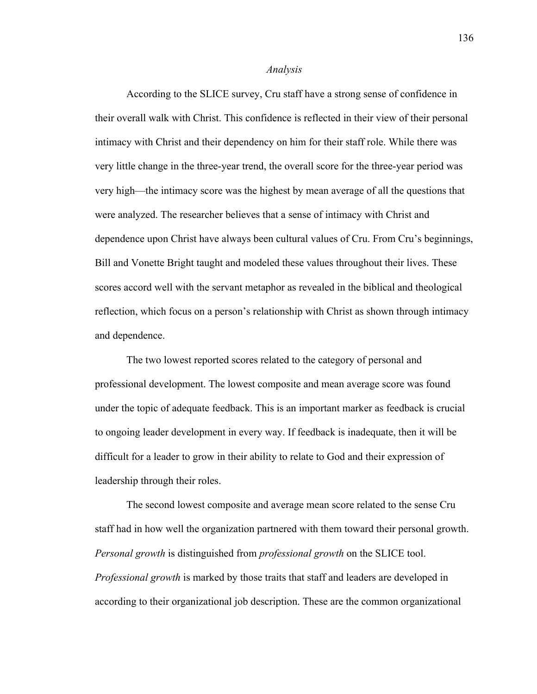#### *Analysis*

According to the SLICE survey, Cru staff have a strong sense of confidence in their overall walk with Christ. This confidence is reflected in their view of their personal intimacy with Christ and their dependency on him for their staff role. While there was very little change in the three-year trend, the overall score for the three-year period was very high—the intimacy score was the highest by mean average of all the questions that were analyzed. The researcher believes that a sense of intimacy with Christ and dependence upon Christ have always been cultural values of Cru. From Cru's beginnings, Bill and Vonette Bright taught and modeled these values throughout their lives. These scores accord well with the servant metaphor as revealed in the biblical and theological reflection, which focus on a person's relationship with Christ as shown through intimacy and dependence.

The two lowest reported scores related to the category of personal and professional development. The lowest composite and mean average score was found under the topic of adequate feedback. This is an important marker as feedback is crucial to ongoing leader development in every way. If feedback is inadequate, then it will be difficult for a leader to grow in their ability to relate to God and their expression of leadership through their roles.

The second lowest composite and average mean score related to the sense Cru staff had in how well the organization partnered with them toward their personal growth. *Personal growth* is distinguished from *professional growth* on the SLICE tool. *Professional growth* is marked by those traits that staff and leaders are developed in according to their organizational job description. These are the common organizational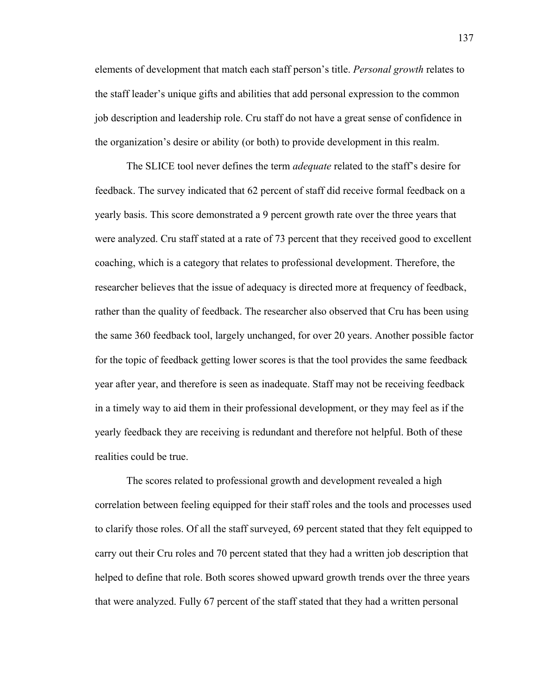elements of development that match each staff person's title. *Personal growth* relates to the staff leader's unique gifts and abilities that add personal expression to the common job description and leadership role. Cru staff do not have a great sense of confidence in the organization's desire or ability (or both) to provide development in this realm.

The SLICE tool never defines the term *adequate* related to the staff's desire for feedback. The survey indicated that 62 percent of staff did receive formal feedback on a yearly basis. This score demonstrated a 9 percent growth rate over the three years that were analyzed. Cru staff stated at a rate of 73 percent that they received good to excellent coaching, which is a category that relates to professional development. Therefore, the researcher believes that the issue of adequacy is directed more at frequency of feedback, rather than the quality of feedback. The researcher also observed that Cru has been using the same 360 feedback tool, largely unchanged, for over 20 years. Another possible factor for the topic of feedback getting lower scores is that the tool provides the same feedback year after year, and therefore is seen as inadequate. Staff may not be receiving feedback in a timely way to aid them in their professional development, or they may feel as if the yearly feedback they are receiving is redundant and therefore not helpful. Both of these realities could be true.

The scores related to professional growth and development revealed a high correlation between feeling equipped for their staff roles and the tools and processes used to clarify those roles. Of all the staff surveyed, 69 percent stated that they felt equipped to carry out their Cru roles and 70 percent stated that they had a written job description that helped to define that role. Both scores showed upward growth trends over the three years that were analyzed. Fully 67 percent of the staff stated that they had a written personal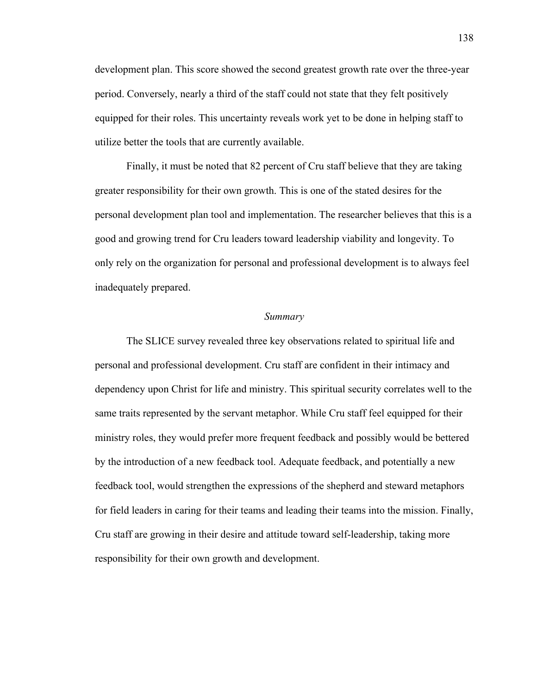development plan. This score showed the second greatest growth rate over the three-year period. Conversely, nearly a third of the staff could not state that they felt positively equipped for their roles. This uncertainty reveals work yet to be done in helping staff to utilize better the tools that are currently available.

Finally, it must be noted that 82 percent of Cru staff believe that they are taking greater responsibility for their own growth. This is one of the stated desires for the personal development plan tool and implementation. The researcher believes that this is a good and growing trend for Cru leaders toward leadership viability and longevity. To only rely on the organization for personal and professional development is to always feel inadequately prepared.

### *Summary*

The SLICE survey revealed three key observations related to spiritual life and personal and professional development. Cru staff are confident in their intimacy and dependency upon Christ for life and ministry. This spiritual security correlates well to the same traits represented by the servant metaphor. While Cru staff feel equipped for their ministry roles, they would prefer more frequent feedback and possibly would be bettered by the introduction of a new feedback tool. Adequate feedback, and potentially a new feedback tool, would strengthen the expressions of the shepherd and steward metaphors for field leaders in caring for their teams and leading their teams into the mission. Finally, Cru staff are growing in their desire and attitude toward self-leadership, taking more responsibility for their own growth and development.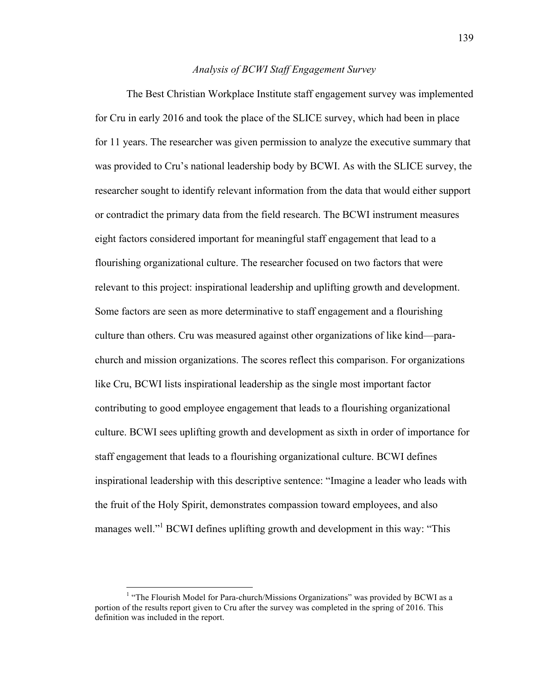# *Analysis of BCWI Staff Engagement Survey*

The Best Christian Workplace Institute staff engagement survey was implemented for Cru in early 2016 and took the place of the SLICE survey, which had been in place for 11 years. The researcher was given permission to analyze the executive summary that was provided to Cru's national leadership body by BCWI. As with the SLICE survey, the researcher sought to identify relevant information from the data that would either support or contradict the primary data from the field research. The BCWI instrument measures eight factors considered important for meaningful staff engagement that lead to a flourishing organizational culture. The researcher focused on two factors that were relevant to this project: inspirational leadership and uplifting growth and development. Some factors are seen as more determinative to staff engagement and a flourishing culture than others. Cru was measured against other organizations of like kind—parachurch and mission organizations. The scores reflect this comparison. For organizations like Cru, BCWI lists inspirational leadership as the single most important factor contributing to good employee engagement that leads to a flourishing organizational culture. BCWI sees uplifting growth and development as sixth in order of importance for staff engagement that leads to a flourishing organizational culture. BCWI defines inspirational leadership with this descriptive sentence: "Imagine a leader who leads with the fruit of the Holy Spirit, demonstrates compassion toward employees, and also manages well."<sup>1</sup> BCWI defines uplifting growth and development in this way: "This

 $<sup>1</sup>$  "The Flourish Model for Para-church/Missions Organizations" was provided by BCWI as a</sup> portion of the results report given to Cru after the survey was completed in the spring of 2016. This definition was included in the report.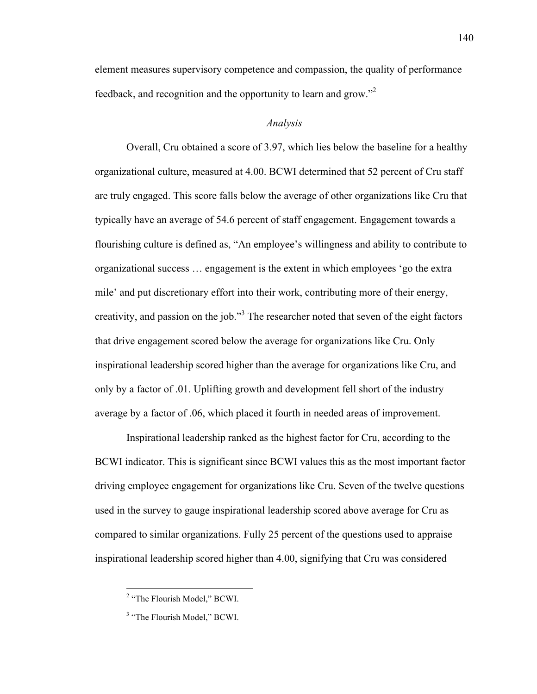element measures supervisory competence and compassion, the quality of performance feedback, and recognition and the opportunity to learn and grow."2

# *Analysis*

Overall, Cru obtained a score of 3.97, which lies below the baseline for a healthy organizational culture, measured at 4.00. BCWI determined that 52 percent of Cru staff are truly engaged. This score falls below the average of other organizations like Cru that typically have an average of 54.6 percent of staff engagement. Engagement towards a flourishing culture is defined as, "An employee's willingness and ability to contribute to organizational success … engagement is the extent in which employees 'go the extra mile' and put discretionary effort into their work, contributing more of their energy, creativity, and passion on the job."<sup>3</sup> The researcher noted that seven of the eight factors that drive engagement scored below the average for organizations like Cru. Only inspirational leadership scored higher than the average for organizations like Cru, and only by a factor of .01. Uplifting growth and development fell short of the industry average by a factor of .06, which placed it fourth in needed areas of improvement.

Inspirational leadership ranked as the highest factor for Cru, according to the BCWI indicator. This is significant since BCWI values this as the most important factor driving employee engagement for organizations like Cru. Seven of the twelve questions used in the survey to gauge inspirational leadership scored above average for Cru as compared to similar organizations. Fully 25 percent of the questions used to appraise inspirational leadership scored higher than 4.00, signifying that Cru was considered

 <sup>2</sup> "The Flourish Model," BCWI.

<sup>&</sup>lt;sup>3</sup> "The Flourish Model," BCWI.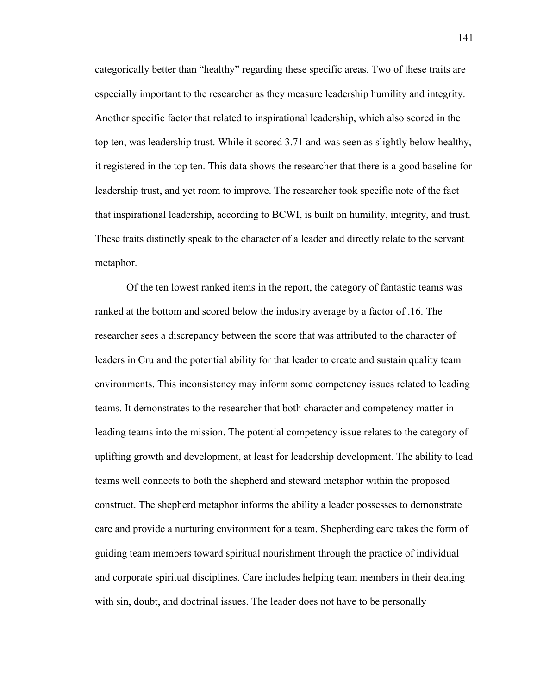categorically better than "healthy" regarding these specific areas. Two of these traits are especially important to the researcher as they measure leadership humility and integrity. Another specific factor that related to inspirational leadership, which also scored in the top ten, was leadership trust. While it scored 3.71 and was seen as slightly below healthy, it registered in the top ten. This data shows the researcher that there is a good baseline for leadership trust, and yet room to improve. The researcher took specific note of the fact that inspirational leadership, according to BCWI, is built on humility, integrity, and trust. These traits distinctly speak to the character of a leader and directly relate to the servant metaphor.

Of the ten lowest ranked items in the report, the category of fantastic teams was ranked at the bottom and scored below the industry average by a factor of .16. The researcher sees a discrepancy between the score that was attributed to the character of leaders in Cru and the potential ability for that leader to create and sustain quality team environments. This inconsistency may inform some competency issues related to leading teams. It demonstrates to the researcher that both character and competency matter in leading teams into the mission. The potential competency issue relates to the category of uplifting growth and development, at least for leadership development. The ability to lead teams well connects to both the shepherd and steward metaphor within the proposed construct. The shepherd metaphor informs the ability a leader possesses to demonstrate care and provide a nurturing environment for a team. Shepherding care takes the form of guiding team members toward spiritual nourishment through the practice of individual and corporate spiritual disciplines. Care includes helping team members in their dealing with sin, doubt, and doctrinal issues. The leader does not have to be personally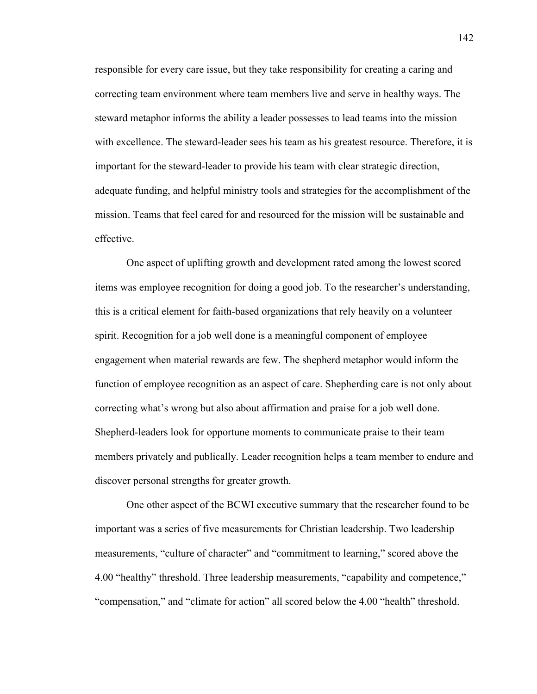responsible for every care issue, but they take responsibility for creating a caring and correcting team environment where team members live and serve in healthy ways. The steward metaphor informs the ability a leader possesses to lead teams into the mission with excellence. The steward-leader sees his team as his greatest resource. Therefore, it is important for the steward-leader to provide his team with clear strategic direction, adequate funding, and helpful ministry tools and strategies for the accomplishment of the mission. Teams that feel cared for and resourced for the mission will be sustainable and effective.

One aspect of uplifting growth and development rated among the lowest scored items was employee recognition for doing a good job. To the researcher's understanding, this is a critical element for faith-based organizations that rely heavily on a volunteer spirit. Recognition for a job well done is a meaningful component of employee engagement when material rewards are few. The shepherd metaphor would inform the function of employee recognition as an aspect of care. Shepherding care is not only about correcting what's wrong but also about affirmation and praise for a job well done. Shepherd-leaders look for opportune moments to communicate praise to their team members privately and publically. Leader recognition helps a team member to endure and discover personal strengths for greater growth.

One other aspect of the BCWI executive summary that the researcher found to be important was a series of five measurements for Christian leadership. Two leadership measurements, "culture of character" and "commitment to learning," scored above the 4.00 "healthy" threshold. Three leadership measurements, "capability and competence," "compensation," and "climate for action" all scored below the 4.00 "health" threshold.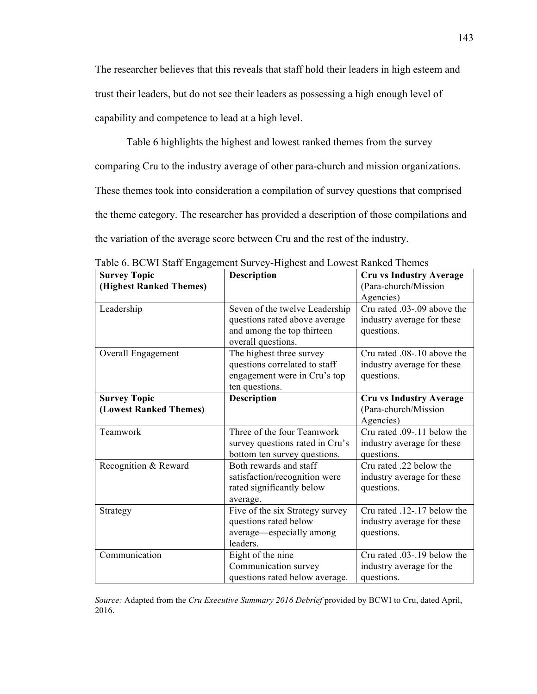The researcher believes that this reveals that staff hold their leaders in high esteem and trust their leaders, but do not see their leaders as possessing a high enough level of capability and competence to lead at a high level.

Table 6 highlights the highest and lowest ranked themes from the survey

comparing Cru to the industry average of other para-church and mission organizations.

These themes took into consideration a compilation of survey questions that comprised

the theme category. The researcher has provided a description of those compilations and

the variation of the average score between Cru and the rest of the industry.

| <b>Survey Topic</b>     | $\bullet$ $\circ$ . De $\circ$ is baint empagement barry intense and lower radius intense.<br><b>Description</b> | <b>Cru vs Industry Average</b> |
|-------------------------|------------------------------------------------------------------------------------------------------------------|--------------------------------|
| (Highest Ranked Themes) |                                                                                                                  | (Para-church/Mission           |
|                         |                                                                                                                  | Agencies)                      |
| Leadership              | Seven of the twelve Leadership                                                                                   | Cru rated .03-.09 above the    |
|                         | questions rated above average                                                                                    | industry average for these     |
|                         | and among the top thirteen                                                                                       | questions.                     |
|                         | overall questions.                                                                                               |                                |
| Overall Engagement      | The highest three survey                                                                                         | Cru rated .08-.10 above the    |
|                         | questions correlated to staff                                                                                    | industry average for these     |
|                         | engagement were in Cru's top                                                                                     | questions.                     |
|                         | ten questions.                                                                                                   |                                |
| <b>Survey Topic</b>     | Description                                                                                                      | <b>Cru vs Industry Average</b> |
| (Lowest Ranked Themes)  |                                                                                                                  | (Para-church/Mission           |
|                         |                                                                                                                  | Agencies)                      |
| Teamwork                | Three of the four Teamwork                                                                                       | Cru rated 09-11 below the      |
|                         | survey questions rated in Cru's                                                                                  | industry average for these     |
|                         | bottom ten survey questions.                                                                                     | questions.                     |
| Recognition & Reward    | Both rewards and staff                                                                                           | Cru rated .22 below the        |
|                         | satisfaction/recognition were                                                                                    | industry average for these     |
|                         | rated significantly below                                                                                        | questions.                     |
|                         | average.                                                                                                         |                                |
| Strategy                | Five of the six Strategy survey                                                                                  | Cru rated .12-.17 below the    |
|                         | questions rated below                                                                                            | industry average for these     |
|                         | average—especially among                                                                                         | questions.                     |
|                         | leaders.                                                                                                         |                                |
| Communication           | Eight of the nine                                                                                                | Cru rated .03-.19 below the    |
|                         | Communication survey                                                                                             | industry average for the       |
|                         | questions rated below average.                                                                                   | questions.                     |

Table 6. BCWI Staff Engagement Survey-Highest and Lowest Ranked Themes

*Source:* Adapted from the *Cru Executive Summary 2016 Debrief* provided by BCWI to Cru, dated April, 2016.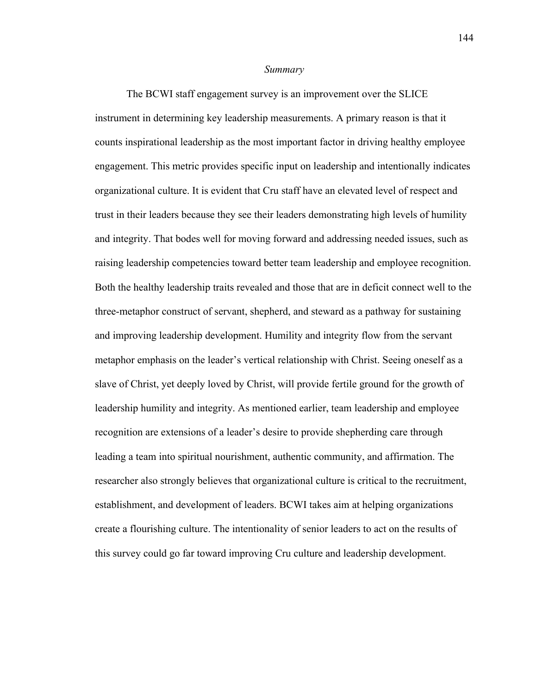#### *Summary*

The BCWI staff engagement survey is an improvement over the SLICE instrument in determining key leadership measurements. A primary reason is that it counts inspirational leadership as the most important factor in driving healthy employee engagement. This metric provides specific input on leadership and intentionally indicates organizational culture. It is evident that Cru staff have an elevated level of respect and trust in their leaders because they see their leaders demonstrating high levels of humility and integrity. That bodes well for moving forward and addressing needed issues, such as raising leadership competencies toward better team leadership and employee recognition. Both the healthy leadership traits revealed and those that are in deficit connect well to the three-metaphor construct of servant, shepherd, and steward as a pathway for sustaining and improving leadership development. Humility and integrity flow from the servant metaphor emphasis on the leader's vertical relationship with Christ. Seeing oneself as a slave of Christ, yet deeply loved by Christ, will provide fertile ground for the growth of leadership humility and integrity. As mentioned earlier, team leadership and employee recognition are extensions of a leader's desire to provide shepherding care through leading a team into spiritual nourishment, authentic community, and affirmation. The researcher also strongly believes that organizational culture is critical to the recruitment, establishment, and development of leaders. BCWI takes aim at helping organizations create a flourishing culture. The intentionality of senior leaders to act on the results of this survey could go far toward improving Cru culture and leadership development.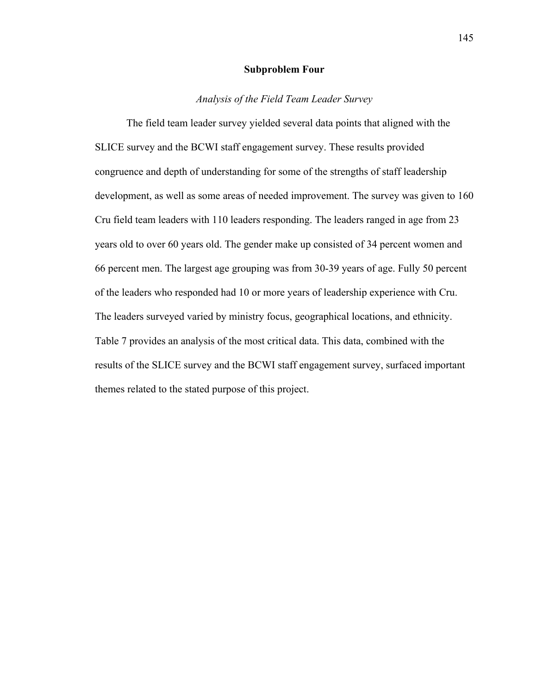## **Subproblem Four**

# *Analysis of the Field Team Leader Survey*

The field team leader survey yielded several data points that aligned with the SLICE survey and the BCWI staff engagement survey. These results provided congruence and depth of understanding for some of the strengths of staff leadership development, as well as some areas of needed improvement. The survey was given to 160 Cru field team leaders with 110 leaders responding. The leaders ranged in age from 23 years old to over 60 years old. The gender make up consisted of 34 percent women and 66 percent men. The largest age grouping was from 30-39 years of age. Fully 50 percent of the leaders who responded had 10 or more years of leadership experience with Cru. The leaders surveyed varied by ministry focus, geographical locations, and ethnicity. Table 7 provides an analysis of the most critical data. This data, combined with the results of the SLICE survey and the BCWI staff engagement survey, surfaced important themes related to the stated purpose of this project.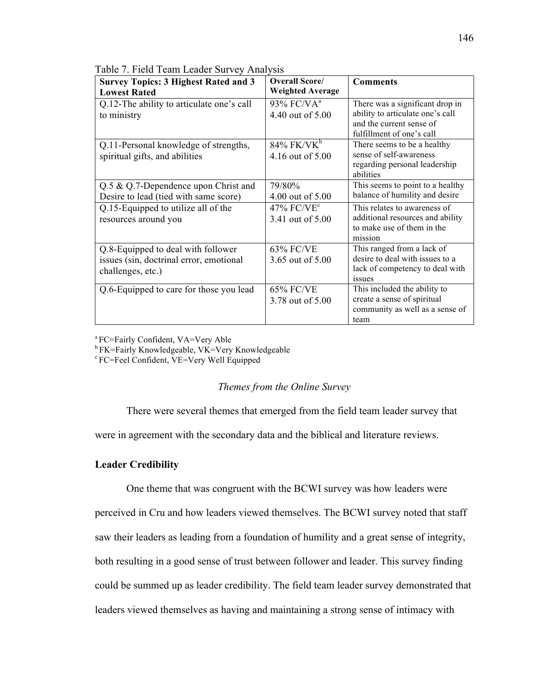| <b>Survey Topics: 3 Highest Rated and 3</b> | Overall Score/            | <b>Comments</b>                  |
|---------------------------------------------|---------------------------|----------------------------------|
| <b>Lowest Rated</b>                         | <b>Weighted Average</b>   |                                  |
| Q.12-The ability to articulate one's call   | 93% FC/VA <sup>a</sup>    | There was a significant drop in  |
| to ministry                                 | 4.40 out of 5.00          | ability to articulate one's call |
|                                             |                           | and the current sense of         |
|                                             |                           | fulfillment of one's call        |
| Q.11-Personal knowledge of strengths,       | $84\%$ FK/VK <sup>b</sup> | There seems to be a healthy      |
| spiritual gifts, and abilities              | 4.16 out of 5.00          | sense of self-awareness          |
|                                             |                           | regarding personal leadership    |
|                                             |                           | abilities                        |
| Q.5 & Q.7-Dependence upon Christ and        | 79/80%                    | This seems to point to a healthy |
| Desire to lead (tied with same score)       | 4.00 out of 5.00          | balance of humility and desire   |
| Q.15-Equipped to utilize all of the         | $47\%$ FC/VE <sup>c</sup> | This relates to awareness of     |
| resources around you                        | 3.41 out of 5.00          | additional resources and ability |
|                                             |                           | to make use of them in the       |
|                                             |                           | mission                          |
| Q.8-Equipped to deal with follower          | <b>63% FC/VE</b>          | This ranged from a lack of       |
| issues (sin, doctrinal error, emotional     | 3.65 out of 5.00          | desire to deal with issues to a  |
| challenges, etc.)                           |                           | lack of competency to deal with  |
|                                             |                           | issues                           |
| Q.6-Equipped to care for those you lead     | 65% FC/VE                 | This included the ability to     |
|                                             | 3.78 out of 5.00          | create a sense of spiritual      |
|                                             |                           | community as well as a sense of  |
|                                             |                           | team                             |

Table 7. Field Team Leader Survey Analysis

a FC=Fairly Confident, VA=Very Able

 $b$  FK=Fairly Knowledgeable, VK=Very Knowledgeable  $c$  FC=Feel Confident, VE=Very Well Equipped

## *Themes from the Online Survey*

There were several themes that emerged from the field team leader survey that

were in agreement with the secondary data and the biblical and literature reviews.

# **Leader Credibility**

One theme that was congruent with the BCWI survey was how leaders were

perceived in Cru and how leaders viewed themselves. The BCWI survey noted that staff saw their leaders as leading from a foundation of humility and a great sense of integrity,

both resulting in a good sense of trust between follower and leader. This survey finding

could be summed up as leader credibility. The field team leader survey demonstrated that

leaders viewed themselves as having and maintaining a strong sense of intimacy with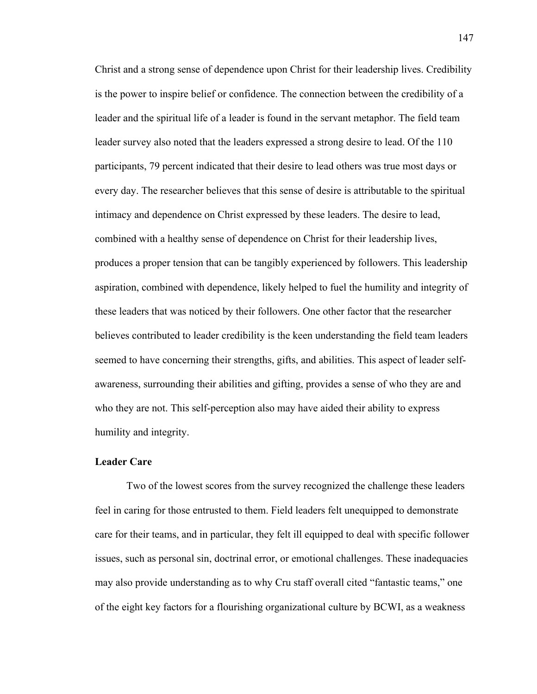Christ and a strong sense of dependence upon Christ for their leadership lives. Credibility is the power to inspire belief or confidence. The connection between the credibility of a leader and the spiritual life of a leader is found in the servant metaphor. The field team leader survey also noted that the leaders expressed a strong desire to lead. Of the 110 participants, 79 percent indicated that their desire to lead others was true most days or every day. The researcher believes that this sense of desire is attributable to the spiritual intimacy and dependence on Christ expressed by these leaders. The desire to lead, combined with a healthy sense of dependence on Christ for their leadership lives, produces a proper tension that can be tangibly experienced by followers. This leadership aspiration, combined with dependence, likely helped to fuel the humility and integrity of these leaders that was noticed by their followers. One other factor that the researcher believes contributed to leader credibility is the keen understanding the field team leaders seemed to have concerning their strengths, gifts, and abilities. This aspect of leader selfawareness, surrounding their abilities and gifting, provides a sense of who they are and who they are not. This self-perception also may have aided their ability to express humility and integrity.

# **Leader Care**

Two of the lowest scores from the survey recognized the challenge these leaders feel in caring for those entrusted to them. Field leaders felt unequipped to demonstrate care for their teams, and in particular, they felt ill equipped to deal with specific follower issues, such as personal sin, doctrinal error, or emotional challenges. These inadequacies may also provide understanding as to why Cru staff overall cited "fantastic teams," one of the eight key factors for a flourishing organizational culture by BCWI, as a weakness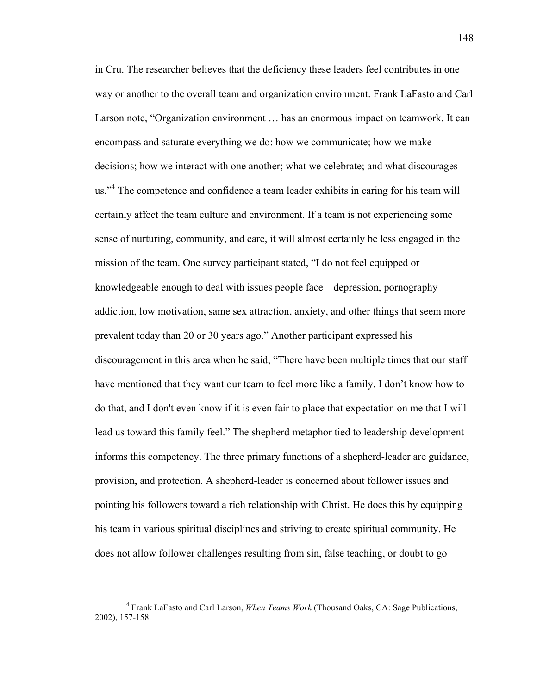in Cru. The researcher believes that the deficiency these leaders feel contributes in one way or another to the overall team and organization environment. Frank LaFasto and Carl Larson note, "Organization environment … has an enormous impact on teamwork. It can encompass and saturate everything we do: how we communicate; how we make decisions; how we interact with one another; what we celebrate; and what discourages us."<sup>4</sup> The competence and confidence a team leader exhibits in caring for his team will certainly affect the team culture and environment. If a team is not experiencing some sense of nurturing, community, and care, it will almost certainly be less engaged in the mission of the team. One survey participant stated, "I do not feel equipped or knowledgeable enough to deal with issues people face—depression, pornography addiction, low motivation, same sex attraction, anxiety, and other things that seem more prevalent today than 20 or 30 years ago." Another participant expressed his discouragement in this area when he said, "There have been multiple times that our staff have mentioned that they want our team to feel more like a family. I don't know how to do that, and I don't even know if it is even fair to place that expectation on me that I will lead us toward this family feel." The shepherd metaphor tied to leadership development informs this competency. The three primary functions of a shepherd-leader are guidance, provision, and protection. A shepherd-leader is concerned about follower issues and pointing his followers toward a rich relationship with Christ. He does this by equipping his team in various spiritual disciplines and striving to create spiritual community. He does not allow follower challenges resulting from sin, false teaching, or doubt to go

 <sup>4</sup> Frank LaFasto and Carl Larson, *When Teams Work* (Thousand Oaks, CA: Sage Publications, 2002), 157-158.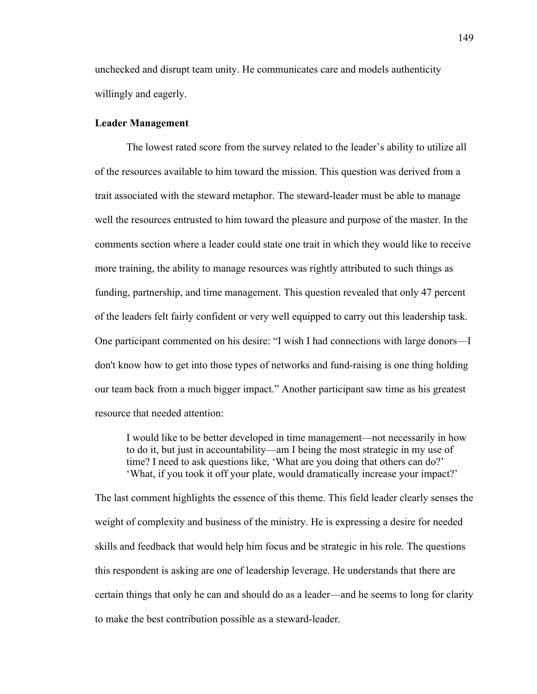unchecked and disrupt team unity. He communicates care and models authenticity willingly and eagerly.

## **Leader Management**

The lowest rated score from the survey related to the leader's ability to utilize all of the resources available to him toward the mission. This question was derived from a trait associated with the steward metaphor. The steward-leader must be able to manage well the resources entrusted to him toward the pleasure and purpose of the master. In the comments section where a leader could state one trait in which they would like to receive more training, the ability to manage resources was rightly attributed to such things as funding, partnership, and time management. This question revealed that only 47 percent of the leaders felt fairly confident or very well equipped to carry out this leadership task. One participant commented on his desire: "I wish I had connections with large donors—I don't know how to get into those types of networks and fund-raising is one thing holding our team back from a much bigger impact." Another participant saw time as his greatest resource that needed attention:

I would like to be better developed in time management—not necessarily in how to do it, but just in accountability—am I being the most strategic in my use of time? I need to ask questions like, 'What are you doing that others can do?' 'What, if you took it off your plate, would dramatically increase your impact?'

The last comment highlights the essence of this theme. This field leader clearly senses the weight of complexity and business of the ministry. He is expressing a desire for needed skills and feedback that would help him focus and be strategic in his role. The questions this respondent is asking are one of leadership leverage. He understands that there are certain things that only he can and should do as a leader—and he seems to long for clarity to make the best contribution possible as a steward-leader.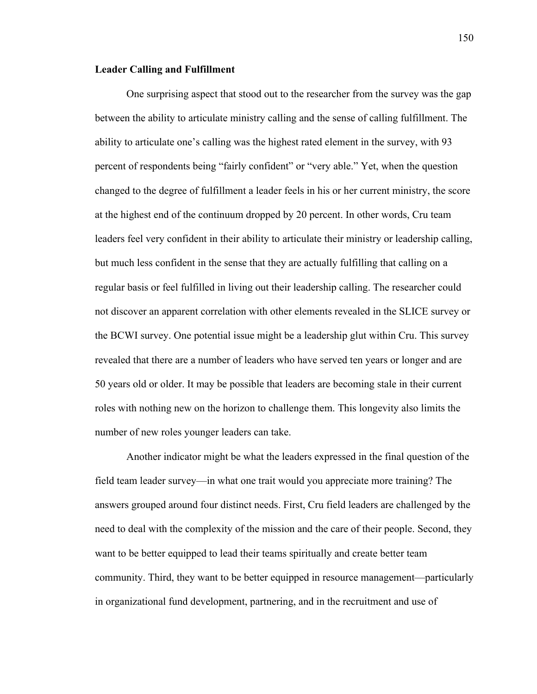### **Leader Calling and Fulfillment**

One surprising aspect that stood out to the researcher from the survey was the gap between the ability to articulate ministry calling and the sense of calling fulfillment. The ability to articulate one's calling was the highest rated element in the survey, with 93 percent of respondents being "fairly confident" or "very able." Yet, when the question changed to the degree of fulfillment a leader feels in his or her current ministry, the score at the highest end of the continuum dropped by 20 percent. In other words, Cru team leaders feel very confident in their ability to articulate their ministry or leadership calling, but much less confident in the sense that they are actually fulfilling that calling on a regular basis or feel fulfilled in living out their leadership calling. The researcher could not discover an apparent correlation with other elements revealed in the SLICE survey or the BCWI survey. One potential issue might be a leadership glut within Cru. This survey revealed that there are a number of leaders who have served ten years or longer and are 50 years old or older. It may be possible that leaders are becoming stale in their current roles with nothing new on the horizon to challenge them. This longevity also limits the number of new roles younger leaders can take.

Another indicator might be what the leaders expressed in the final question of the field team leader survey—in what one trait would you appreciate more training? The answers grouped around four distinct needs. First, Cru field leaders are challenged by the need to deal with the complexity of the mission and the care of their people. Second, they want to be better equipped to lead their teams spiritually and create better team community. Third, they want to be better equipped in resource management—particularly in organizational fund development, partnering, and in the recruitment and use of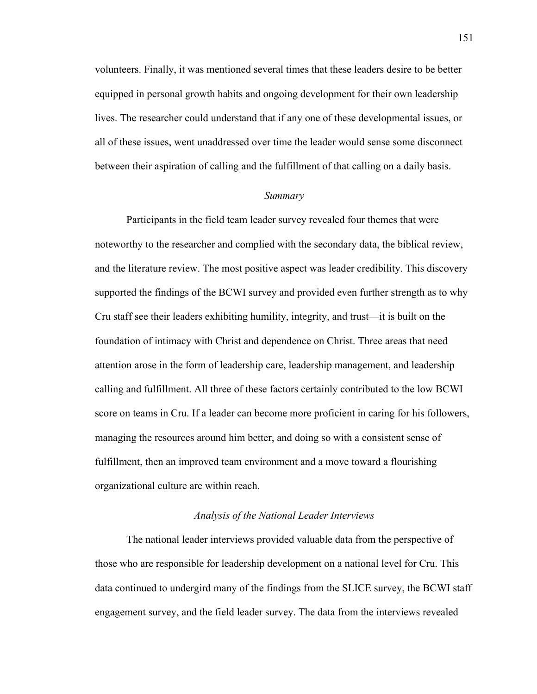volunteers. Finally, it was mentioned several times that these leaders desire to be better equipped in personal growth habits and ongoing development for their own leadership lives. The researcher could understand that if any one of these developmental issues, or all of these issues, went unaddressed over time the leader would sense some disconnect between their aspiration of calling and the fulfillment of that calling on a daily basis.

#### *Summary*

Participants in the field team leader survey revealed four themes that were noteworthy to the researcher and complied with the secondary data, the biblical review, and the literature review. The most positive aspect was leader credibility. This discovery supported the findings of the BCWI survey and provided even further strength as to why Cru staff see their leaders exhibiting humility, integrity, and trust—it is built on the foundation of intimacy with Christ and dependence on Christ. Three areas that need attention arose in the form of leadership care, leadership management, and leadership calling and fulfillment. All three of these factors certainly contributed to the low BCWI score on teams in Cru. If a leader can become more proficient in caring for his followers, managing the resources around him better, and doing so with a consistent sense of fulfillment, then an improved team environment and a move toward a flourishing organizational culture are within reach.

## *Analysis of the National Leader Interviews*

The national leader interviews provided valuable data from the perspective of those who are responsible for leadership development on a national level for Cru. This data continued to undergird many of the findings from the SLICE survey, the BCWI staff engagement survey, and the field leader survey. The data from the interviews revealed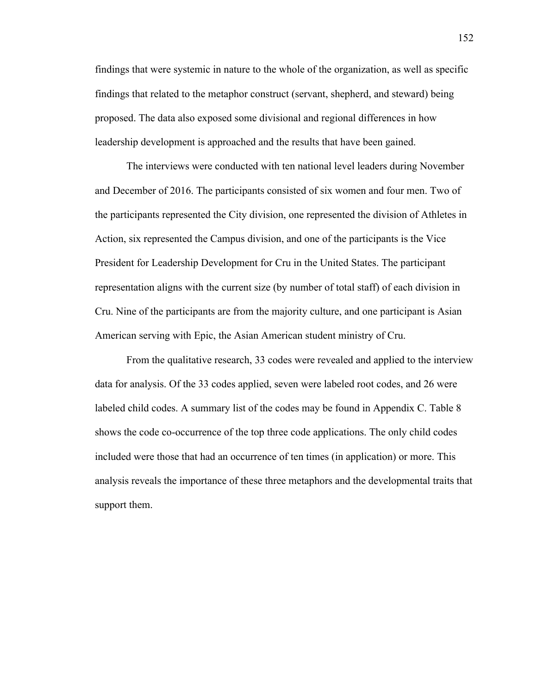findings that were systemic in nature to the whole of the organization, as well as specific findings that related to the metaphor construct (servant, shepherd, and steward) being proposed. The data also exposed some divisional and regional differences in how leadership development is approached and the results that have been gained.

The interviews were conducted with ten national level leaders during November and December of 2016. The participants consisted of six women and four men. Two of the participants represented the City division, one represented the division of Athletes in Action, six represented the Campus division, and one of the participants is the Vice President for Leadership Development for Cru in the United States. The participant representation aligns with the current size (by number of total staff) of each division in Cru. Nine of the participants are from the majority culture, and one participant is Asian American serving with Epic, the Asian American student ministry of Cru.

From the qualitative research, 33 codes were revealed and applied to the interview data for analysis. Of the 33 codes applied, seven were labeled root codes, and 26 were labeled child codes. A summary list of the codes may be found in Appendix C. Table 8 shows the code co-occurrence of the top three code applications. The only child codes included were those that had an occurrence of ten times (in application) or more. This analysis reveals the importance of these three metaphors and the developmental traits that support them.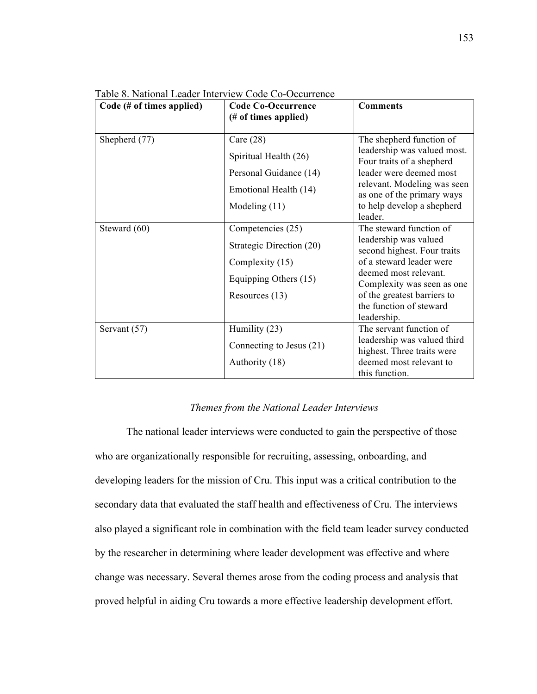| Table 8. National Leader Interview Code Co-Occurrence |
|-------------------------------------------------------|
|-------------------------------------------------------|

| $Code$ (# of times applied) | <b>Code Co-Occurrence</b><br>(# of times applied) | <b>Comments</b>                                           |
|-----------------------------|---------------------------------------------------|-----------------------------------------------------------|
| Shepherd (77)               | Care $(28)$                                       | The shepherd function of                                  |
|                             | Spiritual Health (26)                             | leadership was valued most.<br>Four traits of a shepherd  |
|                             | Personal Guidance (14)                            | leader were deemed most                                   |
|                             | Emotional Health (14)                             | relevant. Modeling was seen<br>as one of the primary ways |
|                             | Modeling $(11)$                                   | to help develop a shepherd                                |
|                             |                                                   | leader.                                                   |
| Steward (60)                | Competencies (25)                                 | The steward function of                                   |
|                             | Strategic Direction (20)                          | leadership was valued<br>second highest. Four traits      |
|                             | Complexity (15)                                   | of a steward leader were                                  |
|                             | Equipping Others (15)                             | deemed most relevant.<br>Complexity was seen as one       |
|                             | Resources (13)                                    | of the greatest barriers to                               |
|                             |                                                   | the function of steward                                   |
|                             |                                                   | leadership.                                               |
| Servant (57)                | Humility (23)                                     | The servant function of                                   |
|                             | Connecting to Jesus (21)                          | leadership was valued third<br>highest. Three traits were |
|                             | Authority (18)                                    | deemed most relevant to                                   |
|                             |                                                   | this function.                                            |

### *Themes from the National Leader Interviews*

The national leader interviews were conducted to gain the perspective of those who are organizationally responsible for recruiting, assessing, onboarding, and developing leaders for the mission of Cru. This input was a critical contribution to the secondary data that evaluated the staff health and effectiveness of Cru. The interviews also played a significant role in combination with the field team leader survey conducted by the researcher in determining where leader development was effective and where change was necessary. Several themes arose from the coding process and analysis that proved helpful in aiding Cru towards a more effective leadership development effort.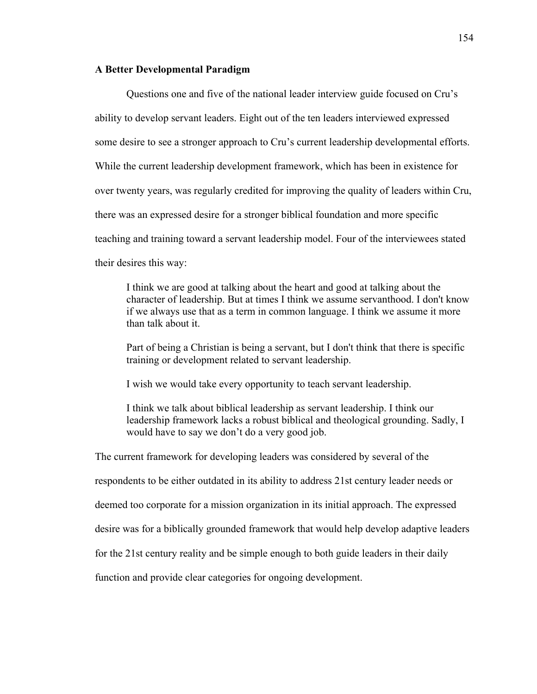# **A Better Developmental Paradigm**

Questions one and five of the national leader interview guide focused on Cru's ability to develop servant leaders. Eight out of the ten leaders interviewed expressed some desire to see a stronger approach to Cru's current leadership developmental efforts. While the current leadership development framework, which has been in existence for over twenty years, was regularly credited for improving the quality of leaders within Cru, there was an expressed desire for a stronger biblical foundation and more specific teaching and training toward a servant leadership model. Four of the interviewees stated their desires this way:

I think we are good at talking about the heart and good at talking about the character of leadership. But at times I think we assume servanthood. I don't know if we always use that as a term in common language. I think we assume it more than talk about it.

Part of being a Christian is being a servant, but I don't think that there is specific training or development related to servant leadership.

I wish we would take every opportunity to teach servant leadership.

I think we talk about biblical leadership as servant leadership. I think our leadership framework lacks a robust biblical and theological grounding. Sadly, I would have to say we don't do a very good job.

The current framework for developing leaders was considered by several of the

respondents to be either outdated in its ability to address 21st century leader needs or

deemed too corporate for a mission organization in its initial approach. The expressed

desire was for a biblically grounded framework that would help develop adaptive leaders

for the 21st century reality and be simple enough to both guide leaders in their daily

function and provide clear categories for ongoing development.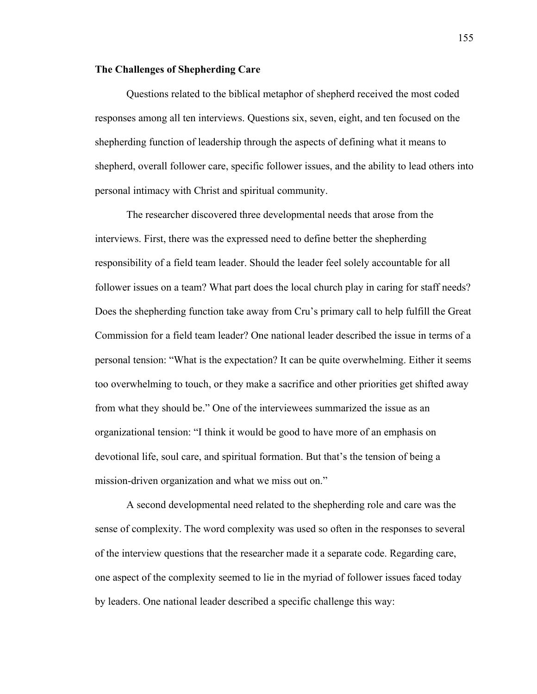### **The Challenges of Shepherding Care**

Questions related to the biblical metaphor of shepherd received the most coded responses among all ten interviews. Questions six, seven, eight, and ten focused on the shepherding function of leadership through the aspects of defining what it means to shepherd, overall follower care, specific follower issues, and the ability to lead others into personal intimacy with Christ and spiritual community.

The researcher discovered three developmental needs that arose from the interviews. First, there was the expressed need to define better the shepherding responsibility of a field team leader. Should the leader feel solely accountable for all follower issues on a team? What part does the local church play in caring for staff needs? Does the shepherding function take away from Cru's primary call to help fulfill the Great Commission for a field team leader? One national leader described the issue in terms of a personal tension: "What is the expectation? It can be quite overwhelming. Either it seems too overwhelming to touch, or they make a sacrifice and other priorities get shifted away from what they should be." One of the interviewees summarized the issue as an organizational tension: "I think it would be good to have more of an emphasis on devotional life, soul care, and spiritual formation. But that's the tension of being a mission-driven organization and what we miss out on."

A second developmental need related to the shepherding role and care was the sense of complexity. The word complexity was used so often in the responses to several of the interview questions that the researcher made it a separate code. Regarding care, one aspect of the complexity seemed to lie in the myriad of follower issues faced today by leaders. One national leader described a specific challenge this way: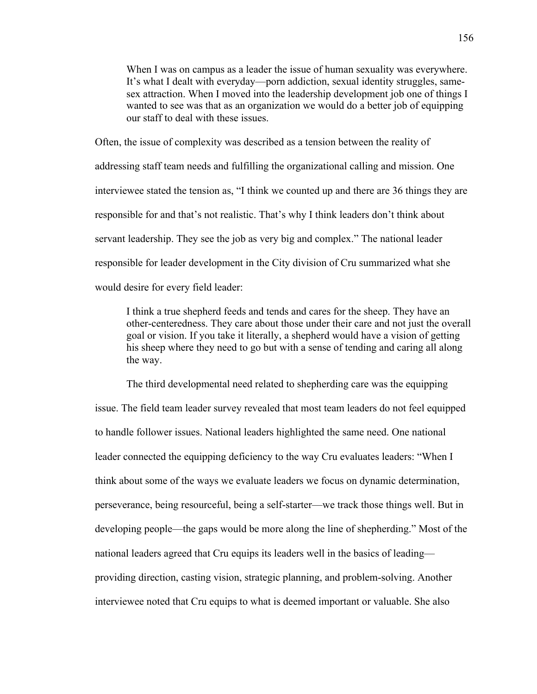When I was on campus as a leader the issue of human sexuality was everywhere. It's what I dealt with everyday—porn addiction, sexual identity struggles, samesex attraction. When I moved into the leadership development job one of things I wanted to see was that as an organization we would do a better job of equipping our staff to deal with these issues.

Often, the issue of complexity was described as a tension between the reality of addressing staff team needs and fulfilling the organizational calling and mission. One interviewee stated the tension as, "I think we counted up and there are 36 things they are responsible for and that's not realistic. That's why I think leaders don't think about servant leadership. They see the job as very big and complex." The national leader responsible for leader development in the City division of Cru summarized what she would desire for every field leader:

I think a true shepherd feeds and tends and cares for the sheep. They have an other-centeredness. They care about those under their care and not just the overall goal or vision. If you take it literally, a shepherd would have a vision of getting his sheep where they need to go but with a sense of tending and caring all along the way.

The third developmental need related to shepherding care was the equipping issue. The field team leader survey revealed that most team leaders do not feel equipped to handle follower issues. National leaders highlighted the same need. One national leader connected the equipping deficiency to the way Cru evaluates leaders: "When I think about some of the ways we evaluate leaders we focus on dynamic determination, perseverance, being resourceful, being a self-starter—we track those things well. But in developing people—the gaps would be more along the line of shepherding." Most of the national leaders agreed that Cru equips its leaders well in the basics of leading providing direction, casting vision, strategic planning, and problem-solving. Another interviewee noted that Cru equips to what is deemed important or valuable. She also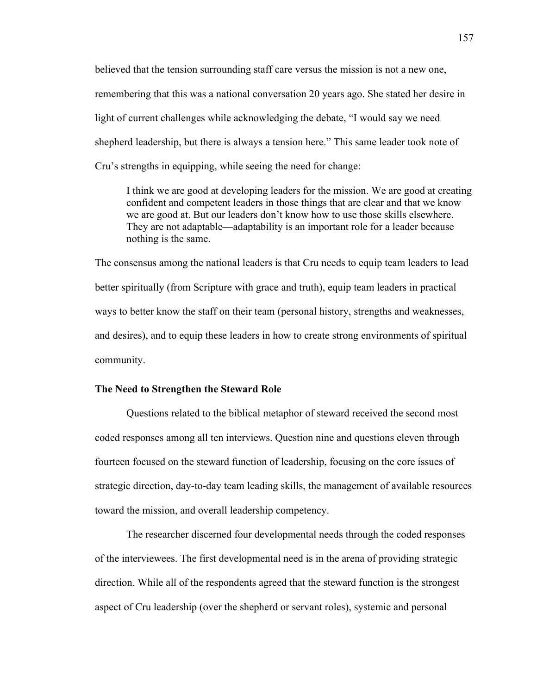believed that the tension surrounding staff care versus the mission is not a new one, remembering that this was a national conversation 20 years ago. She stated her desire in light of current challenges while acknowledging the debate, "I would say we need shepherd leadership, but there is always a tension here." This same leader took note of Cru's strengths in equipping, while seeing the need for change:

I think we are good at developing leaders for the mission. We are good at creating confident and competent leaders in those things that are clear and that we know we are good at. But our leaders don't know how to use those skills elsewhere. They are not adaptable—adaptability is an important role for a leader because nothing is the same.

The consensus among the national leaders is that Cru needs to equip team leaders to lead better spiritually (from Scripture with grace and truth), equip team leaders in practical ways to better know the staff on their team (personal history, strengths and weaknesses, and desires), and to equip these leaders in how to create strong environments of spiritual community.

### **The Need to Strengthen the Steward Role**

Questions related to the biblical metaphor of steward received the second most coded responses among all ten interviews. Question nine and questions eleven through fourteen focused on the steward function of leadership, focusing on the core issues of strategic direction, day-to-day team leading skills, the management of available resources toward the mission, and overall leadership competency.

The researcher discerned four developmental needs through the coded responses of the interviewees. The first developmental need is in the arena of providing strategic direction. While all of the respondents agreed that the steward function is the strongest aspect of Cru leadership (over the shepherd or servant roles), systemic and personal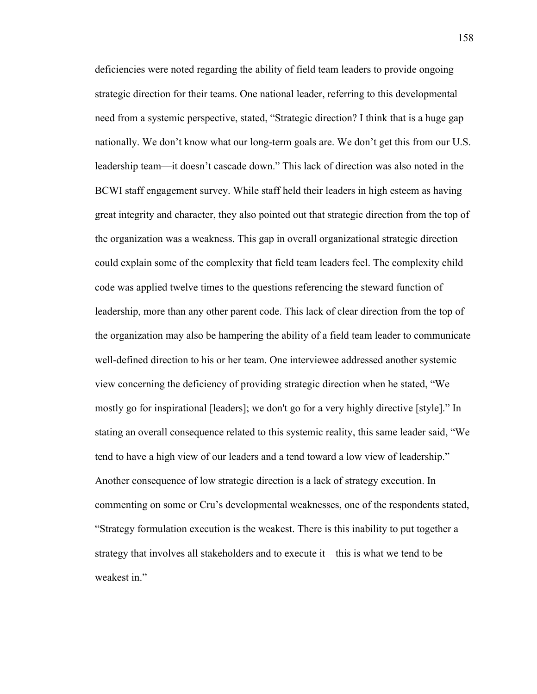deficiencies were noted regarding the ability of field team leaders to provide ongoing strategic direction for their teams. One national leader, referring to this developmental need from a systemic perspective, stated, "Strategic direction? I think that is a huge gap nationally. We don't know what our long-term goals are. We don't get this from our U.S. leadership team—it doesn't cascade down." This lack of direction was also noted in the BCWI staff engagement survey. While staff held their leaders in high esteem as having great integrity and character, they also pointed out that strategic direction from the top of the organization was a weakness. This gap in overall organizational strategic direction could explain some of the complexity that field team leaders feel. The complexity child code was applied twelve times to the questions referencing the steward function of leadership, more than any other parent code. This lack of clear direction from the top of the organization may also be hampering the ability of a field team leader to communicate well-defined direction to his or her team. One interviewee addressed another systemic view concerning the deficiency of providing strategic direction when he stated, "We mostly go for inspirational [leaders]; we don't go for a very highly directive [style]." In stating an overall consequence related to this systemic reality, this same leader said, "We tend to have a high view of our leaders and a tend toward a low view of leadership." Another consequence of low strategic direction is a lack of strategy execution. In commenting on some or Cru's developmental weaknesses, one of the respondents stated, "Strategy formulation execution is the weakest. There is this inability to put together a strategy that involves all stakeholders and to execute it—this is what we tend to be weakest in."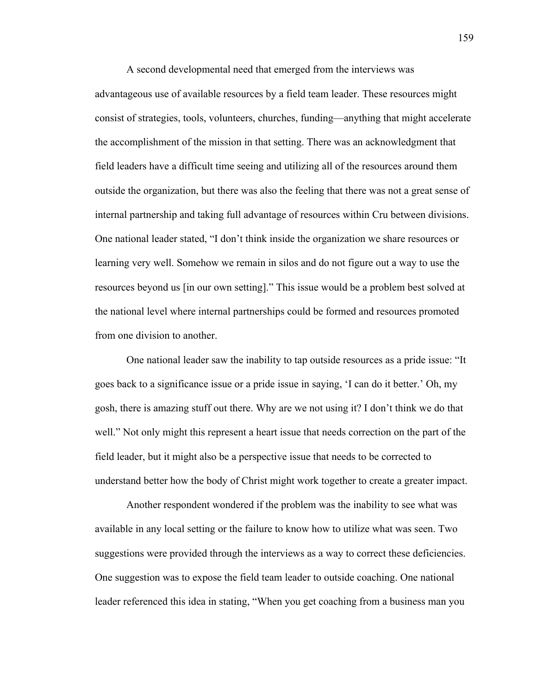A second developmental need that emerged from the interviews was advantageous use of available resources by a field team leader. These resources might consist of strategies, tools, volunteers, churches, funding—anything that might accelerate the accomplishment of the mission in that setting. There was an acknowledgment that field leaders have a difficult time seeing and utilizing all of the resources around them outside the organization, but there was also the feeling that there was not a great sense of internal partnership and taking full advantage of resources within Cru between divisions. One national leader stated, "I don't think inside the organization we share resources or learning very well. Somehow we remain in silos and do not figure out a way to use the resources beyond us [in our own setting]." This issue would be a problem best solved at the national level where internal partnerships could be formed and resources promoted from one division to another.

One national leader saw the inability to tap outside resources as a pride issue: "It goes back to a significance issue or a pride issue in saying, 'I can do it better.' Oh, my gosh, there is amazing stuff out there. Why are we not using it? I don't think we do that well." Not only might this represent a heart issue that needs correction on the part of the field leader, but it might also be a perspective issue that needs to be corrected to understand better how the body of Christ might work together to create a greater impact.

Another respondent wondered if the problem was the inability to see what was available in any local setting or the failure to know how to utilize what was seen. Two suggestions were provided through the interviews as a way to correct these deficiencies. One suggestion was to expose the field team leader to outside coaching. One national leader referenced this idea in stating, "When you get coaching from a business man you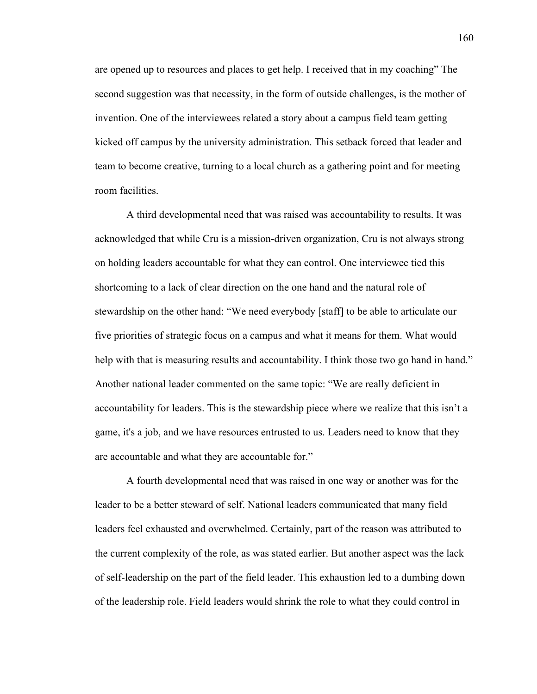are opened up to resources and places to get help. I received that in my coaching" The second suggestion was that necessity, in the form of outside challenges, is the mother of invention. One of the interviewees related a story about a campus field team getting kicked off campus by the university administration. This setback forced that leader and team to become creative, turning to a local church as a gathering point and for meeting room facilities.

A third developmental need that was raised was accountability to results. It was acknowledged that while Cru is a mission-driven organization, Cru is not always strong on holding leaders accountable for what they can control. One interviewee tied this shortcoming to a lack of clear direction on the one hand and the natural role of stewardship on the other hand: "We need everybody [staff] to be able to articulate our five priorities of strategic focus on a campus and what it means for them. What would help with that is measuring results and accountability. I think those two go hand in hand." Another national leader commented on the same topic: "We are really deficient in accountability for leaders. This is the stewardship piece where we realize that this isn't a game, it's a job, and we have resources entrusted to us. Leaders need to know that they are accountable and what they are accountable for."

A fourth developmental need that was raised in one way or another was for the leader to be a better steward of self. National leaders communicated that many field leaders feel exhausted and overwhelmed. Certainly, part of the reason was attributed to the current complexity of the role, as was stated earlier. But another aspect was the lack of self-leadership on the part of the field leader. This exhaustion led to a dumbing down of the leadership role. Field leaders would shrink the role to what they could control in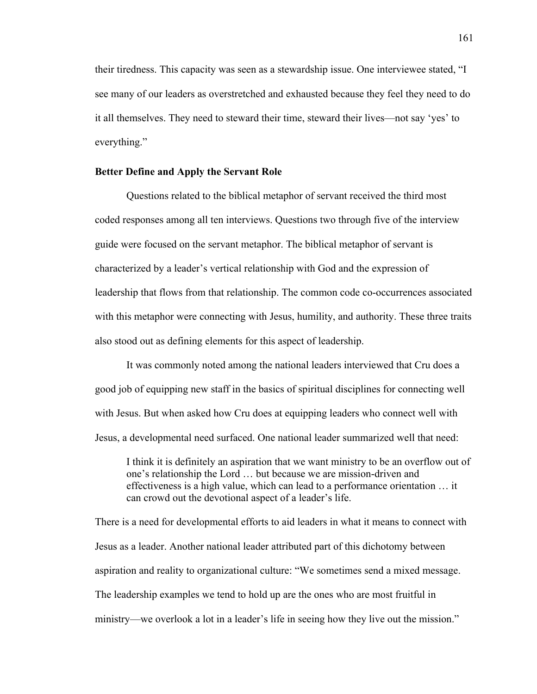their tiredness. This capacity was seen as a stewardship issue. One interviewee stated, "I see many of our leaders as overstretched and exhausted because they feel they need to do it all themselves. They need to steward their time, steward their lives—not say 'yes' to everything."

# **Better Define and Apply the Servant Role**

Questions related to the biblical metaphor of servant received the third most coded responses among all ten interviews. Questions two through five of the interview guide were focused on the servant metaphor. The biblical metaphor of servant is characterized by a leader's vertical relationship with God and the expression of leadership that flows from that relationship. The common code co-occurrences associated with this metaphor were connecting with Jesus, humility, and authority. These three traits also stood out as defining elements for this aspect of leadership.

It was commonly noted among the national leaders interviewed that Cru does a good job of equipping new staff in the basics of spiritual disciplines for connecting well with Jesus. But when asked how Cru does at equipping leaders who connect well with Jesus, a developmental need surfaced. One national leader summarized well that need:

I think it is definitely an aspiration that we want ministry to be an overflow out of one's relationship the Lord … but because we are mission-driven and effectiveness is a high value, which can lead to a performance orientation … it can crowd out the devotional aspect of a leader's life.

There is a need for developmental efforts to aid leaders in what it means to connect with Jesus as a leader. Another national leader attributed part of this dichotomy between aspiration and reality to organizational culture: "We sometimes send a mixed message. The leadership examples we tend to hold up are the ones who are most fruitful in ministry—we overlook a lot in a leader's life in seeing how they live out the mission."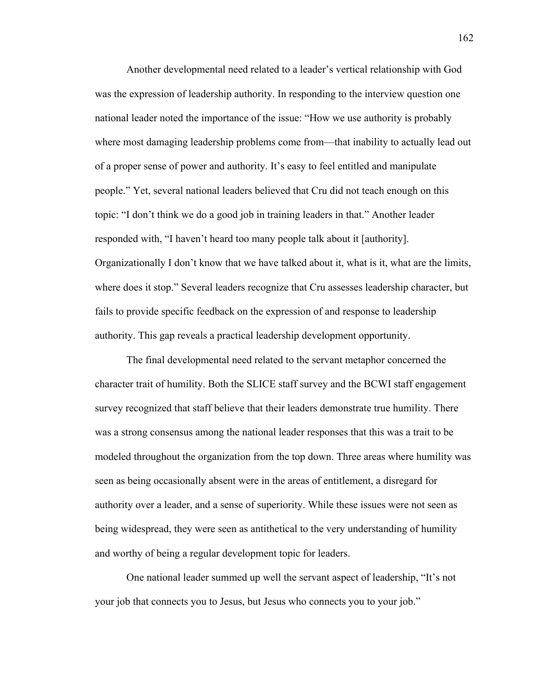Another developmental need related to a leader's vertical relationship with God was the expression of leadership authority. In responding to the interview question one national leader noted the importance of the issue: "How we use authority is probably where most damaging leadership problems come from—that inability to actually lead out of a proper sense of power and authority. It's easy to feel entitled and manipulate people." Yet, several national leaders believed that Cru did not teach enough on this topic: "I don't think we do a good job in training leaders in that." Another leader responded with, "I haven't heard too many people talk about it [authority]. Organizationally I don't know that we have talked about it, what is it, what are the limits, where does it stop." Several leaders recognize that Cru assesses leadership character, but fails to provide specific feedback on the expression of and response to leadership authority. This gap reveals a practical leadership development opportunity.

The final developmental need related to the servant metaphor concerned the character trait of humility. Both the SLICE staff survey and the BCWI staff engagement survey recognized that staff believe that their leaders demonstrate true humility. There was a strong consensus among the national leader responses that this was a trait to be modeled throughout the organization from the top down. Three areas where humility was seen as being occasionally absent were in the areas of entitlement, a disregard for authority over a leader, and a sense of superiority. While these issues were not seen as being widespread, they were seen as antithetical to the very understanding of humility and worthy of being a regular development topic for leaders.

One national leader summed up well the servant aspect of leadership, "It's not your job that connects you to Jesus, but Jesus who connects you to your job."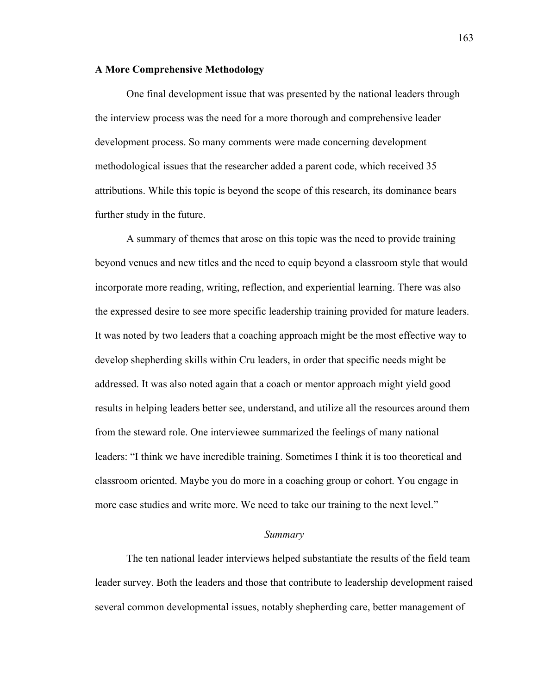### **A More Comprehensive Methodology**

One final development issue that was presented by the national leaders through the interview process was the need for a more thorough and comprehensive leader development process. So many comments were made concerning development methodological issues that the researcher added a parent code, which received 35 attributions. While this topic is beyond the scope of this research, its dominance bears further study in the future.

A summary of themes that arose on this topic was the need to provide training beyond venues and new titles and the need to equip beyond a classroom style that would incorporate more reading, writing, reflection, and experiential learning. There was also the expressed desire to see more specific leadership training provided for mature leaders. It was noted by two leaders that a coaching approach might be the most effective way to develop shepherding skills within Cru leaders, in order that specific needs might be addressed. It was also noted again that a coach or mentor approach might yield good results in helping leaders better see, understand, and utilize all the resources around them from the steward role. One interviewee summarized the feelings of many national leaders: "I think we have incredible training. Sometimes I think it is too theoretical and classroom oriented. Maybe you do more in a coaching group or cohort. You engage in more case studies and write more. We need to take our training to the next level."

### *Summary*

The ten national leader interviews helped substantiate the results of the field team leader survey. Both the leaders and those that contribute to leadership development raised several common developmental issues, notably shepherding care, better management of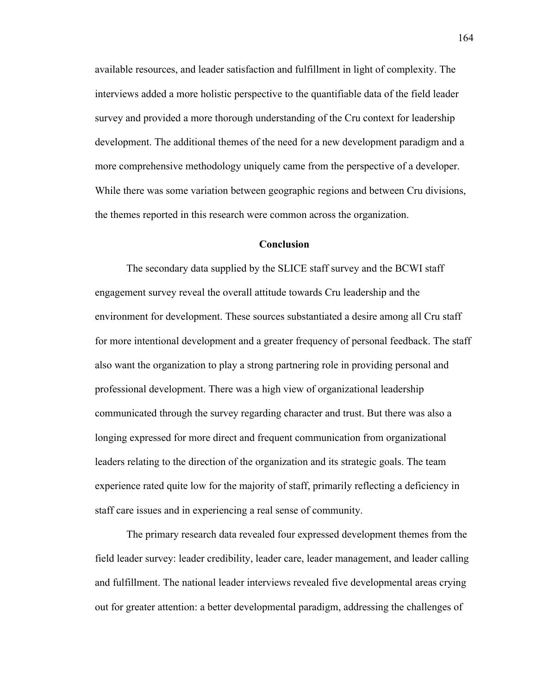available resources, and leader satisfaction and fulfillment in light of complexity. The interviews added a more holistic perspective to the quantifiable data of the field leader survey and provided a more thorough understanding of the Cru context for leadership development. The additional themes of the need for a new development paradigm and a more comprehensive methodology uniquely came from the perspective of a developer. While there was some variation between geographic regions and between Cru divisions, the themes reported in this research were common across the organization.

## **Conclusion**

The secondary data supplied by the SLICE staff survey and the BCWI staff engagement survey reveal the overall attitude towards Cru leadership and the environment for development. These sources substantiated a desire among all Cru staff for more intentional development and a greater frequency of personal feedback. The staff also want the organization to play a strong partnering role in providing personal and professional development. There was a high view of organizational leadership communicated through the survey regarding character and trust. But there was also a longing expressed for more direct and frequent communication from organizational leaders relating to the direction of the organization and its strategic goals. The team experience rated quite low for the majority of staff, primarily reflecting a deficiency in staff care issues and in experiencing a real sense of community.

The primary research data revealed four expressed development themes from the field leader survey: leader credibility, leader care, leader management, and leader calling and fulfillment. The national leader interviews revealed five developmental areas crying out for greater attention: a better developmental paradigm, addressing the challenges of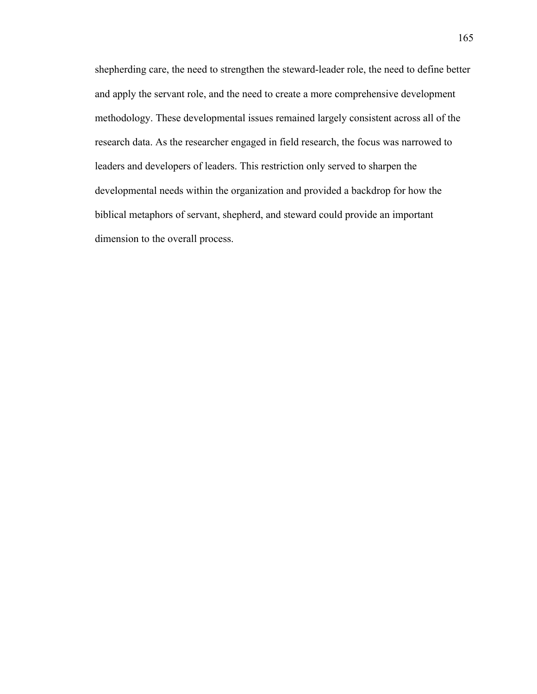shepherding care, the need to strengthen the steward-leader role, the need to define better and apply the servant role, and the need to create a more comprehensive development methodology. These developmental issues remained largely consistent across all of the research data. As the researcher engaged in field research, the focus was narrowed to leaders and developers of leaders. This restriction only served to sharpen the developmental needs within the organization and provided a backdrop for how the biblical metaphors of servant, shepherd, and steward could provide an important dimension to the overall process.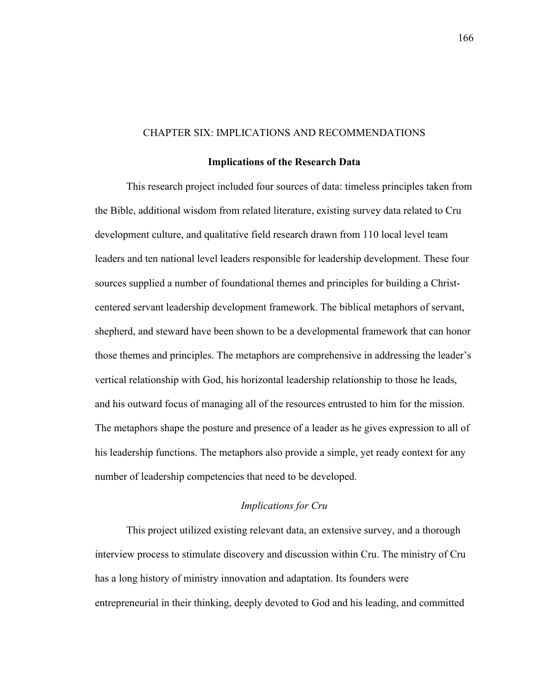## CHAPTER SIX: IMPLICATIONS AND RECOMMENDATIONS

### **Implications of the Research Data**

This research project included four sources of data: timeless principles taken from the Bible, additional wisdom from related literature, existing survey data related to Cru development culture, and qualitative field research drawn from 110 local level team leaders and ten national level leaders responsible for leadership development. These four sources supplied a number of foundational themes and principles for building a Christcentered servant leadership development framework. The biblical metaphors of servant, shepherd, and steward have been shown to be a developmental framework that can honor those themes and principles. The metaphors are comprehensive in addressing the leader's vertical relationship with God, his horizontal leadership relationship to those he leads, and his outward focus of managing all of the resources entrusted to him for the mission. The metaphors shape the posture and presence of a leader as he gives expression to all of his leadership functions. The metaphors also provide a simple, yet ready context for any number of leadership competencies that need to be developed.

# *Implications for Cru*

This project utilized existing relevant data, an extensive survey, and a thorough interview process to stimulate discovery and discussion within Cru. The ministry of Cru has a long history of ministry innovation and adaptation. Its founders were entrepreneurial in their thinking, deeply devoted to God and his leading, and committed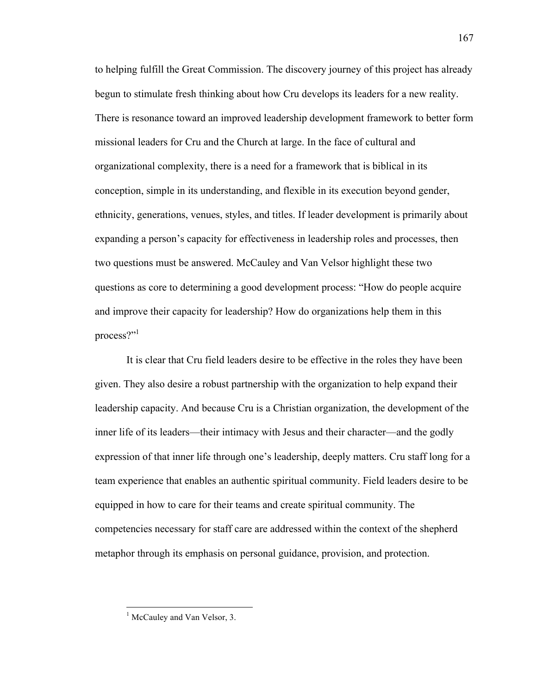to helping fulfill the Great Commission. The discovery journey of this project has already begun to stimulate fresh thinking about how Cru develops its leaders for a new reality. There is resonance toward an improved leadership development framework to better form missional leaders for Cru and the Church at large. In the face of cultural and organizational complexity, there is a need for a framework that is biblical in its conception, simple in its understanding, and flexible in its execution beyond gender, ethnicity, generations, venues, styles, and titles. If leader development is primarily about expanding a person's capacity for effectiveness in leadership roles and processes, then two questions must be answered. McCauley and Van Velsor highlight these two questions as core to determining a good development process: "How do people acquire and improve their capacity for leadership? How do organizations help them in this process?"<sup>1</sup>

It is clear that Cru field leaders desire to be effective in the roles they have been given. They also desire a robust partnership with the organization to help expand their leadership capacity. And because Cru is a Christian organization, the development of the inner life of its leaders—their intimacy with Jesus and their character—and the godly expression of that inner life through one's leadership, deeply matters. Cru staff long for a team experience that enables an authentic spiritual community. Field leaders desire to be equipped in how to care for their teams and create spiritual community. The competencies necessary for staff care are addressed within the context of the shepherd metaphor through its emphasis on personal guidance, provision, and protection.

<sup>&</sup>lt;sup>1</sup> McCauley and Van Velsor, 3.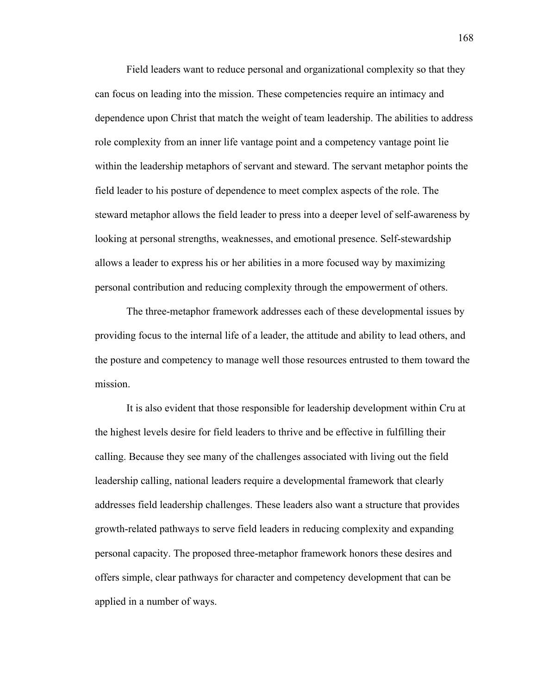Field leaders want to reduce personal and organizational complexity so that they can focus on leading into the mission. These competencies require an intimacy and dependence upon Christ that match the weight of team leadership. The abilities to address role complexity from an inner life vantage point and a competency vantage point lie within the leadership metaphors of servant and steward. The servant metaphor points the field leader to his posture of dependence to meet complex aspects of the role. The steward metaphor allows the field leader to press into a deeper level of self-awareness by looking at personal strengths, weaknesses, and emotional presence. Self-stewardship allows a leader to express his or her abilities in a more focused way by maximizing personal contribution and reducing complexity through the empowerment of others.

The three-metaphor framework addresses each of these developmental issues by providing focus to the internal life of a leader, the attitude and ability to lead others, and the posture and competency to manage well those resources entrusted to them toward the mission.

It is also evident that those responsible for leadership development within Cru at the highest levels desire for field leaders to thrive and be effective in fulfilling their calling. Because they see many of the challenges associated with living out the field leadership calling, national leaders require a developmental framework that clearly addresses field leadership challenges. These leaders also want a structure that provides growth-related pathways to serve field leaders in reducing complexity and expanding personal capacity. The proposed three-metaphor framework honors these desires and offers simple, clear pathways for character and competency development that can be applied in a number of ways.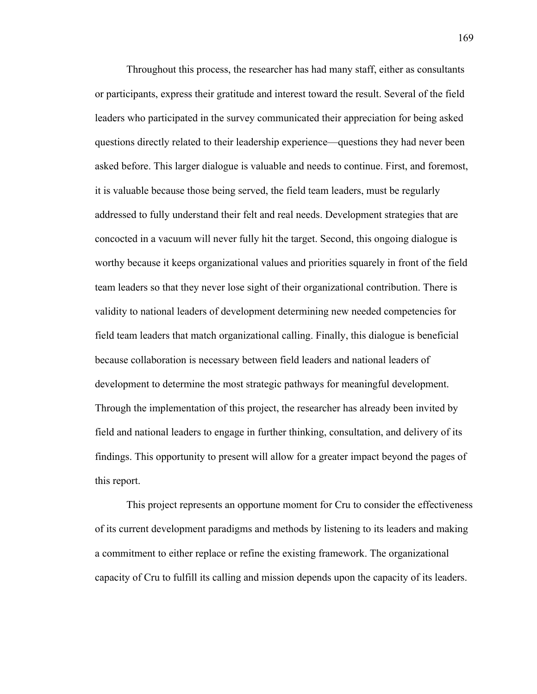Throughout this process, the researcher has had many staff, either as consultants or participants, express their gratitude and interest toward the result. Several of the field leaders who participated in the survey communicated their appreciation for being asked questions directly related to their leadership experience—questions they had never been asked before. This larger dialogue is valuable and needs to continue. First, and foremost, it is valuable because those being served, the field team leaders, must be regularly addressed to fully understand their felt and real needs. Development strategies that are concocted in a vacuum will never fully hit the target. Second, this ongoing dialogue is worthy because it keeps organizational values and priorities squarely in front of the field team leaders so that they never lose sight of their organizational contribution. There is validity to national leaders of development determining new needed competencies for field team leaders that match organizational calling. Finally, this dialogue is beneficial because collaboration is necessary between field leaders and national leaders of development to determine the most strategic pathways for meaningful development. Through the implementation of this project, the researcher has already been invited by field and national leaders to engage in further thinking, consultation, and delivery of its findings. This opportunity to present will allow for a greater impact beyond the pages of this report.

This project represents an opportune moment for Cru to consider the effectiveness of its current development paradigms and methods by listening to its leaders and making a commitment to either replace or refine the existing framework. The organizational capacity of Cru to fulfill its calling and mission depends upon the capacity of its leaders.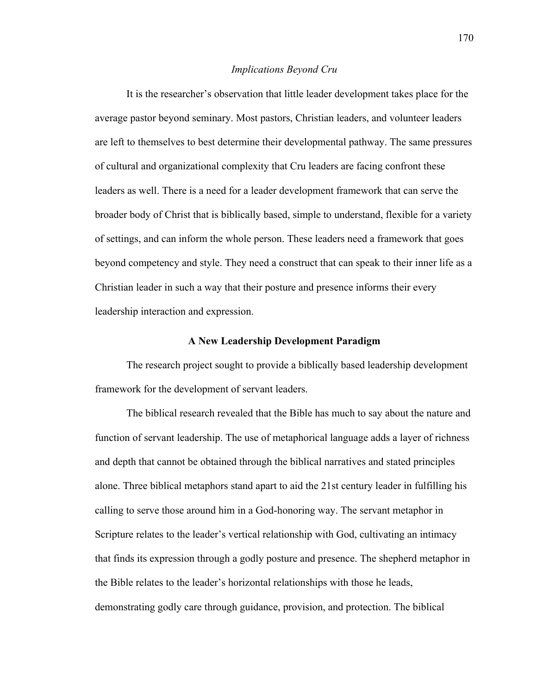### *Implications Beyond Cru*

It is the researcher's observation that little leader development takes place for the average pastor beyond seminary. Most pastors, Christian leaders, and volunteer leaders are left to themselves to best determine their developmental pathway. The same pressures of cultural and organizational complexity that Cru leaders are facing confront these leaders as well. There is a need for a leader development framework that can serve the broader body of Christ that is biblically based, simple to understand, flexible for a variety of settings, and can inform the whole person. These leaders need a framework that goes beyond competency and style. They need a construct that can speak to their inner life as a Christian leader in such a way that their posture and presence informs their every leadership interaction and expression.

## **A New Leadership Development Paradigm**

The research project sought to provide a biblically based leadership development framework for the development of servant leaders.

The biblical research revealed that the Bible has much to say about the nature and function of servant leadership. The use of metaphorical language adds a layer of richness and depth that cannot be obtained through the biblical narratives and stated principles alone. Three biblical metaphors stand apart to aid the 21st century leader in fulfilling his calling to serve those around him in a God-honoring way. The servant metaphor in Scripture relates to the leader's vertical relationship with God, cultivating an intimacy that finds its expression through a godly posture and presence. The shepherd metaphor in the Bible relates to the leader's horizontal relationships with those he leads, demonstrating godly care through guidance, provision, and protection. The biblical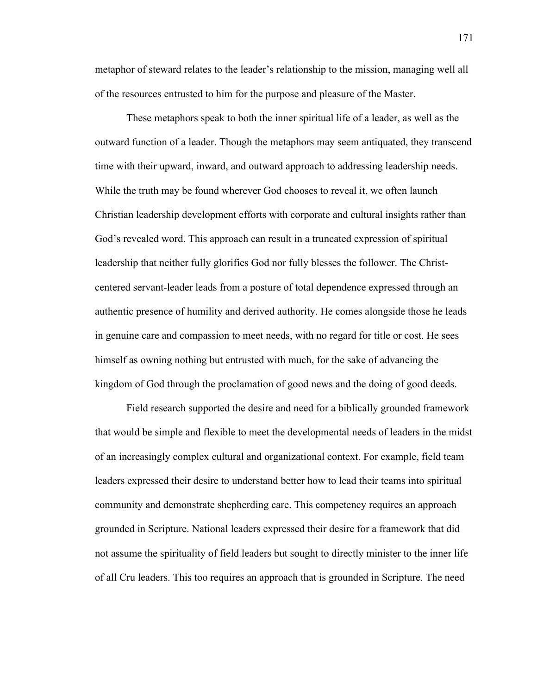metaphor of steward relates to the leader's relationship to the mission, managing well all of the resources entrusted to him for the purpose and pleasure of the Master.

These metaphors speak to both the inner spiritual life of a leader, as well as the outward function of a leader. Though the metaphors may seem antiquated, they transcend time with their upward, inward, and outward approach to addressing leadership needs. While the truth may be found wherever God chooses to reveal it, we often launch Christian leadership development efforts with corporate and cultural insights rather than God's revealed word. This approach can result in a truncated expression of spiritual leadership that neither fully glorifies God nor fully blesses the follower. The Christcentered servant-leader leads from a posture of total dependence expressed through an authentic presence of humility and derived authority. He comes alongside those he leads in genuine care and compassion to meet needs, with no regard for title or cost. He sees himself as owning nothing but entrusted with much, for the sake of advancing the kingdom of God through the proclamation of good news and the doing of good deeds.

Field research supported the desire and need for a biblically grounded framework that would be simple and flexible to meet the developmental needs of leaders in the midst of an increasingly complex cultural and organizational context. For example, field team leaders expressed their desire to understand better how to lead their teams into spiritual community and demonstrate shepherding care. This competency requires an approach grounded in Scripture. National leaders expressed their desire for a framework that did not assume the spirituality of field leaders but sought to directly minister to the inner life of all Cru leaders. This too requires an approach that is grounded in Scripture. The need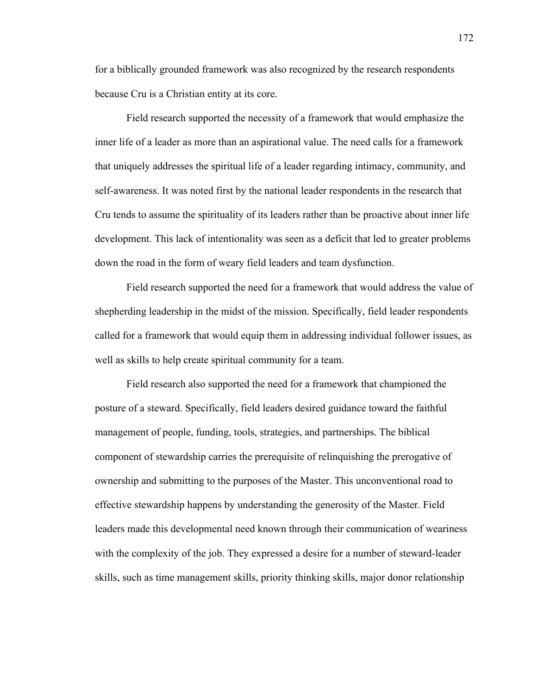for a biblically grounded framework was also recognized by the research respondents because Cru is a Christian entity at its core.

Field research supported the necessity of a framework that would emphasize the inner life of a leader as more than an aspirational value. The need calls for a framework that uniquely addresses the spiritual life of a leader regarding intimacy, community, and self-awareness. It was noted first by the national leader respondents in the research that Cru tends to assume the spirituality of its leaders rather than be proactive about inner life development. This lack of intentionality was seen as a deficit that led to greater problems down the road in the form of weary field leaders and team dysfunction.

Field research supported the need for a framework that would address the value of shepherding leadership in the midst of the mission. Specifically, field leader respondents called for a framework that would equip them in addressing individual follower issues, as well as skills to help create spiritual community for a team.

Field research also supported the need for a framework that championed the posture of a steward. Specifically, field leaders desired guidance toward the faithful management of people, funding, tools, strategies, and partnerships. The biblical component of stewardship carries the prerequisite of relinquishing the prerogative of ownership and submitting to the purposes of the Master. This unconventional road to effective stewardship happens by understanding the generosity of the Master. Field leaders made this developmental need known through their communication of weariness with the complexity of the job. They expressed a desire for a number of steward-leader skills, such as time management skills, priority thinking skills, major donor relationship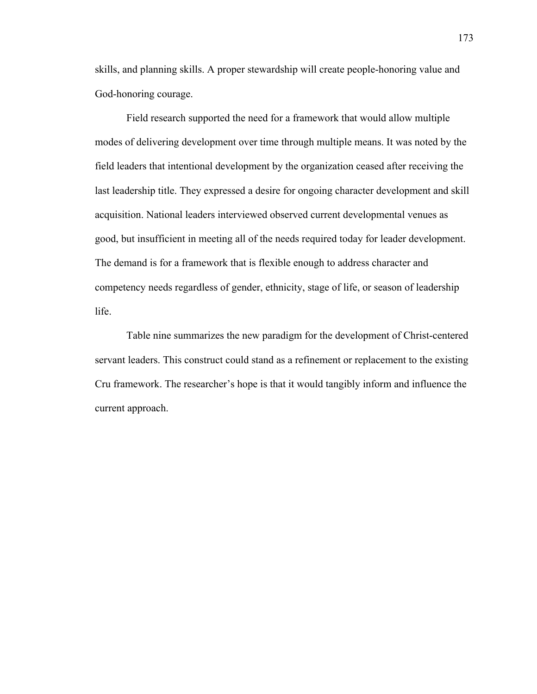skills, and planning skills. A proper stewardship will create people-honoring value and God-honoring courage.

Field research supported the need for a framework that would allow multiple modes of delivering development over time through multiple means. It was noted by the field leaders that intentional development by the organization ceased after receiving the last leadership title. They expressed a desire for ongoing character development and skill acquisition. National leaders interviewed observed current developmental venues as good, but insufficient in meeting all of the needs required today for leader development. The demand is for a framework that is flexible enough to address character and competency needs regardless of gender, ethnicity, stage of life, or season of leadership life.

Table nine summarizes the new paradigm for the development of Christ-centered servant leaders. This construct could stand as a refinement or replacement to the existing Cru framework. The researcher's hope is that it would tangibly inform and influence the current approach.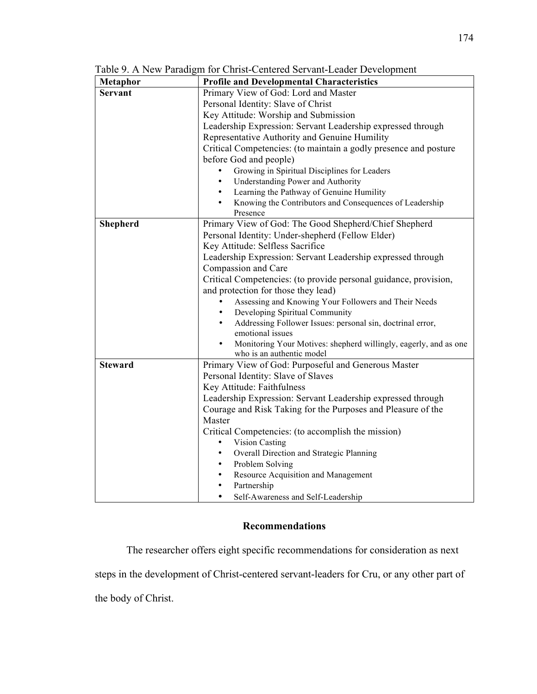| Metaphor       | <b>Profile and Developmental Characteristics</b>                                           |  |
|----------------|--------------------------------------------------------------------------------------------|--|
| <b>Servant</b> | Primary View of God: Lord and Master                                                       |  |
|                | Personal Identity: Slave of Christ                                                         |  |
|                | Key Attitude: Worship and Submission                                                       |  |
|                | Leadership Expression: Servant Leadership expressed through                                |  |
|                | Representative Authority and Genuine Humility                                              |  |
|                | Critical Competencies: (to maintain a godly presence and posture<br>before God and people) |  |
|                |                                                                                            |  |
|                | Growing in Spiritual Disciplines for Leaders                                               |  |
|                | <b>Understanding Power and Authority</b>                                                   |  |
|                | Learning the Pathway of Genuine Humility                                                   |  |
|                | Knowing the Contributors and Consequences of Leadership<br>Presence                        |  |
| Shepherd       | Primary View of God: The Good Shepherd/Chief Shepherd                                      |  |
|                | Personal Identity: Under-shepherd (Fellow Elder)                                           |  |
|                | Key Attitude: Selfless Sacrifice                                                           |  |
|                | Leadership Expression: Servant Leadership expressed through                                |  |
|                | Compassion and Care                                                                        |  |
|                | Critical Competencies: (to provide personal guidance, provision,                           |  |
|                | and protection for those they lead)                                                        |  |
|                | Assessing and Knowing Your Followers and Their Needs                                       |  |
|                | Developing Spiritual Community<br>$\bullet$                                                |  |
|                | Addressing Follower Issues: personal sin, doctrinal error,<br>$\bullet$                    |  |
|                | emotional issues                                                                           |  |
|                | Monitoring Your Motives: shepherd willingly, eagerly, and as one                           |  |
|                | who is an authentic model                                                                  |  |
| <b>Steward</b> | Primary View of God: Purposeful and Generous Master                                        |  |
|                | Personal Identity: Slave of Slaves                                                         |  |
|                | Key Attitude: Faithfulness                                                                 |  |
|                | Leadership Expression: Servant Leadership expressed through                                |  |
|                | Courage and Risk Taking for the Purposes and Pleasure of the                               |  |
|                | Master                                                                                     |  |
|                | Critical Competencies: (to accomplish the mission)                                         |  |
|                | <b>Vision Casting</b>                                                                      |  |
|                | Overall Direction and Strategic Planning                                                   |  |
|                | Problem Solving<br>$\bullet$                                                               |  |
|                | Resource Acquisition and Management<br>$\bullet$                                           |  |
|                | Partnership<br>$\bullet$                                                                   |  |
|                | Self-Awareness and Self-Leadership<br>$\bullet$                                            |  |

Table 9. A New Paradigm for Christ-Centered Servant-Leader Development

# **Recommendations**

The researcher offers eight specific recommendations for consideration as next steps in the development of Christ-centered servant-leaders for Cru, or any other part of the body of Christ.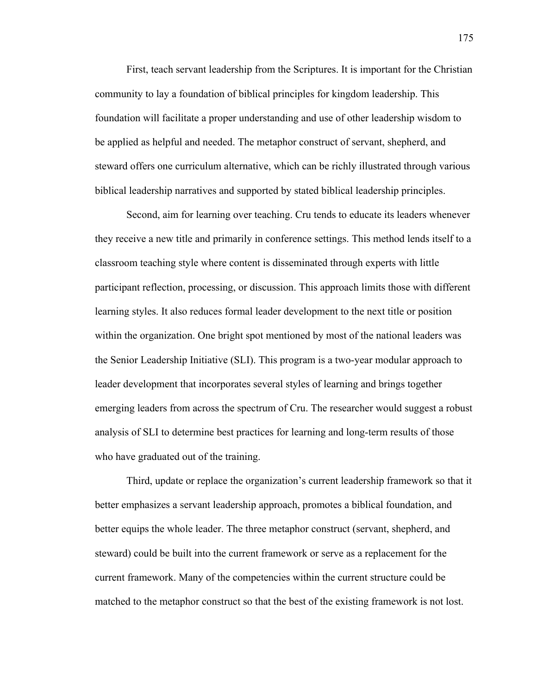First, teach servant leadership from the Scriptures. It is important for the Christian community to lay a foundation of biblical principles for kingdom leadership. This foundation will facilitate a proper understanding and use of other leadership wisdom to be applied as helpful and needed. The metaphor construct of servant, shepherd, and steward offers one curriculum alternative, which can be richly illustrated through various biblical leadership narratives and supported by stated biblical leadership principles.

Second, aim for learning over teaching. Cru tends to educate its leaders whenever they receive a new title and primarily in conference settings. This method lends itself to a classroom teaching style where content is disseminated through experts with little participant reflection, processing, or discussion. This approach limits those with different learning styles. It also reduces formal leader development to the next title or position within the organization. One bright spot mentioned by most of the national leaders was the Senior Leadership Initiative (SLI). This program is a two-year modular approach to leader development that incorporates several styles of learning and brings together emerging leaders from across the spectrum of Cru. The researcher would suggest a robust analysis of SLI to determine best practices for learning and long-term results of those who have graduated out of the training.

Third, update or replace the organization's current leadership framework so that it better emphasizes a servant leadership approach, promotes a biblical foundation, and better equips the whole leader. The three metaphor construct (servant, shepherd, and steward) could be built into the current framework or serve as a replacement for the current framework. Many of the competencies within the current structure could be matched to the metaphor construct so that the best of the existing framework is not lost.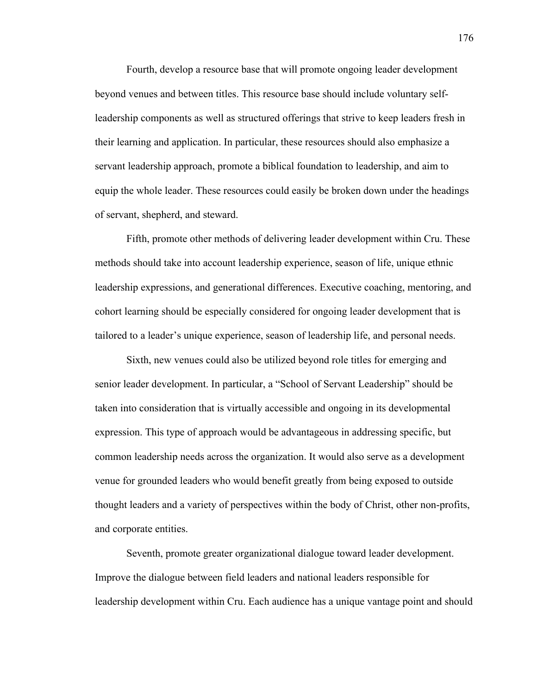Fourth, develop a resource base that will promote ongoing leader development beyond venues and between titles. This resource base should include voluntary selfleadership components as well as structured offerings that strive to keep leaders fresh in their learning and application. In particular, these resources should also emphasize a servant leadership approach, promote a biblical foundation to leadership, and aim to equip the whole leader. These resources could easily be broken down under the headings of servant, shepherd, and steward.

Fifth, promote other methods of delivering leader development within Cru. These methods should take into account leadership experience, season of life, unique ethnic leadership expressions, and generational differences. Executive coaching, mentoring, and cohort learning should be especially considered for ongoing leader development that is tailored to a leader's unique experience, season of leadership life, and personal needs.

Sixth, new venues could also be utilized beyond role titles for emerging and senior leader development. In particular, a "School of Servant Leadership" should be taken into consideration that is virtually accessible and ongoing in its developmental expression. This type of approach would be advantageous in addressing specific, but common leadership needs across the organization. It would also serve as a development venue for grounded leaders who would benefit greatly from being exposed to outside thought leaders and a variety of perspectives within the body of Christ, other non-profits, and corporate entities.

Seventh, promote greater organizational dialogue toward leader development. Improve the dialogue between field leaders and national leaders responsible for leadership development within Cru. Each audience has a unique vantage point and should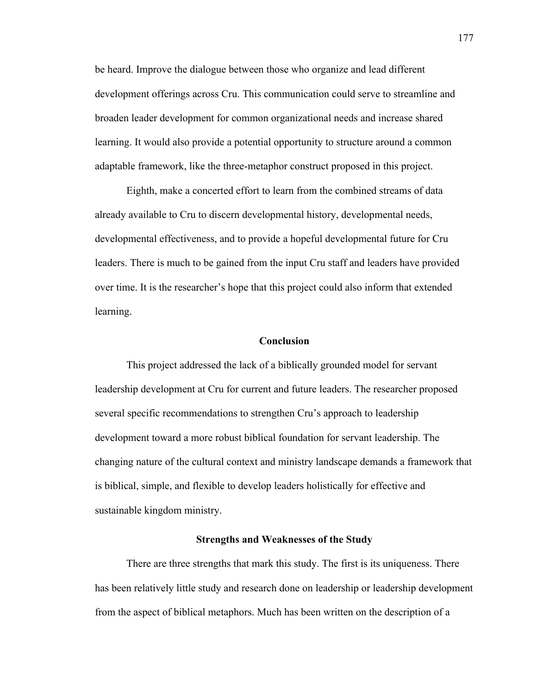be heard. Improve the dialogue between those who organize and lead different development offerings across Cru. This communication could serve to streamline and broaden leader development for common organizational needs and increase shared learning. It would also provide a potential opportunity to structure around a common adaptable framework, like the three-metaphor construct proposed in this project.

Eighth, make a concerted effort to learn from the combined streams of data already available to Cru to discern developmental history, developmental needs, developmental effectiveness, and to provide a hopeful developmental future for Cru leaders. There is much to be gained from the input Cru staff and leaders have provided over time. It is the researcher's hope that this project could also inform that extended learning.

### **Conclusion**

This project addressed the lack of a biblically grounded model for servant leadership development at Cru for current and future leaders. The researcher proposed several specific recommendations to strengthen Cru's approach to leadership development toward a more robust biblical foundation for servant leadership. The changing nature of the cultural context and ministry landscape demands a framework that is biblical, simple, and flexible to develop leaders holistically for effective and sustainable kingdom ministry.

## **Strengths and Weaknesses of the Study**

There are three strengths that mark this study. The first is its uniqueness. There has been relatively little study and research done on leadership or leadership development from the aspect of biblical metaphors. Much has been written on the description of a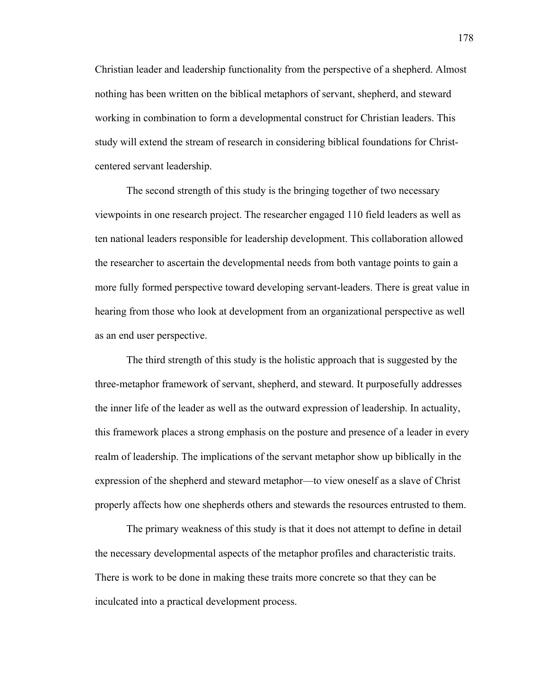Christian leader and leadership functionality from the perspective of a shepherd. Almost nothing has been written on the biblical metaphors of servant, shepherd, and steward working in combination to form a developmental construct for Christian leaders. This study will extend the stream of research in considering biblical foundations for Christcentered servant leadership.

The second strength of this study is the bringing together of two necessary viewpoints in one research project. The researcher engaged 110 field leaders as well as ten national leaders responsible for leadership development. This collaboration allowed the researcher to ascertain the developmental needs from both vantage points to gain a more fully formed perspective toward developing servant-leaders. There is great value in hearing from those who look at development from an organizational perspective as well as an end user perspective.

The third strength of this study is the holistic approach that is suggested by the three-metaphor framework of servant, shepherd, and steward. It purposefully addresses the inner life of the leader as well as the outward expression of leadership. In actuality, this framework places a strong emphasis on the posture and presence of a leader in every realm of leadership. The implications of the servant metaphor show up biblically in the expression of the shepherd and steward metaphor—to view oneself as a slave of Christ properly affects how one shepherds others and stewards the resources entrusted to them.

The primary weakness of this study is that it does not attempt to define in detail the necessary developmental aspects of the metaphor profiles and characteristic traits. There is work to be done in making these traits more concrete so that they can be inculcated into a practical development process.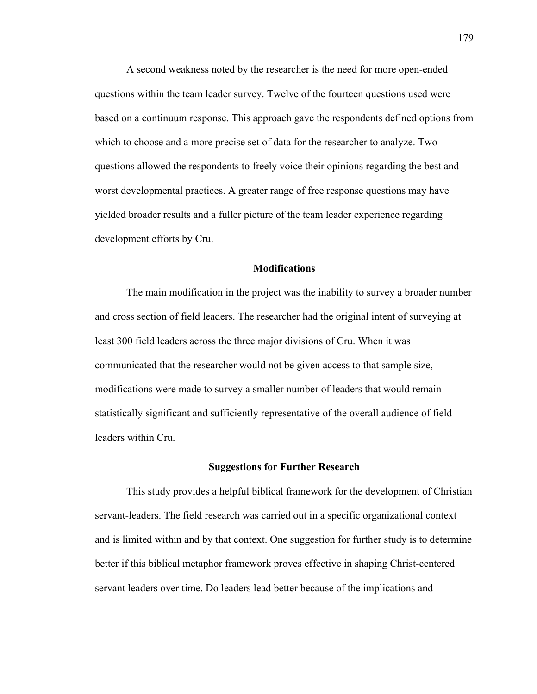A second weakness noted by the researcher is the need for more open-ended questions within the team leader survey. Twelve of the fourteen questions used were based on a continuum response. This approach gave the respondents defined options from which to choose and a more precise set of data for the researcher to analyze. Two questions allowed the respondents to freely voice their opinions regarding the best and worst developmental practices. A greater range of free response questions may have yielded broader results and a fuller picture of the team leader experience regarding development efforts by Cru.

#### **Modifications**

The main modification in the project was the inability to survey a broader number and cross section of field leaders. The researcher had the original intent of surveying at least 300 field leaders across the three major divisions of Cru. When it was communicated that the researcher would not be given access to that sample size, modifications were made to survey a smaller number of leaders that would remain statistically significant and sufficiently representative of the overall audience of field leaders within Cru.

#### **Suggestions for Further Research**

This study provides a helpful biblical framework for the development of Christian servant-leaders. The field research was carried out in a specific organizational context and is limited within and by that context. One suggestion for further study is to determine better if this biblical metaphor framework proves effective in shaping Christ-centered servant leaders over time. Do leaders lead better because of the implications and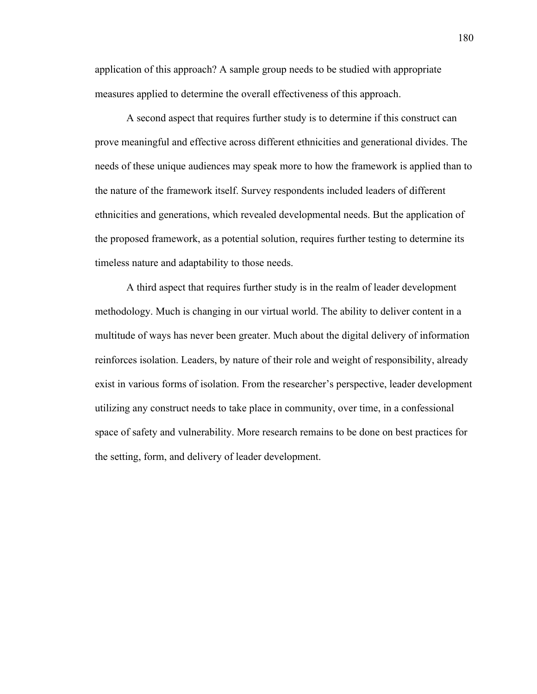application of this approach? A sample group needs to be studied with appropriate measures applied to determine the overall effectiveness of this approach.

A second aspect that requires further study is to determine if this construct can prove meaningful and effective across different ethnicities and generational divides. The needs of these unique audiences may speak more to how the framework is applied than to the nature of the framework itself. Survey respondents included leaders of different ethnicities and generations, which revealed developmental needs. But the application of the proposed framework, as a potential solution, requires further testing to determine its timeless nature and adaptability to those needs.

A third aspect that requires further study is in the realm of leader development methodology. Much is changing in our virtual world. The ability to deliver content in a multitude of ways has never been greater. Much about the digital delivery of information reinforces isolation. Leaders, by nature of their role and weight of responsibility, already exist in various forms of isolation. From the researcher's perspective, leader development utilizing any construct needs to take place in community, over time, in a confessional space of safety and vulnerability. More research remains to be done on best practices for the setting, form, and delivery of leader development.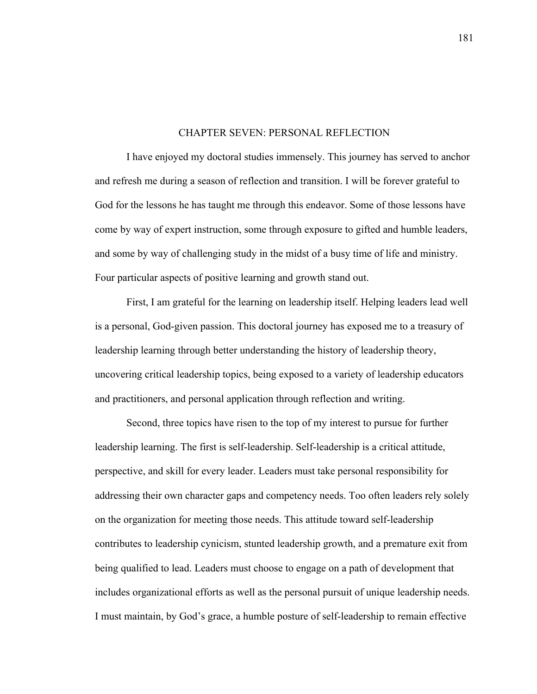### CHAPTER SEVEN: PERSONAL REFLECTION

I have enjoyed my doctoral studies immensely. This journey has served to anchor and refresh me during a season of reflection and transition. I will be forever grateful to God for the lessons he has taught me through this endeavor. Some of those lessons have come by way of expert instruction, some through exposure to gifted and humble leaders, and some by way of challenging study in the midst of a busy time of life and ministry. Four particular aspects of positive learning and growth stand out.

First, I am grateful for the learning on leadership itself. Helping leaders lead well is a personal, God-given passion. This doctoral journey has exposed me to a treasury of leadership learning through better understanding the history of leadership theory, uncovering critical leadership topics, being exposed to a variety of leadership educators and practitioners, and personal application through reflection and writing.

Second, three topics have risen to the top of my interest to pursue for further leadership learning. The first is self-leadership. Self-leadership is a critical attitude, perspective, and skill for every leader. Leaders must take personal responsibility for addressing their own character gaps and competency needs. Too often leaders rely solely on the organization for meeting those needs. This attitude toward self-leadership contributes to leadership cynicism, stunted leadership growth, and a premature exit from being qualified to lead. Leaders must choose to engage on a path of development that includes organizational efforts as well as the personal pursuit of unique leadership needs. I must maintain, by God's grace, a humble posture of self-leadership to remain effective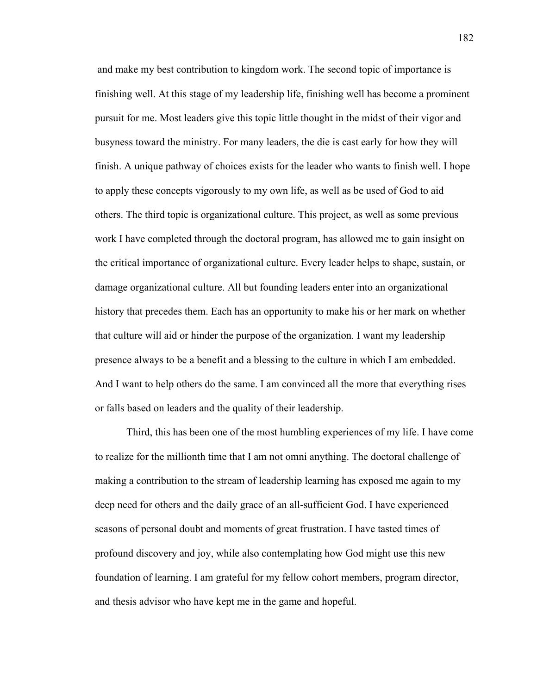and make my best contribution to kingdom work. The second topic of importance is finishing well. At this stage of my leadership life, finishing well has become a prominent pursuit for me. Most leaders give this topic little thought in the midst of their vigor and busyness toward the ministry. For many leaders, the die is cast early for how they will finish. A unique pathway of choices exists for the leader who wants to finish well. I hope to apply these concepts vigorously to my own life, as well as be used of God to aid others. The third topic is organizational culture. This project, as well as some previous work I have completed through the doctoral program, has allowed me to gain insight on the critical importance of organizational culture. Every leader helps to shape, sustain, or damage organizational culture. All but founding leaders enter into an organizational history that precedes them. Each has an opportunity to make his or her mark on whether that culture will aid or hinder the purpose of the organization. I want my leadership presence always to be a benefit and a blessing to the culture in which I am embedded. And I want to help others do the same. I am convinced all the more that everything rises or falls based on leaders and the quality of their leadership.

Third, this has been one of the most humbling experiences of my life. I have come to realize for the millionth time that I am not omni anything. The doctoral challenge of making a contribution to the stream of leadership learning has exposed me again to my deep need for others and the daily grace of an all-sufficient God. I have experienced seasons of personal doubt and moments of great frustration. I have tasted times of profound discovery and joy, while also contemplating how God might use this new foundation of learning. I am grateful for my fellow cohort members, program director, and thesis advisor who have kept me in the game and hopeful.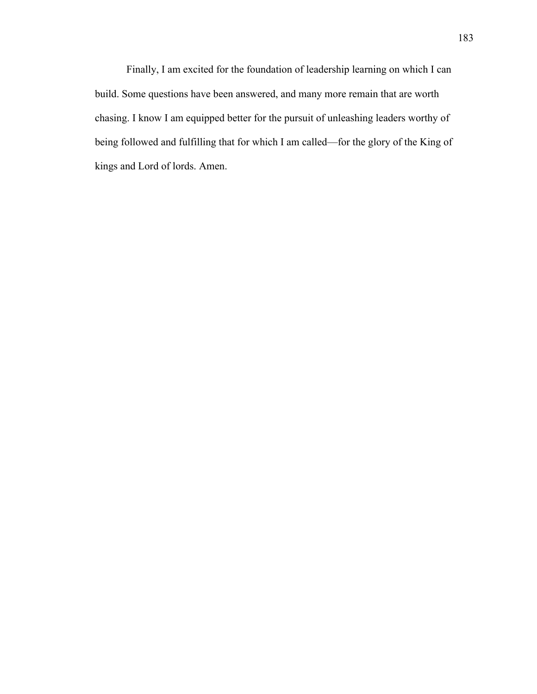Finally, I am excited for the foundation of leadership learning on which I can build. Some questions have been answered, and many more remain that are worth chasing. I know I am equipped better for the pursuit of unleashing leaders worthy of being followed and fulfilling that for which I am called—for the glory of the King of kings and Lord of lords. Amen.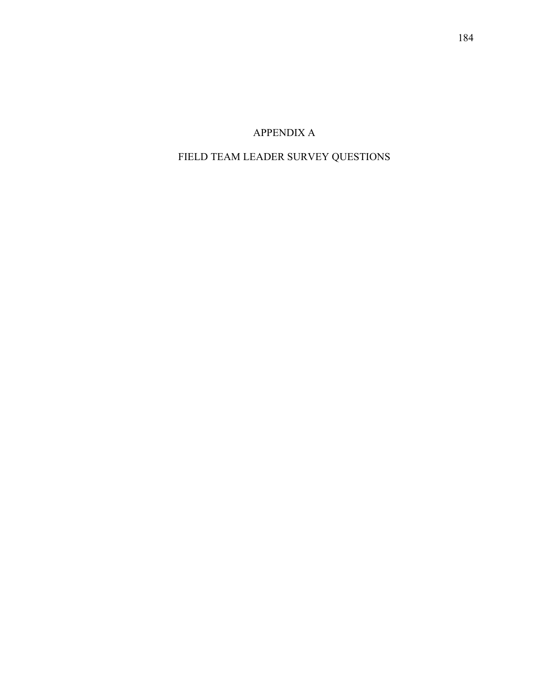## APPENDIX A

# FIELD TEAM LEADER SURVEY QUESTIONS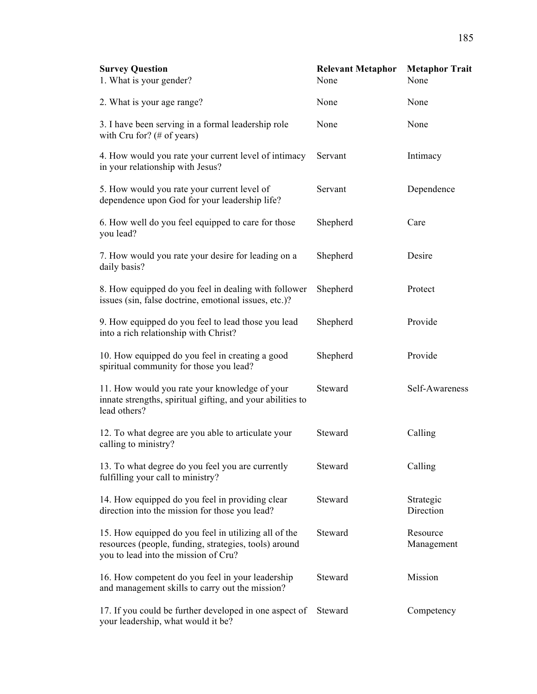| <b>Survey Question</b><br>1. What is your gender?                                                                                                     | <b>Relevant Metaphor</b><br>None | <b>Metaphor Trait</b><br>None |
|-------------------------------------------------------------------------------------------------------------------------------------------------------|----------------------------------|-------------------------------|
| 2. What is your age range?                                                                                                                            | None                             | None                          |
| 3. I have been serving in a formal leadership role<br>with Cru for? (# of years)                                                                      | None                             | None                          |
| 4. How would you rate your current level of intimacy<br>in your relationship with Jesus?                                                              | Servant                          | Intimacy                      |
| 5. How would you rate your current level of<br>dependence upon God for your leadership life?                                                          | Servant                          | Dependence                    |
| 6. How well do you feel equipped to care for those<br>you lead?                                                                                       | Shepherd                         | Care                          |
| 7. How would you rate your desire for leading on a<br>daily basis?                                                                                    | Shepherd                         | Desire                        |
| 8. How equipped do you feel in dealing with follower<br>issues (sin, false doctrine, emotional issues, etc.)?                                         | Shepherd                         | Protect                       |
| 9. How equipped do you feel to lead those you lead<br>into a rich relationship with Christ?                                                           | Shepherd                         | Provide                       |
| 10. How equipped do you feel in creating a good<br>spiritual community for those you lead?                                                            | Shepherd                         | Provide                       |
| 11. How would you rate your knowledge of your<br>innate strengths, spiritual gifting, and your abilities to<br>lead others?                           | Steward                          | Self-Awareness                |
| 12. To what degree are you able to articulate your<br>calling to ministry?                                                                            | Steward                          | Calling                       |
| 13. To what degree do you feel you are currently<br>fulfilling your call to ministry?                                                                 | Steward                          | Calling                       |
| 14. How equipped do you feel in providing clear<br>direction into the mission for those you lead?                                                     | Steward                          | Strategic<br>Direction        |
| 15. How equipped do you feel in utilizing all of the<br>resources (people, funding, strategies, tools) around<br>you to lead into the mission of Cru? | Steward                          | Resource<br>Management        |
| 16. How competent do you feel in your leadership<br>and management skills to carry out the mission?                                                   | Steward                          | Mission                       |
| 17. If you could be further developed in one aspect of<br>your leadership, what would it be?                                                          | Steward                          | Competency                    |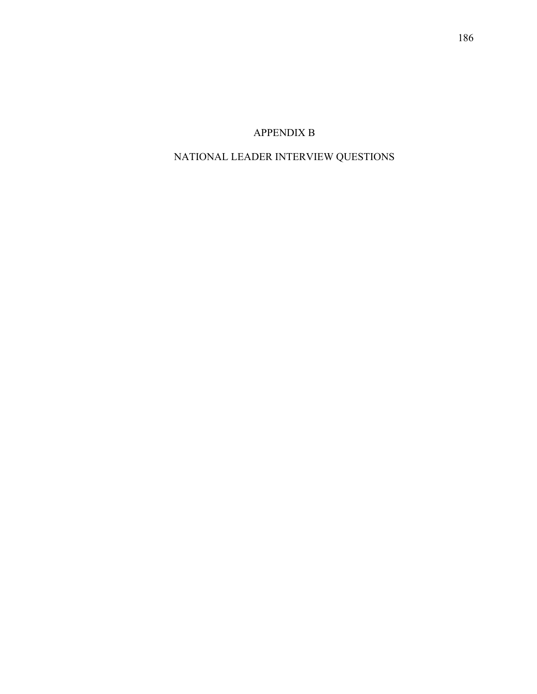## APPENDIX B

# NATIONAL LEADER INTERVIEW QUESTIONS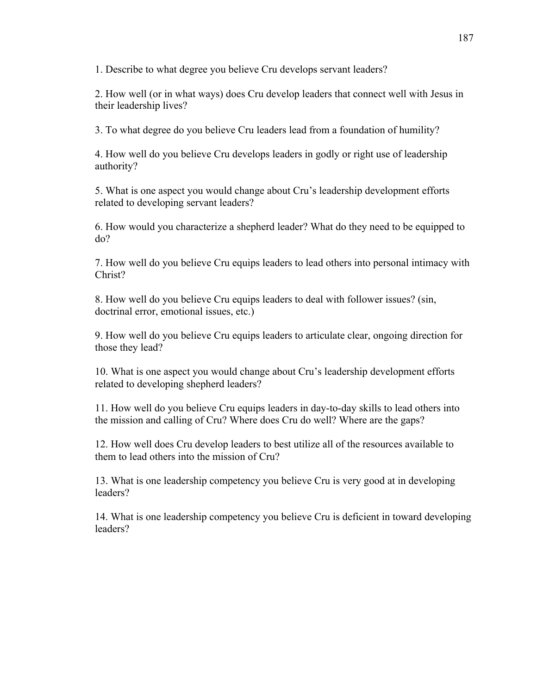1. Describe to what degree you believe Cru develops servant leaders?

2. How well (or in what ways) does Cru develop leaders that connect well with Jesus in their leadership lives?

3. To what degree do you believe Cru leaders lead from a foundation of humility?

4. How well do you believe Cru develops leaders in godly or right use of leadership authority?

5. What is one aspect you would change about Cru's leadership development efforts related to developing servant leaders?

6. How would you characterize a shepherd leader? What do they need to be equipped to do?

7. How well do you believe Cru equips leaders to lead others into personal intimacy with Christ?

8. How well do you believe Cru equips leaders to deal with follower issues? (sin, doctrinal error, emotional issues, etc.)

9. How well do you believe Cru equips leaders to articulate clear, ongoing direction for those they lead?

10. What is one aspect you would change about Cru's leadership development efforts related to developing shepherd leaders?

11. How well do you believe Cru equips leaders in day-to-day skills to lead others into the mission and calling of Cru? Where does Cru do well? Where are the gaps?

12. How well does Cru develop leaders to best utilize all of the resources available to them to lead others into the mission of Cru?

13. What is one leadership competency you believe Cru is very good at in developing leaders?

14. What is one leadership competency you believe Cru is deficient in toward developing leaders?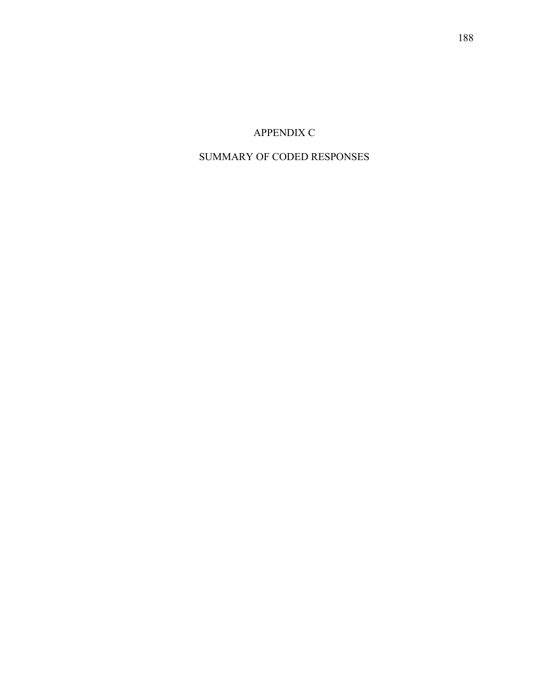## APPENDIX C

## SUMMARY OF CODED RESPONSES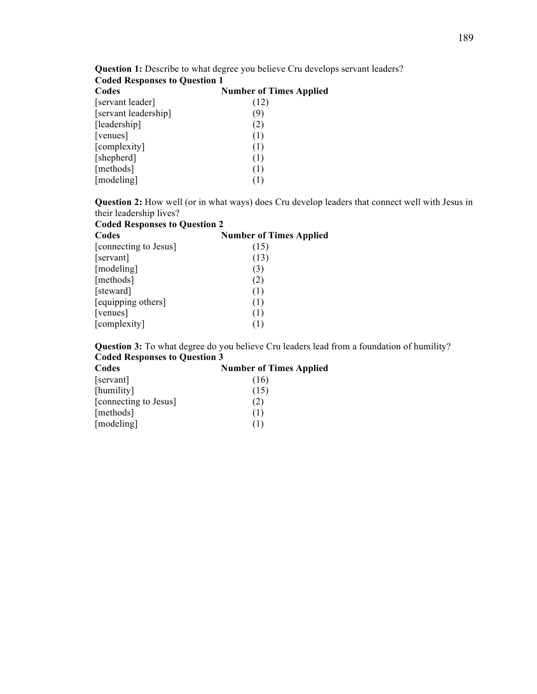| <b>Coded Responses to Question 1</b> |                                |
|--------------------------------------|--------------------------------|
| Codes                                | <b>Number of Times Applied</b> |
| [servant leader]                     | (12)                           |
| [servant leadership]                 | (9)                            |
| [leadership]                         | (2)                            |
| [venues]                             | (1)                            |
| [complexity]                         | (1)                            |
| [shepherd]                           | (1)                            |
| [methods]                            | (1)                            |
| [modeling]                           | (1)                            |

**Question 1:** Describe to what degree you believe Cru develops servant leaders?

**Question 2:** How well (or in what ways) does Cru develop leaders that connect well with Jesus in their leadership lives?

| <b>Coded Responses to Question 2</b> |                                |
|--------------------------------------|--------------------------------|
| Codes                                | <b>Number of Times Applied</b> |
| [connecting to Jesus]                | (15)                           |
| [servant]                            | (13)                           |
| [modeling]                           | (3)                            |
| [methods]                            | (2)                            |
| [steward]                            | (1)                            |
| [equipping others]                   | (1)                            |
| [venues]                             | (1)                            |
| [complexity]                         | (1)                            |

**Question 3:** To what degree do you believe Cru leaders lead from a foundation of humility? **Coded Responses to Question 3**

| Codes                 | <b>Number of Times Applied</b> |
|-----------------------|--------------------------------|
| [servant]             | (16)                           |
| [humility]            | (15)                           |
| [connecting to Jesus] | (2)                            |
| [methods]             | (1)                            |
| [modeling]            | (1)                            |

### 189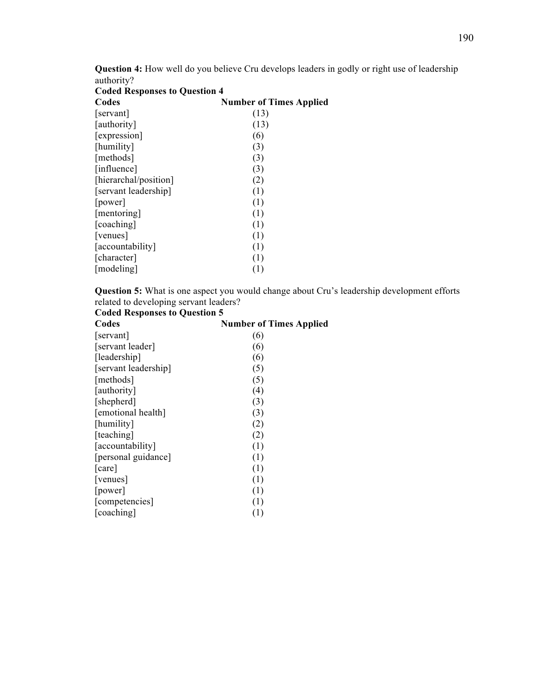**Question 4:** How well do you believe Cru develops leaders in godly or right use of leadership authority?

| <b>Coded Responses to Question 4</b> |                                |
|--------------------------------------|--------------------------------|
| Codes                                | <b>Number of Times Applied</b> |
| servant                              | (13)                           |
| [authority]                          | (13)                           |
| [expression]                         | (6)                            |
| [humility]                           | (3)                            |
| [methods]                            | (3)                            |
| [influence]                          | (3)                            |
| [hierarchal/position]                | (2)                            |
| [servant leadership]                 | (1)                            |
| [power]                              | (1)                            |
| [mentoring]                          | (1)                            |
| [coaching]                           | (1)                            |
| [venues]                             | (1)                            |
| [accountability]                     | (1)                            |
| [character]                          | (1)                            |
| [modeling]                           | (1)                            |
|                                      |                                |

**Question 5:** What is one aspect you would change about Cru's leadership development efforts related to developing servant leaders?

### **Coded Responses to Question 5**

| <b>Number of Times Applied</b> |
|--------------------------------|
| (6)                            |
| (6)                            |
| (6)                            |
| (5)                            |
| (5)                            |
| (4)                            |
| (3)                            |
| (3)                            |
| (2)                            |
| (2)                            |
| (1)                            |
| (1)                            |
| (1)                            |
| (1)                            |
| (1)                            |
| (1)                            |
| (1)                            |
|                                |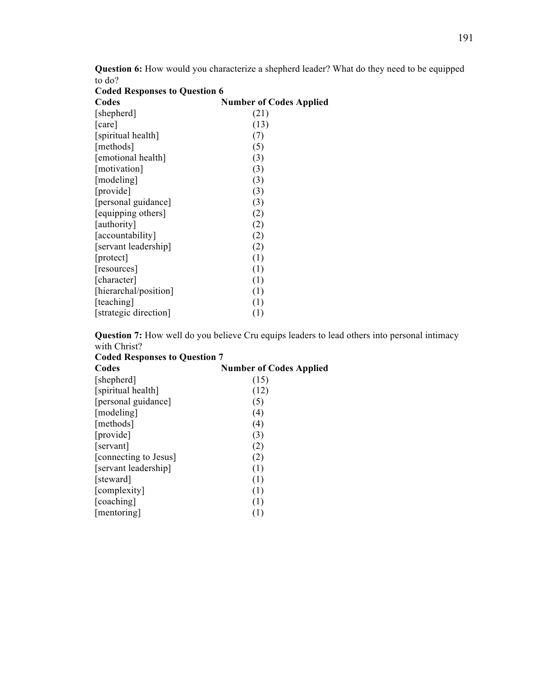**Question 6:** How would you characterize a shepherd leader? What do they need to be equipped to do?<br>Coded **D Coded Responses to Question 6**

| <b>Coded Responses to Question 6</b> |                                |  |
|--------------------------------------|--------------------------------|--|
| Codes                                | <b>Number of Codes Applied</b> |  |
| [shepherd]                           | (21)                           |  |
| $\lceil \text{care} \rceil$          | (13)                           |  |
| [spiritual health]                   | (7)                            |  |
| [methods]                            | (5)                            |  |
| [emotional health]                   | (3)                            |  |
| [motivation]                         | (3)                            |  |
| [modeling]                           | (3)                            |  |
| [provide]                            | (3)                            |  |
| [personal guidance]                  | (3)                            |  |
| [equipping others]                   | (2)                            |  |
| [authority]                          | (2)                            |  |
| [accountability]                     | (2)                            |  |
| [servant leadership]                 | (2)                            |  |
| [protect]                            | (1)                            |  |
| [resources]                          | (1)                            |  |
| [character]                          | (1)                            |  |
| [hierarchal/position]                | (1)                            |  |
| [teaching]                           | (1)                            |  |
| [strategic direction]                | (1)                            |  |
|                                      |                                |  |

**Question 7:** How well do you believe Cru equips leaders to lead others into personal intimacy with Christ? **Coded Responses to Question 7**

| Coueu Responses to Question / |                                |  |
|-------------------------------|--------------------------------|--|
| Codes                         | <b>Number of Codes Applied</b> |  |
| [shepherd]                    | (15)                           |  |
| [spiritual health]            | (12)                           |  |
| [personal guidance]           | (5)                            |  |
| [modeling]                    | (4)                            |  |
| [methods]                     | (4)                            |  |
| [provide]                     | (3)                            |  |
| [servant]                     | (2)                            |  |
| [connecting to Jesus]         | (2)                            |  |
| [servant leadership]          | (1)                            |  |
| [steward]                     | (1)                            |  |
| [complexity]                  | (1)                            |  |
| [coaching]                    | (1)                            |  |
| [mentoring]                   | (1)                            |  |
|                               |                                |  |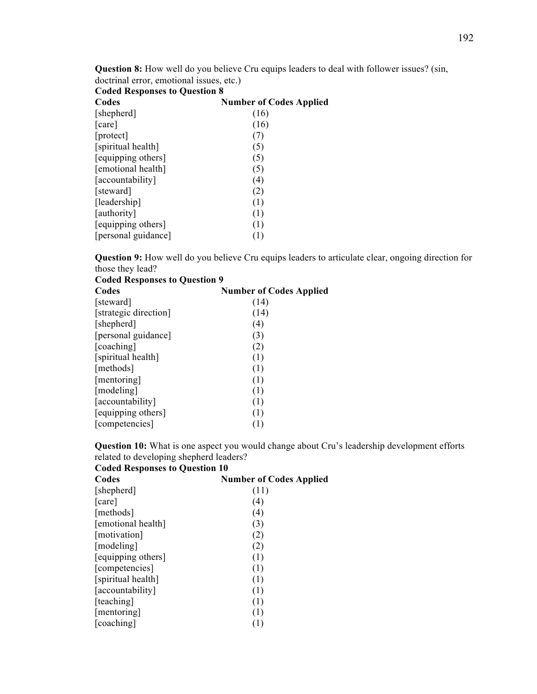**Question 8:** How well do you believe Cru equips leaders to deal with follower issues? (sin, doctrinal error, emotional issues, etc.)

| <b>Coded Responses to Question 8</b> |                                |
|--------------------------------------|--------------------------------|
| Codes                                | <b>Number of Codes Applied</b> |
| [shepherd]                           | (16)                           |
| care                                 | (16)                           |
| [protect]                            | (7)                            |
| [spiritual health]                   | (5)                            |
| [equipping others]                   | (5)                            |
| [emotional health]                   | (5)                            |
| [accountability]                     | (4)                            |
| [steward]                            | (2)                            |
| [leadership]                         | (1)                            |
| [authority]                          | (1)                            |
| [equipping others]                   | (1)                            |
| [personal guidance]                  | (1)                            |

**Question 9:** How well do you believe Cru equips leaders to articulate clear, ongoing direction for those they lead? **Coded Responses to Question 9**

| Coucu Responses to Question 7 |                                |
|-------------------------------|--------------------------------|
| Codes                         | <b>Number of Codes Applied</b> |
| steward                       | (14)                           |
| [strategic direction]         | (14)                           |
| [shepherd]                    | (4)                            |
| [personal guidance]           | (3)                            |
| [coaching]                    | (2)                            |
| [spiritual health]            | (1)                            |
| [methods]                     | (1)                            |
| [mentoring]                   | (1)                            |
| [modeling]                    | (1)                            |
| [accountability]              | (1)                            |
| [equipping others]            | (1)                            |
| [competencies]                | (1)                            |

**Question 10:** What is one aspect you would change about Cru's leadership development efforts related to developing shepherd leaders?

| <b>Coded Responses to Question 10</b> |                                |
|---------------------------------------|--------------------------------|
| Codes                                 | <b>Number of Codes Applied</b> |
| [shepherd]                            | (11)                           |
| [care]                                | (4)                            |
| [methods]                             | (4)                            |
| [emotional health]                    | (3)                            |
| [motivation]                          | (2)                            |
| [modeling]                            | (2)                            |
| [equipping others]                    | (1)                            |
| [competencies]                        | (1)                            |
| [spiritual health]                    | (1)                            |
| [accountability]                      | (1)                            |
| [teaching]                            | (1)                            |
| [mentoring]                           | (1)                            |
| [coaching]                            | (1)                            |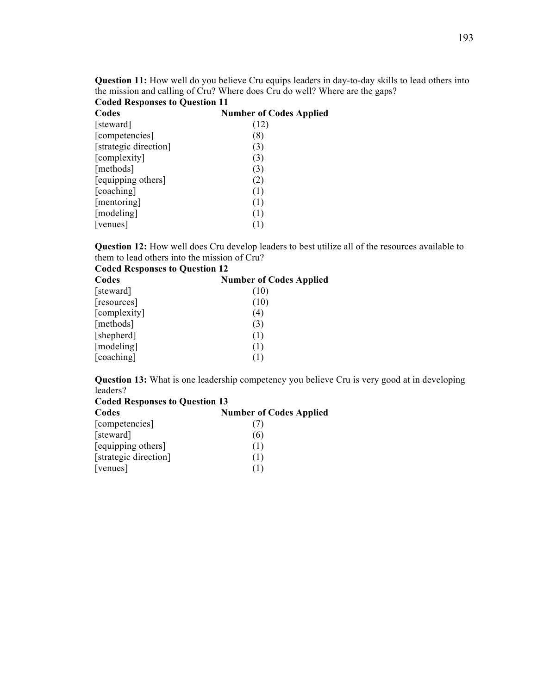**Question 11:** How well do you believe Cru equips leaders in day-to-day skills to lead others into the mission and calling of Cru? Where does Cru do well? Where are the gaps?

| <b>Coded Responses to Question 11</b> |                                |
|---------------------------------------|--------------------------------|
| Codes                                 | <b>Number of Codes Applied</b> |
| [steward]                             | (12)                           |
| [competencies]                        | (8)                            |
| [strategic direction]                 | (3)                            |
| [complexity]                          | (3)                            |
| [methods]                             | (3)                            |
| [equipping others]                    | (2)                            |
| [coaching]                            | (1)                            |
| [mentoring]                           | (1)                            |
| [modeling]                            | (1)                            |
| [venues]                              | (1)                            |

**Question 12:** How well does Cru develop leaders to best utilize all of the resources available to them to lead others into the mission of Cru?<br>Coded Besponses to Question 12

| <b>Coded Responses to Question 12</b> |                                |  |  |
|---------------------------------------|--------------------------------|--|--|
| Codes                                 | <b>Number of Codes Applied</b> |  |  |
| [steward]                             | (10)                           |  |  |
| [resources]                           | (10)                           |  |  |
| [complexity]                          | (4)                            |  |  |
| [methods]                             | (3)                            |  |  |
| [shepherd]                            | (1)                            |  |  |
| [modeling]                            | (1)                            |  |  |
| [coaching]                            |                                |  |  |

**Question 13:** What is one leadership competency you believe Cru is very good at in developing leaders?

| <b>Coded Responses to Question 13</b> |                                |  |  |
|---------------------------------------|--------------------------------|--|--|
| Codes                                 | <b>Number of Codes Applied</b> |  |  |
| [competencies]                        |                                |  |  |
| [steward]                             | (6)                            |  |  |
| [equipping others]                    | (1)                            |  |  |
| [strategic direction]                 | (1)                            |  |  |
| [venues]                              | (1)                            |  |  |
|                                       |                                |  |  |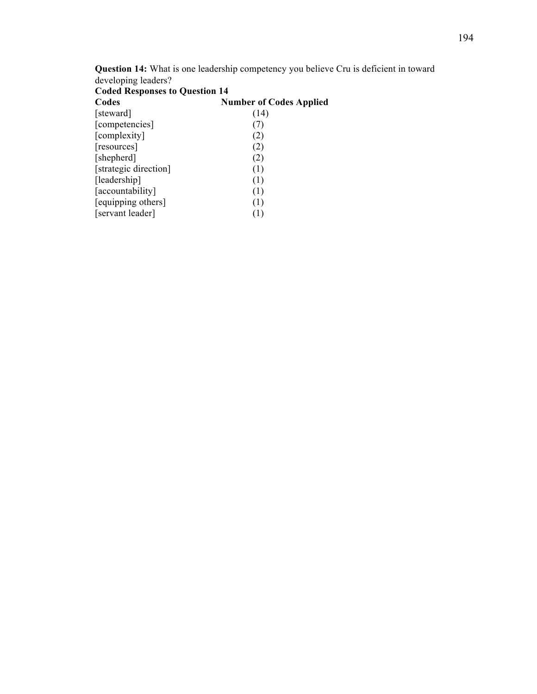| <b>Question 14:</b> What is one leadership competency you believe Cru is deficient in toward |  |  |
|----------------------------------------------------------------------------------------------|--|--|
| developing leaders?                                                                          |  |  |

| <b>Coded Responses to Question 14</b> |  |  |
|---------------------------------------|--|--|
| <b>Number of Codes Applied</b>        |  |  |
| (14)                                  |  |  |
| (7)                                   |  |  |
| (2)                                   |  |  |
| (2)                                   |  |  |
| (2)                                   |  |  |
| (1)                                   |  |  |
| (1)                                   |  |  |
| (1)                                   |  |  |
| (1)                                   |  |  |
| (1)                                   |  |  |
|                                       |  |  |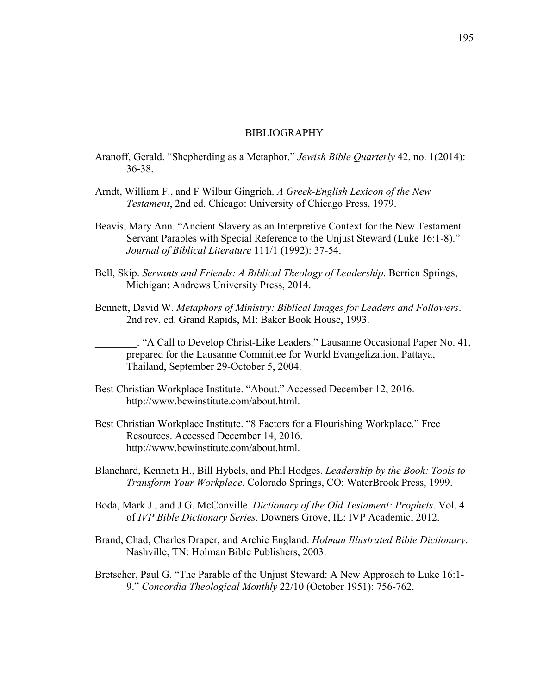### BIBLIOGRAPHY

- Aranoff, Gerald. "Shepherding as a Metaphor." *Jewish Bible Quarterly* 42, no. 1(2014): 36-38.
- Arndt, William F., and F Wilbur Gingrich. *A Greek-English Lexicon of the New Testament*, 2nd ed. Chicago: University of Chicago Press, 1979.
- Beavis, Mary Ann. "Ancient Slavery as an Interpretive Context for the New Testament Servant Parables with Special Reference to the Unjust Steward (Luke 16:1-8)." *Journal of Biblical Literature* 111/1 (1992): 37-54.
- Bell, Skip. *Servants and Friends: A Biblical Theology of Leadership*. Berrien Springs, Michigan: Andrews University Press, 2014.
- Bennett, David W. *Metaphors of Ministry: Biblical Images for Leaders and Followers*. 2nd rev. ed. Grand Rapids, MI: Baker Book House, 1993.

\_\_\_\_\_\_\_\_. "A Call to Develop Christ-Like Leaders." Lausanne Occasional Paper No. 41, prepared for the Lausanne Committee for World Evangelization, Pattaya, Thailand, September 29-October 5, 2004.

- Best Christian Workplace Institute. "About." Accessed December 12, 2016. http://www.bcwinstitute.com/about.html.
- Best Christian Workplace Institute. "8 Factors for a Flourishing Workplace." Free Resources. Accessed December 14, 2016. http://www.bcwinstitute.com/about.html.
- Blanchard, Kenneth H., Bill Hybels, and Phil Hodges. *Leadership by the Book: Tools to Transform Your Workplace*. Colorado Springs, CO: WaterBrook Press, 1999.
- Boda, Mark J., and J G. McConville. *Dictionary of the Old Testament: Prophets*. Vol. 4 of *IVP Bible Dictionary Series*. Downers Grove, IL: IVP Academic, 2012.
- Brand, Chad, Charles Draper, and Archie England. *Holman Illustrated Bible Dictionary*. Nashville, TN: Holman Bible Publishers, 2003.
- Bretscher, Paul G. "The Parable of the Unjust Steward: A New Approach to Luke 16:1- 9." *Concordia Theological Monthly* 22/10 (October 1951): 756-762.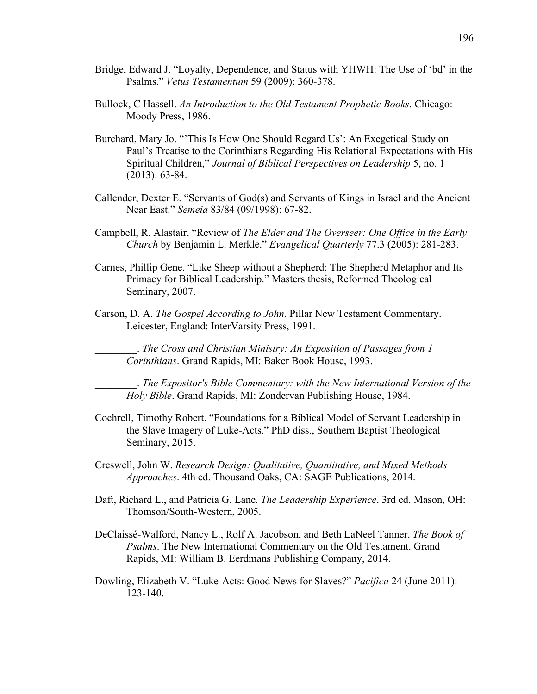- Bridge, Edward J. "Loyalty, Dependence, and Status with YHWH: The Use of 'bd' in the Psalms." *Vetus Testamentum* 59 (2009): 360-378.
- Bullock, C Hassell. *An Introduction to the Old Testament Prophetic Books*. Chicago: Moody Press, 1986.
- Burchard, Mary Jo. "'This Is How One Should Regard Us': An Exegetical Study on Paul's Treatise to the Corinthians Regarding His Relational Expectations with His Spiritual Children," *Journal of Biblical Perspectives on Leadership* 5, no. 1 (2013): 63-84.
- Callender, Dexter E. "Servants of God(s) and Servants of Kings in Israel and the Ancient Near East." *Semeia* 83/84 (09/1998): 67-82.
- Campbell, R. Alastair. "Review of *The Elder and The Overseer: One Office in the Early Church* by Benjamin L. Merkle." *Evangelical Quarterly* 77.3 (2005): 281-283.
- Carnes, Phillip Gene. "Like Sheep without a Shepherd: The Shepherd Metaphor and Its Primacy for Biblical Leadership." Masters thesis, Reformed Theological Seminary, 2007.
- Carson, D. A. *The Gospel According to John*. Pillar New Testament Commentary. Leicester, England: InterVarsity Press, 1991.

\_\_\_\_\_\_\_\_. *The Cross and Christian Ministry: An Exposition of Passages from 1 Corinthians*. Grand Rapids, MI: Baker Book House, 1993.

\_\_\_\_\_\_\_\_. *The Expositor's Bible Commentary: with the New International Version of the Holy Bible*. Grand Rapids, MI: Zondervan Publishing House, 1984.

- Cochrell, Timothy Robert. "Foundations for a Biblical Model of Servant Leadership in the Slave Imagery of Luke-Acts." PhD diss., Southern Baptist Theological Seminary, 2015.
- Creswell, John W. *Research Design: Qualitative, Quantitative, and Mixed Methods Approaches*. 4th ed. Thousand Oaks, CA: SAGE Publications, 2014.
- Daft, Richard L., and Patricia G. Lane. *The Leadership Experience*. 3rd ed. Mason, OH: Thomson/South-Western, 2005.
- DeClaissé-Walford, Nancy L., Rolf A. Jacobson, and Beth LaNeel Tanner. *The Book of Psalms*. The New International Commentary on the Old Testament. Grand Rapids, MI: William B. Eerdmans Publishing Company, 2014.
- Dowling, Elizabeth V. "Luke-Acts: Good News for Slaves?" *Pacifica* 24 (June 2011): 123-140.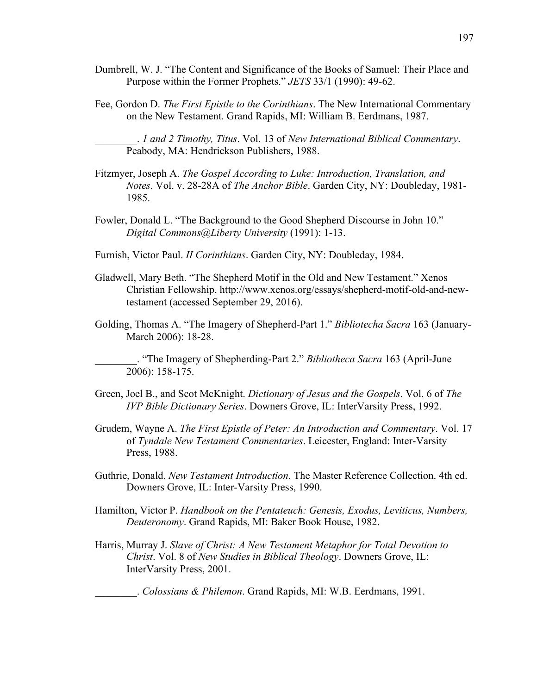- Dumbrell, W. J. "The Content and Significance of the Books of Samuel: Their Place and Purpose within the Former Prophets." *JETS* 33/1 (1990): 49-62.
- Fee, Gordon D. *The First Epistle to the Corinthians*. The New International Commentary on the New Testament. Grand Rapids, MI: William B. Eerdmans, 1987.

\_\_\_\_\_\_\_\_. *1 and 2 Timothy, Titus*. Vol. 13 of *New International Biblical Commentary*. Peabody, MA: Hendrickson Publishers, 1988.

- Fitzmyer, Joseph A. *The Gospel According to Luke: Introduction, Translation, and Notes*. Vol. v. 28-28A of *The Anchor Bible*. Garden City, NY: Doubleday, 1981- 1985.
- Fowler, Donald L. "The Background to the Good Shepherd Discourse in John 10." *Digital Commons@Liberty University* (1991): 1-13.
- Furnish, Victor Paul. *II Corinthians*. Garden City, NY: Doubleday, 1984.
- Gladwell, Mary Beth. "The Shepherd Motif in the Old and New Testament." Xenos Christian Fellowship. http://www.xenos.org/essays/shepherd-motif-old-and-newtestament (accessed September 29, 2016).
- Golding, Thomas A. "The Imagery of Shepherd-Part 1." *Bibliotecha Sacra* 163 (January-March 2006): 18-28.

\_\_\_\_\_\_\_\_. "The Imagery of Shepherding-Part 2." *Bibliotheca Sacra* 163 (April-June 2006): 158-175.

- Green, Joel B., and Scot McKnight. *Dictionary of Jesus and the Gospels*. Vol. 6 of *The IVP Bible Dictionary Series*. Downers Grove, IL: InterVarsity Press, 1992.
- Grudem, Wayne A. *The First Epistle of Peter: An Introduction and Commentary*. Vol. 17 of *Tyndale New Testament Commentaries*. Leicester, England: Inter-Varsity Press, 1988.
- Guthrie, Donald. *New Testament Introduction*. The Master Reference Collection. 4th ed. Downers Grove, IL: Inter-Varsity Press, 1990.
- Hamilton, Victor P. *Handbook on the Pentateuch: Genesis, Exodus, Leviticus, Numbers, Deuteronomy*. Grand Rapids, MI: Baker Book House, 1982.
- Harris, Murray J. *Slave of Christ: A New Testament Metaphor for Total Devotion to Christ*. Vol. 8 of *New Studies in Biblical Theology*. Downers Grove, IL: InterVarsity Press, 2001.

\_\_\_\_\_\_\_\_. *Colossians & Philemon*. Grand Rapids, MI: W.B. Eerdmans, 1991.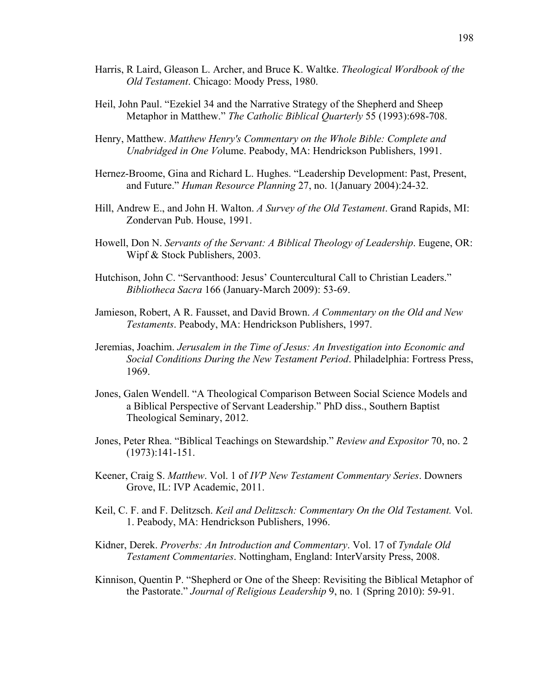- Harris, R Laird, Gleason L. Archer, and Bruce K. Waltke. *Theological Wordbook of the Old Testament*. Chicago: Moody Press, 1980.
- Heil, John Paul. "Ezekiel 34 and the Narrative Strategy of the Shepherd and Sheep Metaphor in Matthew." *The Catholic Biblical Quarterly* 55 (1993):698-708.
- Henry, Matthew. *Matthew Henry's Commentary on the Whole Bible: Complete and Unabridged in One Vo*lume. Peabody, MA: Hendrickson Publishers, 1991.
- Hernez-Broome, Gina and Richard L. Hughes. "Leadership Development: Past, Present, and Future." *Human Resource Planning* 27, no. 1(January 2004):24-32.
- Hill, Andrew E., and John H. Walton. *A Survey of the Old Testament*. Grand Rapids, MI: Zondervan Pub. House, 1991.
- Howell, Don N. *Servants of the Servant: A Biblical Theology of Leadership*. Eugene, OR: Wipf & Stock Publishers, 2003.
- Hutchison, John C. "Servanthood: Jesus' Countercultural Call to Christian Leaders." *Bibliotheca Sacra* 166 (January-March 2009): 53-69.
- Jamieson, Robert, A R. Fausset, and David Brown. *A Commentary on the Old and New Testaments*. Peabody, MA: Hendrickson Publishers, 1997.
- Jeremias, Joachim. *Jerusalem in the Time of Jesus: An Investigation into Economic and Social Conditions During the New Testament Period*. Philadelphia: Fortress Press, 1969.
- Jones, Galen Wendell. "A Theological Comparison Between Social Science Models and a Biblical Perspective of Servant Leadership." PhD diss., Southern Baptist Theological Seminary, 2012.
- Jones, Peter Rhea. "Biblical Teachings on Stewardship." *Review and Expositor* 70, no. 2 (1973):141-151.
- Keener, Craig S. *Matthew*. Vol. 1 of *IVP New Testament Commentary Series*. Downers Grove, IL: IVP Academic, 2011.
- Keil, C. F. and F. Delitzsch. *Keil and Delitzsch: Commentary On the Old Testament.* Vol. 1. Peabody, MA: Hendrickson Publishers, 1996.
- Kidner, Derek. *Proverbs: An Introduction and Commentary*. Vol. 17 of *Tyndale Old Testament Commentaries*. Nottingham, England: InterVarsity Press, 2008.
- Kinnison, Quentin P. "Shepherd or One of the Sheep: Revisiting the Biblical Metaphor of the Pastorate." *Journal of Religious Leadership* 9, no. 1 (Spring 2010): 59-91.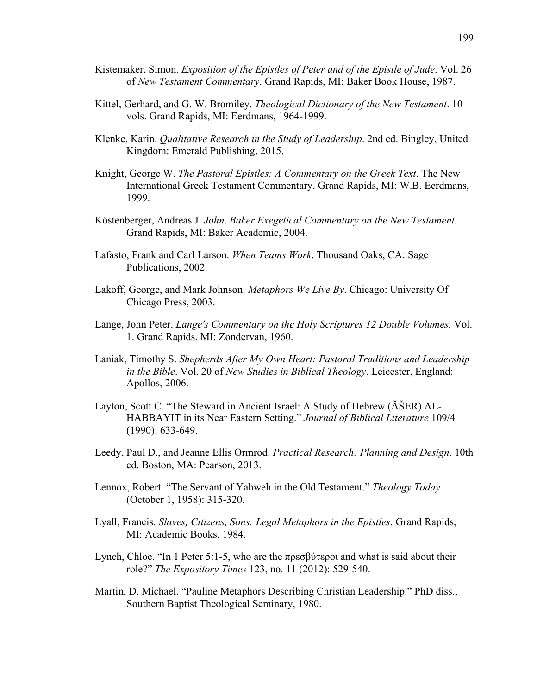- Kistemaker, Simon. *Exposition of the Epistles of Peter and of the Epistle of Jude*. Vol. 26 of *New Testament Commentary*. Grand Rapids, MI: Baker Book House, 1987.
- Kittel, Gerhard, and G. W. Bromiley. *Theological Dictionary of the New Testament*. 10 vols. Grand Rapids, MI: Eerdmans, 1964-1999.
- Klenke, Karin. *Qualitative Research in the Study of Leadership*. 2nd ed. Bingley, United Kingdom: Emerald Publishing, 2015.
- Knight, George W. *The Pastoral Epistles: A Commentary on the Greek Text*. The New International Greek Testament Commentary. Grand Rapids, MI: W.B. Eerdmans, 1999.
- Köstenberger, Andreas J. *John*. *Baker Exegetical Commentary on the New Testament.* Grand Rapids, MI: Baker Academic, 2004.
- Lafasto, Frank and Carl Larson. *When Teams Work*. Thousand Oaks, CA: Sage Publications, 2002.
- Lakoff, George, and Mark Johnson. *Metaphors We Live By*. Chicago: University Of Chicago Press, 2003.
- Lange, John Peter. *Lange's Commentary on the Holy Scriptures 12 Double Volumes.* Vol. 1. Grand Rapids, MI: Zondervan, 1960.
- Laniak, Timothy S. *Shepherds After My Own Heart: Pastoral Traditions and Leadership in the Bible*. Vol. 20 of *New Studies in Biblical Theology*. Leicester, England: Apollos, 2006.
- Layton, Scott C. "The Steward in Ancient Israel: A Study of Hebrew (ĂŠER) AL-HABBAYIT in its Near Eastern Setting." *Journal of Biblical Literature* 109/4 (1990): 633-649.
- Leedy, Paul D., and Jeanne Ellis Ormrod. *Practical Research: Planning and Design*. 10th ed. Boston, MA: Pearson, 2013.
- Lennox, Robert. "The Servant of Yahweh in the Old Testament." *Theology Today* (October 1, 1958): 315-320.
- Lyall, Francis. *Slaves, Citizens, Sons: Legal Metaphors in the Epistles*. Grand Rapids, MI: Academic Books, 1984.
- Lynch, Chloe. "In 1 Peter 5:1-5, who are the πρεσβύτεροι and what is said about their role?" *The Expository Times* 123, no. 11 (2012): 529-540.
- Martin, D. Michael. "Pauline Metaphors Describing Christian Leadership." PhD diss., Southern Baptist Theological Seminary, 1980.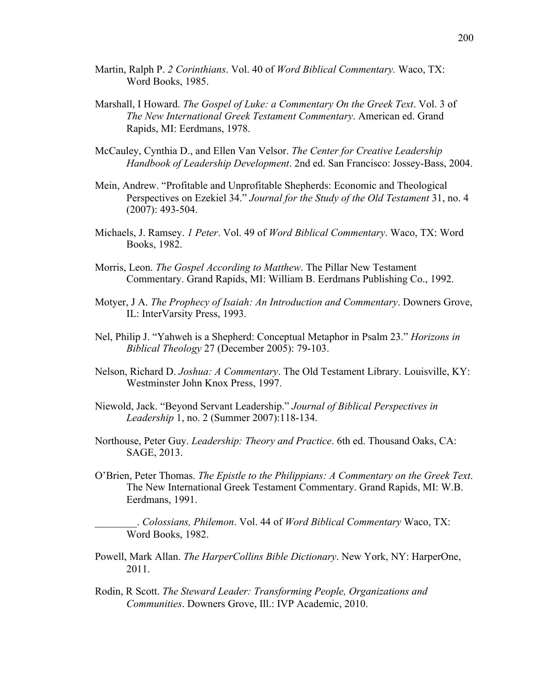- Martin, Ralph P. *2 Corinthians*. Vol. 40 of *Word Biblical Commentary.* Waco, TX: Word Books, 1985.
- Marshall, I Howard. *The Gospel of Luke: a Commentary On the Greek Text*. Vol. 3 of *The New International Greek Testament Commentary*. American ed. Grand Rapids, MI: Eerdmans, 1978.
- McCauley, Cynthia D., and Ellen Van Velsor. *The Center for Creative Leadership Handbook of Leadership Development*. 2nd ed. San Francisco: Jossey-Bass, 2004.
- Mein, Andrew. "Profitable and Unprofitable Shepherds: Economic and Theological Perspectives on Ezekiel 34." *Journal for the Study of the Old Testament* 31, no. 4 (2007): 493-504.
- Michaels, J. Ramsey. *1 Peter*. Vol. 49 of *Word Biblical Commentary*. Waco, TX: Word Books, 1982.
- Morris, Leon. *The Gospel According to Matthew*. The Pillar New Testament Commentary. Grand Rapids, MI: William B. Eerdmans Publishing Co., 1992.
- Motyer, J A. *The Prophecy of Isaiah: An Introduction and Commentary*. Downers Grove, IL: InterVarsity Press, 1993.
- Nel, Philip J. "Yahweh is a Shepherd: Conceptual Metaphor in Psalm 23." *Horizons in Biblical Theology* 27 (December 2005): 79-103.
- Nelson, Richard D. *Joshua: A Commentary*. The Old Testament Library. Louisville, KY: Westminster John Knox Press, 1997.
- Niewold, Jack. "Beyond Servant Leadership." *Journal of Biblical Perspectives in Leadership* 1, no. 2 (Summer 2007):118-134.
- Northouse, Peter Guy. *Leadership: Theory and Practice*. 6th ed. Thousand Oaks, CA: SAGE, 2013.
- O'Brien, Peter Thomas. *The Epistle to the Philippians: A Commentary on the Greek Text*. The New International Greek Testament Commentary. Grand Rapids, MI: W.B. Eerdmans, 1991.

\_\_\_\_\_\_\_\_. *Colossians, Philemon*. Vol. 44 of *Word Biblical Commentary* Waco, TX: Word Books, 1982.

- Powell, Mark Allan. *The HarperCollins Bible Dictionary*. New York, NY: HarperOne, 2011.
- Rodin, R Scott. *The Steward Leader: Transforming People, Organizations and Communities*. Downers Grove, Ill.: IVP Academic, 2010.